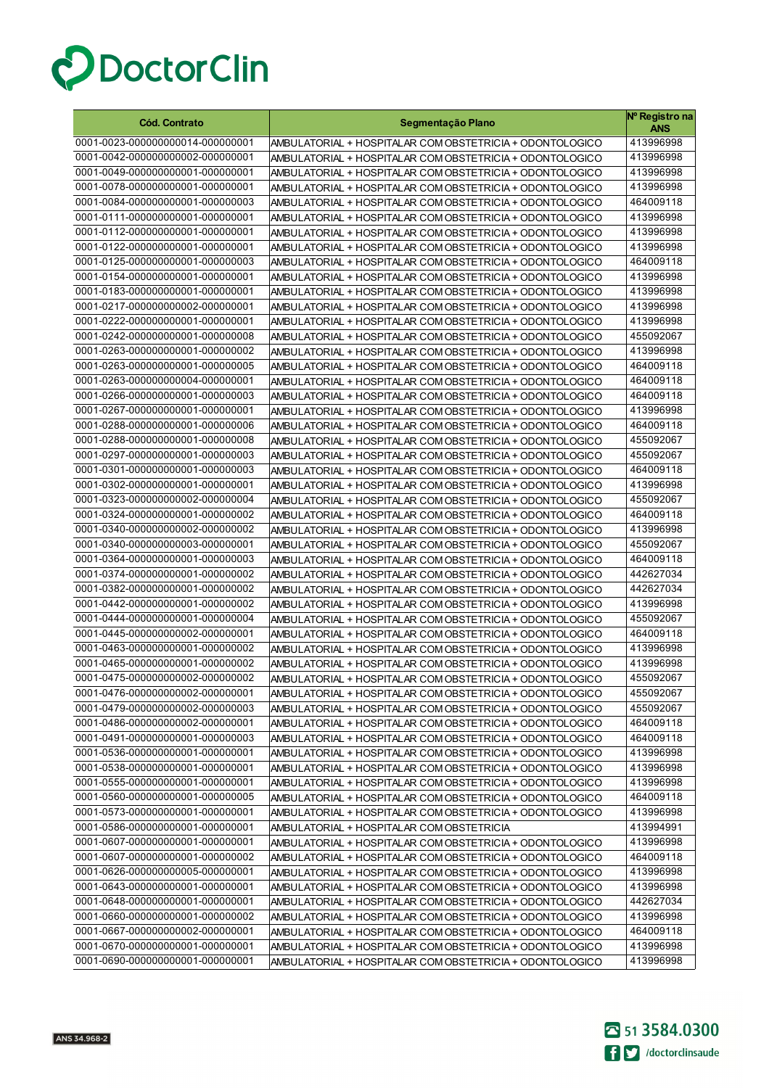

| 0001-0023-000000000014-000000001<br>413996998<br>AMBULATORIAL + HOSPITALAR COM OBSTETRICIA + ODONTOLOGICO<br>0001-0042-000000000002-000000001<br>413996998<br>AMBULATORIAL + HOSPITALAR COM OBSTETRICIA + ODONTOLOGICO<br>0001-0049-000000000001-000000001<br>413996998<br>AMBULATORIAL + HOSPITALAR COM OBSTETRICIA + ODONTOLOGICO<br>0001-0078-000000000001-000000001<br>413996998<br>AMBULATORIAL + HOSPITALAR COM OBSTETRICIA + ODONTOLOGICO<br>0001-0084-000000000001-000000003<br>464009118<br>AMBULATORIAL + HOSPITALAR COM OBSTETRICIA + ODONTOLOGICO<br>0001-0111-000000000001-000000001<br>413996998<br>AMBULATORIAL + HOSPITALAR COM OBSTETRICIA + ODONTOLOGICO<br>0001-0112-000000000001-000000001<br>413996998<br>AMBULATORIAL + HOSPITALAR COM OBSTETRICIA + ODONTOLOGICO<br>0001-0122-000000000001-000000001<br>413996998<br>AMBULATORIAL + HOSPITALAR COM OBSTETRICIA + ODONTOLOGICO<br>0001-0125-000000000001-000000003<br>464009118<br>AMBULATORIAL + HOSPITALAR COM OBSTETRICIA + ODONTOLOGICO<br>0001-0154-000000000001-000000001<br>413996998<br>AMBULATORIAL + HOSPITALAR COM OBSTETRICIA + ODONTOLOGICO<br>0001-0183-000000000001-000000001<br>413996998<br>AMBULATORIAL + HOSPITALAR COM OBSTETRICIA + ODONTOLOGICO<br>0001-0217-000000000002-000000001<br>413996998<br>AMBULATORIAL + HOSPITALAR COM OBSTETRICIA + ODONTOLOGICO<br>0001-0222-000000000001-000000001<br>413996998<br>AMBULATORIAL + HOSPITALAR COM OBSTETRICIA + ODONTOLOGICO<br>0001-0242-000000000001-000000008<br>455092067<br>AMBULATORIAL + HOSPITALAR COM OBSTETRICIA + ODONTOLOGICO<br>0001-0263-000000000001-000000002<br>413996998<br>AMBULATORIAL + HOSPITALAR COM OBSTETRICIA + ODONTOLOGICO<br>0001-0263-000000000001-000000005<br>464009118<br>AMBULATORIAL + HOSPITALAR COM OBSTETRICIA + ODONTOLOGICO<br>0001-0263-000000000004-000000001<br>464009118<br>AMBULATORIAL + HOSPITALAR COM OBSTETRICIA + ODONTOLOGICO<br>0001-0266-000000000001-000000003<br>464009118<br>AMBULATORIAL + HOSPITALAR COM OBSTETRICIA + ODONTOLOGICO<br>0001-0267-000000000001-000000001<br>413996998<br>AMBULATORIAL + HOSPITALAR COM OBSTETRICIA + ODONTOLOGICO<br>0001-0288-000000000001-000000006<br>464009118<br>AMBULATORIAL + HOSPITALAR COM OBSTETRICIA + ODONTOLOGICO<br>0001-0288-000000000001-000000008<br>455092067<br>AMBULATORIAL + HOSPITALAR COM OBSTETRICIA + ODONTOLOGICO<br>0001-0297-000000000001-000000003<br>455092067<br>AMBULATORIAL + HOSPITALAR COM OBSTETRICIA + ODONTOLOGICO<br>0001-0301-000000000001-000000003<br>464009118<br>AMBULATORIAL + HOSPITALAR COM OBSTETRICIA + ODONTOLOGICO<br>0001-0302-000000000001-000000001<br>413996998<br>AMBULATORIAL + HOSPITALAR COM OBSTETRICIA + ODONTOLOGICO<br>0001-0323-000000000002-000000004<br>455092067<br>AMBULATORIAL + HOSPITALAR COM OBSTETRICIA + ODONTOLOGICO<br>0001-0324-000000000001-000000002<br>464009118<br>AMBULATORIAL + HOSPITALAR COM OBSTETRICIA + ODONTOLOGICO<br>0001-0340-000000000002-000000002<br>413996998<br>AMBULATORIAL + HOSPITALAR COM OBSTETRICIA + ODONTOLOGICO<br>0001-0340-000000000003-000000001<br>455092067<br>AMBULATORIAL + HOSPITALAR COM OBSTETRICIA + ODONTOLOGICO<br>0001-0364-000000000001-000000003<br>464009118<br>AMBULATORIAL + HOSPITALAR COM OBSTETRICIA + ODONTOLOGICO<br>0001-0374-000000000001-000000002<br>442627034<br>AMBULATORIAL + HOSPITALAR COM OBSTETRICIA + ODONTOLOGICO<br>0001-0382-000000000001-000000002<br>442627034<br>AMBULATORIAL + HOSPITALAR COM OBSTETRICIA + ODONTOLOGICO<br>0001-0442-000000000001-000000002<br>413996998<br>AMBULATORIAL + HOSPITALAR COM OBSTETRICIA + ODONTOLOGICO<br>0001-0444-000000000001-000000004<br>455092067<br>AMBULATORIAL + HOSPITALAR COM OBSTETRICIA + ODONTOLOGICO<br>0001-0445-000000000002-000000001<br>464009118<br>AMBULATORIAL + HOSPITALAR COM OBSTETRICIA + ODONTOLOGICO<br>0001-0463-000000000001-000000002<br>413996998<br>AMBULATORIAL + HOSPITALAR COM OBSTETRICIA + ODONTOLOGICO<br>0001-0465-000000000001-000000002<br>413996998<br>AMBULATORIAL + HOSPITALAR COM OBSTETRICIA + ODONTOLOGICO<br>0001-0475-000000000002-000000002<br>455092067<br>AMBULATORIAL + HOSPITALAR COM OBSTETRICIA + ODONTOLOGICO<br>0001-0476-000000000002-000000001<br>AMBULATORIAL + HOSPITALAR COM OBSTETRICIA + ODONTOLOGICO<br>455092067<br>0001-0479-000000000002-000000003<br>455092067<br>AMBULATORIAL + HOSPITALAR COM OBSTETRICIA + ODONTOLOGICO |
|-------------------------------------------------------------------------------------------------------------------------------------------------------------------------------------------------------------------------------------------------------------------------------------------------------------------------------------------------------------------------------------------------------------------------------------------------------------------------------------------------------------------------------------------------------------------------------------------------------------------------------------------------------------------------------------------------------------------------------------------------------------------------------------------------------------------------------------------------------------------------------------------------------------------------------------------------------------------------------------------------------------------------------------------------------------------------------------------------------------------------------------------------------------------------------------------------------------------------------------------------------------------------------------------------------------------------------------------------------------------------------------------------------------------------------------------------------------------------------------------------------------------------------------------------------------------------------------------------------------------------------------------------------------------------------------------------------------------------------------------------------------------------------------------------------------------------------------------------------------------------------------------------------------------------------------------------------------------------------------------------------------------------------------------------------------------------------------------------------------------------------------------------------------------------------------------------------------------------------------------------------------------------------------------------------------------------------------------------------------------------------------------------------------------------------------------------------------------------------------------------------------------------------------------------------------------------------------------------------------------------------------------------------------------------------------------------------------------------------------------------------------------------------------------------------------------------------------------------------------------------------------------------------------------------------------------------------------------------------------------------------------------------------------------------------------------------------------------------------------------------------------------------------------------------------------------------------------------------------------------------------------------------------------------------------------------------------------------------------------------------------------------------------------------------------------------------------------------------------------------------------------------------------------------------------------------------------------------------------------------------------------------------------------------------------------------------------------------------------------------------------------------------------------------------------------------------------------------------------------------------------------------------------------------------------------------------------------------------------------------------------------------------------------------------------------------------------------------------------------------------------------------------------------------------------------------------------------------------------------------------------------------------------------------------------------------------------------------------------------------------------------------------------------------------|
|                                                                                                                                                                                                                                                                                                                                                                                                                                                                                                                                                                                                                                                                                                                                                                                                                                                                                                                                                                                                                                                                                                                                                                                                                                                                                                                                                                                                                                                                                                                                                                                                                                                                                                                                                                                                                                                                                                                                                                                                                                                                                                                                                                                                                                                                                                                                                                                                                                                                                                                                                                                                                                                                                                                                                                                                                                                                                                                                                                                                                                                                                                                                                                                                                                                                                                                                                                                                                                                                                                                                                                                                                                                                                                                                                                                                                                                                                                                                                                                                                                                                                                                                                                                                                                                                                                                                                                                                                         |
|                                                                                                                                                                                                                                                                                                                                                                                                                                                                                                                                                                                                                                                                                                                                                                                                                                                                                                                                                                                                                                                                                                                                                                                                                                                                                                                                                                                                                                                                                                                                                                                                                                                                                                                                                                                                                                                                                                                                                                                                                                                                                                                                                                                                                                                                                                                                                                                                                                                                                                                                                                                                                                                                                                                                                                                                                                                                                                                                                                                                                                                                                                                                                                                                                                                                                                                                                                                                                                                                                                                                                                                                                                                                                                                                                                                                                                                                                                                                                                                                                                                                                                                                                                                                                                                                                                                                                                                                                         |
|                                                                                                                                                                                                                                                                                                                                                                                                                                                                                                                                                                                                                                                                                                                                                                                                                                                                                                                                                                                                                                                                                                                                                                                                                                                                                                                                                                                                                                                                                                                                                                                                                                                                                                                                                                                                                                                                                                                                                                                                                                                                                                                                                                                                                                                                                                                                                                                                                                                                                                                                                                                                                                                                                                                                                                                                                                                                                                                                                                                                                                                                                                                                                                                                                                                                                                                                                                                                                                                                                                                                                                                                                                                                                                                                                                                                                                                                                                                                                                                                                                                                                                                                                                                                                                                                                                                                                                                                                         |
|                                                                                                                                                                                                                                                                                                                                                                                                                                                                                                                                                                                                                                                                                                                                                                                                                                                                                                                                                                                                                                                                                                                                                                                                                                                                                                                                                                                                                                                                                                                                                                                                                                                                                                                                                                                                                                                                                                                                                                                                                                                                                                                                                                                                                                                                                                                                                                                                                                                                                                                                                                                                                                                                                                                                                                                                                                                                                                                                                                                                                                                                                                                                                                                                                                                                                                                                                                                                                                                                                                                                                                                                                                                                                                                                                                                                                                                                                                                                                                                                                                                                                                                                                                                                                                                                                                                                                                                                                         |
|                                                                                                                                                                                                                                                                                                                                                                                                                                                                                                                                                                                                                                                                                                                                                                                                                                                                                                                                                                                                                                                                                                                                                                                                                                                                                                                                                                                                                                                                                                                                                                                                                                                                                                                                                                                                                                                                                                                                                                                                                                                                                                                                                                                                                                                                                                                                                                                                                                                                                                                                                                                                                                                                                                                                                                                                                                                                                                                                                                                                                                                                                                                                                                                                                                                                                                                                                                                                                                                                                                                                                                                                                                                                                                                                                                                                                                                                                                                                                                                                                                                                                                                                                                                                                                                                                                                                                                                                                         |
|                                                                                                                                                                                                                                                                                                                                                                                                                                                                                                                                                                                                                                                                                                                                                                                                                                                                                                                                                                                                                                                                                                                                                                                                                                                                                                                                                                                                                                                                                                                                                                                                                                                                                                                                                                                                                                                                                                                                                                                                                                                                                                                                                                                                                                                                                                                                                                                                                                                                                                                                                                                                                                                                                                                                                                                                                                                                                                                                                                                                                                                                                                                                                                                                                                                                                                                                                                                                                                                                                                                                                                                                                                                                                                                                                                                                                                                                                                                                                                                                                                                                                                                                                                                                                                                                                                                                                                                                                         |
|                                                                                                                                                                                                                                                                                                                                                                                                                                                                                                                                                                                                                                                                                                                                                                                                                                                                                                                                                                                                                                                                                                                                                                                                                                                                                                                                                                                                                                                                                                                                                                                                                                                                                                                                                                                                                                                                                                                                                                                                                                                                                                                                                                                                                                                                                                                                                                                                                                                                                                                                                                                                                                                                                                                                                                                                                                                                                                                                                                                                                                                                                                                                                                                                                                                                                                                                                                                                                                                                                                                                                                                                                                                                                                                                                                                                                                                                                                                                                                                                                                                                                                                                                                                                                                                                                                                                                                                                                         |
|                                                                                                                                                                                                                                                                                                                                                                                                                                                                                                                                                                                                                                                                                                                                                                                                                                                                                                                                                                                                                                                                                                                                                                                                                                                                                                                                                                                                                                                                                                                                                                                                                                                                                                                                                                                                                                                                                                                                                                                                                                                                                                                                                                                                                                                                                                                                                                                                                                                                                                                                                                                                                                                                                                                                                                                                                                                                                                                                                                                                                                                                                                                                                                                                                                                                                                                                                                                                                                                                                                                                                                                                                                                                                                                                                                                                                                                                                                                                                                                                                                                                                                                                                                                                                                                                                                                                                                                                                         |
|                                                                                                                                                                                                                                                                                                                                                                                                                                                                                                                                                                                                                                                                                                                                                                                                                                                                                                                                                                                                                                                                                                                                                                                                                                                                                                                                                                                                                                                                                                                                                                                                                                                                                                                                                                                                                                                                                                                                                                                                                                                                                                                                                                                                                                                                                                                                                                                                                                                                                                                                                                                                                                                                                                                                                                                                                                                                                                                                                                                                                                                                                                                                                                                                                                                                                                                                                                                                                                                                                                                                                                                                                                                                                                                                                                                                                                                                                                                                                                                                                                                                                                                                                                                                                                                                                                                                                                                                                         |
|                                                                                                                                                                                                                                                                                                                                                                                                                                                                                                                                                                                                                                                                                                                                                                                                                                                                                                                                                                                                                                                                                                                                                                                                                                                                                                                                                                                                                                                                                                                                                                                                                                                                                                                                                                                                                                                                                                                                                                                                                                                                                                                                                                                                                                                                                                                                                                                                                                                                                                                                                                                                                                                                                                                                                                                                                                                                                                                                                                                                                                                                                                                                                                                                                                                                                                                                                                                                                                                                                                                                                                                                                                                                                                                                                                                                                                                                                                                                                                                                                                                                                                                                                                                                                                                                                                                                                                                                                         |
|                                                                                                                                                                                                                                                                                                                                                                                                                                                                                                                                                                                                                                                                                                                                                                                                                                                                                                                                                                                                                                                                                                                                                                                                                                                                                                                                                                                                                                                                                                                                                                                                                                                                                                                                                                                                                                                                                                                                                                                                                                                                                                                                                                                                                                                                                                                                                                                                                                                                                                                                                                                                                                                                                                                                                                                                                                                                                                                                                                                                                                                                                                                                                                                                                                                                                                                                                                                                                                                                                                                                                                                                                                                                                                                                                                                                                                                                                                                                                                                                                                                                                                                                                                                                                                                                                                                                                                                                                         |
|                                                                                                                                                                                                                                                                                                                                                                                                                                                                                                                                                                                                                                                                                                                                                                                                                                                                                                                                                                                                                                                                                                                                                                                                                                                                                                                                                                                                                                                                                                                                                                                                                                                                                                                                                                                                                                                                                                                                                                                                                                                                                                                                                                                                                                                                                                                                                                                                                                                                                                                                                                                                                                                                                                                                                                                                                                                                                                                                                                                                                                                                                                                                                                                                                                                                                                                                                                                                                                                                                                                                                                                                                                                                                                                                                                                                                                                                                                                                                                                                                                                                                                                                                                                                                                                                                                                                                                                                                         |
|                                                                                                                                                                                                                                                                                                                                                                                                                                                                                                                                                                                                                                                                                                                                                                                                                                                                                                                                                                                                                                                                                                                                                                                                                                                                                                                                                                                                                                                                                                                                                                                                                                                                                                                                                                                                                                                                                                                                                                                                                                                                                                                                                                                                                                                                                                                                                                                                                                                                                                                                                                                                                                                                                                                                                                                                                                                                                                                                                                                                                                                                                                                                                                                                                                                                                                                                                                                                                                                                                                                                                                                                                                                                                                                                                                                                                                                                                                                                                                                                                                                                                                                                                                                                                                                                                                                                                                                                                         |
|                                                                                                                                                                                                                                                                                                                                                                                                                                                                                                                                                                                                                                                                                                                                                                                                                                                                                                                                                                                                                                                                                                                                                                                                                                                                                                                                                                                                                                                                                                                                                                                                                                                                                                                                                                                                                                                                                                                                                                                                                                                                                                                                                                                                                                                                                                                                                                                                                                                                                                                                                                                                                                                                                                                                                                                                                                                                                                                                                                                                                                                                                                                                                                                                                                                                                                                                                                                                                                                                                                                                                                                                                                                                                                                                                                                                                                                                                                                                                                                                                                                                                                                                                                                                                                                                                                                                                                                                                         |
|                                                                                                                                                                                                                                                                                                                                                                                                                                                                                                                                                                                                                                                                                                                                                                                                                                                                                                                                                                                                                                                                                                                                                                                                                                                                                                                                                                                                                                                                                                                                                                                                                                                                                                                                                                                                                                                                                                                                                                                                                                                                                                                                                                                                                                                                                                                                                                                                                                                                                                                                                                                                                                                                                                                                                                                                                                                                                                                                                                                                                                                                                                                                                                                                                                                                                                                                                                                                                                                                                                                                                                                                                                                                                                                                                                                                                                                                                                                                                                                                                                                                                                                                                                                                                                                                                                                                                                                                                         |
|                                                                                                                                                                                                                                                                                                                                                                                                                                                                                                                                                                                                                                                                                                                                                                                                                                                                                                                                                                                                                                                                                                                                                                                                                                                                                                                                                                                                                                                                                                                                                                                                                                                                                                                                                                                                                                                                                                                                                                                                                                                                                                                                                                                                                                                                                                                                                                                                                                                                                                                                                                                                                                                                                                                                                                                                                                                                                                                                                                                                                                                                                                                                                                                                                                                                                                                                                                                                                                                                                                                                                                                                                                                                                                                                                                                                                                                                                                                                                                                                                                                                                                                                                                                                                                                                                                                                                                                                                         |
|                                                                                                                                                                                                                                                                                                                                                                                                                                                                                                                                                                                                                                                                                                                                                                                                                                                                                                                                                                                                                                                                                                                                                                                                                                                                                                                                                                                                                                                                                                                                                                                                                                                                                                                                                                                                                                                                                                                                                                                                                                                                                                                                                                                                                                                                                                                                                                                                                                                                                                                                                                                                                                                                                                                                                                                                                                                                                                                                                                                                                                                                                                                                                                                                                                                                                                                                                                                                                                                                                                                                                                                                                                                                                                                                                                                                                                                                                                                                                                                                                                                                                                                                                                                                                                                                                                                                                                                                                         |
|                                                                                                                                                                                                                                                                                                                                                                                                                                                                                                                                                                                                                                                                                                                                                                                                                                                                                                                                                                                                                                                                                                                                                                                                                                                                                                                                                                                                                                                                                                                                                                                                                                                                                                                                                                                                                                                                                                                                                                                                                                                                                                                                                                                                                                                                                                                                                                                                                                                                                                                                                                                                                                                                                                                                                                                                                                                                                                                                                                                                                                                                                                                                                                                                                                                                                                                                                                                                                                                                                                                                                                                                                                                                                                                                                                                                                                                                                                                                                                                                                                                                                                                                                                                                                                                                                                                                                                                                                         |
|                                                                                                                                                                                                                                                                                                                                                                                                                                                                                                                                                                                                                                                                                                                                                                                                                                                                                                                                                                                                                                                                                                                                                                                                                                                                                                                                                                                                                                                                                                                                                                                                                                                                                                                                                                                                                                                                                                                                                                                                                                                                                                                                                                                                                                                                                                                                                                                                                                                                                                                                                                                                                                                                                                                                                                                                                                                                                                                                                                                                                                                                                                                                                                                                                                                                                                                                                                                                                                                                                                                                                                                                                                                                                                                                                                                                                                                                                                                                                                                                                                                                                                                                                                                                                                                                                                                                                                                                                         |
|                                                                                                                                                                                                                                                                                                                                                                                                                                                                                                                                                                                                                                                                                                                                                                                                                                                                                                                                                                                                                                                                                                                                                                                                                                                                                                                                                                                                                                                                                                                                                                                                                                                                                                                                                                                                                                                                                                                                                                                                                                                                                                                                                                                                                                                                                                                                                                                                                                                                                                                                                                                                                                                                                                                                                                                                                                                                                                                                                                                                                                                                                                                                                                                                                                                                                                                                                                                                                                                                                                                                                                                                                                                                                                                                                                                                                                                                                                                                                                                                                                                                                                                                                                                                                                                                                                                                                                                                                         |
|                                                                                                                                                                                                                                                                                                                                                                                                                                                                                                                                                                                                                                                                                                                                                                                                                                                                                                                                                                                                                                                                                                                                                                                                                                                                                                                                                                                                                                                                                                                                                                                                                                                                                                                                                                                                                                                                                                                                                                                                                                                                                                                                                                                                                                                                                                                                                                                                                                                                                                                                                                                                                                                                                                                                                                                                                                                                                                                                                                                                                                                                                                                                                                                                                                                                                                                                                                                                                                                                                                                                                                                                                                                                                                                                                                                                                                                                                                                                                                                                                                                                                                                                                                                                                                                                                                                                                                                                                         |
|                                                                                                                                                                                                                                                                                                                                                                                                                                                                                                                                                                                                                                                                                                                                                                                                                                                                                                                                                                                                                                                                                                                                                                                                                                                                                                                                                                                                                                                                                                                                                                                                                                                                                                                                                                                                                                                                                                                                                                                                                                                                                                                                                                                                                                                                                                                                                                                                                                                                                                                                                                                                                                                                                                                                                                                                                                                                                                                                                                                                                                                                                                                                                                                                                                                                                                                                                                                                                                                                                                                                                                                                                                                                                                                                                                                                                                                                                                                                                                                                                                                                                                                                                                                                                                                                                                                                                                                                                         |
|                                                                                                                                                                                                                                                                                                                                                                                                                                                                                                                                                                                                                                                                                                                                                                                                                                                                                                                                                                                                                                                                                                                                                                                                                                                                                                                                                                                                                                                                                                                                                                                                                                                                                                                                                                                                                                                                                                                                                                                                                                                                                                                                                                                                                                                                                                                                                                                                                                                                                                                                                                                                                                                                                                                                                                                                                                                                                                                                                                                                                                                                                                                                                                                                                                                                                                                                                                                                                                                                                                                                                                                                                                                                                                                                                                                                                                                                                                                                                                                                                                                                                                                                                                                                                                                                                                                                                                                                                         |
|                                                                                                                                                                                                                                                                                                                                                                                                                                                                                                                                                                                                                                                                                                                                                                                                                                                                                                                                                                                                                                                                                                                                                                                                                                                                                                                                                                                                                                                                                                                                                                                                                                                                                                                                                                                                                                                                                                                                                                                                                                                                                                                                                                                                                                                                                                                                                                                                                                                                                                                                                                                                                                                                                                                                                                                                                                                                                                                                                                                                                                                                                                                                                                                                                                                                                                                                                                                                                                                                                                                                                                                                                                                                                                                                                                                                                                                                                                                                                                                                                                                                                                                                                                                                                                                                                                                                                                                                                         |
|                                                                                                                                                                                                                                                                                                                                                                                                                                                                                                                                                                                                                                                                                                                                                                                                                                                                                                                                                                                                                                                                                                                                                                                                                                                                                                                                                                                                                                                                                                                                                                                                                                                                                                                                                                                                                                                                                                                                                                                                                                                                                                                                                                                                                                                                                                                                                                                                                                                                                                                                                                                                                                                                                                                                                                                                                                                                                                                                                                                                                                                                                                                                                                                                                                                                                                                                                                                                                                                                                                                                                                                                                                                                                                                                                                                                                                                                                                                                                                                                                                                                                                                                                                                                                                                                                                                                                                                                                         |
|                                                                                                                                                                                                                                                                                                                                                                                                                                                                                                                                                                                                                                                                                                                                                                                                                                                                                                                                                                                                                                                                                                                                                                                                                                                                                                                                                                                                                                                                                                                                                                                                                                                                                                                                                                                                                                                                                                                                                                                                                                                                                                                                                                                                                                                                                                                                                                                                                                                                                                                                                                                                                                                                                                                                                                                                                                                                                                                                                                                                                                                                                                                                                                                                                                                                                                                                                                                                                                                                                                                                                                                                                                                                                                                                                                                                                                                                                                                                                                                                                                                                                                                                                                                                                                                                                                                                                                                                                         |
|                                                                                                                                                                                                                                                                                                                                                                                                                                                                                                                                                                                                                                                                                                                                                                                                                                                                                                                                                                                                                                                                                                                                                                                                                                                                                                                                                                                                                                                                                                                                                                                                                                                                                                                                                                                                                                                                                                                                                                                                                                                                                                                                                                                                                                                                                                                                                                                                                                                                                                                                                                                                                                                                                                                                                                                                                                                                                                                                                                                                                                                                                                                                                                                                                                                                                                                                                                                                                                                                                                                                                                                                                                                                                                                                                                                                                                                                                                                                                                                                                                                                                                                                                                                                                                                                                                                                                                                                                         |
|                                                                                                                                                                                                                                                                                                                                                                                                                                                                                                                                                                                                                                                                                                                                                                                                                                                                                                                                                                                                                                                                                                                                                                                                                                                                                                                                                                                                                                                                                                                                                                                                                                                                                                                                                                                                                                                                                                                                                                                                                                                                                                                                                                                                                                                                                                                                                                                                                                                                                                                                                                                                                                                                                                                                                                                                                                                                                                                                                                                                                                                                                                                                                                                                                                                                                                                                                                                                                                                                                                                                                                                                                                                                                                                                                                                                                                                                                                                                                                                                                                                                                                                                                                                                                                                                                                                                                                                                                         |
|                                                                                                                                                                                                                                                                                                                                                                                                                                                                                                                                                                                                                                                                                                                                                                                                                                                                                                                                                                                                                                                                                                                                                                                                                                                                                                                                                                                                                                                                                                                                                                                                                                                                                                                                                                                                                                                                                                                                                                                                                                                                                                                                                                                                                                                                                                                                                                                                                                                                                                                                                                                                                                                                                                                                                                                                                                                                                                                                                                                                                                                                                                                                                                                                                                                                                                                                                                                                                                                                                                                                                                                                                                                                                                                                                                                                                                                                                                                                                                                                                                                                                                                                                                                                                                                                                                                                                                                                                         |
|                                                                                                                                                                                                                                                                                                                                                                                                                                                                                                                                                                                                                                                                                                                                                                                                                                                                                                                                                                                                                                                                                                                                                                                                                                                                                                                                                                                                                                                                                                                                                                                                                                                                                                                                                                                                                                                                                                                                                                                                                                                                                                                                                                                                                                                                                                                                                                                                                                                                                                                                                                                                                                                                                                                                                                                                                                                                                                                                                                                                                                                                                                                                                                                                                                                                                                                                                                                                                                                                                                                                                                                                                                                                                                                                                                                                                                                                                                                                                                                                                                                                                                                                                                                                                                                                                                                                                                                                                         |
|                                                                                                                                                                                                                                                                                                                                                                                                                                                                                                                                                                                                                                                                                                                                                                                                                                                                                                                                                                                                                                                                                                                                                                                                                                                                                                                                                                                                                                                                                                                                                                                                                                                                                                                                                                                                                                                                                                                                                                                                                                                                                                                                                                                                                                                                                                                                                                                                                                                                                                                                                                                                                                                                                                                                                                                                                                                                                                                                                                                                                                                                                                                                                                                                                                                                                                                                                                                                                                                                                                                                                                                                                                                                                                                                                                                                                                                                                                                                                                                                                                                                                                                                                                                                                                                                                                                                                                                                                         |
|                                                                                                                                                                                                                                                                                                                                                                                                                                                                                                                                                                                                                                                                                                                                                                                                                                                                                                                                                                                                                                                                                                                                                                                                                                                                                                                                                                                                                                                                                                                                                                                                                                                                                                                                                                                                                                                                                                                                                                                                                                                                                                                                                                                                                                                                                                                                                                                                                                                                                                                                                                                                                                                                                                                                                                                                                                                                                                                                                                                                                                                                                                                                                                                                                                                                                                                                                                                                                                                                                                                                                                                                                                                                                                                                                                                                                                                                                                                                                                                                                                                                                                                                                                                                                                                                                                                                                                                                                         |
|                                                                                                                                                                                                                                                                                                                                                                                                                                                                                                                                                                                                                                                                                                                                                                                                                                                                                                                                                                                                                                                                                                                                                                                                                                                                                                                                                                                                                                                                                                                                                                                                                                                                                                                                                                                                                                                                                                                                                                                                                                                                                                                                                                                                                                                                                                                                                                                                                                                                                                                                                                                                                                                                                                                                                                                                                                                                                                                                                                                                                                                                                                                                                                                                                                                                                                                                                                                                                                                                                                                                                                                                                                                                                                                                                                                                                                                                                                                                                                                                                                                                                                                                                                                                                                                                                                                                                                                                                         |
|                                                                                                                                                                                                                                                                                                                                                                                                                                                                                                                                                                                                                                                                                                                                                                                                                                                                                                                                                                                                                                                                                                                                                                                                                                                                                                                                                                                                                                                                                                                                                                                                                                                                                                                                                                                                                                                                                                                                                                                                                                                                                                                                                                                                                                                                                                                                                                                                                                                                                                                                                                                                                                                                                                                                                                                                                                                                                                                                                                                                                                                                                                                                                                                                                                                                                                                                                                                                                                                                                                                                                                                                                                                                                                                                                                                                                                                                                                                                                                                                                                                                                                                                                                                                                                                                                                                                                                                                                         |
|                                                                                                                                                                                                                                                                                                                                                                                                                                                                                                                                                                                                                                                                                                                                                                                                                                                                                                                                                                                                                                                                                                                                                                                                                                                                                                                                                                                                                                                                                                                                                                                                                                                                                                                                                                                                                                                                                                                                                                                                                                                                                                                                                                                                                                                                                                                                                                                                                                                                                                                                                                                                                                                                                                                                                                                                                                                                                                                                                                                                                                                                                                                                                                                                                                                                                                                                                                                                                                                                                                                                                                                                                                                                                                                                                                                                                                                                                                                                                                                                                                                                                                                                                                                                                                                                                                                                                                                                                         |
|                                                                                                                                                                                                                                                                                                                                                                                                                                                                                                                                                                                                                                                                                                                                                                                                                                                                                                                                                                                                                                                                                                                                                                                                                                                                                                                                                                                                                                                                                                                                                                                                                                                                                                                                                                                                                                                                                                                                                                                                                                                                                                                                                                                                                                                                                                                                                                                                                                                                                                                                                                                                                                                                                                                                                                                                                                                                                                                                                                                                                                                                                                                                                                                                                                                                                                                                                                                                                                                                                                                                                                                                                                                                                                                                                                                                                                                                                                                                                                                                                                                                                                                                                                                                                                                                                                                                                                                                                         |
|                                                                                                                                                                                                                                                                                                                                                                                                                                                                                                                                                                                                                                                                                                                                                                                                                                                                                                                                                                                                                                                                                                                                                                                                                                                                                                                                                                                                                                                                                                                                                                                                                                                                                                                                                                                                                                                                                                                                                                                                                                                                                                                                                                                                                                                                                                                                                                                                                                                                                                                                                                                                                                                                                                                                                                                                                                                                                                                                                                                                                                                                                                                                                                                                                                                                                                                                                                                                                                                                                                                                                                                                                                                                                                                                                                                                                                                                                                                                                                                                                                                                                                                                                                                                                                                                                                                                                                                                                         |
|                                                                                                                                                                                                                                                                                                                                                                                                                                                                                                                                                                                                                                                                                                                                                                                                                                                                                                                                                                                                                                                                                                                                                                                                                                                                                                                                                                                                                                                                                                                                                                                                                                                                                                                                                                                                                                                                                                                                                                                                                                                                                                                                                                                                                                                                                                                                                                                                                                                                                                                                                                                                                                                                                                                                                                                                                                                                                                                                                                                                                                                                                                                                                                                                                                                                                                                                                                                                                                                                                                                                                                                                                                                                                                                                                                                                                                                                                                                                                                                                                                                                                                                                                                                                                                                                                                                                                                                                                         |
|                                                                                                                                                                                                                                                                                                                                                                                                                                                                                                                                                                                                                                                                                                                                                                                                                                                                                                                                                                                                                                                                                                                                                                                                                                                                                                                                                                                                                                                                                                                                                                                                                                                                                                                                                                                                                                                                                                                                                                                                                                                                                                                                                                                                                                                                                                                                                                                                                                                                                                                                                                                                                                                                                                                                                                                                                                                                                                                                                                                                                                                                                                                                                                                                                                                                                                                                                                                                                                                                                                                                                                                                                                                                                                                                                                                                                                                                                                                                                                                                                                                                                                                                                                                                                                                                                                                                                                                                                         |
| 0001-0486-000000000002-000000001<br>464009118<br>AMBULATORIAL + HOSPITALAR COM OBSTETRICIA + ODONTOLOGICO                                                                                                                                                                                                                                                                                                                                                                                                                                                                                                                                                                                                                                                                                                                                                                                                                                                                                                                                                                                                                                                                                                                                                                                                                                                                                                                                                                                                                                                                                                                                                                                                                                                                                                                                                                                                                                                                                                                                                                                                                                                                                                                                                                                                                                                                                                                                                                                                                                                                                                                                                                                                                                                                                                                                                                                                                                                                                                                                                                                                                                                                                                                                                                                                                                                                                                                                                                                                                                                                                                                                                                                                                                                                                                                                                                                                                                                                                                                                                                                                                                                                                                                                                                                                                                                                                                               |
| 0001-0491-000000000001-000000003<br>464009118<br>AMBULATORIAL + HOSPITALAR COM OBSTETRICIA + ODONTOLOGICO                                                                                                                                                                                                                                                                                                                                                                                                                                                                                                                                                                                                                                                                                                                                                                                                                                                                                                                                                                                                                                                                                                                                                                                                                                                                                                                                                                                                                                                                                                                                                                                                                                                                                                                                                                                                                                                                                                                                                                                                                                                                                                                                                                                                                                                                                                                                                                                                                                                                                                                                                                                                                                                                                                                                                                                                                                                                                                                                                                                                                                                                                                                                                                                                                                                                                                                                                                                                                                                                                                                                                                                                                                                                                                                                                                                                                                                                                                                                                                                                                                                                                                                                                                                                                                                                                                               |
| 0001-0536-000000000001-000000001<br>AMBULATORIAL + HOSPITALAR COM OBSTETRICIA + ODONTOLOGICO<br>413996998                                                                                                                                                                                                                                                                                                                                                                                                                                                                                                                                                                                                                                                                                                                                                                                                                                                                                                                                                                                                                                                                                                                                                                                                                                                                                                                                                                                                                                                                                                                                                                                                                                                                                                                                                                                                                                                                                                                                                                                                                                                                                                                                                                                                                                                                                                                                                                                                                                                                                                                                                                                                                                                                                                                                                                                                                                                                                                                                                                                                                                                                                                                                                                                                                                                                                                                                                                                                                                                                                                                                                                                                                                                                                                                                                                                                                                                                                                                                                                                                                                                                                                                                                                                                                                                                                                               |
| 0001-0538-000000000001-000000001<br>413996998<br>AMBULATORIAL + HOSPITALAR COM OBSTETRICIA + ODONTOLOGICO                                                                                                                                                                                                                                                                                                                                                                                                                                                                                                                                                                                                                                                                                                                                                                                                                                                                                                                                                                                                                                                                                                                                                                                                                                                                                                                                                                                                                                                                                                                                                                                                                                                                                                                                                                                                                                                                                                                                                                                                                                                                                                                                                                                                                                                                                                                                                                                                                                                                                                                                                                                                                                                                                                                                                                                                                                                                                                                                                                                                                                                                                                                                                                                                                                                                                                                                                                                                                                                                                                                                                                                                                                                                                                                                                                                                                                                                                                                                                                                                                                                                                                                                                                                                                                                                                                               |
| 0001-0555-000000000001-000000001<br>413996998<br>AMBULATORIAL + HOSPITALAR COM OBSTETRICIA + ODONTOLOGICO                                                                                                                                                                                                                                                                                                                                                                                                                                                                                                                                                                                                                                                                                                                                                                                                                                                                                                                                                                                                                                                                                                                                                                                                                                                                                                                                                                                                                                                                                                                                                                                                                                                                                                                                                                                                                                                                                                                                                                                                                                                                                                                                                                                                                                                                                                                                                                                                                                                                                                                                                                                                                                                                                                                                                                                                                                                                                                                                                                                                                                                                                                                                                                                                                                                                                                                                                                                                                                                                                                                                                                                                                                                                                                                                                                                                                                                                                                                                                                                                                                                                                                                                                                                                                                                                                                               |
| 0001-0560-000000000001-000000005<br>464009118<br>AMBULATORIAL + HOSPITALAR COM OBSTETRICIA + ODONTOLOGICO                                                                                                                                                                                                                                                                                                                                                                                                                                                                                                                                                                                                                                                                                                                                                                                                                                                                                                                                                                                                                                                                                                                                                                                                                                                                                                                                                                                                                                                                                                                                                                                                                                                                                                                                                                                                                                                                                                                                                                                                                                                                                                                                                                                                                                                                                                                                                                                                                                                                                                                                                                                                                                                                                                                                                                                                                                                                                                                                                                                                                                                                                                                                                                                                                                                                                                                                                                                                                                                                                                                                                                                                                                                                                                                                                                                                                                                                                                                                                                                                                                                                                                                                                                                                                                                                                                               |
| 0001-0573-000000000001-000000001<br>413996998<br>AMBULATORIAL + HOSPITALAR COM OBSTETRICIA + ODONTOLOGICO                                                                                                                                                                                                                                                                                                                                                                                                                                                                                                                                                                                                                                                                                                                                                                                                                                                                                                                                                                                                                                                                                                                                                                                                                                                                                                                                                                                                                                                                                                                                                                                                                                                                                                                                                                                                                                                                                                                                                                                                                                                                                                                                                                                                                                                                                                                                                                                                                                                                                                                                                                                                                                                                                                                                                                                                                                                                                                                                                                                                                                                                                                                                                                                                                                                                                                                                                                                                                                                                                                                                                                                                                                                                                                                                                                                                                                                                                                                                                                                                                                                                                                                                                                                                                                                                                                               |
| 0001-0586-000000000001-000000001<br>413994991<br>AMBULATORIAL + HOSPITALAR COM OBSTETRICIA                                                                                                                                                                                                                                                                                                                                                                                                                                                                                                                                                                                                                                                                                                                                                                                                                                                                                                                                                                                                                                                                                                                                                                                                                                                                                                                                                                                                                                                                                                                                                                                                                                                                                                                                                                                                                                                                                                                                                                                                                                                                                                                                                                                                                                                                                                                                                                                                                                                                                                                                                                                                                                                                                                                                                                                                                                                                                                                                                                                                                                                                                                                                                                                                                                                                                                                                                                                                                                                                                                                                                                                                                                                                                                                                                                                                                                                                                                                                                                                                                                                                                                                                                                                                                                                                                                                              |
| 0001-0607-000000000001-000000001<br>413996998<br>AMBULATORIAL + HOSPITALAR COM OBSTETRICIA + ODONTOLOGICO                                                                                                                                                                                                                                                                                                                                                                                                                                                                                                                                                                                                                                                                                                                                                                                                                                                                                                                                                                                                                                                                                                                                                                                                                                                                                                                                                                                                                                                                                                                                                                                                                                                                                                                                                                                                                                                                                                                                                                                                                                                                                                                                                                                                                                                                                                                                                                                                                                                                                                                                                                                                                                                                                                                                                                                                                                                                                                                                                                                                                                                                                                                                                                                                                                                                                                                                                                                                                                                                                                                                                                                                                                                                                                                                                                                                                                                                                                                                                                                                                                                                                                                                                                                                                                                                                                               |
| 0001-0607-000000000001-000000002<br>464009118<br>AMBULATORIAL + HOSPITALAR COM OBSTETRICIA + ODONTOLOGICO                                                                                                                                                                                                                                                                                                                                                                                                                                                                                                                                                                                                                                                                                                                                                                                                                                                                                                                                                                                                                                                                                                                                                                                                                                                                                                                                                                                                                                                                                                                                                                                                                                                                                                                                                                                                                                                                                                                                                                                                                                                                                                                                                                                                                                                                                                                                                                                                                                                                                                                                                                                                                                                                                                                                                                                                                                                                                                                                                                                                                                                                                                                                                                                                                                                                                                                                                                                                                                                                                                                                                                                                                                                                                                                                                                                                                                                                                                                                                                                                                                                                                                                                                                                                                                                                                                               |
| 0001-0626-000000000005-000000001<br>413996998<br>AMBULATORIAL + HOSPITALAR COM OBSTETRICIA + ODONTOLOGICO                                                                                                                                                                                                                                                                                                                                                                                                                                                                                                                                                                                                                                                                                                                                                                                                                                                                                                                                                                                                                                                                                                                                                                                                                                                                                                                                                                                                                                                                                                                                                                                                                                                                                                                                                                                                                                                                                                                                                                                                                                                                                                                                                                                                                                                                                                                                                                                                                                                                                                                                                                                                                                                                                                                                                                                                                                                                                                                                                                                                                                                                                                                                                                                                                                                                                                                                                                                                                                                                                                                                                                                                                                                                                                                                                                                                                                                                                                                                                                                                                                                                                                                                                                                                                                                                                                               |
| 0001-0643-000000000001-000000001<br>413996998<br>AMBULATORIAL + HOSPITALAR COM OBSTETRICIA + ODONTOLOGICO                                                                                                                                                                                                                                                                                                                                                                                                                                                                                                                                                                                                                                                                                                                                                                                                                                                                                                                                                                                                                                                                                                                                                                                                                                                                                                                                                                                                                                                                                                                                                                                                                                                                                                                                                                                                                                                                                                                                                                                                                                                                                                                                                                                                                                                                                                                                                                                                                                                                                                                                                                                                                                                                                                                                                                                                                                                                                                                                                                                                                                                                                                                                                                                                                                                                                                                                                                                                                                                                                                                                                                                                                                                                                                                                                                                                                                                                                                                                                                                                                                                                                                                                                                                                                                                                                                               |
| 0001-0648-000000000001-000000001<br>442627034<br>AMBULATORIAL + HOSPITALAR COM OBSTETRICIA + ODONTOLOGICO                                                                                                                                                                                                                                                                                                                                                                                                                                                                                                                                                                                                                                                                                                                                                                                                                                                                                                                                                                                                                                                                                                                                                                                                                                                                                                                                                                                                                                                                                                                                                                                                                                                                                                                                                                                                                                                                                                                                                                                                                                                                                                                                                                                                                                                                                                                                                                                                                                                                                                                                                                                                                                                                                                                                                                                                                                                                                                                                                                                                                                                                                                                                                                                                                                                                                                                                                                                                                                                                                                                                                                                                                                                                                                                                                                                                                                                                                                                                                                                                                                                                                                                                                                                                                                                                                                               |
| 0001-0660-000000000001-000000002<br>413996998<br>AMBULATORIAL + HOSPITALAR COM OBSTETRICIA + ODONTOLOGICO                                                                                                                                                                                                                                                                                                                                                                                                                                                                                                                                                                                                                                                                                                                                                                                                                                                                                                                                                                                                                                                                                                                                                                                                                                                                                                                                                                                                                                                                                                                                                                                                                                                                                                                                                                                                                                                                                                                                                                                                                                                                                                                                                                                                                                                                                                                                                                                                                                                                                                                                                                                                                                                                                                                                                                                                                                                                                                                                                                                                                                                                                                                                                                                                                                                                                                                                                                                                                                                                                                                                                                                                                                                                                                                                                                                                                                                                                                                                                                                                                                                                                                                                                                                                                                                                                                               |
| 0001-0667-000000000002-000000001<br>464009118<br>AMBULATORIAL + HOSPITALAR COM OBSTETRICIA + ODONTOLOGICO                                                                                                                                                                                                                                                                                                                                                                                                                                                                                                                                                                                                                                                                                                                                                                                                                                                                                                                                                                                                                                                                                                                                                                                                                                                                                                                                                                                                                                                                                                                                                                                                                                                                                                                                                                                                                                                                                                                                                                                                                                                                                                                                                                                                                                                                                                                                                                                                                                                                                                                                                                                                                                                                                                                                                                                                                                                                                                                                                                                                                                                                                                                                                                                                                                                                                                                                                                                                                                                                                                                                                                                                                                                                                                                                                                                                                                                                                                                                                                                                                                                                                                                                                                                                                                                                                                               |
| 0001-0670-000000000001-000000001<br>413996998<br>AMBULATORIAL + HOSPITALAR COM OBSTETRICIA + ODONTOLOGICO                                                                                                                                                                                                                                                                                                                                                                                                                                                                                                                                                                                                                                                                                                                                                                                                                                                                                                                                                                                                                                                                                                                                                                                                                                                                                                                                                                                                                                                                                                                                                                                                                                                                                                                                                                                                                                                                                                                                                                                                                                                                                                                                                                                                                                                                                                                                                                                                                                                                                                                                                                                                                                                                                                                                                                                                                                                                                                                                                                                                                                                                                                                                                                                                                                                                                                                                                                                                                                                                                                                                                                                                                                                                                                                                                                                                                                                                                                                                                                                                                                                                                                                                                                                                                                                                                                               |
| 0001-0690-000000000001-000000001<br>413996998<br>AMBULATORIAL + HOSPITALAR COM OBSTETRICIA + ODONTOLOGICO                                                                                                                                                                                                                                                                                                                                                                                                                                                                                                                                                                                                                                                                                                                                                                                                                                                                                                                                                                                                                                                                                                                                                                                                                                                                                                                                                                                                                                                                                                                                                                                                                                                                                                                                                                                                                                                                                                                                                                                                                                                                                                                                                                                                                                                                                                                                                                                                                                                                                                                                                                                                                                                                                                                                                                                                                                                                                                                                                                                                                                                                                                                                                                                                                                                                                                                                                                                                                                                                                                                                                                                                                                                                                                                                                                                                                                                                                                                                                                                                                                                                                                                                                                                                                                                                                                               |

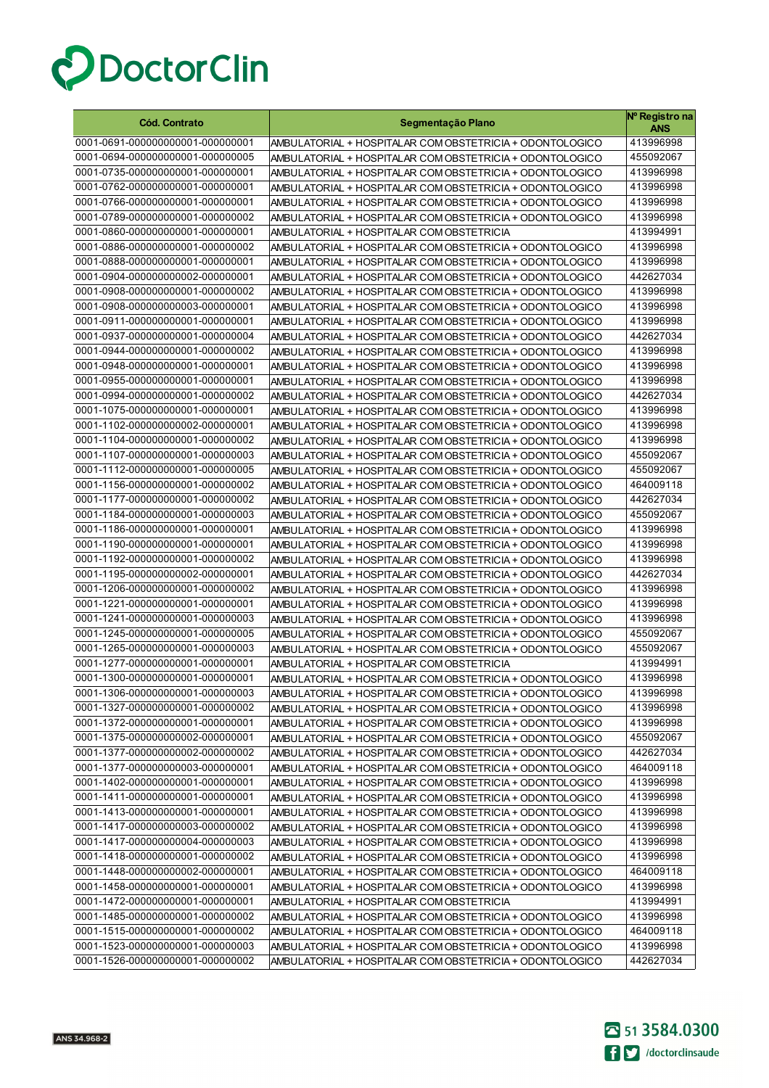

| <b>Cód. Contrato</b>              | Segmentação Plano                                        | Nº Registro na<br><b>ANS</b> |
|-----------------------------------|----------------------------------------------------------|------------------------------|
| 0001-0691-000000000001-000000001  | AMBULATORIAL + HOSPITALAR COM OBSTETRICIA + ODONTOLOGICO | 413996998                    |
| 0001-0694-000000000001-000000005  | AMBULATORIAL + HOSPITALAR COM OBSTETRICIA + ODONTOLOGICO | 455092067                    |
| 0001-0735-000000000001-000000001  | AMBULATORIAL + HOSPITALAR COM OBSTETRICIA + ODONTOLOGICO | 413996998                    |
| 0001-0762-000000000001-000000001  | AMBULATORIAL + HOSPITALAR COM OBSTETRICIA + ODONTOLOGICO | 413996998                    |
| 0001-0766-000000000001-000000001  | AMBULATORIAL + HOSPITALAR COM OBSTETRICIA + ODONTOLOGICO | 413996998                    |
| 0001-0789-000000000001-000000002  | AMBULATORIAL + HOSPITALAR COM OBSTETRICIA + ODONTOLOGICO | 413996998                    |
| 0001-0860-000000000001-000000001  | AMBULATORIAL + HOSPITALAR COM OBSTETRICIA                | 413994991                    |
| 0001-0886-000000000001-000000002  | AMBULATORIAL + HOSPITALAR COM OBSTETRICIA + ODONTOLOGICO | 413996998                    |
| 0001-0888-000000000001-000000001  | AMBULATORIAL + HOSPITALAR COM OBSTETRICIA + ODONTOLOGICO | 413996998                    |
| 0001-0904-000000000002-000000001  | AMBULATORIAL + HOSPITALAR COM OBSTETRICIA + ODONTOLOGICO | 442627034                    |
| 0001-0908-000000000001-000000002  | AMBULATORIAL + HOSPITALAR COM OBSTETRICIA + ODONTOLOGICO | 413996998                    |
| 0001-0908-0000000000003-000000001 | AMBULATORIAL + HOSPITALAR COM OBSTETRICIA + ODONTOLOGICO | 413996998                    |
| 0001-0911-000000000001-000000001  | AMBULATORIAL + HOSPITALAR COM OBSTETRICIA + ODONTOLOGICO | 413996998                    |
| 0001-0937-000000000001-000000004  | AMBULATORIAL + HOSPITALAR COM OBSTETRICIA + ODONTOLOGICO | 442627034                    |
| 0001-0944-000000000001-000000002  | AMBULATORIAL + HOSPITALAR COM OBSTETRICIA + ODONTOLOGICO | 413996998                    |
| 0001-0948-000000000001-000000001  | AMBULATORIAL + HOSPITALAR COM OBSTETRICIA + ODONTOLOGICO | 413996998                    |
| 0001-0955-000000000001-000000001  | AMBULATORIAL + HOSPITALAR COM OBSTETRICIA + ODONTOLOGICO | 413996998                    |
| 0001-0994-000000000001-000000002  | AMBULATORIAL + HOSPITALAR COM OBSTETRICIA + ODONTOLOGICO | 442627034                    |
| 0001-1075-000000000001-000000001  | AMBULATORIAL + HOSPITALAR COM OBSTETRICIA + ODONTOLOGICO | 413996998                    |
| 0001-1102-000000000002-000000001  | AMBULATORIAL + HOSPITALAR COM OBSTETRICIA + ODONTOLOGICO | 413996998                    |
| 0001-1104-000000000001-000000002  | AMBULATORIAL + HOSPITALAR COM OBSTETRICIA + ODONTOLOGICO | 413996998                    |
| 0001-1107-000000000001-000000003  | AMBULATORIAL + HOSPITALAR COM OBSTETRICIA + ODONTOLOGICO | 455092067                    |
| 0001-1112-000000000001-000000005  | AMBULATORIAL + HOSPITALAR COM OBSTETRICIA + ODONTOLOGICO | 455092067                    |
| 0001-1156-000000000001-000000002  | AMBULATORIAL + HOSPITALAR COM OBSTETRICIA + ODONTOLOGICO | 464009118                    |
| 0001-1177-000000000001-000000002  | AMBULATORIAL + HOSPITALAR COM OBSTETRICIA + ODONTOLOGICO | 442627034                    |
| 0001-1184-000000000001-000000003  | AMBULATORIAL + HOSPITALAR COM OBSTETRICIA + ODONTOLOGICO | 455092067                    |
| 0001-1186-000000000001-000000001  | AMBULATORIAL + HOSPITALAR COM OBSTETRICIA + ODONTOLOGICO | 413996998                    |
| 0001-1190-000000000001-000000001  | AMBULATORIAL + HOSPITALAR COM OBSTETRICIA + ODONTOLOGICO | 413996998                    |
| 0001-1192-000000000001-000000002  | AMBULATORIAL + HOSPITALAR COM OBSTETRICIA + ODONTOLOGICO | 413996998                    |
| 0001-1195-000000000002-000000001  | AMBULATORIAL + HOSPITALAR COM OBSTETRICIA + ODONTOLOGICO | 442627034                    |
| 0001-1206-000000000001-000000002  | AMBULATORIAL + HOSPITALAR COM OBSTETRICIA + ODONTOLOGICO | 413996998                    |
| 0001-1221-000000000001-000000001  | AMBULATORIAL + HOSPITALAR COM OBSTETRICIA + ODONTOLOGICO | 413996998                    |
| 0001-1241-000000000001-000000003  | AMBULATORIAL + HOSPITALAR COM OBSTETRICIA + ODONTOLOGICO | 413996998                    |
| 0001-1245-000000000001-000000005  | AMBULATORIAL + HOSPITALAR COM OBSTETRICIA + ODONTOLOGICO | 455092067                    |
| 0001-1265-000000000001-000000003  | AMBULATORIAL + HOSPITALAR COM OBSTETRICIA + ODONTOLOGICO | 455092067                    |
| 0001-1277-000000000001-000000001  | AMBULATORIAL + HOSPITALAR COM OBSTETRICIA                | 413994991                    |
| 0001-1300-000000000001-000000001  | AMBULATORIAL + HOSPITALAR COM OBSTETRICIA + ODONTOLOGICO | 413996998                    |
| 0001-1306-000000000001-000000003  | AMBULATORIAL + HOSPITALAR COM OBSTETRICIA + ODONTOLOGICO | 413996998                    |
| 0001-1327-000000000001-000000002  | AMBULATORIAL + HOSPITALAR COM OBSTETRICIA + ODONTOLOGICO | 413996998                    |
| 0001-1372-000000000001-000000001  | AMBULATORIAL + HOSPITALAR COM OBSTETRICIA + ODONTOLOGICO | 413996998                    |
| 0001-1375-000000000002-000000001  | AMBULATORIAL + HOSPITALAR COM OBSTETRICIA + ODONTOLOGICO | 455092067                    |
| 0001-1377-000000000002-000000002  | AMBULATORIAL + HOSPITALAR COM OBSTETRICIA + ODONTOLOGICO | 442627034                    |
| 0001-1377-000000000003-000000001  | AMBULATORIAL + HOSPITALAR COM OBSTETRICIA + ODONTOLOGICO | 464009118                    |
| 0001-1402-000000000001-000000001  | AMBULATORIAL + HOSPITALAR COM OBSTETRICIA + ODONTOLOGICO | 413996998                    |
| 0001-1411-000000000001-000000001  | AMBULATORIAL + HOSPITALAR COM OBSTETRICIA + ODONTOLOGICO | 413996998                    |
| 0001-1413-000000000001-000000001  | AMBULATORIAL + HOSPITALAR COM OBSTETRICIA + ODONTOLOGICO | 413996998                    |
| 0001-1417-000000000003-000000002  | AMBULATORIAL + HOSPITALAR COM OBSTETRICIA + ODONTOLOGICO | 413996998                    |
| 0001-1417-000000000004-000000003  | AMBULATORIAL + HOSPITALAR COM OBSTETRICIA + ODONTOLOGICO | 413996998                    |
| 0001-1418-000000000001-000000002  | AMBULATORIAL + HOSPITALAR COM OBSTETRICIA + ODONTOLOGICO | 413996998                    |
| 0001-1448-000000000002-000000001  | AMBULATORIAL + HOSPITALAR COM OBSTETRICIA + ODONTOLOGICO | 464009118                    |
| 0001-1458-000000000001-000000001  | AMBULATORIAL + HOSPITALAR COM OBSTETRICIA + ODONTOLOGICO | 413996998                    |
| 0001-1472-000000000001-000000001  | AMBULATORIAL + HOSPITALAR COM OBSTETRICIA                | 413994991                    |
| 0001-1485-000000000001-000000002  | AMBULATORIAL + HOSPITALAR COM OBSTETRICIA + ODONTOLOGICO | 413996998                    |
| 0001-1515-000000000001-000000002  | AMBULATORIAL + HOSPITALAR COM OBSTETRICIA + ODONTOLOGICO | 464009118                    |
| 0001-1523-000000000001-000000003  | AMBULATORIAL + HOSPITALAR COM OBSTETRICIA + ODONTOLOGICO | 413996998                    |
| 0001-1526-000000000001-000000002  | AMBULATORIAL + HOSPITALAR COM OBSTETRICIA + ODONTOLOGICO | 442627034                    |

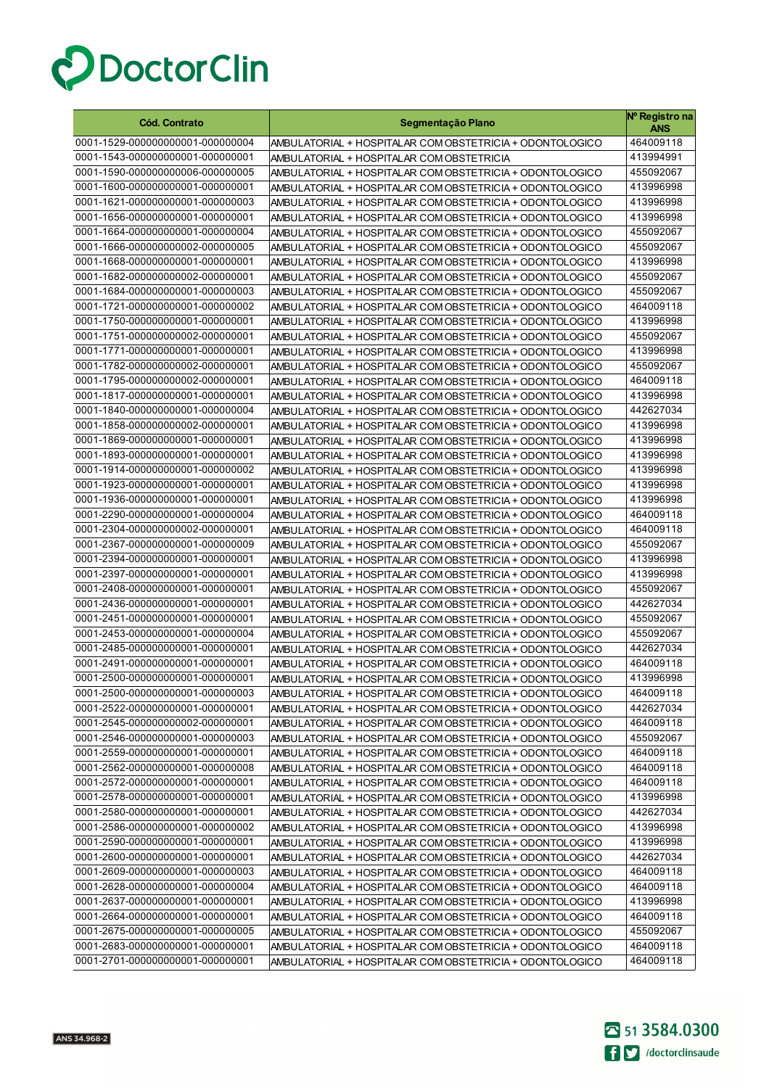

| <b>Cód. Contrato</b>             | Segmentação Plano                                        | Nº Registro na<br>ANS |
|----------------------------------|----------------------------------------------------------|-----------------------|
| 0001-1529-000000000001-000000004 | AMBULATORIAL + HOSPITALAR COM OBSTETRICIA + ODONTOLOGICO | 464009118             |
| 0001-1543-000000000001-000000001 | AMBULATORIAL + HOSPITALAR COM OBSTETRICIA                | 413994991             |
| 0001-1590-000000000006-000000005 | AMBULATORIAL + HOSPITALAR COM OBSTETRICIA + ODONTOLOGICO | 455092067             |
| 0001-1600-000000000001-000000001 | AMBULATORIAL + HOSPITALAR COM OBSTETRICIA + ODONTOLOGICO | 413996998             |
| 0001-1621-000000000001-000000003 | AMBULATORIAL + HOSPITALAR COM OBSTETRICIA + ODONTOLOGICO | 413996998             |
| 0001-1656-000000000001-000000001 | AMBULATORIAL + HOSPITALAR COM OBSTETRICIA + ODONTOLOGICO | 413996998             |
| 0001-1664-000000000001-000000004 | AMBULATORIAL + HOSPITALAR COM OBSTETRICIA + ODONTOLOGICO | 455092067             |
| 0001-1666-000000000002-000000005 | AMBULATORIAL + HOSPITALAR COM OBSTETRICIA + ODONTOLOGICO | 455092067             |
| 0001-1668-000000000001-000000001 | AMBULATORIAL + HOSPITALAR COM OBSTETRICIA + ODONTOLOGICO | 413996998             |
| 0001-1682-000000000002-000000001 | AMBULATORIAL + HOSPITALAR COM OBSTETRICIA + ODONTOLOGICO | 455092067             |
| 0001-1684-000000000001-000000003 | AMBULATORIAL + HOSPITALAR COM OBSTETRICIA + ODONTOLOGICO | 455092067             |
| 0001-1721-000000000001-000000002 | AMBULATORIAL + HOSPITALAR COM OBSTETRICIA + ODONTOLOGICO | 464009118             |
| 0001-1750-000000000001-000000001 | AMBULATORIAL + HOSPITALAR COM OBSTETRICIA + ODONTOLOGICO | 413996998             |
| 0001-1751-000000000002-000000001 | AMBULATORIAL + HOSPITALAR COM OBSTETRICIA + ODONTOLOGICO | 455092067             |
| 0001-1771-000000000001-000000001 | AMBULATORIAL + HOSPITALAR COM OBSTETRICIA + ODONTOLOGICO | 413996998             |
| 0001-1782-000000000002-000000001 | AMBULATORIAL + HOSPITALAR COM OBSTETRICIA + ODONTOLOGICO | 455092067             |
| 0001-1795-000000000002-000000001 | AMBULATORIAL + HOSPITALAR COM OBSTETRICIA + ODONTOLOGICO | 464009118             |
| 0001-1817-000000000001-000000001 | AMBULATORIAL + HOSPITALAR COM OBSTETRICIA + ODONTOLOGICO | 413996998             |
| 0001-1840-000000000001-000000004 | AMBULATORIAL + HOSPITALAR COM OBSTETRICIA + ODONTOLOGICO | 442627034             |
| 0001-1858-000000000002-000000001 | AMBULATORIAL + HOSPITALAR COM OBSTETRICIA + ODONTOLOGICO | 413996998             |
| 0001-1869-000000000001-000000001 | AMBULATORIAL + HOSPITALAR COM OBSTETRICIA + ODONTOLOGICO | 413996998             |
| 0001-1893-000000000001-000000001 | AMBULATORIAL + HOSPITALAR COM OBSTETRICIA + ODONTOLOGICO | 413996998             |
| 0001-1914-000000000001-000000002 | AMBULATORIAL + HOSPITALAR COM OBSTETRICIA + ODONTOLOGICO | 413996998             |
| 0001-1923-000000000001-000000001 | AMBULATORIAL + HOSPITALAR COM OBSTETRICIA + ODONTOLOGICO | 413996998             |
| 0001-1936-000000000001-000000001 | AMBULATORIAL + HOSPITALAR COM OBSTETRICIA + ODONTOLOGICO | 413996998             |
| 0001-2290-000000000001-000000004 | AMBULATORIAL + HOSPITALAR COM OBSTETRICIA + ODONTOLOGICO | 464009118             |
| 0001-2304-000000000002-000000001 | AMBULATORIAL + HOSPITALAR COM OBSTETRICIA + ODONTOLOGICO | 464009118             |
| 0001-2367-000000000001-000000009 | AMBULATORIAL + HOSPITALAR COM OBSTETRICIA + ODONTOLOGICO | 455092067             |
| 0001-2394-000000000001-000000001 | AMBULATORIAL + HOSPITALAR COM OBSTETRICIA + ODONTOLOGICO | 413996998             |
| 0001-2397-000000000001-000000001 | AMBULATORIAL + HOSPITALAR COM OBSTETRICIA + ODONTOLOGICO | 413996998             |
| 0001-2408-000000000001-000000001 | AMBULATORIAL + HOSPITALAR COM OBSTETRICIA + ODONTOLOGICO | 455092067             |
| 0001-2436-000000000001-000000001 | AMBULATORIAL + HOSPITALAR COM OBSTETRICIA + ODONTOLOGICO | 442627034             |
| 0001-2451-000000000001-000000001 | AMBULATORIAL + HOSPITALAR COM OBSTETRICIA + ODONTOLOGICO | 455092067             |
| 0001-2453-000000000001-000000004 | AMBULATORIAL + HOSPITALAR COM OBSTETRICIA + ODONTOLOGICO | 455092067             |
| 0001-2485-000000000001-000000001 | AMBULATORIAL + HOSPITALAR COM OBSTETRICIA + ODONTOLOGICO | 442627034             |
| 0001-2491-000000000001-000000001 | AMBULATORIAL + HOSPITALAR COM OBSTETRICIA + ODONTOLOGICO | 464009118             |
| 0001-2500-000000000001-000000001 | AMBULATORIAL + HOSPITALAR COM OBSTETRICIA + ODONTOLOGICO | 413996998             |
| 0001-2500-000000000001-000000003 | AMBULATORIAL + HOSPITALAR COM OBSTETRICIA + ODONTOLOGICO | 464009118             |
| 0001-2522-000000000001-000000001 | AMBULATORIAL + HOSPITALAR COM OBSTETRICIA + ODONTOLOGICO | 442627034             |
| 0001-2545-000000000002-000000001 | AMBULATORIAL + HOSPITALAR COM OBSTETRICIA + ODONTOLOGICO | 464009118             |
| 0001-2546-000000000001-000000003 | AMBULATORIAL + HOSPITALAR COM OBSTETRICIA + ODONTOLOGICO | 455092067             |
| 0001-2559-000000000001-000000001 | AMBULATORIAL + HOSPITALAR COM OBSTETRICIA + ODONTOLOGICO | 464009118             |
| 0001-2562-000000000001-000000008 | AMBULATORIAL + HOSPITALAR COM OBSTETRICIA + ODONTOLOGICO | 464009118             |
| 0001-2572-000000000001-000000001 | AMBULATORIAL + HOSPITALAR COM OBSTETRICIA + ODONTOLOGICO | 464009118             |
| 0001-2578-000000000001-000000001 | AMBULATORIAL + HOSPITALAR COM OBSTETRICIA + ODONTOLOGICO | 413996998             |
| 0001-2580-000000000001-000000001 | AMBULATORIAL + HOSPITALAR COM OBSTETRICIA + ODONTOLOGICO | 442627034             |
| 0001-2586-000000000001-000000002 | AMBULATORIAL + HOSPITALAR COM OBSTETRICIA + ODONTOLOGICO | 413996998             |
| 0001-2590-000000000001-000000001 | AMBULATORIAL + HOSPITALAR COM OBSTETRICIA + ODONTOLOGICO | 413996998             |
| 0001-2600-000000000001-000000001 | AMBULATORIAL + HOSPITALAR COM OBSTETRICIA + ODONTOLOGICO | 442627034             |
| 0001-2609-000000000001-000000003 | AMBULATORIAL + HOSPITALAR COM OBSTETRICIA + ODONTOLOGICO | 464009118             |
| 0001-2628-000000000001-000000004 | AMBULATORIAL + HOSPITALAR COM OBSTETRICIA + ODONTOLOGICO | 464009118             |
| 0001-2637-000000000001-000000001 | AMBULATORIAL + HOSPITALAR COM OBSTETRICIA + ODONTOLOGICO | 413996998             |
| 0001-2664-000000000001-000000001 | AMBULATORIAL + HOSPITALAR COM OBSTETRICIA + ODONTOLOGICO | 464009118             |
| 0001-2675-000000000001-000000005 | AMBULATORIAL + HOSPITALAR COM OBSTETRICIA + ODONTOLOGICO | 455092067             |
| 0001-2683-000000000001-000000001 | AMBULATORIAL + HOSPITALAR COM OBSTETRICIA + ODONTOLOGICO | 464009118             |
| 0001-2701-000000000001-000000001 | AMBULATORIAL + HOSPITALAR COM OBSTETRICIA + ODONTOLOGICO | 464009118             |

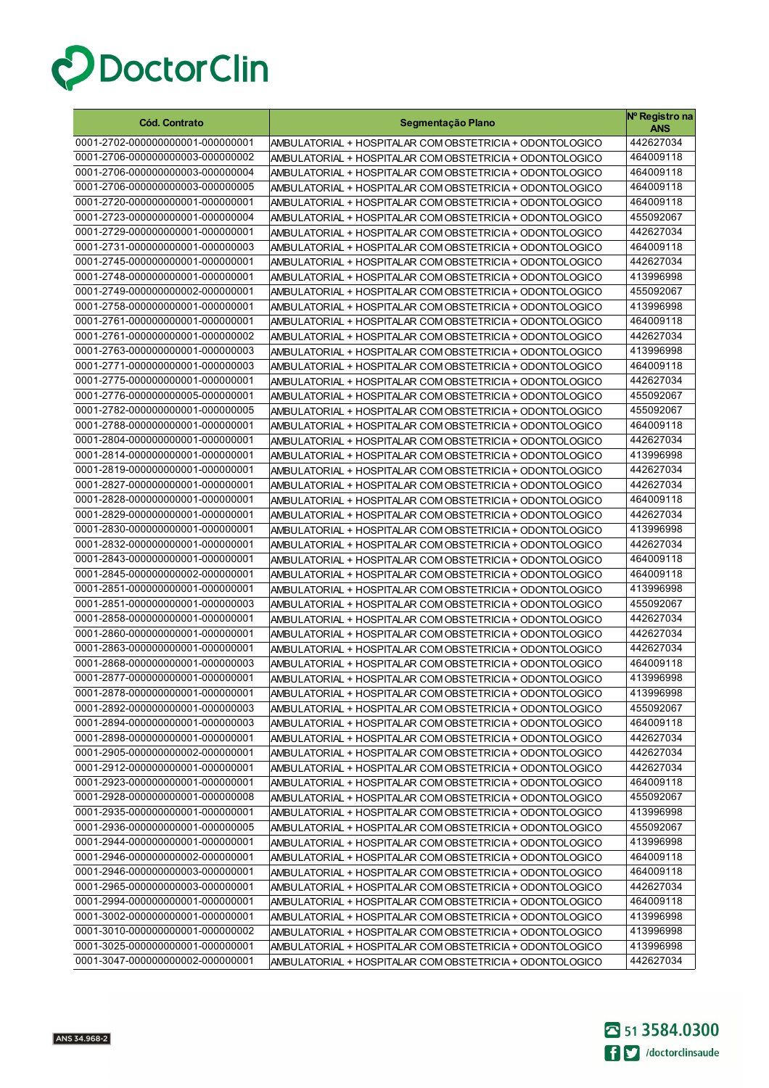

| <b>Cód. Contrato</b>                                                 | Segmentação Plano                                                                                                    | Nº Registro na<br>ANS  |
|----------------------------------------------------------------------|----------------------------------------------------------------------------------------------------------------------|------------------------|
| 0001-2702-000000000001-000000001                                     | AMBULATORIAL + HOSPITALAR COM OBSTETRICIA + ODONTOLOGICO                                                             | 442627034              |
| 0001-2706-000000000003-000000002                                     | AMBULATORIAL + HOSPITALAR COM OBSTETRICIA + ODONTOLOGICO                                                             | 464009118              |
| 0001-2706-000000000003-000000004                                     | AMBULATORIAL + HOSPITALAR COM OBSTETRICIA + ODONTOLOGICO                                                             | 464009118              |
| 0001-2706-000000000003-000000005                                     | AMBULATORIAL + HOSPITALAR COM OBSTETRICIA + ODONTOLOGICO                                                             | 464009118              |
| 0001-2720-000000000001-000000001                                     | AMBULATORIAL + HOSPITALAR COM OBSTETRICIA + ODONTOLOGICO                                                             | 464009118              |
| 0001-2723-000000000001-000000004                                     | AMBULATORIAL + HOSPITALAR COM OBSTETRICIA + ODONTOLOGICO                                                             | 455092067              |
| 0001-2729-000000000001-000000001                                     | AMBULATORIAL + HOSPITALAR COM OBSTETRICIA + ODONTOLOGICO                                                             | 442627034              |
| 0001-2731-000000000001-000000003                                     | AMBULATORIAL + HOSPITALAR COM OBSTETRICIA + ODONTOLOGICO                                                             | 464009118              |
| 0001-2745-000000000001-000000001                                     | AMBULATORIAL + HOSPITALAR COM OBSTETRICIA + ODONTOLOGICO                                                             | 442627034              |
| 0001-2748-000000000001-000000001                                     | AMBULATORIAL + HOSPITALAR COM OBSTETRICIA + ODONTOLOGICO                                                             | 413996998              |
| 0001-2749-000000000002-000000001                                     | AMBULATORIAL + HOSPITALAR COM OBSTETRICIA + ODONTOLOGICO                                                             | 455092067              |
| 0001-2758-000000000001-000000001                                     | AMBULATORIAL + HOSPITALAR COM OBSTETRICIA + ODONTOLOGICO                                                             | 413996998              |
| 0001-2761-000000000001-000000001                                     | AMBULATORIAL + HOSPITALAR COM OBSTETRICIA + ODONTOLOGICO                                                             | 464009118              |
| 0001-2761-000000000001-000000002                                     | AMBULATORIAL + HOSPITALAR COM OBSTETRICIA + ODONTOLOGICO                                                             | 442627034              |
| 0001-2763-000000000001-000000003                                     | AMBULATORIAL + HOSPITALAR COM OBSTETRICIA + ODONTOLOGICO                                                             | 413996998              |
| 0001-2771-000000000001-000000003                                     | AMBULATORIAL + HOSPITALAR COM OBSTETRICIA + ODONTOLOGICO                                                             | 464009118              |
| 0001-2775-000000000001-000000001                                     | AMBULATORIAL + HOSPITALAR COM OBSTETRICIA + ODONTOLOGICO                                                             | 442627034              |
| 0001-2776-000000000005-000000001                                     | AMBULATORIAL + HOSPITALAR COM OBSTETRICIA + ODONTOLOGICO                                                             | 455092067              |
| 0001-2782-000000000001-000000005                                     | AMBULATORIAL + HOSPITALAR COM OBSTETRICIA + ODONTOLOGICO                                                             | 455092067              |
| 0001-2788-000000000001-000000001                                     | AMBULATORIAL + HOSPITALAR COM OBSTETRICIA + ODONTOLOGICO                                                             | 464009118              |
| 0001-2804-000000000001-000000001                                     | AMBULATORIAL + HOSPITALAR COM OBSTETRICIA + ODONTOLOGICO                                                             | 442627034              |
| 0001-2814-000000000001-000000001                                     | AMBULATORIAL + HOSPITALAR COM OBSTETRICIA + ODONTOLOGICO                                                             | 413996998              |
| 0001-2819-000000000001-000000001                                     | AMBULATORIAL + HOSPITALAR COM OBSTETRICIA + ODONTOLOGICO                                                             | 442627034              |
| 0001-2827-000000000001-000000001                                     | AMBULATORIAL + HOSPITALAR COM OBSTETRICIA + ODONTOLOGICO                                                             | 442627034              |
| 0001-2828-000000000001-000000001                                     | AMBULATORIAL + HOSPITALAR COM OBSTETRICIA + ODONTOLOGICO                                                             | 464009118              |
| 0001-2829-000000000001-000000001                                     | AMBULATORIAL + HOSPITALAR COM OBSTETRICIA + ODONTOLOGICO                                                             | 442627034              |
| 0001-2830-000000000001-000000001                                     | AMBULATORIAL + HOSPITALAR COM OBSTETRICIA + ODONTOLOGICO                                                             | 413996998              |
| 0001-2832-000000000001-000000001<br>0001-2843-000000000001-000000001 | AMBULATORIAL + HOSPITALAR COM OBSTETRICIA + ODONTOLOGICO                                                             | 442627034              |
| 0001-2845-000000000002-000000001                                     | AMBULATORIAL + HOSPITALAR COM OBSTETRICIA + ODONTOLOGICO                                                             | 464009118<br>464009118 |
| 0001-2851-000000000001-000000001                                     | AMBULATORIAL + HOSPITALAR COM OBSTETRICIA + ODONTOLOGICO                                                             | 413996998              |
| 0001-2851-000000000001-000000003                                     | AMBULATORIAL + HOSPITALAR COM OBSTETRICIA + ODONTOLOGICO<br>AMBULATORIAL + HOSPITALAR COM OBSTETRICIA + ODONTOLOGICO | 455092067              |
| 0001-2858-000000000001-000000001                                     | AMBULATORIAL + HOSPITALAR COM OBSTETRICIA + ODONTOLOGICO                                                             | 442627034              |
| 0001-2860-000000000001-000000001                                     | AMBULATORIAL + HOSPITALAR COM OBSTETRICIA + ODONTOLOGICO                                                             | 442627034              |
| 0001-2863-000000000001-000000001                                     | AMBULATORIAL + HOSPITALAR COM OBSTETRICIA + ODONTOLOGICO                                                             | 442627034              |
| 0001-2868-000000000001-000000003                                     | AMBULATORIAL + HOSPITALAR COM OBSTETRICIA + ODONTOLOGICO                                                             | 464009118              |
| 0001-2877-000000000001-000000001                                     | AMBULATORIAL + HOSPITALAR COM OBSTETRICIA + ODONTOLOGICO                                                             | 413996998              |
| 0001-2878-000000000001-000000001                                     | AMBULATORIAL + HOSPITALAR COM OBSTETRICIA + ODONTOLOGICO                                                             | 413996998              |
| 0001-2892-000000000001-000000003                                     | AMBULATORIAL + HOSPITALAR COM OBSTETRICIA + ODONTOLOGICO                                                             | 455092067              |
| 0001-2894-000000000001-000000003                                     | AMBULATORIAL + HOSPITALAR COM OBSTETRICIA + ODONTOLOGICO                                                             | 464009118              |
| 0001-2898-000000000001-000000001                                     | AMBULATORIAL + HOSPITALAR COM OBSTETRICIA + ODONTOLOGICO                                                             | 442627034              |
| 0001-2905-000000000002-000000001                                     | AMBULATORIAL + HOSPITALAR COM OBSTETRICIA + ODONTOLOGICO                                                             | 442627034              |
| 0001-2912-000000000001-000000001                                     | AMBULATORIAL + HOSPITALAR COM OBSTETRICIA + ODONTOLOGICO                                                             | 442627034              |
| 0001-2923-000000000001-000000001                                     | AMBULATORIAL + HOSPITALAR COM OBSTETRICIA + ODONTOLOGICO                                                             | 464009118              |
| 0001-2928-000000000001-000000008                                     | AMBULATORIAL + HOSPITALAR COM OBSTETRICIA + ODONTOLOGICO                                                             | 455092067              |
| 0001-2935-000000000001-000000001                                     | AMBULATORIAL + HOSPITALAR COM OBSTETRICIA + ODONTOLOGICO                                                             | 413996998              |
| 0001-2936-000000000001-000000005                                     | AMBULATORIAL + HOSPITALAR COM OBSTETRICIA + ODONTOLOGICO                                                             | 455092067              |
| 0001-2944-000000000001-000000001                                     | AMBULATORIAL + HOSPITALAR COM OBSTETRICIA + ODONTOLOGICO                                                             | 413996998              |
| 0001-2946-000000000002-000000001                                     | AMBULATORIAL + HOSPITALAR COM OBSTETRICIA + ODONTOLOGICO                                                             | 464009118              |
| 0001-2946-000000000003-000000001                                     | AMBULATORIAL + HOSPITALAR COM OBSTETRICIA + ODONTOLOGICO                                                             | 464009118              |
| 0001-2965-000000000003-000000001                                     | AMBULATORIAL + HOSPITALAR COM OBSTETRICIA + ODONTOLOGICO                                                             | 442627034              |
| 0001-2994-000000000001-000000001                                     | AMBULATORIAL + HOSPITALAR COM OBSTETRICIA + ODONTOLOGICO                                                             | 464009118              |
| 0001-3002-000000000001-000000001                                     | AMBULATORIAL + HOSPITALAR COM OBSTETRICIA + ODONTOLOGICO                                                             | 413996998              |
| 0001-3010-000000000001-000000002                                     | AMBULATORIAL + HOSPITALAR COM OBSTETRICIA + ODONTOLOGICO                                                             | 413996998              |
| 0001-3025-000000000001-000000001                                     | AMBULATORIAL + HOSPITALAR COM OBSTETRICIA + ODONTOLOGICO                                                             | 413996998              |
| 0001-3047-000000000002-000000001                                     | AMBULATORIAL + HOSPITALAR COM OBSTETRICIA + ODONTOLOGICO                                                             | 442627034              |

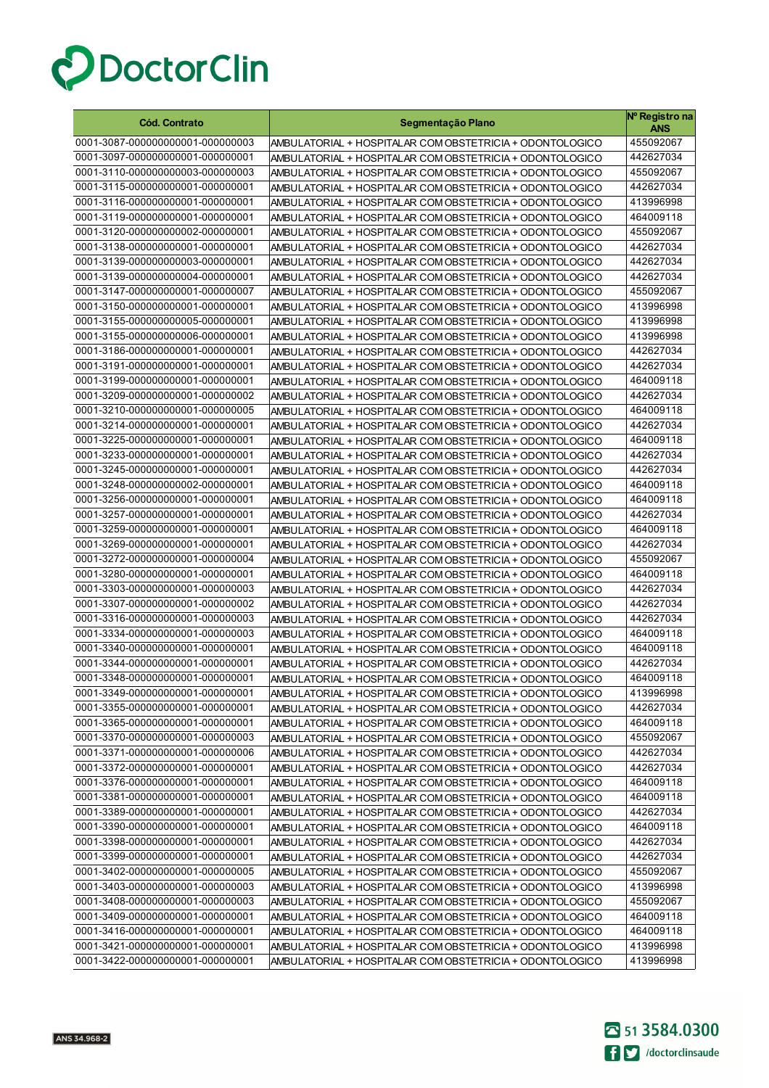

| <b>Cód. Contrato</b>                                                 | Segmentação Plano                                                                                                    | Nº Registro na<br>ANS  |
|----------------------------------------------------------------------|----------------------------------------------------------------------------------------------------------------------|------------------------|
| 0001-3087-000000000001-000000003                                     | AMBULATORIAL + HOSPITALAR COM OBSTETRICIA + ODONTOLOGICO                                                             | 455092067              |
| 0001-3097-000000000001-000000001                                     | AMBULATORIAL + HOSPITALAR COM OBSTETRICIA + ODONTOLOGICO                                                             | 442627034              |
| 0001-3110-000000000003-000000003                                     | AMBULATORIAL + HOSPITALAR COM OBSTETRICIA + ODONTOLOGICO                                                             | 455092067              |
| 0001-3115-000000000001-000000001                                     | AMBULATORIAL + HOSPITALAR COM OBSTETRICIA + ODONTOLOGICO                                                             | 442627034              |
| 0001-3116-000000000001-000000001                                     | AMBULATORIAL + HOSPITALAR COM OBSTETRICIA + ODONTOLOGICO                                                             | 413996998              |
| 0001-3119-000000000001-000000001                                     | AMBULATORIAL + HOSPITALAR COM OBSTETRICIA + ODONTOLOGICO                                                             | 464009118              |
| 0001-3120-000000000002-000000001                                     | AMBULATORIAL + HOSPITALAR COM OBSTETRICIA + ODONTOLOGICO                                                             | 455092067              |
| 0001-3138-000000000001-000000001                                     | AMBULATORIAL + HOSPITALAR COM OBSTETRICIA + ODONTOLOGICO                                                             | 442627034              |
| 0001-3139-000000000003-000000001                                     | AMBULATORIAL + HOSPITALAR COM OBSTETRICIA + ODONTOLOGICO                                                             | 442627034              |
| 0001-3139-000000000004-000000001                                     | AMBULATORIAL + HOSPITALAR COM OBSTETRICIA + ODONTOLOGICO                                                             | 442627034              |
| 0001-3147-000000000001-000000007                                     | AMBULATORIAL + HOSPITALAR COM OBSTETRICIA + ODONTOLOGICO                                                             | 455092067              |
| 0001-3150-000000000001-000000001                                     | AMBULATORIAL + HOSPITALAR COM OBSTETRICIA + ODONTOLOGICO                                                             | 413996998              |
| 0001-3155-000000000005-000000001                                     | AMBULATORIAL + HOSPITALAR COM OBSTETRICIA + ODONTOLOGICO                                                             | 413996998              |
| 0001-3155-000000000006-000000001                                     | AMBULATORIAL + HOSPITALAR COM OBSTETRICIA + ODONTOLOGICO                                                             | 413996998              |
| 0001-3186-000000000001-000000001                                     | AMBULATORIAL + HOSPITALAR COM OBSTETRICIA + ODONTOLOGICO                                                             | 442627034              |
| 0001-3191-000000000001-000000001                                     | AMBULATORIAL + HOSPITALAR COM OBSTETRICIA + ODONTOLOGICO                                                             | 442627034              |
| 0001-3199-000000000001-000000001                                     | AMBULATORIAL + HOSPITALAR COM OBSTETRICIA + ODONTOLOGICO                                                             | 464009118              |
| 0001-3209-000000000001-000000002                                     | AMBULATORIAL + HOSPITALAR COM OBSTETRICIA + ODONTOLOGICO                                                             | 442627034              |
| 0001-3210-000000000001-000000005                                     | AMBULATORIAL + HOSPITALAR COM OBSTETRICIA + ODONTOLOGICO                                                             | 464009118              |
| 0001-3214-000000000001-000000001                                     | AMBULATORIAL + HOSPITALAR COM OBSTETRICIA + ODONTOLOGICO                                                             | 442627034              |
| 0001-3225-000000000001-000000001                                     | AMBULATORIAL + HOSPITALAR COM OBSTETRICIA + ODONTOLOGICO                                                             | 464009118              |
| 0001-3233-000000000001-000000001                                     | AMBULATORIAL + HOSPITALAR COM OBSTETRICIA + ODONTOLOGICO                                                             | 442627034              |
| 0001-3245-000000000001-000000001                                     | AMBULATORIAL + HOSPITALAR COM OBSTETRICIA + ODONTOLOGICO                                                             | 442627034              |
| 0001-3248-000000000002-000000001                                     | AMBULATORIAL + HOSPITALAR COM OBSTETRICIA + ODONTOLOGICO                                                             | 464009118              |
| 0001-3256-000000000001-000000001                                     | AMBULATORIAL + HOSPITALAR COM OBSTETRICIA + ODONTOLOGICO                                                             | 464009118              |
| 0001-3257-000000000001-000000001                                     | AMBULATORIAL + HOSPITALAR COM OBSTETRICIA + ODONTOLOGICO                                                             | 442627034              |
| 0001-3259-000000000001-000000001                                     | AMBULATORIAL + HOSPITALAR COM OBSTETRICIA + ODONTOLOGICO                                                             | 464009118              |
| 0001-3269-000000000001-000000001                                     | AMBULATORIAL + HOSPITALAR COM OBSTETRICIA + ODONTOLOGICO                                                             | 442627034              |
| 0001-3272-000000000001-000000004                                     | AMBULATORIAL + HOSPITALAR COM OBSTETRICIA + ODONTOLOGICO                                                             | 455092067<br>464009118 |
| 0001-3280-000000000001-000000001<br>0001-3303-000000000001-000000003 | AMBULATORIAL + HOSPITALAR COM OBSTETRICIA + ODONTOLOGICO                                                             | 442627034              |
| 0001-3307-000000000001-000000002                                     | AMBULATORIAL + HOSPITALAR COM OBSTETRICIA + ODONTOLOGICO                                                             | 442627034              |
| 0001-3316-000000000001-000000003                                     | AMBULATORIAL + HOSPITALAR COM OBSTETRICIA + ODONTOLOGICO<br>AMBULATORIAL + HOSPITALAR COM OBSTETRICIA + ODONTOLOGICO | 442627034              |
| 0001-3334-000000000001-000000003                                     | AMBULATORIAL + HOSPITALAR COM OBSTETRICIA + ODONTOLOGICO                                                             | 464009118              |
| 0001-3340-000000000001-000000001                                     | AMBULATORIAL + HOSPITALAR COM OBSTETRICIA + ODONTOLOGICO                                                             | 464009118              |
| 0001-3344-000000000001-000000001                                     | AMBULATORIAL + HOSPITALAR COM OBSTETRICIA + ODONTOLOGICO                                                             | 442627034              |
| 0001-3348-000000000001-000000001                                     | AMBULATORIAL + HOSPITALAR COM OBSTETRICIA + ODONTOLOGICO                                                             | 464009118              |
| 0001-3349-000000000001-000000001                                     | AMBULATORIAL + HOSPITALAR COM OBSTETRICIA + ODONTOLOGICO                                                             | 413996998              |
| 0001-3355-000000000001-000000001                                     | AMBULATORIAL + HOSPITALAR COM OBSTETRICIA + ODONTOLOGICO                                                             | 442627034              |
| 0001-3365-000000000001-000000001                                     | AMBULATORIAL + HOSPITALAR COM OBSTETRICIA + ODONTOLOGICO                                                             | 464009118              |
| 0001-3370-000000000001-000000003                                     | AMBULATORIAL + HOSPITALAR COM OBSTETRICIA + ODONTOLOGICO                                                             | 455092067              |
| 0001-3371-000000000001-000000006                                     | AMBULATORIAL + HOSPITALAR COM OBSTETRICIA + ODONTOLOGICO                                                             | 442627034              |
| 0001-3372-000000000001-000000001                                     | AMBULATORIAL + HOSPITALAR COM OBSTETRICIA + ODONTOLOGICO                                                             | 442627034              |
| 0001-3376-000000000001-000000001                                     | AMBULATORIAL + HOSPITALAR COM OBSTETRICIA + ODONTOLOGICO                                                             | 464009118              |
| 0001-3381-000000000001-000000001                                     | AMBULATORIAL + HOSPITALAR COM OBSTETRICIA + ODONTOLOGICO                                                             | 464009118              |
| 0001-3389-000000000001-000000001                                     | AMBULATORIAL + HOSPITALAR COM OBSTETRICIA + ODONTOLOGICO                                                             | 442627034              |
| 0001-3390-000000000001-000000001                                     | AMBULATORIAL + HOSPITALAR COM OBSTETRICIA + ODONTOLOGICO                                                             | 464009118              |
| 0001-3398-000000000001-000000001                                     | AMBULATORIAL + HOSPITALAR COM OBSTETRICIA + ODONTOLOGICO                                                             | 442627034              |
| 0001-3399-000000000001-000000001                                     | AMBULATORIAL + HOSPITALAR COM OBSTETRICIA + ODONTOLOGICO                                                             | 442627034              |
| 0001-3402-000000000001-000000005                                     | AMBULATORIAL + HOSPITALAR COM OBSTETRICIA + ODONTOLOGICO                                                             | 455092067              |
| 0001-3403-000000000001-000000003                                     | AMBULATORIAL + HOSPITALAR COM OBSTETRICIA + ODONTOLOGICO                                                             | 413996998              |
| 0001-3408-000000000001-000000003                                     | AMBULATORIAL + HOSPITALAR COM OBSTETRICIA + ODONTOLOGICO                                                             | 455092067              |
| 0001-3409-000000000001-000000001                                     | AMBULATORIAL + HOSPITALAR COM OBSTETRICIA + ODONTOLOGICO                                                             | 464009118              |
| 0001-3416-000000000001-000000001                                     | AMBULATORIAL + HOSPITALAR COM OBSTETRICIA + ODONTOLOGICO                                                             | 464009118              |
| 0001-3421-000000000001-000000001                                     | AMBULATORIAL + HOSPITALAR COM OBSTETRICIA + ODONTOLOGICO                                                             | 413996998              |
| 0001-3422-000000000001-000000001                                     | AMBULATORIAL + HOSPITALAR COM OBSTETRICIA + ODONTOLOGICO                                                             | 413996998              |

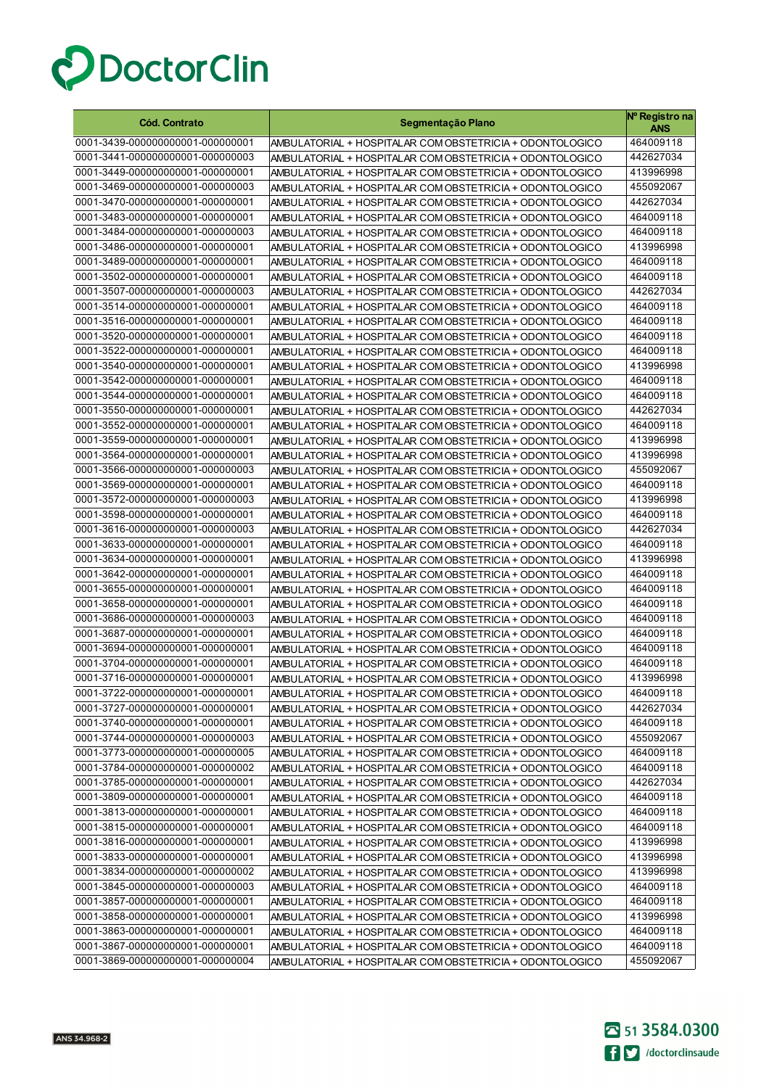

| <b>Cód. Contrato</b>             | Segmentação Plano                                        | Nº Registro na<br><b>ANS</b> |
|----------------------------------|----------------------------------------------------------|------------------------------|
| 0001-3439-000000000001-000000001 | AMBULATORIAL + HOSPITALAR COM OBSTETRICIA + ODONTOLOGICO | 464009118                    |
| 0001-3441-000000000001-000000003 | AMBULATORIAL + HOSPITALAR COM OBSTETRICIA + ODONTOLOGICO | 442627034                    |
| 0001-3449-000000000001-000000001 | AMBULATORIAL + HOSPITALAR COM OBSTETRICIA + ODONTOLOGICO | 413996998                    |
| 0001-3469-000000000001-000000003 | AMBULATORIAL + HOSPITALAR COM OBSTETRICIA + ODONTOLOGICO | 455092067                    |
| 0001-3470-000000000001-000000001 | AMBULATORIAL + HOSPITALAR COM OBSTETRICIA + ODONTOLOGICO | 442627034                    |
| 0001-3483-000000000001-000000001 | AMBULATORIAL + HOSPITALAR COM OBSTETRICIA + ODONTOLOGICO | 464009118                    |
| 0001-3484-000000000001-000000003 | AMBULATORIAL + HOSPITALAR COM OBSTETRICIA + ODONTOLOGICO | 464009118                    |
| 0001-3486-000000000001-000000001 | AMBULATORIAL + HOSPITALAR COM OBSTETRICIA + ODONTOLOGICO | 413996998                    |
| 0001-3489-000000000001-000000001 | AMBULATORIAL + HOSPITALAR COM OBSTETRICIA + ODONTOLOGICO | 464009118                    |
| 0001-3502-000000000001-000000001 | AMBULATORIAL + HOSPITALAR COM OBSTETRICIA + ODONTOLOGICO | 464009118                    |
| 0001-3507-000000000001-000000003 | AMBULATORIAL + HOSPITALAR COM OBSTETRICIA + ODONTOLOGICO | 442627034                    |
| 0001-3514-000000000001-000000001 | AMBULATORIAL + HOSPITALAR COM OBSTETRICIA + ODONTOLOGICO | 464009118                    |
| 0001-3516-000000000001-000000001 | AMBULATORIAL + HOSPITALAR COM OBSTETRICIA + ODONTOLOGICO | 464009118                    |
| 0001-3520-000000000001-000000001 | AMBULATORIAL + HOSPITALAR COM OBSTETRICIA + ODONTOLOGICO | 464009118                    |
| 0001-3522-000000000001-000000001 | AMBULATORIAL + HOSPITALAR COM OBSTETRICIA + ODONTOLOGICO | 464009118                    |
| 0001-3540-000000000001-000000001 | AMBULATORIAL + HOSPITALAR COM OBSTETRICIA + ODONTOLOGICO | 413996998                    |
| 0001-3542-000000000001-000000001 | AMBULATORIAL + HOSPITALAR COM OBSTETRICIA + ODONTOLOGICO | 464009118                    |
| 0001-3544-000000000001-000000001 | AMBULATORIAL + HOSPITALAR COM OBSTETRICIA + ODONTOLOGICO | 464009118                    |
| 0001-3550-000000000001-000000001 | AMBULATORIAL + HOSPITALAR COM OBSTETRICIA + ODONTOLOGICO | 442627034                    |
| 0001-3552-000000000001-000000001 | AMBULATORIAL + HOSPITALAR COM OBSTETRICIA + ODONTOLOGICO | 464009118                    |
| 0001-3559-000000000001-000000001 | AMBULATORIAL + HOSPITALAR COM OBSTETRICIA + ODONTOLOGICO | 413996998                    |
| 0001-3564-000000000001-000000001 | AMBULATORIAL + HOSPITALAR COM OBSTETRICIA + ODONTOLOGICO | 413996998                    |
| 0001-3566-000000000001-000000003 | AMBULATORIAL + HOSPITALAR COM OBSTETRICIA + ODONTOLOGICO | 455092067                    |
| 0001-3569-000000000001-000000001 | AMBULATORIAL + HOSPITALAR COM OBSTETRICIA + ODONTOLOGICO | 464009118                    |
| 0001-3572-000000000001-000000003 | AMBULATORIAL + HOSPITALAR COM OBSTETRICIA + ODONTOLOGICO | 413996998                    |
| 0001-3598-000000000001-000000001 | AMBULATORIAL + HOSPITALAR COM OBSTETRICIA + ODONTOLOGICO | 464009118                    |
| 0001-3616-000000000001-000000003 | AMBULATORIAL + HOSPITALAR COM OBSTETRICIA + ODONTOLOGICO | 442627034                    |
| 0001-3633-000000000001-000000001 | AMBULATORIAL + HOSPITALAR COM OBSTETRICIA + ODONTOLOGICO | 464009118                    |
| 0001-3634-000000000001-000000001 | AMBULATORIAL + HOSPITALAR COM OBSTETRICIA + ODONTOLOGICO | 413996998                    |
| 0001-3642-000000000001-000000001 | AMBULATORIAL + HOSPITALAR COM OBSTETRICIA + ODONTOLOGICO | 464009118                    |
| 0001-3655-000000000001-000000001 | AMBULATORIAL + HOSPITALAR COM OBSTETRICIA + ODONTOLOGICO | 464009118                    |
| 0001-3658-000000000001-000000001 | AMBULATORIAL + HOSPITALAR COM OBSTETRICIA + ODONTOLOGICO | 464009118                    |
| 0001-3686-000000000001-000000003 | AMBULATORIAL + HOSPITALAR COM OBSTETRICIA + ODONTOLOGICO | 464009118                    |
| 0001-3687-000000000001-000000001 | AMBULATORIAL + HOSPITALAR COM OBSTETRICIA + ODONTOLOGICO | 464009118                    |
| 0001-3694-000000000001-000000001 | AMBULATORIAL + HOSPITALAR COM OBSTETRICIA + ODONTOLOGICO | 464009118                    |
| 0001-3704-000000000001-000000001 | AMBULATORIAL + HOSPITALAR COM OBSTETRICIA + ODONTOLOGICO | 464009118                    |
| 0001-3716-000000000001-000000001 | AMBULATORIAL + HOSPITALAR COM OBSTETRICIA + ODONTOLOGICO | 413996998                    |
| 0001-3722-000000000001-000000001 | AMBULATORIAL + HOSPITALAR COM OBSTETRICIA + ODONTOLOGICO | 464009118                    |
| 0001-3727-000000000001-000000001 | AMBULATORIAL + HOSPITALAR COM OBSTETRICIA + ODONTOLOGICO | 442627034                    |
| 0001-3740-000000000001-000000001 | AMBULATORIAL + HOSPITALAR COM OBSTETRICIA + ODONTOLOGICO | 464009118                    |
| 0001-3744-000000000001-000000003 | AMBULATORIAL + HOSPITALAR COM OBSTETRICIA + ODONTOLOGICO | 455092067                    |
| 0001-3773-000000000001-000000005 | AMBULATORIAL + HOSPITALAR COM OBSTETRICIA + ODONTOLOGICO | 464009118                    |
| 0001-3784-000000000001-000000002 | AMBULATORIAL + HOSPITALAR COM OBSTETRICIA + ODONTOLOGICO | 464009118                    |
| 0001-3785-000000000001-000000001 | AMBULATORIAL + HOSPITALAR COM OBSTETRICIA + ODONTOLOGICO | 442627034                    |
| 0001-3809-000000000001-000000001 | AMBULATORIAL + HOSPITALAR COM OBSTETRICIA + ODONTOLOGICO | 464009118                    |
| 0001-3813-000000000001-000000001 | AMBULATORIAL + HOSPITALAR COM OBSTETRICIA + ODONTOLOGICO | 464009118                    |
| 0001-3815-000000000001-000000001 | AMBULATORIAL + HOSPITALAR COM OBSTETRICIA + ODONTOLOGICO | 464009118                    |
| 0001-3816-000000000001-000000001 | AMBULATORIAL + HOSPITALAR COM OBSTETRICIA + ODONTOLOGICO | 413996998                    |
| 0001-3833-000000000001-000000001 | AMBULATORIAL + HOSPITALAR COM OBSTETRICIA + ODONTOLOGICO | 413996998                    |
| 0001-3834-000000000001-000000002 | AMBULATORIAL + HOSPITALAR COM OBSTETRICIA + ODONTOLOGICO | 413996998                    |
| 0001-3845-000000000001-000000003 | AMBULATORIAL + HOSPITALAR COM OBSTETRICIA + ODONTOLOGICO | 464009118                    |
| 0001-3857-000000000001-000000001 | AMBULATORIAL + HOSPITALAR COM OBSTETRICIA + ODONTOLOGICO | 464009118                    |
| 0001-3858-000000000001-000000001 | AMBULATORIAL + HOSPITALAR COM OBSTETRICIA + ODONTOLOGICO | 413996998                    |
| 0001-3863-000000000001-000000001 | AMBULATORIAL + HOSPITALAR COM OBSTETRICIA + ODONTOLOGICO | 464009118                    |
| 0001-3867-000000000001-000000001 | AMBULATORIAL + HOSPITALAR COM OBSTETRICIA + ODONTOLOGICO | 464009118                    |
| 0001-3869-000000000001-000000004 | AMBULATORIAL + HOSPITALAR COM OBSTETRICIA + ODONTOLOGICO | 455092067                    |

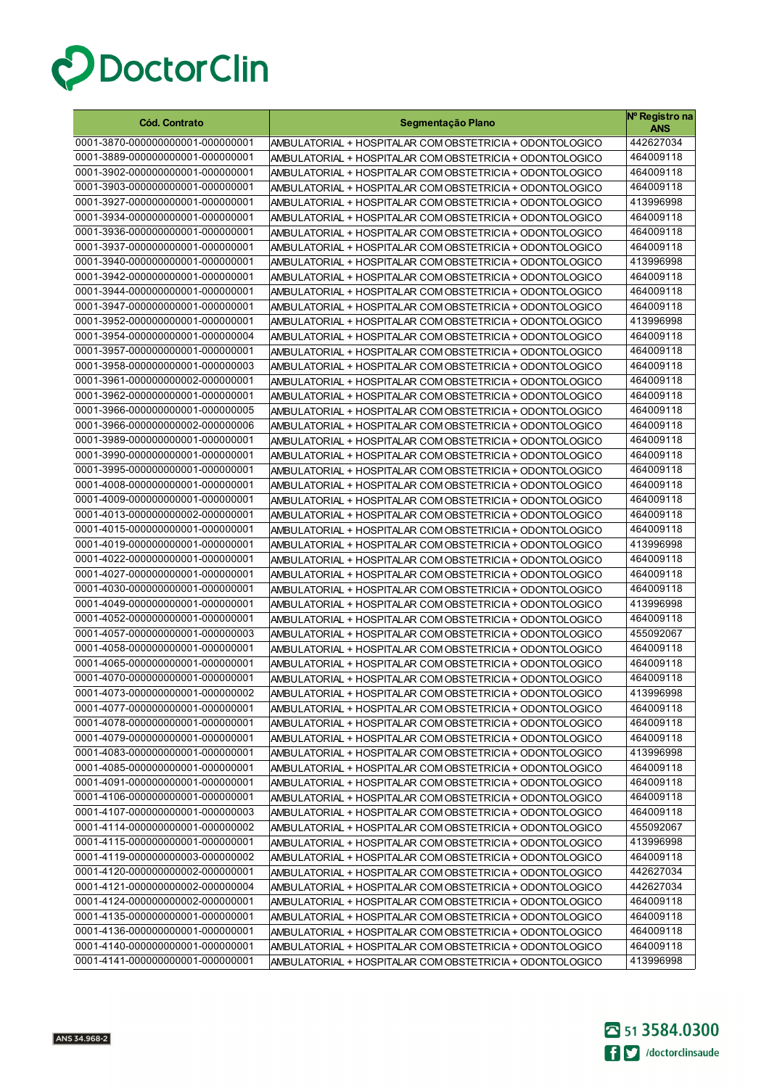

| <b>Cód. Contrato</b>             | Segmentação Plano                                        | Nº Registro na<br><b>ANS</b> |
|----------------------------------|----------------------------------------------------------|------------------------------|
| 0001-3870-000000000001-000000001 | AMBULATORIAL + HOSPITALAR COM OBSTETRICIA + ODONTOLOGICO | 442627034                    |
| 0001-3889-000000000001-000000001 | AMBULATORIAL + HOSPITALAR COM OBSTETRICIA + ODONTOLOGICO | 464009118                    |
| 0001-3902-000000000001-000000001 | AMBULATORIAL + HOSPITALAR COM OBSTETRICIA + ODONTOLOGICO | 464009118                    |
| 0001-3903-000000000001-000000001 | AMBULATORIAL + HOSPITALAR COM OBSTETRICIA + ODONTOLOGICO | 464009118                    |
| 0001-3927-000000000001-000000001 | AMBULATORIAL + HOSPITALAR COM OBSTETRICIA + ODONTOLOGICO | 413996998                    |
| 0001-3934-000000000001-000000001 | AMBULATORIAL + HOSPITALAR COM OBSTETRICIA + ODONTOLOGICO | 464009118                    |
| 0001-3936-000000000001-000000001 | AMBULATORIAL + HOSPITALAR COM OBSTETRICIA + ODONTOLOGICO | 464009118                    |
| 0001-3937-000000000001-000000001 | AMBULATORIAL + HOSPITALAR COM OBSTETRICIA + ODONTOLOGICO | 464009118                    |
| 0001-3940-000000000001-000000001 | AMBULATORIAL + HOSPITALAR COM OBSTETRICIA + ODONTOLOGICO | 413996998                    |
| 0001-3942-000000000001-000000001 | AMBULATORIAL + HOSPITALAR COM OBSTETRICIA + ODONTOLOGICO | 464009118                    |
| 0001-3944-000000000001-000000001 | AMBULATORIAL + HOSPITALAR COM OBSTETRICIA + ODONTOLOGICO | 464009118                    |
| 0001-3947-000000000001-000000001 | AMBULATORIAL + HOSPITALAR COM OBSTETRICIA + ODONTOLOGICO | 464009118                    |
| 0001-3952-000000000001-000000001 | AMBULATORIAL + HOSPITALAR COM OBSTETRICIA + ODONTOLOGICO | 413996998                    |
| 0001-3954-000000000001-000000004 | AMBULATORIAL + HOSPITALAR COM OBSTETRICIA + ODONTOLOGICO | 464009118                    |
| 0001-3957-000000000001-000000001 | AMBULATORIAL + HOSPITALAR COM OBSTETRICIA + ODONTOLOGICO | 464009118                    |
| 0001-3958-000000000001-000000003 | AMBULATORIAL + HOSPITALAR COM OBSTETRICIA + ODONTOLOGICO | 464009118                    |
| 0001-3961-000000000002-000000001 | AMBULATORIAL + HOSPITALAR COM OBSTETRICIA + ODONTOLOGICO | 464009118                    |
| 0001-3962-000000000001-000000001 | AMBULATORIAL + HOSPITALAR COM OBSTETRICIA + ODONTOLOGICO | 464009118                    |
| 0001-3966-000000000001-000000005 | AMBULATORIAL + HOSPITALAR COM OBSTETRICIA + ODONTOLOGICO | 464009118                    |
| 0001-3966-000000000002-000000006 | AMBULATORIAL + HOSPITALAR COM OBSTETRICIA + ODONTOLOGICO | 464009118                    |
| 0001-3989-000000000001-000000001 | AMBULATORIAL + HOSPITALAR COM OBSTETRICIA + ODONTOLOGICO | 464009118                    |
| 0001-3990-000000000001-000000001 | AMBULATORIAL + HOSPITALAR COM OBSTETRICIA + ODONTOLOGICO | 464009118                    |
| 0001-3995-000000000001-000000001 | AMBULATORIAL + HOSPITALAR COM OBSTETRICIA + ODONTOLOGICO | 464009118                    |
| 0001-4008-000000000001-000000001 | AMBULATORIAL + HOSPITALAR COM OBSTETRICIA + ODONTOLOGICO | 464009118                    |
| 0001-4009-000000000001-000000001 | AMBULATORIAL + HOSPITALAR COM OBSTETRICIA + ODONTOLOGICO | 464009118                    |
| 0001-4013-000000000002-000000001 | AMBULATORIAL + HOSPITALAR COM OBSTETRICIA + ODONTOLOGICO | 464009118                    |
| 0001-4015-000000000001-000000001 | AMBULATORIAL + HOSPITALAR COM OBSTETRICIA + ODONTOLOGICO | 464009118                    |
| 0001-4019-000000000001-000000001 | AMBULATORIAL + HOSPITALAR COM OBSTETRICIA + ODONTOLOGICO | 413996998                    |
| 0001-4022-000000000001-000000001 | AMBULATORIAL + HOSPITALAR COM OBSTETRICIA + ODONTOLOGICO | 464009118                    |
| 0001-4027-000000000001-000000001 | AMBULATORIAL + HOSPITALAR COM OBSTETRICIA + ODONTOLOGICO | 464009118                    |
| 0001-4030-000000000001-000000001 | AMBULATORIAL + HOSPITALAR COM OBSTETRICIA + ODONTOLOGICO | 464009118                    |
| 0001-4049-000000000001-000000001 | AMBULATORIAL + HOSPITALAR COM OBSTETRICIA + ODONTOLOGICO | 413996998                    |
| 0001-4052-000000000001-000000001 | AMBULATORIAL + HOSPITALAR COM OBSTETRICIA + ODONTOLOGICO | 464009118                    |
| 0001-4057-000000000001-000000003 | AMBULATORIAL + HOSPITALAR COM OBSTETRICIA + ODONTOLOGICO | 455092067                    |
| 0001-4058-000000000001-000000001 | AMBULATORIAL + HOSPITALAR COM OBSTETRICIA + ODONTOLOGICO | 464009118                    |
| 0001-4065-000000000001-000000001 | AMBULATORIAL + HOSPITALAR COM OBSTETRICIA + ODONTOLOGICO | 464009118                    |
| 0001-4070-000000000001-000000001 | AMBULATORIAL + HOSPITALAR COM OBSTETRICIA + ODONTOLOGICO | 464009118                    |
| 0001-4073-000000000001-000000002 | AMBULATORIAL + HOSPITALAR COM OBSTETRICIA + ODONTOLOGICO | 413996998                    |
| 0001-4077-000000000001-000000001 | AMBULATORIAL + HOSPITALAR COM OBSTETRICIA + ODONTOLOGICO | 464009118                    |
| 0001-4078-000000000001-000000001 | AMBULATORIAL + HOSPITALAR COM OBSTETRICIA + ODONTOLOGICO | 464009118                    |
| 0001-4079-000000000001-000000001 | AMBULATORIAL + HOSPITALAR COM OBSTETRICIA + ODONTOLOGICO | 464009118                    |
| 0001-4083-000000000001-000000001 | AMBULATORIAL + HOSPITALAR COM OBSTETRICIA + ODONTOLOGICO | 413996998                    |
| 0001-4085-000000000001-000000001 | AMBULATORIAL + HOSPITALAR COM OBSTETRICIA + ODONTOLOGICO | 464009118                    |
| 0001-4091-000000000001-000000001 | AMBULATORIAL + HOSPITALAR COM OBSTETRICIA + ODONTOLOGICO | 464009118                    |
| 0001-4106-000000000001-000000001 | AMBULATORIAL + HOSPITALAR COM OBSTETRICIA + ODONTOLOGICO | 464009118                    |
| 0001-4107-000000000001-000000003 | AMBULATORIAL + HOSPITALAR COM OBSTETRICIA + ODONTOLOGICO | 464009118                    |
| 0001-4114-000000000001-000000002 | AMBULATORIAL + HOSPITALAR COM OBSTETRICIA + ODONTOLOGICO | 455092067                    |
| 0001-4115-000000000001-000000001 | AMBULATORIAL + HOSPITALAR COM OBSTETRICIA + ODONTOLOGICO | 413996998                    |
| 0001-4119-000000000003-000000002 | AMBULATORIAL + HOSPITALAR COM OBSTETRICIA + ODONTOLOGICO | 464009118                    |
| 0001-4120-000000000002-000000001 | AMBULATORIAL + HOSPITALAR COM OBSTETRICIA + ODONTOLOGICO | 442627034                    |
| 0001-4121-000000000002-000000004 | AMBULATORIAL + HOSPITALAR COM OBSTETRICIA + ODONTOLOGICO | 442627034                    |
| 0001-4124-000000000002-000000001 | AMBULATORIAL + HOSPITALAR COM OBSTETRICIA + ODONTOLOGICO | 464009118                    |
| 0001-4135-000000000001-000000001 | AMBULATORIAL + HOSPITALAR COM OBSTETRICIA + ODONTOLOGICO | 464009118                    |
| 0001-4136-000000000001-000000001 | AMBULATORIAL + HOSPITALAR COM OBSTETRICIA + ODONTOLOGICO | 464009118                    |
| 0001-4140-000000000001-000000001 | AMBULATORIAL + HOSPITALAR COM OBSTETRICIA + ODONTOLOGICO | 464009118                    |
| 0001-4141-000000000001-000000001 | AMBULATORIAL + HOSPITALAR COM OBSTETRICIA + ODONTOLOGICO | 413996998                    |

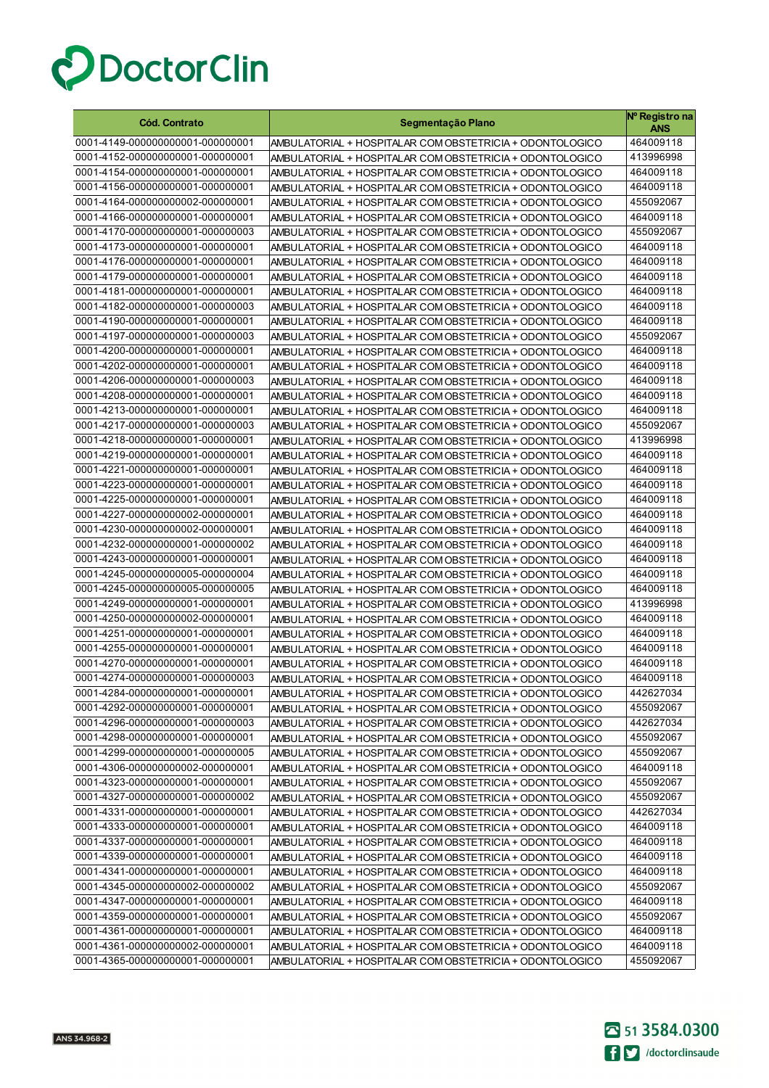

| <b>Cód. Contrato</b>             | Segmentação Plano                                        | Nº Registro na<br>ANS |
|----------------------------------|----------------------------------------------------------|-----------------------|
| 0001-4149-000000000001-000000001 | AMBULATORIAL + HOSPITALAR COM OBSTETRICIA + ODONTOLOGICO | 464009118             |
| 0001-4152-000000000001-000000001 | AMBULATORIAL + HOSPITALAR COM OBSTETRICIA + ODONTOLOGICO | 413996998             |
| 0001-4154-000000000001-000000001 | AMBULATORIAL + HOSPITALAR COM OBSTETRICIA + ODONTOLOGICO | 464009118             |
| 0001-4156-000000000001-000000001 | AMBULATORIAL + HOSPITALAR COM OBSTETRICIA + ODONTOLOGICO | 464009118             |
| 0001-4164-000000000002-000000001 | AMBULATORIAL + HOSPITALAR COM OBSTETRICIA + ODONTOLOGICO | 455092067             |
| 0001-4166-000000000001-000000001 | AMBULATORIAL + HOSPITALAR COM OBSTETRICIA + ODONTOLOGICO | 464009118             |
| 0001-4170-000000000001-000000003 | AMBULATORIAL + HOSPITALAR COM OBSTETRICIA + ODONTOLOGICO | 455092067             |
| 0001-4173-000000000001-000000001 | AMBULATORIAL + HOSPITALAR COM OBSTETRICIA + ODONTOLOGICO | 464009118             |
| 0001-4176-000000000001-000000001 | AMBULATORIAL + HOSPITALAR COM OBSTETRICIA + ODONTOLOGICO | 464009118             |
| 0001-4179-000000000001-000000001 | AMBULATORIAL + HOSPITALAR COM OBSTETRICIA + ODONTOLOGICO | 464009118             |
| 0001-4181-000000000001-000000001 | AMBULATORIAL + HOSPITALAR COM OBSTETRICIA + ODONTOLOGICO | 464009118             |
| 0001-4182-000000000001-000000003 | AMBULATORIAL + HOSPITALAR COM OBSTETRICIA + ODONTOLOGICO | 464009118             |
| 0001-4190-000000000001-000000001 | AMBULATORIAL + HOSPITALAR COM OBSTETRICIA + ODONTOLOGICO | 464009118             |
| 0001-4197-000000000001-000000003 | AMBULATORIAL + HOSPITALAR COM OBSTETRICIA + ODONTOLOGICO | 455092067             |
| 0001-4200-000000000001-000000001 | AMBULATORIAL + HOSPITALAR COM OBSTETRICIA + ODONTOLOGICO | 464009118             |
| 0001-4202-000000000001-000000001 | AMBULATORIAL + HOSPITALAR COM OBSTETRICIA + ODONTOLOGICO | 464009118             |
| 0001-4206-000000000001-000000003 | AMBULATORIAL + HOSPITALAR COM OBSTETRICIA + ODONTOLOGICO | 464009118             |
| 0001-4208-000000000001-000000001 | AMBULATORIAL + HOSPITALAR COM OBSTETRICIA + ODONTOLOGICO | 464009118             |
| 0001-4213-000000000001-000000001 | AMBULATORIAL + HOSPITALAR COM OBSTETRICIA + ODONTOLOGICO | 464009118             |
| 0001-4217-000000000001-000000003 | AMBULATORIAL + HOSPITALAR COM OBSTETRICIA + ODONTOLOGICO | 455092067             |
| 0001-4218-000000000001-000000001 | AMBULATORIAL + HOSPITALAR COM OBSTETRICIA + ODONTOLOGICO | 413996998             |
| 0001-4219-000000000001-000000001 | AMBULATORIAL + HOSPITALAR COM OBSTETRICIA + ODONTOLOGICO | 464009118             |
| 0001-4221-000000000001-000000001 | AMBULATORIAL + HOSPITALAR COM OBSTETRICIA + ODONTOLOGICO | 464009118             |
| 0001-4223-000000000001-000000001 | AMBULATORIAL + HOSPITALAR COM OBSTETRICIA + ODONTOLOGICO | 464009118             |
| 0001-4225-000000000001-000000001 | AMBULATORIAL + HOSPITALAR COM OBSTETRICIA + ODONTOLOGICO | 464009118             |
| 0001-4227-000000000002-000000001 | AMBULATORIAL + HOSPITALAR COM OBSTETRICIA + ODONTOLOGICO | 464009118             |
| 0001-4230-000000000002-000000001 | AMBULATORIAL + HOSPITALAR COM OBSTETRICIA + ODONTOLOGICO | 464009118             |
| 0001-4232-000000000001-000000002 | AMBULATORIAL + HOSPITALAR COM OBSTETRICIA + ODONTOLOGICO | 464009118             |
| 0001-4243-000000000001-000000001 | AMBULATORIAL + HOSPITALAR COM OBSTETRICIA + ODONTOLOGICO | 464009118             |
| 0001-4245-000000000005-000000004 | AMBULATORIAL + HOSPITALAR COM OBSTETRICIA + ODONTOLOGICO | 464009118             |
| 0001-4245-000000000005-000000005 | AMBULATORIAL + HOSPITALAR COM OBSTETRICIA + ODONTOLOGICO | 464009118             |
| 0001-4249-000000000001-000000001 | AMBULATORIAL + HOSPITALAR COM OBSTETRICIA + ODONTOLOGICO | 413996998             |
| 0001-4250-000000000002-000000001 | AMBULATORIAL + HOSPITALAR COM OBSTETRICIA + ODONTOLOGICO | 464009118             |
| 0001-4251-000000000001-000000001 | AMBULATORIAL + HOSPITALAR COM OBSTETRICIA + ODONTOLOGICO | 464009118             |
| 0001-4255-000000000001-000000001 | AMBULATORIAL + HOSPITALAR COM OBSTETRICIA + ODONTOLOGICO | 464009118             |
| 0001-4270-000000000001-000000001 | AMBULATORIAL + HOSPITALAR COM OBSTETRICIA + ODONTOLOGICO | 464009118             |
| 0001-4274-000000000001-000000003 | AMBULATORIAL + HOSPITALAR COM OBSTETRICIA + ODONTOLOGICO | 464009118             |
| 0001-4284-000000000001-000000001 | AMBULATORIAL + HOSPITALAR COM OBSTETRICIA + ODONTOLOGICO | 442627034             |
| 0001-4292-000000000001-000000001 | AMBULATORIAL + HOSPITALAR COM OBSTETRICIA + ODONTOLOGICO | 455092067             |
| 0001-4296-000000000001-000000003 | AMBULATORIAL + HOSPITALAR COM OBSTETRICIA + ODONTOLOGICO | 442627034             |
| 0001-4298-000000000001-000000001 | AMBULATORIAL + HOSPITALAR COM OBSTETRICIA + ODONTOLOGICO | 455092067             |
| 0001-4299-000000000001-000000005 | AMBULATORIAL + HOSPITALAR COM OBSTETRICIA + ODONTOLOGICO | 455092067             |
| 0001-4306-000000000002-000000001 | AMBULATORIAL + HOSPITALAR COM OBSTETRICIA + ODONTOLOGICO | 464009118             |
| 0001-4323-000000000001-000000001 | AMBULATORIAL + HOSPITALAR COM OBSTETRICIA + ODONTOLOGICO | 455092067             |
| 0001-4327-000000000001-000000002 | AMBULATORIAL + HOSPITALAR COM OBSTETRICIA + ODONTOLOGICO | 455092067             |
| 0001-4331-000000000001-000000001 | AMBULATORIAL + HOSPITALAR COM OBSTETRICIA + ODONTOLOGICO | 442627034             |
| 0001-4333-000000000001-000000001 | AMBULATORIAL + HOSPITALAR COM OBSTETRICIA + ODONTOLOGICO | 464009118             |
| 0001-4337-000000000001-000000001 | AMBULATORIAL + HOSPITALAR COM OBSTETRICIA + ODONTOLOGICO | 464009118             |
| 0001-4339-000000000001-000000001 | AMBULATORIAL + HOSPITALAR COM OBSTETRICIA + ODONTOLOGICO | 464009118             |
| 0001-4341-000000000001-000000001 | AMBULATORIAL + HOSPITALAR COM OBSTETRICIA + ODONTOLOGICO | 464009118             |
| 0001-4345-000000000002-000000002 | AMBULATORIAL + HOSPITALAR COM OBSTETRICIA + ODONTOLOGICO | 455092067             |
| 0001-4347-000000000001-000000001 | AMBULATORIAL + HOSPITALAR COM OBSTETRICIA + ODONTOLOGICO | 464009118             |
| 0001-4359-000000000001-000000001 | AMBULATORIAL + HOSPITALAR COM OBSTETRICIA + ODONTOLOGICO | 455092067             |
| 0001-4361-000000000001-000000001 | AMBULATORIAL + HOSPITALAR COM OBSTETRICIA + ODONTOLOGICO | 464009118             |
| 0001-4361-000000000002-000000001 | AMBULATORIAL + HOSPITALAR COM OBSTETRICIA + ODONTOLOGICO | 464009118             |
| 0001-4365-000000000001-000000001 | AMBULATORIAL + HOSPITALAR COM OBSTETRICIA + ODONTOLOGICO | 455092067             |

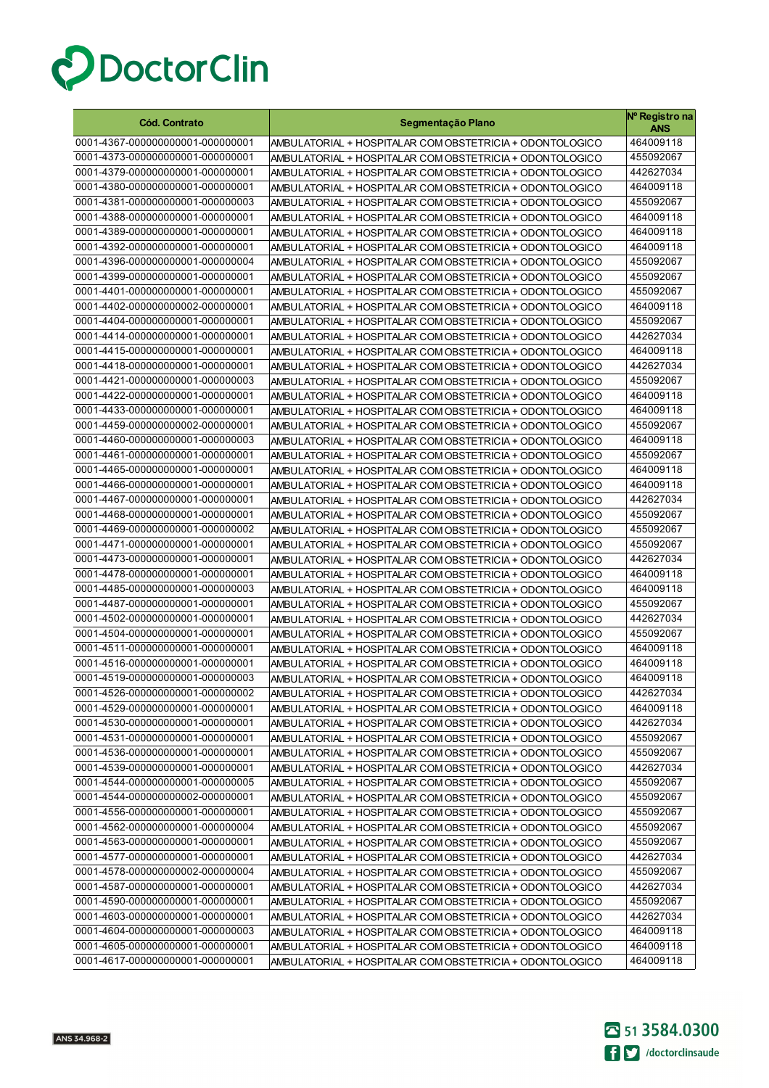

| <b>Cód. Contrato</b>                                                 | Segmentação Plano                                                                                                    | Nº Registro na<br><b>ANS</b> |
|----------------------------------------------------------------------|----------------------------------------------------------------------------------------------------------------------|------------------------------|
| 0001-4367-000000000001-000000001                                     | AMBULATORIAL + HOSPITALAR COM OBSTETRICIA + ODONTOLOGICO                                                             | 464009118                    |
| 0001-4373-000000000001-000000001                                     | AMBULATORIAL + HOSPITALAR COM OBSTETRICIA + ODONTOLOGICO                                                             | 455092067                    |
| 0001-4379-000000000001-000000001                                     | AMBULATORIAL + HOSPITALAR COM OBSTETRICIA + ODONTOLOGICO                                                             | 442627034                    |
| 0001-4380-000000000001-000000001                                     | AMBULATORIAL + HOSPITALAR COM OBSTETRICIA + ODONTOLOGICO                                                             | 464009118                    |
| 0001-4381-000000000001-000000003                                     | AMBULATORIAL + HOSPITALAR COM OBSTETRICIA + ODONTOLOGICO                                                             | 455092067                    |
| 0001-4388-000000000001-000000001                                     | AMBULATORIAL + HOSPITALAR COM OBSTETRICIA + ODONTOLOGICO                                                             | 464009118                    |
| 0001-4389-000000000001-000000001                                     | AMBULATORIAL + HOSPITALAR COM OBSTETRICIA + ODONTOLOGICO                                                             | 464009118                    |
| 0001-4392-000000000001-000000001                                     | AMBULATORIAL + HOSPITALAR COM OBSTETRICIA + ODONTOLOGICO                                                             | 464009118                    |
| 0001-4396-000000000001-000000004                                     | AMBULATORIAL + HOSPITALAR COM OBSTETRICIA + ODONTOLOGICO                                                             | 455092067                    |
| 0001-4399-000000000001-000000001                                     | AMBULATORIAL + HOSPITALAR COM OBSTETRICIA + ODONTOLOGICO                                                             | 455092067                    |
| 0001-4401-000000000001-000000001                                     | AMBULATORIAL + HOSPITALAR COM OBSTETRICIA + ODONTOLOGICO                                                             | 455092067                    |
| 0001-4402-000000000002-000000001                                     | AMBULATORIAL + HOSPITALAR COM OBSTETRICIA + ODONTOLOGICO                                                             | 464009118                    |
| 0001-4404-000000000001-000000001                                     | AMBULATORIAL + HOSPITALAR COM OBSTETRICIA + ODONTOLOGICO                                                             | 455092067                    |
| 0001-4414-000000000001-000000001                                     | AMBULATORIAL + HOSPITALAR COM OBSTETRICIA + ODONTOLOGICO                                                             | 442627034                    |
| 0001-4415-000000000001-000000001                                     | AMBULATORIAL + HOSPITALAR COM OBSTETRICIA + ODONTOLOGICO                                                             | 464009118                    |
| 0001-4418-000000000001-000000001                                     | AMBULATORIAL + HOSPITALAR COM OBSTETRICIA + ODONTOLOGICO                                                             | 442627034                    |
| 0001-4421-000000000001-000000003                                     | AMBULATORIAL + HOSPITALAR COM OBSTETRICIA + ODONTOLOGICO                                                             | 455092067                    |
| 0001-4422-000000000001-000000001                                     | AMBULATORIAL + HOSPITALAR COM OBSTETRICIA + ODONTOLOGICO                                                             | 464009118                    |
| 0001-4433-000000000001-000000001                                     | AMBULATORIAL + HOSPITALAR COM OBSTETRICIA + ODONTOLOGICO                                                             | 464009118                    |
| 0001-4459-000000000002-000000001                                     | AMBULATORIAL + HOSPITALAR COM OBSTETRICIA + ODONTOLOGICO                                                             | 455092067                    |
| 0001-4460-000000000001-000000003                                     | AMBULATORIAL + HOSPITALAR COM OBSTETRICIA + ODONTOLOGICO                                                             | 464009118                    |
| 0001-4461-000000000001-000000001                                     | AMBULATORIAL + HOSPITALAR COM OBSTETRICIA + ODONTOLOGICO                                                             | 455092067                    |
| 0001-4465-000000000001-000000001                                     | AMBULATORIAL + HOSPITALAR COM OBSTETRICIA + ODONTOLOGICO                                                             | 464009118                    |
| 0001-4466-000000000001-000000001                                     | AMBULATORIAL + HOSPITALAR COM OBSTETRICIA + ODONTOLOGICO                                                             | 464009118                    |
| 0001-4467-000000000001-000000001                                     | AMBULATORIAL + HOSPITALAR COM OBSTETRICIA + ODONTOLOGICO                                                             | 442627034                    |
| 0001-4468-000000000001-000000001                                     | AMBULATORIAL + HOSPITALAR COM OBSTETRICIA + ODONTOLOGICO                                                             | 455092067                    |
| 0001-4469-000000000001-000000002                                     | AMBULATORIAL + HOSPITALAR COM OBSTETRICIA + ODONTOLOGICO                                                             | 455092067                    |
| 0001-4471-000000000001-000000001                                     | AMBULATORIAL + HOSPITALAR COM OBSTETRICIA + ODONTOLOGICO                                                             | 455092067                    |
| 0001-4473-000000000001-000000001<br>0001-4478-000000000001-000000001 | AMBULATORIAL + HOSPITALAR COM OBSTETRICIA + ODONTOLOGICO                                                             | 442627034<br>464009118       |
| 0001-4485-000000000001-000000003                                     | AMBULATORIAL + HOSPITALAR COM OBSTETRICIA + ODONTOLOGICO                                                             | 464009118                    |
| 0001-4487-000000000001-000000001                                     | AMBULATORIAL + HOSPITALAR COM OBSTETRICIA + ODONTOLOGICO<br>AMBULATORIAL + HOSPITALAR COM OBSTETRICIA + ODONTOLOGICO | 455092067                    |
| 0001-4502-000000000001-000000001                                     | AMBULATORIAL + HOSPITALAR COM OBSTETRICIA + ODONTOLOGICO                                                             | 442627034                    |
| 0001-4504-000000000001-000000001                                     | AMBULATORIAL + HOSPITALAR COM OBSTETRICIA + ODONTOLOGICO                                                             | 455092067                    |
| 0001-4511-000000000001-000000001                                     | AMBULATORIAL + HOSPITALAR COM OBSTETRICIA + ODONTOLOGICO                                                             | 464009118                    |
| 0001-4516-000000000001-000000001                                     | AMBULATORIAL + HOSPITALAR COM OBSTETRICIA + ODONTOLOGICO                                                             | 464009118                    |
| 0001-4519-000000000001-000000003                                     | AMBULATORIAL + HOSPITALAR COM OBSTETRICIA + ODONTOLOGICO                                                             | 464009118                    |
| 0001-4526-000000000001-000000002                                     | AMBULATORIAL + HOSPITALAR COM OBSTETRICIA + ODONTOLOGICO                                                             | 442627034                    |
| 0001-4529-000000000001-000000001                                     | AMBULATORIAL + HOSPITALAR COM OBSTETRICIA + ODONTOLOGICO                                                             | 464009118                    |
| 0001-4530-000000000001-000000001                                     | AMBULATORIAL + HOSPITALAR COM OBSTETRICIA + ODONTOLOGICO                                                             | 442627034                    |
| 0001-4531-000000000001-000000001                                     | AMBULATORIAL + HOSPITALAR COM OBSTETRICIA + ODONTOLOGICO                                                             | 455092067                    |
| 0001-4536-000000000001-000000001                                     | AMBULATORIAL + HOSPITALAR COM OBSTETRICIA + ODONTOLOGICO                                                             | 455092067                    |
| 0001-4539-000000000001-000000001                                     | AMBULATORIAL + HOSPITALAR COM OBSTETRICIA + ODONTOLOGICO                                                             | 442627034                    |
| 0001-4544-000000000001-000000005                                     | AMBULATORIAL + HOSPITALAR COM OBSTETRICIA + ODONTOLOGICO                                                             | 455092067                    |
| 0001-4544-000000000002-000000001                                     | AMBULATORIAL + HOSPITALAR COM OBSTETRICIA + ODONTOLOGICO                                                             | 455092067                    |
| 0001-4556-000000000001-000000001                                     | AMBULATORIAL + HOSPITALAR COM OBSTETRICIA + ODONTOLOGICO                                                             | 455092067                    |
| 0001-4562-000000000001-000000004                                     | AMBULATORIAL + HOSPITALAR COM OBSTETRICIA + ODONTOLOGICO                                                             | 455092067                    |
| 0001-4563-000000000001-000000001                                     | AMBULATORIAL + HOSPITALAR COM OBSTETRICIA + ODONTOLOGICO                                                             | 455092067                    |
| 0001-4577-000000000001-000000001                                     | AMBULATORIAL + HOSPITALAR COM OBSTETRICIA + ODONTOLOGICO                                                             | 442627034                    |
| 0001-4578-000000000002-000000004                                     | AMBULATORIAL + HOSPITALAR COM OBSTETRICIA + ODONTOLOGICO                                                             | 455092067                    |
| 0001-4587-000000000001-000000001                                     | AMBULATORIAL + HOSPITALAR COM OBSTETRICIA + ODONTOLOGICO                                                             | 442627034                    |
| 0001-4590-000000000001-000000001                                     | AMBULATORIAL + HOSPITALAR COM OBSTETRICIA + ODONTOLOGICO                                                             | 455092067                    |
| 0001-4603-000000000001-000000001                                     | AMBULATORIAL + HOSPITALAR COM OBSTETRICIA + ODONTOLOGICO                                                             | 442627034                    |
| 0001-4604-000000000001-000000003                                     | AMBULATORIAL + HOSPITALAR COM OBSTETRICIA + ODONTOLOGICO                                                             | 464009118                    |
| 0001-4605-000000000001-000000001                                     | AMBULATORIAL + HOSPITALAR COM OBSTETRICIA + ODONTOLOGICO                                                             | 464009118                    |
| 0001-4617-000000000001-000000001                                     | AMBULATORIAL + HOSPITALAR COM OBSTETRICIA + ODONTOLOGICO                                                             | 464009118                    |

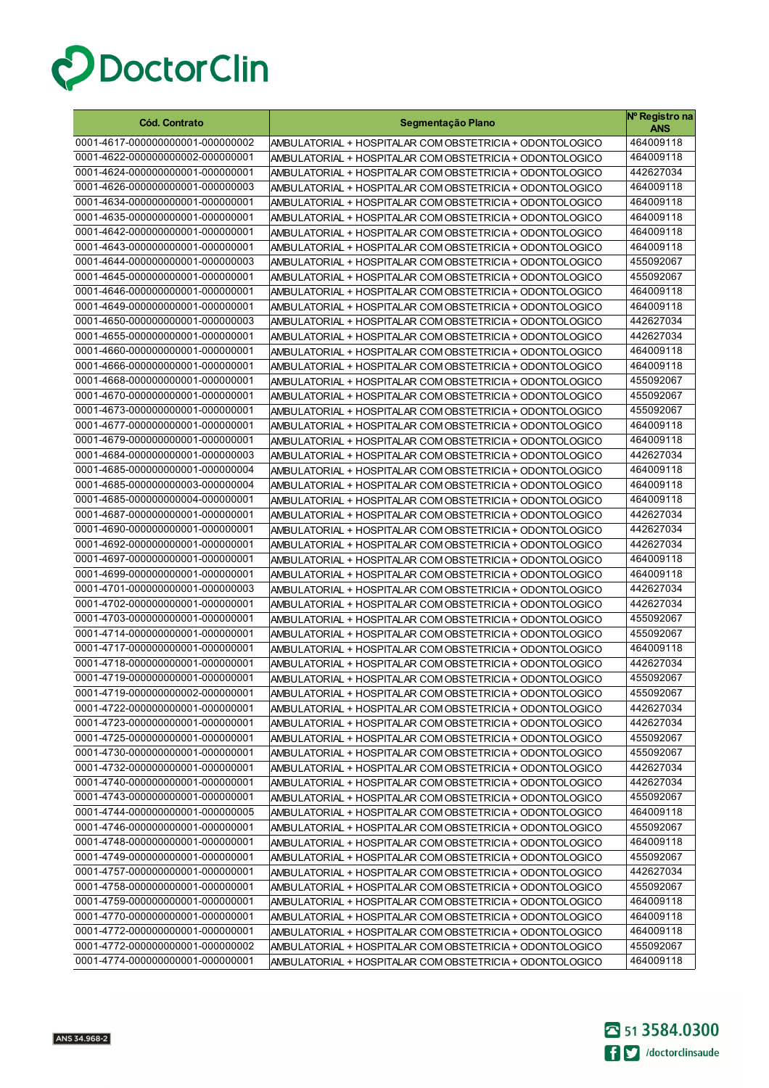

| <b>Cód. Contrato</b>                                                 | Segmentação Plano                                                                                                    | Nº Registro na<br>ANS  |
|----------------------------------------------------------------------|----------------------------------------------------------------------------------------------------------------------|------------------------|
| 0001-4617-000000000001-000000002                                     | AMBULATORIAL + HOSPITALAR COM OBSTETRICIA + ODONTOLOGICO                                                             | 464009118              |
| 0001-4622-000000000002-000000001                                     | AMBULATORIAL + HOSPITALAR COM OBSTETRICIA + ODONTOLOGICO                                                             | 464009118              |
| 0001-4624-000000000001-000000001                                     | AMBULATORIAL + HOSPITALAR COM OBSTETRICIA + ODONTOLOGICO                                                             | 442627034              |
| 0001-4626-000000000001-000000003                                     | AMBULATORIAL + HOSPITALAR COM OBSTETRICIA + ODONTOLOGICO                                                             | 464009118              |
| 0001-4634-000000000001-000000001                                     | AMBULATORIAL + HOSPITALAR COM OBSTETRICIA + ODONTOLOGICO                                                             | 464009118              |
| 0001-4635-000000000001-000000001                                     | AMBULATORIAL + HOSPITALAR COM OBSTETRICIA + ODONTOLOGICO                                                             | 464009118              |
| 0001-4642-000000000001-000000001                                     | AMBULATORIAL + HOSPITALAR COM OBSTETRICIA + ODONTOLOGICO                                                             | 464009118              |
| 0001-4643-000000000001-000000001                                     | AMBULATORIAL + HOSPITALAR COM OBSTETRICIA + ODONTOLOGICO                                                             | 464009118              |
| 0001-4644-000000000001-000000003                                     | AMBULATORIAL + HOSPITALAR COM OBSTETRICIA + ODONTOLOGICO                                                             | 455092067              |
| 0001-4645-000000000001-000000001                                     | AMBULATORIAL + HOSPITALAR COM OBSTETRICIA + ODONTOLOGICO                                                             | 455092067              |
| 0001-4646-000000000001-000000001                                     | AMBULATORIAL + HOSPITALAR COM OBSTETRICIA + ODONTOLOGICO                                                             | 464009118              |
| 0001-4649-000000000001-000000001                                     | AMBULATORIAL + HOSPITALAR COM OBSTETRICIA + ODONTOLOGICO                                                             | 464009118              |
| 0001-4650-000000000001-000000003                                     | AMBULATORIAL + HOSPITALAR COM OBSTETRICIA + ODONTOLOGICO                                                             | 442627034              |
| 0001-4655-000000000001-000000001                                     | AMBULATORIAL + HOSPITALAR COM OBSTETRICIA + ODONTOLOGICO                                                             | 442627034              |
| 0001-4660-000000000001-000000001                                     | AMBULATORIAL + HOSPITALAR COM OBSTETRICIA + ODONTOLOGICO                                                             | 464009118              |
| 0001-4666-000000000001-000000001                                     | AMBULATORIAL + HOSPITALAR COM OBSTETRICIA + ODONTOLOGICO                                                             | 464009118              |
| 0001-4668-000000000001-000000001                                     | AMBULATORIAL + HOSPITALAR COM OBSTETRICIA + ODONTOLOGICO                                                             | 455092067              |
| 0001-4670-000000000001-000000001                                     | AMBULATORIAL + HOSPITALAR COM OBSTETRICIA + ODONTOLOGICO                                                             | 455092067              |
| 0001-4673-000000000001-000000001                                     | AMBULATORIAL + HOSPITALAR COM OBSTETRICIA + ODONTOLOGICO                                                             | 455092067              |
| 0001-4677-000000000001-000000001                                     | AMBULATORIAL + HOSPITALAR COM OBSTETRICIA + ODONTOLOGICO                                                             | 464009118              |
| 0001-4679-000000000001-000000001                                     | AMBULATORIAL + HOSPITALAR COM OBSTETRICIA + ODONTOLOGICO                                                             | 464009118              |
| 0001-4684-000000000001-000000003                                     | AMBULATORIAL + HOSPITALAR COM OBSTETRICIA + ODONTOLOGICO                                                             | 442627034              |
| 0001-4685-000000000001-000000004                                     | AMBULATORIAL + HOSPITALAR COM OBSTETRICIA + ODONTOLOGICO                                                             | 464009118              |
| 0001-4685-000000000003-000000004                                     | AMBULATORIAL + HOSPITALAR COM OBSTETRICIA + ODONTOLOGICO                                                             | 464009118              |
| 0001-4685-000000000004-000000001                                     | AMBULATORIAL + HOSPITALAR COM OBSTETRICIA + ODONTOLOGICO                                                             | 464009118              |
| 0001-4687-000000000001-000000001                                     | AMBULATORIAL + HOSPITALAR COM OBSTETRICIA + ODONTOLOGICO                                                             | 442627034              |
| 0001-4690-000000000001-000000001                                     | AMBULATORIAL + HOSPITALAR COM OBSTETRICIA + ODONTOLOGICO                                                             | 442627034              |
| 0001-4692-000000000001-000000001                                     | AMBULATORIAL + HOSPITALAR COM OBSTETRICIA + ODONTOLOGICO                                                             | 442627034              |
| 0001-4697-000000000001-000000001                                     | AMBULATORIAL + HOSPITALAR COM OBSTETRICIA + ODONTOLOGICO                                                             | 464009118              |
| 0001-4699-000000000001-000000001<br>0001-4701-000000000001-000000003 | AMBULATORIAL + HOSPITALAR COM OBSTETRICIA + ODONTOLOGICO                                                             | 464009118<br>442627034 |
| 0001-4702-000000000001-000000001                                     | AMBULATORIAL + HOSPITALAR COM OBSTETRICIA + ODONTOLOGICO                                                             | 442627034              |
| 0001-4703-000000000001-000000001                                     | AMBULATORIAL + HOSPITALAR COM OBSTETRICIA + ODONTOLOGICO<br>AMBULATORIAL + HOSPITALAR COM OBSTETRICIA + ODONTOLOGICO | 455092067              |
| 0001-4714-000000000001-000000001                                     | AMBULATORIAL + HOSPITALAR COM OBSTETRICIA + ODONTOLOGICO                                                             | 455092067              |
| 0001-4717-000000000001-000000001                                     | AMBULATORIAL + HOSPITALAR COM OBSTETRICIA + ODONTOLOGICO                                                             | 464009118              |
| 0001-4718-000000000001-000000001                                     | AMBULATORIAL + HOSPITALAR COM OBSTETRICIA + ODONTOLOGICO                                                             | 442627034              |
| 0001-4719-000000000001-000000001                                     | AMBULATORIAL + HOSPITALAR COM OBSTETRICIA + ODONTOLOGICO                                                             | 455092067              |
| 0001-4719-000000000002-000000001                                     | AMBULATORIAL + HOSPITALAR COM OBSTETRICIA + ODONTOLOGICO                                                             | 455092067              |
| 0001-4722-000000000001-000000001                                     | AMBULATORIAL + HOSPITALAR COM OBSTETRICIA + ODONTOLOGICO                                                             | 442627034              |
| 0001-4723-000000000001-000000001                                     | AMBULATORIAL + HOSPITALAR COM OBSTETRICIA + ODONTOLOGICO                                                             | 442627034              |
| 0001-4725-000000000001-000000001                                     | AMBULATORIAL + HOSPITALAR COM OBSTETRICIA + ODONTOLOGICO                                                             | 455092067              |
| 0001-4730-000000000001-000000001                                     | AMBULATORIAL + HOSPITALAR COM OBSTETRICIA + ODONTOLOGICO                                                             | 455092067              |
| 0001-4732-000000000001-000000001                                     | AMBULATORIAL + HOSPITALAR COM OBSTETRICIA + ODONTOLOGICO                                                             | 442627034              |
| 0001-4740-000000000001-000000001                                     | AMBULATORIAL + HOSPITALAR COM OBSTETRICIA + ODONTOLOGICO                                                             | 442627034              |
| 0001-4743-000000000001-000000001                                     | AMBULATORIAL + HOSPITALAR COM OBSTETRICIA + ODONTOLOGICO                                                             | 455092067              |
| 0001-4744-000000000001-000000005                                     | AMBULATORIAL + HOSPITALAR COM OBSTETRICIA + ODONTOLOGICO                                                             | 464009118              |
| 0001-4746-000000000001-000000001                                     | AMBULATORIAL + HOSPITALAR COM OBSTETRICIA + ODONTOLOGICO                                                             | 455092067              |
| 0001-4748-000000000001-000000001                                     | AMBULATORIAL + HOSPITALAR COM OBSTETRICIA + ODONTOLOGICO                                                             | 464009118              |
| 0001-4749-000000000001-000000001                                     | AMBULATORIAL + HOSPITALAR COM OBSTETRICIA + ODONTOLOGICO                                                             | 455092067              |
| 0001-4757-000000000001-000000001                                     | AMBULATORIAL + HOSPITALAR COM OBSTETRICIA + ODONTOLOGICO                                                             | 442627034              |
| 0001-4758-000000000001-000000001                                     | AMBULATORIAL + HOSPITALAR COM OBSTETRICIA + ODONTOLOGICO                                                             | 455092067              |
| 0001-4759-000000000001-000000001                                     | AMBULATORIAL + HOSPITALAR COM OBSTETRICIA + ODONTOLOGICO                                                             | 464009118              |
| 0001-4770-000000000001-000000001                                     | AMBULATORIAL + HOSPITALAR COM OBSTETRICIA + ODONTOLOGICO                                                             | 464009118              |
| 0001-4772-000000000001-000000001                                     | AMBULATORIAL + HOSPITALAR COM OBSTETRICIA + ODONTOLOGICO                                                             | 464009118              |
| 0001-4772-000000000001-000000002                                     | AMBULATORIAL + HOSPITALAR COM OBSTETRICIA + ODONTOLOGICO                                                             | 455092067              |
| 0001-4774-000000000001-000000001                                     | AMBULATORIAL + HOSPITALAR COM OBSTETRICIA + ODONTOLOGICO                                                             | 464009118              |

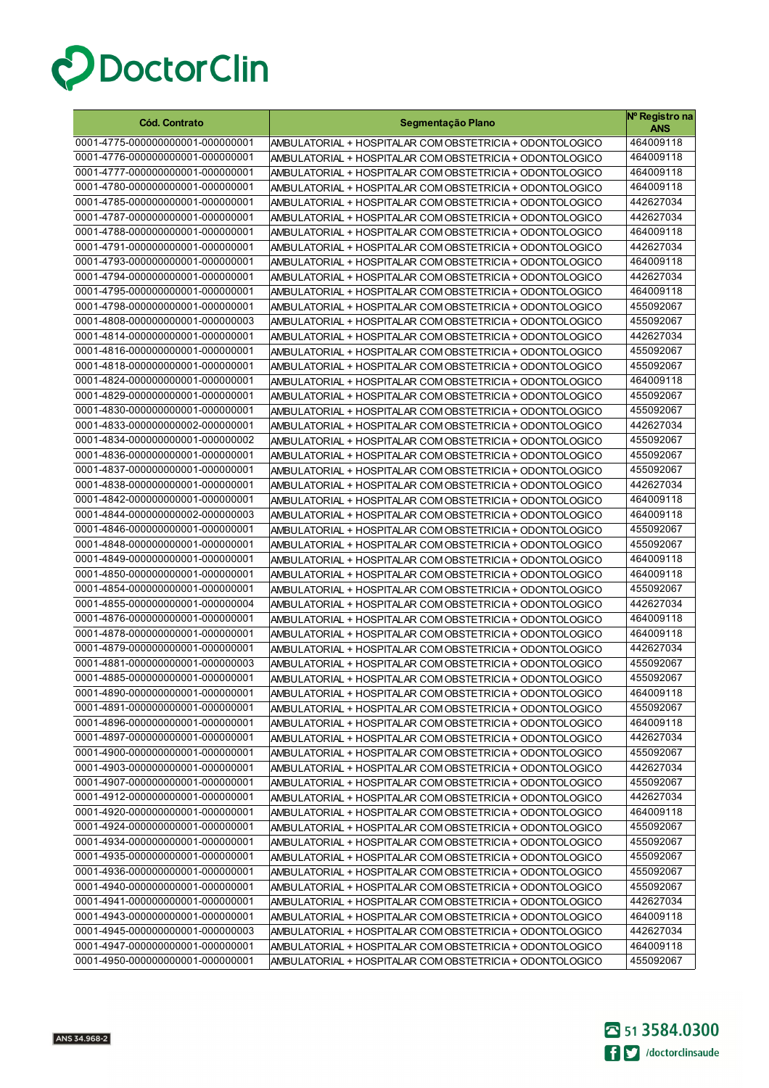

| <b>Cód. Contrato</b>             | Segmentação Plano                                        | Nº Registro na<br><b>ANS</b> |
|----------------------------------|----------------------------------------------------------|------------------------------|
| 0001-4775-000000000001-000000001 | AMBULATORIAL + HOSPITALAR COM OBSTETRICIA + ODONTOLOGICO | 464009118                    |
| 0001-4776-000000000001-000000001 | AMBULATORIAL + HOSPITALAR COM OBSTETRICIA + ODONTOLOGICO | 464009118                    |
| 0001-4777-000000000001-000000001 | AMBULATORIAL + HOSPITALAR COM OBSTETRICIA + ODONTOLOGICO | 464009118                    |
| 0001-4780-000000000001-000000001 | AMBULATORIAL + HOSPITALAR COM OBSTETRICIA + ODONTOLOGICO | 464009118                    |
| 0001-4785-000000000001-000000001 | AMBULATORIAL + HOSPITALAR COM OBSTETRICIA + ODONTOLOGICO | 442627034                    |
| 0001-4787-000000000001-000000001 | AMBULATORIAL + HOSPITALAR COM OBSTETRICIA + ODONTOLOGICO | 442627034                    |
| 0001-4788-000000000001-000000001 | AMBULATORIAL + HOSPITALAR COM OBSTETRICIA + ODONTOLOGICO | 464009118                    |
| 0001-4791-000000000001-000000001 | AMBULATORIAL + HOSPITALAR COM OBSTETRICIA + ODONTOLOGICO | 442627034                    |
| 0001-4793-000000000001-000000001 | AMBULATORIAL + HOSPITALAR COM OBSTETRICIA + ODONTOLOGICO | 464009118                    |
| 0001-4794-000000000001-000000001 | AMBULATORIAL + HOSPITALAR COM OBSTETRICIA + ODONTOLOGICO | 442627034                    |
| 0001-4795-000000000001-000000001 | AMBULATORIAL + HOSPITALAR COM OBSTETRICIA + ODONTOLOGICO | 464009118                    |
| 0001-4798-000000000001-000000001 | AMBULATORIAL + HOSPITALAR COM OBSTETRICIA + ODONTOLOGICO | 455092067                    |
| 0001-4808-000000000001-000000003 | AMBULATORIAL + HOSPITALAR COM OBSTETRICIA + ODONTOLOGICO | 455092067                    |
| 0001-4814-000000000001-000000001 | AMBULATORIAL + HOSPITALAR COM OBSTETRICIA + ODONTOLOGICO | 442627034                    |
| 0001-4816-000000000001-000000001 | AMBULATORIAL + HOSPITALAR COM OBSTETRICIA + ODONTOLOGICO | 455092067                    |
| 0001-4818-000000000001-000000001 | AMBULATORIAL + HOSPITALAR COM OBSTETRICIA + ODONTOLOGICO | 455092067                    |
| 0001-4824-000000000001-000000001 | AMBULATORIAL + HOSPITALAR COM OBSTETRICIA + ODONTOLOGICO | 464009118                    |
| 0001-4829-000000000001-000000001 | AMBULATORIAL + HOSPITALAR COM OBSTETRICIA + ODONTOLOGICO | 455092067                    |
| 0001-4830-000000000001-000000001 | AMBULATORIAL + HOSPITALAR COM OBSTETRICIA + ODONTOLOGICO | 455092067                    |
| 0001-4833-000000000002-000000001 | AMBULATORIAL + HOSPITALAR COM OBSTETRICIA + ODONTOLOGICO | 442627034                    |
| 0001-4834-000000000001-000000002 | AMBULATORIAL + HOSPITALAR COM OBSTETRICIA + ODONTOLOGICO | 455092067                    |
| 0001-4836-000000000001-000000001 | AMBULATORIAL + HOSPITALAR COM OBSTETRICIA + ODONTOLOGICO | 455092067                    |
| 0001-4837-000000000001-000000001 | AMBULATORIAL + HOSPITALAR COM OBSTETRICIA + ODONTOLOGICO | 455092067                    |
| 0001-4838-000000000001-000000001 | AMBULATORIAL + HOSPITALAR COM OBSTETRICIA + ODONTOLOGICO | 442627034                    |
| 0001-4842-000000000001-000000001 | AMBULATORIAL + HOSPITALAR COM OBSTETRICIA + ODONTOLOGICO | 464009118                    |
| 0001-4844-000000000002-000000003 | AMBULATORIAL + HOSPITALAR COM OBSTETRICIA + ODONTOLOGICO | 464009118                    |
| 0001-4846-000000000001-000000001 | AMBULATORIAL + HOSPITALAR COM OBSTETRICIA + ODONTOLOGICO | 455092067                    |
| 0001-4848-000000000001-000000001 | AMBULATORIAL + HOSPITALAR COM OBSTETRICIA + ODONTOLOGICO | 455092067                    |
| 0001-4849-000000000001-000000001 | AMBULATORIAL + HOSPITALAR COM OBSTETRICIA + ODONTOLOGICO | 464009118                    |
| 0001-4850-000000000001-000000001 | AMBULATORIAL + HOSPITALAR COM OBSTETRICIA + ODONTOLOGICO | 464009118                    |
| 0001-4854-000000000001-000000001 | AMBULATORIAL + HOSPITALAR COM OBSTETRICIA + ODONTOLOGICO | 455092067                    |
| 0001-4855-000000000001-000000004 | AMBULATORIAL + HOSPITALAR COM OBSTETRICIA + ODONTOLOGICO | 442627034                    |
| 0001-4876-000000000001-000000001 | AMBULATORIAL + HOSPITALAR COM OBSTETRICIA + ODONTOLOGICO | 464009118                    |
| 0001-4878-000000000001-000000001 | AMBULATORIAL + HOSPITALAR COM OBSTETRICIA + ODONTOLOGICO | 464009118                    |
| 0001-4879-000000000001-000000001 | AMBULATORIAL + HOSPITALAR COM OBSTETRICIA + ODONTOLOGICO | 442627034                    |
| 0001-4881-000000000001-000000003 | AMBULATORIAL + HOSPITALAR COM OBSTETRICIA + ODONTOLOGICO | 455092067                    |
| 0001-4885-000000000001-000000001 | AMBULATORIAL + HOSPITALAR COM OBSTETRICIA + ODONTOLOGICO | 455092067                    |
| 0001-4890-000000000001-000000001 | AMBULATORIAL + HOSPITALAR COM OBSTETRICIA + ODONTOLOGICO | 464009118                    |
| 0001-4891-000000000001-000000001 | AMBULATORIAL + HOSPITALAR COM OBSTETRICIA + ODONTOLOGICO | 455092067                    |
| 0001-4896-000000000001-000000001 | AMBULATORIAL + HOSPITALAR COM OBSTETRICIA + ODONTOLOGICO | 464009118                    |
| 0001-4897-000000000001-000000001 | AMBULATORIAL + HOSPITALAR COM OBSTETRICIA + ODONTOLOGICO | 442627034                    |
| 0001-4900-000000000001-000000001 | AMBULATORIAL + HOSPITALAR COM OBSTETRICIA + ODONTOLOGICO | 455092067                    |
| 0001-4903-000000000001-000000001 | AMBULATORIAL + HOSPITALAR COM OBSTETRICIA + ODONTOLOGICO | 442627034                    |
| 0001-4907-000000000001-000000001 | AMBULATORIAL + HOSPITALAR COM OBSTETRICIA + ODONTOLOGICO | 455092067                    |
| 0001-4912-000000000001-000000001 | AMBULATORIAL + HOSPITALAR COM OBSTETRICIA + ODONTOLOGICO | 442627034                    |
| 0001-4920-000000000001-000000001 | AMBULATORIAL + HOSPITALAR COM OBSTETRICIA + ODONTOLOGICO | 464009118                    |
| 0001-4924-000000000001-000000001 | AMBULATORIAL + HOSPITALAR COM OBSTETRICIA + ODONTOLOGICO | 455092067                    |
| 0001-4934-000000000001-000000001 | AMBULATORIAL + HOSPITALAR COM OBSTETRICIA + ODONTOLOGICO | 455092067                    |
| 0001-4935-000000000001-000000001 | AMBULATORIAL + HOSPITALAR COM OBSTETRICIA + ODONTOLOGICO | 455092067                    |
| 0001-4936-000000000001-000000001 | AMBULATORIAL + HOSPITALAR COM OBSTETRICIA + ODONTOLOGICO | 455092067                    |
| 0001-4940-000000000001-000000001 | AMBULATORIAL + HOSPITALAR COM OBSTETRICIA + ODONTOLOGICO | 455092067                    |
| 0001-4941-000000000001-000000001 | AMBULATORIAL + HOSPITALAR COM OBSTETRICIA + ODONTOLOGICO | 442627034                    |
| 0001-4943-000000000001-000000001 | AMBULATORIAL + HOSPITALAR COM OBSTETRICIA + ODONTOLOGICO | 464009118                    |
| 0001-4945-000000000001-000000003 | AMBULATORIAL + HOSPITALAR COM OBSTETRICIA + ODONTOLOGICO | 442627034                    |
| 0001-4947-000000000001-000000001 | AMBULATORIAL + HOSPITALAR COM OBSTETRICIA + ODONTOLOGICO | 464009118                    |
| 0001-4950-000000000001-000000001 | AMBULATORIAL + HOSPITALAR COM OBSTETRICIA + ODONTOLOGICO | 455092067                    |

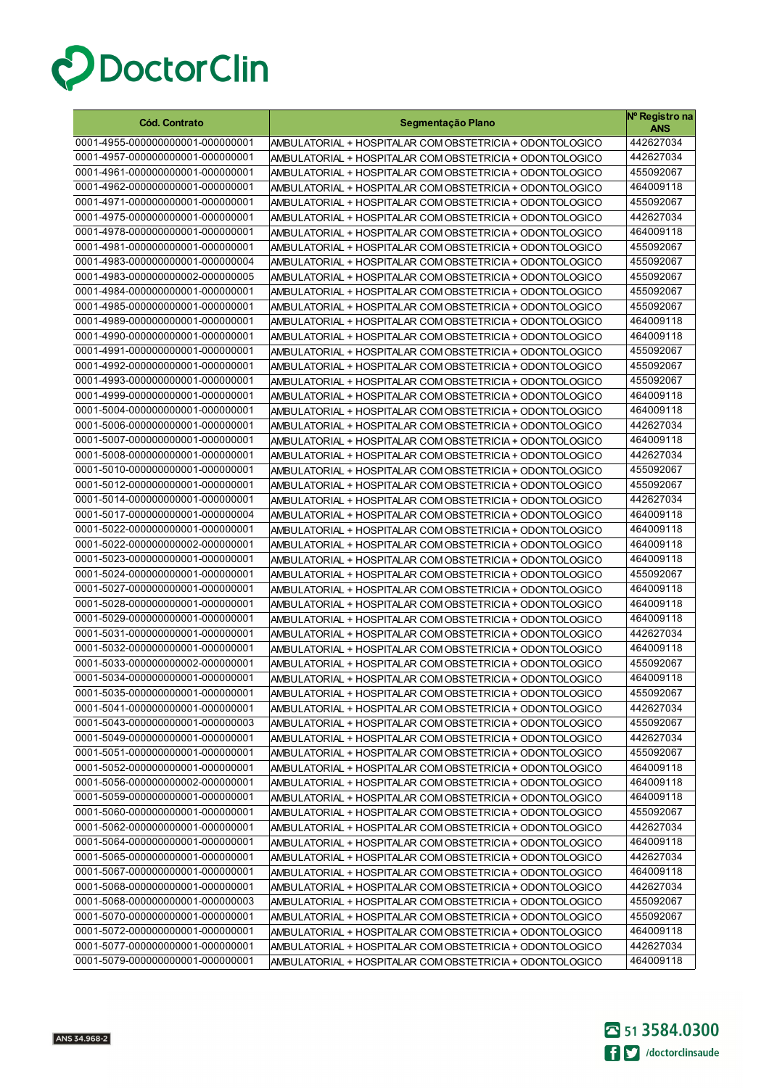

| <b>Cód. Contrato</b>             | Segmentação Plano                                        | Nº Registro na<br><b>ANS</b> |
|----------------------------------|----------------------------------------------------------|------------------------------|
| 0001-4955-000000000001-000000001 | AMBULATORIAL + HOSPITALAR COM OBSTETRICIA + ODONTOLOGICO | 442627034                    |
| 0001-4957-000000000001-000000001 | AMBULATORIAL + HOSPITALAR COM OBSTETRICIA + ODONTOLOGICO | 442627034                    |
| 0001-4961-000000000001-000000001 | AMBULATORIAL + HOSPITALAR COM OBSTETRICIA + ODONTOLOGICO | 455092067                    |
| 0001-4962-000000000001-000000001 | AMBULATORIAL + HOSPITALAR COM OBSTETRICIA + ODONTOLOGICO | 464009118                    |
| 0001-4971-000000000001-000000001 | AMBULATORIAL + HOSPITALAR COM OBSTETRICIA + ODONTOLOGICO | 455092067                    |
| 0001-4975-000000000001-000000001 | AMBULATORIAL + HOSPITALAR COM OBSTETRICIA + ODONTOLOGICO | 442627034                    |
| 0001-4978-000000000001-000000001 | AMBULATORIAL + HOSPITALAR COM OBSTETRICIA + ODONTOLOGICO | 464009118                    |
| 0001-4981-000000000001-000000001 | AMBULATORIAL + HOSPITALAR COM OBSTETRICIA + ODONTOLOGICO | 455092067                    |
| 0001-4983-000000000001-000000004 | AMBULATORIAL + HOSPITALAR COM OBSTETRICIA + ODONTOLOGICO | 455092067                    |
| 0001-4983-000000000002-000000005 | AMBULATORIAL + HOSPITALAR COM OBSTETRICIA + ODONTOLOGICO | 455092067                    |
| 0001-4984-000000000001-000000001 | AMBULATORIAL + HOSPITALAR COM OBSTETRICIA + ODONTOLOGICO | 455092067                    |
| 0001-4985-000000000001-000000001 | AMBULATORIAL + HOSPITALAR COM OBSTETRICIA + ODONTOLOGICO | 455092067                    |
| 0001-4989-000000000001-000000001 | AMBULATORIAL + HOSPITALAR COM OBSTETRICIA + ODONTOLOGICO | 464009118                    |
| 0001-4990-000000000001-000000001 | AMBULATORIAL + HOSPITALAR COM OBSTETRICIA + ODONTOLOGICO | 464009118                    |
| 0001-4991-000000000001-000000001 | AMBULATORIAL + HOSPITALAR COM OBSTETRICIA + ODONTOLOGICO | 455092067                    |
| 0001-4992-000000000001-000000001 | AMBULATORIAL + HOSPITALAR COM OBSTETRICIA + ODONTOLOGICO | 455092067                    |
| 0001-4993-000000000001-000000001 | AMBULATORIAL + HOSPITALAR COM OBSTETRICIA + ODONTOLOGICO | 455092067                    |
| 0001-4999-000000000001-000000001 | AMBULATORIAL + HOSPITALAR COM OBSTETRICIA + ODONTOLOGICO | 464009118                    |
| 0001-5004-000000000001-000000001 | AMBULATORIAL + HOSPITALAR COM OBSTETRICIA + ODONTOLOGICO | 464009118                    |
| 0001-5006-000000000001-000000001 | AMBULATORIAL + HOSPITALAR COM OBSTETRICIA + ODONTOLOGICO | 442627034                    |
| 0001-5007-000000000001-000000001 | AMBULATORIAL + HOSPITALAR COM OBSTETRICIA + ODONTOLOGICO | 464009118                    |
| 0001-5008-000000000001-000000001 | AMBULATORIAL + HOSPITALAR COM OBSTETRICIA + ODONTOLOGICO | 442627034                    |
| 0001-5010-000000000001-000000001 | AMBULATORIAL + HOSPITALAR COM OBSTETRICIA + ODONTOLOGICO | 455092067                    |
| 0001-5012-000000000001-000000001 | AMBULATORIAL + HOSPITALAR COM OBSTETRICIA + ODONTOLOGICO | 455092067                    |
| 0001-5014-000000000001-000000001 | AMBULATORIAL + HOSPITALAR COM OBSTETRICIA + ODONTOLOGICO | 442627034                    |
| 0001-5017-000000000001-000000004 | AMBULATORIAL + HOSPITALAR COM OBSTETRICIA + ODONTOLOGICO | 464009118                    |
| 0001-5022-000000000001-000000001 | AMBULATORIAL + HOSPITALAR COM OBSTETRICIA + ODONTOLOGICO | 464009118                    |
| 0001-5022-000000000002-000000001 | AMBULATORIAL + HOSPITALAR COM OBSTETRICIA + ODONTOLOGICO | 464009118                    |
| 0001-5023-000000000001-000000001 | AMBULATORIAL + HOSPITALAR COM OBSTETRICIA + ODONTOLOGICO | 464009118                    |
| 0001-5024-000000000001-000000001 | AMBULATORIAL + HOSPITALAR COM OBSTETRICIA + ODONTOLOGICO | 455092067                    |
| 0001-5027-000000000001-000000001 | AMBULATORIAL + HOSPITALAR COM OBSTETRICIA + ODONTOLOGICO | 464009118                    |
| 0001-5028-000000000001-000000001 | AMBULATORIAL + HOSPITALAR COM OBSTETRICIA + ODONTOLOGICO | 464009118                    |
| 0001-5029-000000000001-000000001 | AMBULATORIAL + HOSPITALAR COM OBSTETRICIA + ODONTOLOGICO | 464009118                    |
| 0001-5031-000000000001-000000001 | AMBULATORIAL + HOSPITALAR COM OBSTETRICIA + ODONTOLOGICO | 442627034                    |
| 0001-5032-000000000001-000000001 | AMBULATORIAL + HOSPITALAR COM OBSTETRICIA + ODONTOLOGICO | 464009118                    |
| 0001-5033-000000000002-000000001 | AMBULATORIAL + HOSPITALAR COM OBSTETRICIA + ODONTOLOGICO | 455092067                    |
| 0001-5034-000000000001-000000001 | AMBULATORIAL + HOSPITALAR COM OBSTETRICIA + ODONTOLOGICO | 464009118                    |
| 0001-5035-000000000001-000000001 | AMBULATORIAL + HOSPITALAR COM OBSTETRICIA + ODONTOLOGICO | 455092067                    |
| 0001-5041-000000000001-000000001 | AMBULATORIAL + HOSPITALAR COM OBSTETRICIA + ODONTOLOGICO | 442627034                    |
| 0001-5043-000000000001-000000003 | AMBULATORIAL + HOSPITALAR COM OBSTETRICIA + ODONTOLOGICO | 455092067                    |
| 0001-5049-000000000001-000000001 | AMBULATORIAL + HOSPITALAR COM OBSTETRICIA + ODONTOLOGICO | 442627034                    |
| 0001-5051-000000000001-000000001 | AMBULATORIAL + HOSPITALAR COM OBSTETRICIA + ODONTOLOGICO | 455092067                    |
| 0001-5052-000000000001-000000001 | AMBULATORIAL + HOSPITALAR COM OBSTETRICIA + ODONTOLOGICO | 464009118                    |
| 0001-5056-000000000002-000000001 | AMBULATORIAL + HOSPITALAR COM OBSTETRICIA + ODONTOLOGICO | 464009118                    |
| 0001-5059-000000000001-000000001 | AMBULATORIAL + HOSPITALAR COM OBSTETRICIA + ODONTOLOGICO | 464009118                    |
| 0001-5060-000000000001-000000001 | AMBULATORIAL + HOSPITALAR COM OBSTETRICIA + ODONTOLOGICO | 455092067                    |
| 0001-5062-000000000001-000000001 | AMBULATORIAL + HOSPITALAR COM OBSTETRICIA + ODONTOLOGICO | 442627034                    |
| 0001-5064-000000000001-000000001 | AMBULATORIAL + HOSPITALAR COM OBSTETRICIA + ODONTOLOGICO | 464009118                    |
| 0001-5065-000000000001-000000001 | AMBULATORIAL + HOSPITALAR COM OBSTETRICIA + ODONTOLOGICO | 442627034                    |
| 0001-5067-000000000001-000000001 | AMBULATORIAL + HOSPITALAR COM OBSTETRICIA + ODONTOLOGICO | 464009118                    |
| 0001-5068-000000000001-000000001 | AMBULATORIAL + HOSPITALAR COM OBSTETRICIA + ODONTOLOGICO | 442627034                    |
| 0001-5068-000000000001-000000003 | AMBULATORIAL + HOSPITALAR COM OBSTETRICIA + ODONTOLOGICO | 455092067                    |
| 0001-5070-000000000001-000000001 | AMBULATORIAL + HOSPITALAR COM OBSTETRICIA + ODONTOLOGICO | 455092067                    |
| 0001-5072-000000000001-000000001 | AMBULATORIAL + HOSPITALAR COM OBSTETRICIA + ODONTOLOGICO | 464009118                    |
| 0001-5077-000000000001-000000001 | AMBULATORIAL + HOSPITALAR COM OBSTETRICIA + ODONTOLOGICO | 442627034                    |
| 0001-5079-000000000001-000000001 | AMBULATORIAL + HOSPITALAR COM OBSTETRICIA + ODONTOLOGICO | 464009118                    |

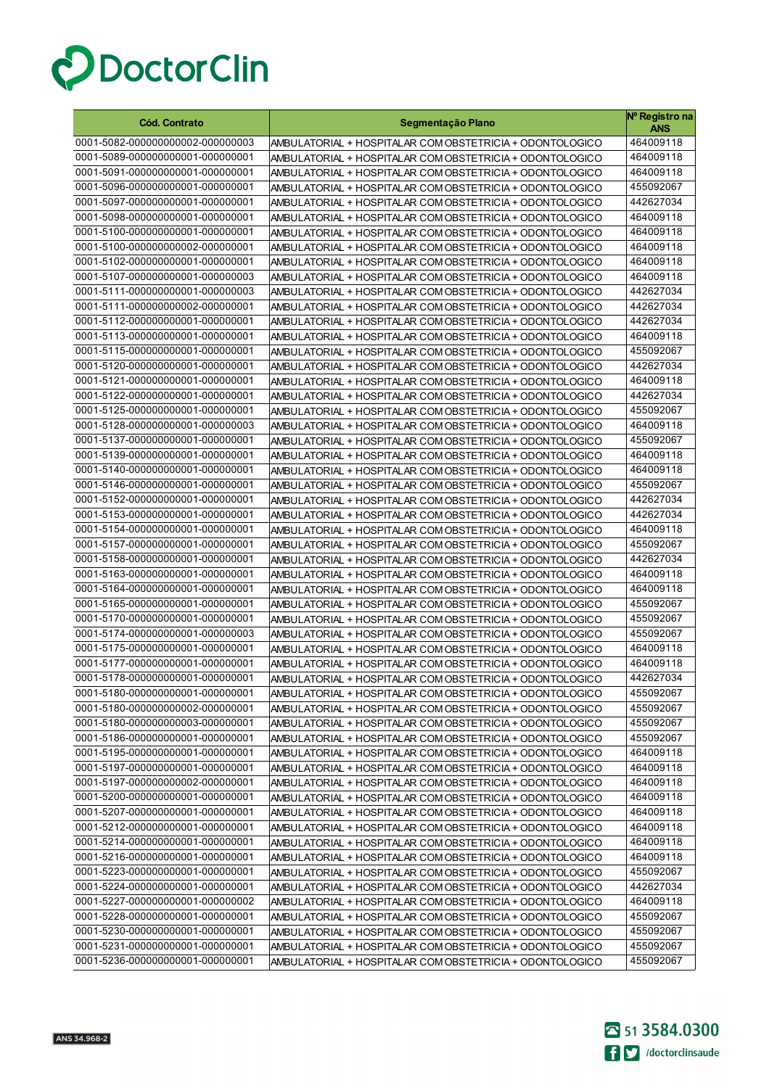

| <b>Cód. Contrato</b>                                                 | Segmentação Plano                                                                                                    | Nº Registro na<br><b>ANS</b> |
|----------------------------------------------------------------------|----------------------------------------------------------------------------------------------------------------------|------------------------------|
| 0001-5082-000000000002-000000003                                     | AMBULATORIAL + HOSPITALAR COM OBSTETRICIA + ODONTOLOGICO                                                             | 464009118                    |
| 0001-5089-000000000001-000000001                                     | AMBULATORIAL + HOSPITALAR COM OBSTETRICIA + ODONTOLOGICO                                                             | 464009118                    |
| 0001-5091-000000000001-000000001                                     | AMBULATORIAL + HOSPITALAR COM OBSTETRICIA + ODONTOLOGICO                                                             | 464009118                    |
| 0001-5096-000000000001-000000001                                     | AMBULATORIAL + HOSPITALAR COM OBSTETRICIA + ODONTOLOGICO                                                             | 455092067                    |
| 0001-5097-000000000001-000000001                                     | AMBULATORIAL + HOSPITALAR COM OBSTETRICIA + ODONTOLOGICO                                                             | 442627034                    |
| 0001-5098-000000000001-000000001                                     | AMBULATORIAL + HOSPITALAR COM OBSTETRICIA + ODONTOLOGICO                                                             | 464009118                    |
| 0001-5100-000000000001-000000001                                     | AMBULATORIAL + HOSPITALAR COM OBSTETRICIA + ODONTOLOGICO                                                             | 464009118                    |
| 0001-5100-000000000002-000000001                                     | AMBULATORIAL + HOSPITALAR COM OBSTETRICIA + ODONTOLOGICO                                                             | 464009118                    |
| 0001-5102-000000000001-000000001                                     | AMBULATORIAL + HOSPITALAR COM OBSTETRICIA + ODONTOLOGICO                                                             | 464009118                    |
| 0001-5107-000000000001-000000003                                     | AMBULATORIAL + HOSPITALAR COM OBSTETRICIA + ODONTOLOGICO                                                             | 464009118                    |
| 0001-5111-000000000001-000000003                                     | AMBULATORIAL + HOSPITALAR COM OBSTETRICIA + ODONTOLOGICO                                                             | 442627034                    |
| 0001-5111-000000000002-000000001                                     | AMBULATORIAL + HOSPITALAR COM OBSTETRICIA + ODONTOLOGICO                                                             | 442627034                    |
| 0001-5112-000000000001-000000001                                     | AMBULATORIAL + HOSPITALAR COM OBSTETRICIA + ODONTOLOGICO                                                             | 442627034                    |
| 0001-5113-000000000001-000000001                                     | AMBULATORIAL + HOSPITALAR COM OBSTETRICIA + ODONTOLOGICO                                                             | 464009118                    |
| 0001-5115-000000000001-000000001                                     | AMBULATORIAL + HOSPITALAR COM OBSTETRICIA + ODONTOLOGICO                                                             | 455092067                    |
| 0001-5120-000000000001-000000001                                     | AMBULATORIAL + HOSPITALAR COM OBSTETRICIA + ODONTOLOGICO                                                             | 442627034                    |
| 0001-5121-000000000001-000000001                                     | AMBULATORIAL + HOSPITALAR COM OBSTETRICIA + ODONTOLOGICO                                                             | 464009118                    |
| 0001-5122-000000000001-000000001                                     | AMBULATORIAL + HOSPITALAR COM OBSTETRICIA + ODONTOLOGICO                                                             | 442627034                    |
| 0001-5125-000000000001-000000001                                     | AMBULATORIAL + HOSPITALAR COM OBSTETRICIA + ODONTOLOGICO                                                             | 455092067                    |
| 0001-5128-000000000001-000000003                                     | AMBULATORIAL + HOSPITALAR COM OBSTETRICIA + ODONTOLOGICO                                                             | 464009118                    |
| 0001-5137-000000000001-000000001                                     | AMBULATORIAL + HOSPITALAR COM OBSTETRICIA + ODONTOLOGICO                                                             | 455092067                    |
| 0001-5139-000000000001-000000001                                     | AMBULATORIAL + HOSPITALAR COM OBSTETRICIA + ODONTOLOGICO                                                             | 464009118                    |
| 0001-5140-000000000001-000000001                                     | AMBULATORIAL + HOSPITALAR COM OBSTETRICIA + ODONTOLOGICO                                                             | 464009118                    |
| 0001-5146-000000000001-000000001                                     | AMBULATORIAL + HOSPITALAR COM OBSTETRICIA + ODONTOLOGICO                                                             | 455092067                    |
| 0001-5152-000000000001-000000001                                     | AMBULATORIAL + HOSPITALAR COM OBSTETRICIA + ODONTOLOGICO                                                             | 442627034                    |
| 0001-5153-000000000001-000000001                                     | AMBULATORIAL + HOSPITALAR COM OBSTETRICIA + ODONTOLOGICO                                                             | 442627034                    |
| 0001-5154-000000000001-000000001                                     | AMBULATORIAL + HOSPITALAR COM OBSTETRICIA + ODONTOLOGICO                                                             | 464009118                    |
| 0001-5157-000000000001-000000001                                     | AMBULATORIAL + HOSPITALAR COM OBSTETRICIA + ODONTOLOGICO                                                             | 455092067                    |
| 0001-5158-000000000001-000000001<br>0001-5163-000000000001-000000001 | AMBULATORIAL + HOSPITALAR COM OBSTETRICIA + ODONTOLOGICO                                                             | 442627034<br>464009118       |
| 0001-5164-000000000001-000000001                                     | AMBULATORIAL + HOSPITALAR COM OBSTETRICIA + ODONTOLOGICO                                                             | 464009118                    |
| 0001-5165-000000000001-000000001                                     | AMBULATORIAL + HOSPITALAR COM OBSTETRICIA + ODONTOLOGICO<br>AMBULATORIAL + HOSPITALAR COM OBSTETRICIA + ODONTOLOGICO | 455092067                    |
| 0001-5170-000000000001-000000001                                     | AMBULATORIAL + HOSPITALAR COM OBSTETRICIA + ODONTOLOGICO                                                             | 455092067                    |
| 0001-5174-000000000001-000000003                                     | AMBULATORIAL + HOSPITALAR COM OBSTETRICIA + ODONTOLOGICO                                                             | 455092067                    |
| 0001-5175-000000000001-000000001                                     | AMBULATORIAL + HOSPITALAR COM OBSTETRICIA + ODONTOLOGICO                                                             | 464009118                    |
| 0001-5177-000000000001-000000001                                     | AMBULATORIAL + HOSPITALAR COM OBSTETRICIA + ODONTOLOGICO                                                             | 464009118                    |
| 0001-5178-000000000001-000000001                                     | AMBULATORIAL + HOSPITALAR COM OBSTETRICIA + ODONTOLOGICO                                                             | 442627034                    |
| 0001-5180-000000000001-000000001                                     | AMBULATORIAL + HOSPITALAR COM OBSTETRICIA + ODONTOLOGICO                                                             | 455092067                    |
| 0001-5180-000000000002-000000001                                     | AMBULATORIAL + HOSPITALAR COM OBSTETRICIA + ODONTOLOGICO                                                             | 455092067                    |
| 0001-5180-000000000003-000000001                                     | AMBULATORIAL + HOSPITALAR COM OBSTETRICIA + ODONTOLOGICO                                                             | 455092067                    |
| 0001-5186-000000000001-000000001                                     | AMBULATORIAL + HOSPITALAR COM OBSTETRICIA + ODONTOLOGICO                                                             | 455092067                    |
| 0001-5195-000000000001-000000001                                     | AMBULATORIAL + HOSPITALAR COM OBSTETRICIA + ODONTOLOGICO                                                             | 464009118                    |
| 0001-5197-000000000001-000000001                                     | AMBULATORIAL + HOSPITALAR COM OBSTETRICIA + ODONTOLOGICO                                                             | 464009118                    |
| 0001-5197-000000000002-000000001                                     | AMBULATORIAL + HOSPITALAR COM OBSTETRICIA + ODONTOLOGICO                                                             | 464009118                    |
| 0001-5200-000000000001-000000001                                     | AMBULATORIAL + HOSPITALAR COM OBSTETRICIA + ODONTOLOGICO                                                             | 464009118                    |
| 0001-5207-000000000001-000000001                                     | AMBULATORIAL + HOSPITALAR COM OBSTETRICIA + ODONTOLOGICO                                                             | 464009118                    |
| 0001-5212-000000000001-000000001                                     | AMBULATORIAL + HOSPITALAR COM OBSTETRICIA + ODONTOLOGICO                                                             | 464009118                    |
| 0001-5214-000000000001-000000001                                     | AMBULATORIAL + HOSPITALAR COM OBSTETRICIA + ODONTOLOGICO                                                             | 464009118                    |
| 0001-5216-000000000001-000000001                                     | AMBULATORIAL + HOSPITALAR COM OBSTETRICIA + ODONTOLOGICO                                                             | 464009118                    |
| 0001-5223-000000000001-000000001                                     | AMBULATORIAL + HOSPITALAR COM OBSTETRICIA + ODONTOLOGICO                                                             | 455092067                    |
| 0001-5224-000000000001-000000001                                     | AMBULATORIAL + HOSPITALAR COM OBSTETRICIA + ODONTOLOGICO                                                             | 442627034                    |
| 0001-5227-000000000001-000000002                                     | AMBULATORIAL + HOSPITALAR COM OBSTETRICIA + ODONTOLOGICO                                                             | 464009118                    |
| 0001-5228-000000000001-000000001                                     | AMBULATORIAL + HOSPITALAR COM OBSTETRICIA + ODONTOLOGICO                                                             | 455092067                    |
| 0001-5230-000000000001-000000001                                     | AMBULATORIAL + HOSPITALAR COM OBSTETRICIA + ODONTOLOGICO                                                             | 455092067                    |
| 0001-5231-000000000001-000000001                                     | AMBULATORIAL + HOSPITALAR COM OBSTETRICIA + ODONTOLOGICO                                                             | 455092067                    |
| 0001-5236-000000000001-000000001                                     | AMBULATORIAL + HOSPITALAR COM OBSTETRICIA + ODONTOLOGICO                                                             | 455092067                    |

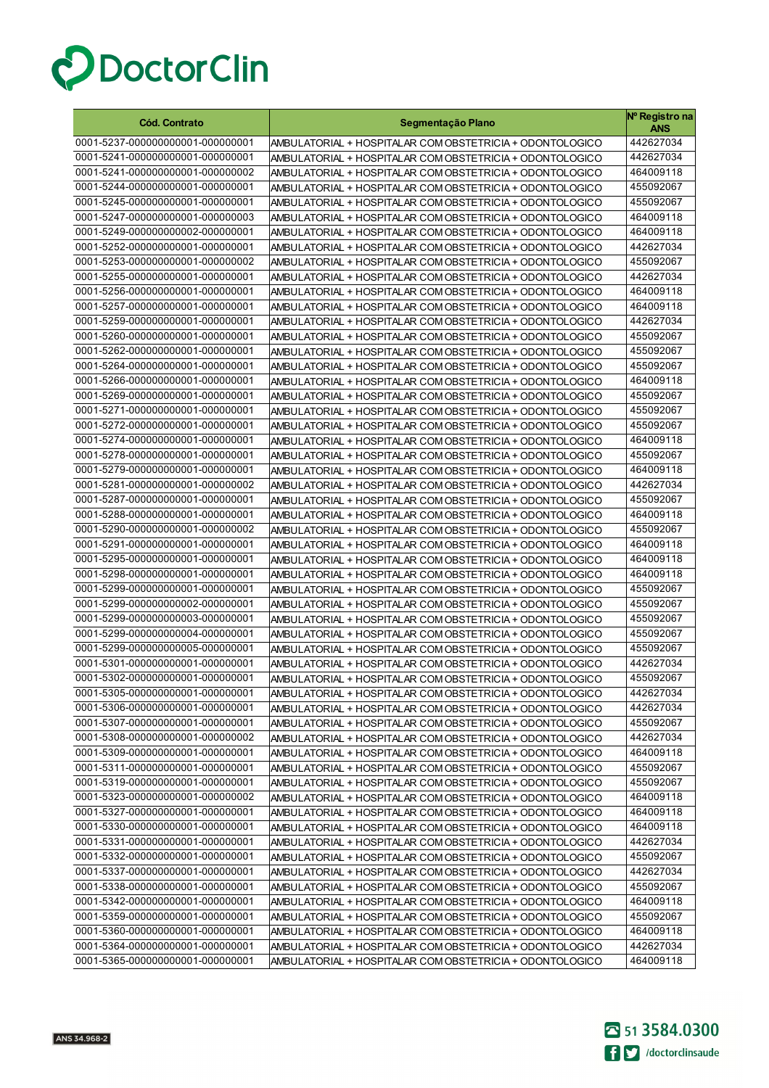

| <b>Cód. Contrato</b>                                                 | Segmentação Plano                                                                                                    | Nº Registro na<br><b>ANS</b> |
|----------------------------------------------------------------------|----------------------------------------------------------------------------------------------------------------------|------------------------------|
| 0001-5237-000000000001-000000001                                     | AMBULATORIAL + HOSPITALAR COM OBSTETRICIA + ODONTOLOGICO                                                             | 442627034                    |
| 0001-5241-000000000001-000000001                                     | AMBULATORIAL + HOSPITALAR COM OBSTETRICIA + ODONTOLOGICO                                                             | 442627034                    |
| 0001-5241-000000000001-000000002                                     | AMBULATORIAL + HOSPITALAR COM OBSTETRICIA + ODONTOLOGICO                                                             | 464009118                    |
| 0001-5244-000000000001-000000001                                     | AMBULATORIAL + HOSPITALAR COM OBSTETRICIA + ODONTOLOGICO                                                             | 455092067                    |
| 0001-5245-000000000001-000000001                                     | AMBULATORIAL + HOSPITALAR COM OBSTETRICIA + ODONTOLOGICO                                                             | 455092067                    |
| 0001-5247-000000000001-000000003                                     | AMBULATORIAL + HOSPITALAR COM OBSTETRICIA + ODONTOLOGICO                                                             | 464009118                    |
| 0001-5249-000000000002-000000001                                     | AMBULATORIAL + HOSPITALAR COM OBSTETRICIA + ODONTOLOGICO                                                             | 464009118                    |
| 0001-5252-000000000001-000000001                                     | AMBULATORIAL + HOSPITALAR COM OBSTETRICIA + ODONTOLOGICO                                                             | 442627034                    |
| 0001-5253-000000000001-000000002                                     | AMBULATORIAL + HOSPITALAR COM OBSTETRICIA + ODONTOLOGICO                                                             | 455092067                    |
| 0001-5255-000000000001-000000001                                     | AMBULATORIAL + HOSPITALAR COM OBSTETRICIA + ODONTOLOGICO                                                             | 442627034                    |
| 0001-5256-000000000001-000000001                                     | AMBULATORIAL + HOSPITALAR COM OBSTETRICIA + ODONTOLOGICO                                                             | 464009118                    |
| 0001-5257-000000000001-000000001                                     | AMBULATORIAL + HOSPITALAR COM OBSTETRICIA + ODONTOLOGICO                                                             | 464009118                    |
| 0001-5259-000000000001-000000001                                     | AMBULATORIAL + HOSPITALAR COM OBSTETRICIA + ODONTOLOGICO                                                             | 442627034                    |
| 0001-5260-000000000001-000000001                                     | AMBULATORIAL + HOSPITALAR COM OBSTETRICIA + ODONTOLOGICO                                                             | 455092067                    |
| 0001-5262-000000000001-000000001                                     | AMBULATORIAL + HOSPITALAR COM OBSTETRICIA + ODONTOLOGICO                                                             | 455092067                    |
| 0001-5264-000000000001-000000001                                     | AMBULATORIAL + HOSPITALAR COM OBSTETRICIA + ODONTOLOGICO                                                             | 455092067                    |
| 0001-5266-000000000001-000000001                                     | AMBULATORIAL + HOSPITALAR COM OBSTETRICIA + ODONTOLOGICO                                                             | 464009118                    |
| 0001-5269-000000000001-000000001                                     | AMBULATORIAL + HOSPITALAR COM OBSTETRICIA + ODONTOLOGICO                                                             | 455092067                    |
| 0001-5271-000000000001-000000001                                     | AMBULATORIAL + HOSPITALAR COM OBSTETRICIA + ODONTOLOGICO                                                             | 455092067                    |
| 0001-5272-000000000001-000000001                                     | AMBULATORIAL + HOSPITALAR COM OBSTETRICIA + ODONTOLOGICO                                                             | 455092067                    |
| 0001-5274-000000000001-000000001                                     | AMBULATORIAL + HOSPITALAR COM OBSTETRICIA + ODONTOLOGICO                                                             | 464009118                    |
| 0001-5278-000000000001-000000001                                     | AMBULATORIAL + HOSPITALAR COM OBSTETRICIA + ODONTOLOGICO                                                             | 455092067                    |
| 0001-5279-000000000001-000000001                                     | AMBULATORIAL + HOSPITALAR COM OBSTETRICIA + ODONTOLOGICO                                                             | 464009118                    |
| 0001-5281-000000000001-000000002                                     | AMBULATORIAL + HOSPITALAR COM OBSTETRICIA + ODONTOLOGICO                                                             | 442627034                    |
| 0001-5287-000000000001-000000001                                     | AMBULATORIAL + HOSPITALAR COM OBSTETRICIA + ODONTOLOGICO                                                             | 455092067                    |
| 0001-5288-000000000001-000000001                                     | AMBULATORIAL + HOSPITALAR COM OBSTETRICIA + ODONTOLOGICO                                                             | 464009118                    |
| 0001-5290-000000000001-000000002                                     | AMBULATORIAL + HOSPITALAR COM OBSTETRICIA + ODONTOLOGICO                                                             | 455092067                    |
| 0001-5291-000000000001-000000001                                     | AMBULATORIAL + HOSPITALAR COM OBSTETRICIA + ODONTOLOGICO                                                             | 464009118                    |
| 0001-5295-000000000001-000000001                                     | AMBULATORIAL + HOSPITALAR COM OBSTETRICIA + ODONTOLOGICO                                                             | 464009118                    |
| 0001-5298-000000000001-000000001                                     | AMBULATORIAL + HOSPITALAR COM OBSTETRICIA + ODONTOLOGICO                                                             | 464009118                    |
| 0001-5299-000000000001-000000001                                     | AMBULATORIAL + HOSPITALAR COM OBSTETRICIA + ODONTOLOGICO                                                             | 455092067                    |
| 0001-5299-000000000002-000000001                                     | AMBULATORIAL + HOSPITALAR COM OBSTETRICIA + ODONTOLOGICO                                                             | 455092067                    |
| 0001-5299-000000000003-000000001<br>0001-5299-000000000004-000000001 | AMBULATORIAL + HOSPITALAR COM OBSTETRICIA + ODONTOLOGICO                                                             | 455092067                    |
|                                                                      | AMBULATORIAL + HOSPITALAR COM OBSTETRICIA + ODONTOLOGICO                                                             | 455092067                    |
| 0001-5299-000000000005-000000001                                     | AMBULATORIAL + HOSPITALAR COM OBSTETRICIA + ODONTOLOGICO                                                             | 455092067                    |
| 0001-5301-000000000001-000000001<br>0001-5302-000000000001-000000001 | AMBULATORIAL + HOSPITALAR COM OBSTETRICIA + ODONTOLOGICO                                                             | 442627034<br>455092067       |
| 0001-5305-000000000001-000000001                                     | AMBULATORIAL + HOSPITALAR COM OBSTETRICIA + ODONTOLOGICO                                                             |                              |
| 0001-5306-000000000001-000000001                                     | AMBULATORIAL + HOSPITALAR COM OBSTETRICIA + ODONTOLOGICO                                                             | 442627034                    |
| 0001-5307-000000000001-000000001                                     | AMBULATORIAL + HOSPITALAR COM OBSTETRICIA + ODONTOLOGICO                                                             | 442627034<br>455092067       |
| 0001-5308-000000000001-000000002                                     | AMBULATORIAL + HOSPITALAR COM OBSTETRICIA + ODONTOLOGICO<br>AMBULATORIAL + HOSPITALAR COM OBSTETRICIA + ODONTOLOGICO | 442627034                    |
| 0001-5309-000000000001-000000001                                     | AMBULATORIAL + HOSPITALAR COM OBSTETRICIA + ODONTOLOGICO                                                             | 464009118                    |
| 0001-5311-000000000001-000000001                                     | AMBULATORIAL + HOSPITALAR COM OBSTETRICIA + ODONTOLOGICO                                                             | 455092067                    |
| 0001-5319-000000000001-000000001                                     | AMBULATORIAL + HOSPITALAR COM OBSTETRICIA + ODONTOLOGICO                                                             | 455092067                    |
| 0001-5323-000000000001-000000002                                     | AMBULATORIAL + HOSPITALAR COM OBSTETRICIA + ODONTOLOGICO                                                             | 464009118                    |
| 0001-5327-000000000001-000000001                                     | AMBULATORIAL + HOSPITALAR COM OBSTETRICIA + ODONTOLOGICO                                                             | 464009118                    |
| 0001-5330-000000000001-000000001                                     | AMBULATORIAL + HOSPITALAR COM OBSTETRICIA + ODONTOLOGICO                                                             | 464009118                    |
| 0001-5331-000000000001-000000001                                     | AMBULATORIAL + HOSPITALAR COM OBSTETRICIA + ODONTOLOGICO                                                             | 442627034                    |
| 0001-5332-000000000001-000000001                                     | AMBULATORIAL + HOSPITALAR COM OBSTETRICIA + ODONTOLOGICO                                                             | 455092067                    |
| 0001-5337-000000000001-000000001                                     | AMBULATORIAL + HOSPITALAR COM OBSTETRICIA + ODONTOLOGICO                                                             | 442627034                    |
| 0001-5338-000000000001-000000001                                     | AMBULATORIAL + HOSPITALAR COM OBSTETRICIA + ODONTOLOGICO                                                             | 455092067                    |
| 0001-5342-000000000001-000000001                                     | AMBULATORIAL + HOSPITALAR COM OBSTETRICIA + ODONTOLOGICO                                                             | 464009118                    |
| 0001-5359-000000000001-000000001                                     | AMBULATORIAL + HOSPITALAR COM OBSTETRICIA + ODONTOLOGICO                                                             | 455092067                    |
| 0001-5360-000000000001-000000001                                     | AMBULATORIAL + HOSPITALAR COM OBSTETRICIA + ODONTOLOGICO                                                             | 464009118                    |
| 0001-5364-000000000001-000000001                                     | AMBULATORIAL + HOSPITALAR COM OBSTETRICIA + ODONTOLOGICO                                                             | 442627034                    |
| 0001-5365-000000000001-000000001                                     | AMBULATORIAL + HOSPITALAR COM OBSTETRICIA + ODONTOLOGICO                                                             | 464009118                    |

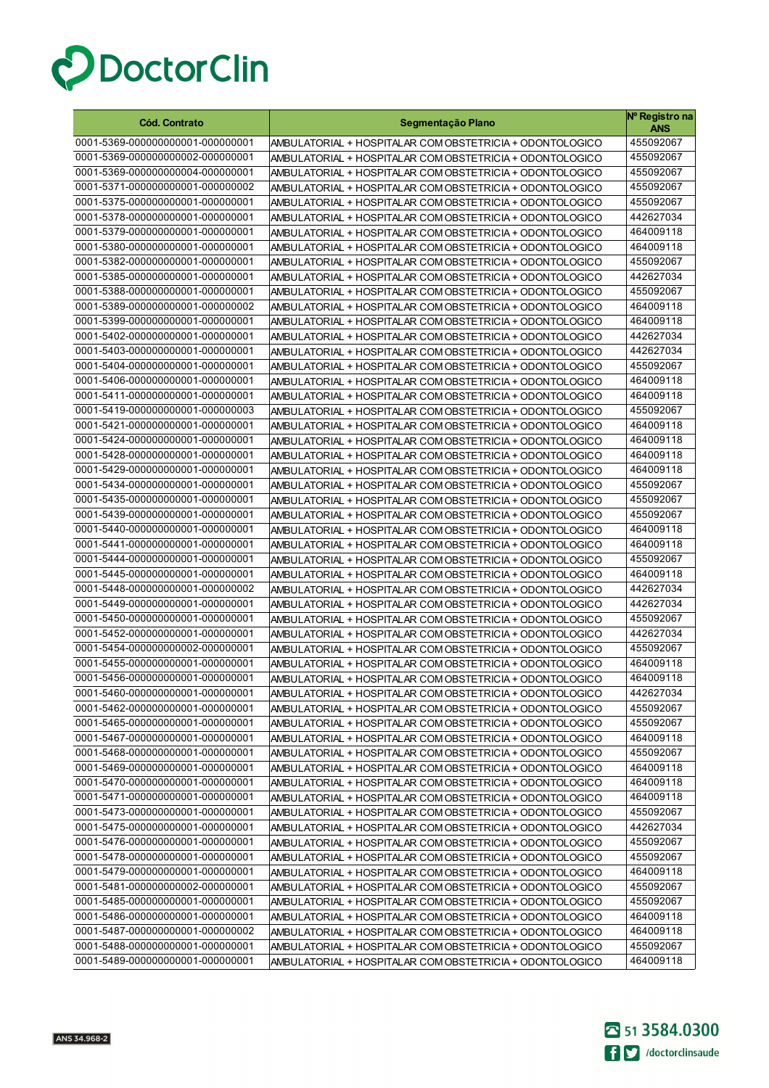

| <b>Cód. Contrato</b>                                                 | Segmentação Plano                                                                                                    | Nº Registro na<br>ANS  |
|----------------------------------------------------------------------|----------------------------------------------------------------------------------------------------------------------|------------------------|
| 0001-5369-000000000001-000000001                                     | AMBULATORIAL + HOSPITALAR COM OBSTETRICIA + ODONTOLOGICO                                                             | 455092067              |
| 0001-5369-000000000002-000000001                                     | AMBULATORIAL + HOSPITALAR COM OBSTETRICIA + ODONTOLOGICO                                                             | 455092067              |
| 0001-5369-000000000004-000000001                                     | AMBULATORIAL + HOSPITALAR COM OBSTETRICIA + ODONTOLOGICO                                                             | 455092067              |
| 0001-5371-000000000001-000000002                                     | AMBULATORIAL + HOSPITALAR COM OBSTETRICIA + ODONTOLOGICO                                                             | 455092067              |
| 0001-5375-000000000001-000000001                                     | AMBULATORIAL + HOSPITALAR COM OBSTETRICIA + ODONTOLOGICO                                                             | 455092067              |
| 0001-5378-000000000001-000000001                                     | AMBULATORIAL + HOSPITALAR COM OBSTETRICIA + ODONTOLOGICO                                                             | 442627034              |
| 0001-5379-000000000001-000000001                                     | AMBULATORIAL + HOSPITALAR COM OBSTETRICIA + ODONTOLOGICO                                                             | 464009118              |
| 0001-5380-000000000001-000000001                                     | AMBULATORIAL + HOSPITALAR COM OBSTETRICIA + ODONTOLOGICO                                                             | 464009118              |
| 0001-5382-000000000001-000000001                                     | AMBULATORIAL + HOSPITALAR COM OBSTETRICIA + ODONTOLOGICO                                                             | 455092067              |
| 0001-5385-000000000001-000000001                                     | AMBULATORIAL + HOSPITALAR COM OBSTETRICIA + ODONTOLOGICO                                                             | 442627034              |
| 0001-5388-000000000001-000000001                                     | AMBULATORIAL + HOSPITALAR COM OBSTETRICIA + ODONTOLOGICO                                                             | 455092067              |
| 0001-5389-000000000001-000000002                                     | AMBULATORIAL + HOSPITALAR COM OBSTETRICIA + ODONTOLOGICO                                                             | 464009118              |
| 0001-5399-000000000001-000000001                                     | AMBULATORIAL + HOSPITALAR COM OBSTETRICIA + ODONTOLOGICO                                                             | 464009118              |
| 0001-5402-000000000001-000000001                                     | AMBULATORIAL + HOSPITALAR COM OBSTETRICIA + ODONTOLOGICO                                                             | 442627034              |
| 0001-5403-000000000001-000000001                                     | AMBULATORIAL + HOSPITALAR COM OBSTETRICIA + ODONTOLOGICO                                                             | 442627034              |
| 0001-5404-000000000001-000000001                                     | AMBULATORIAL + HOSPITALAR COM OBSTETRICIA + ODONTOLOGICO                                                             | 455092067              |
| 0001-5406-000000000001-000000001                                     | AMBULATORIAL + HOSPITALAR COM OBSTETRICIA + ODONTOLOGICO                                                             | 464009118              |
| 0001-5411-000000000001-000000001                                     | AMBULATORIAL + HOSPITALAR COM OBSTETRICIA + ODONTOLOGICO                                                             | 464009118              |
| 0001-5419-000000000001-000000003                                     | AMBULATORIAL + HOSPITALAR COM OBSTETRICIA + ODONTOLOGICO                                                             | 455092067              |
| 0001-5421-000000000001-000000001                                     | AMBULATORIAL + HOSPITALAR COM OBSTETRICIA + ODONTOLOGICO                                                             | 464009118              |
| 0001-5424-000000000001-000000001                                     | AMBULATORIAL + HOSPITALAR COM OBSTETRICIA + ODONTOLOGICO                                                             | 464009118              |
| 0001-5428-000000000001-000000001                                     | AMBULATORIAL + HOSPITALAR COM OBSTETRICIA + ODONTOLOGICO                                                             | 464009118              |
| 0001-5429-000000000001-000000001                                     | AMBULATORIAL + HOSPITALAR COM OBSTETRICIA + ODONTOLOGICO                                                             | 464009118              |
| 0001-5434-000000000001-000000001                                     | AMBULATORIAL + HOSPITALAR COM OBSTETRICIA + ODONTOLOGICO                                                             | 455092067              |
| 0001-5435-000000000001-000000001                                     | AMBULATORIAL + HOSPITALAR COM OBSTETRICIA + ODONTOLOGICO                                                             | 455092067              |
| 0001-5439-000000000001-000000001                                     | AMBULATORIAL + HOSPITALAR COM OBSTETRICIA + ODONTOLOGICO                                                             | 455092067              |
| 0001-5440-000000000001-000000001                                     | AMBULATORIAL + HOSPITALAR COM OBSTETRICIA + ODONTOLOGICO                                                             | 464009118              |
| 0001-5441-000000000001-000000001                                     | AMBULATORIAL + HOSPITALAR COM OBSTETRICIA + ODONTOLOGICO                                                             | 464009118              |
| 0001-5444-000000000001-000000001                                     | AMBULATORIAL + HOSPITALAR COM OBSTETRICIA + ODONTOLOGICO                                                             | 455092067              |
| 0001-5445-000000000001-000000001<br>0001-5448-000000000001-000000002 | AMBULATORIAL + HOSPITALAR COM OBSTETRICIA + ODONTOLOGICO                                                             | 464009118<br>442627034 |
| 0001-5449-000000000001-000000001                                     | AMBULATORIAL + HOSPITALAR COM OBSTETRICIA + ODONTOLOGICO                                                             | 442627034              |
| 0001-5450-000000000001-000000001                                     | AMBULATORIAL + HOSPITALAR COM OBSTETRICIA + ODONTOLOGICO<br>AMBULATORIAL + HOSPITALAR COM OBSTETRICIA + ODONTOLOGICO | 455092067              |
| 0001-5452-000000000001-000000001                                     | AMBULATORIAL + HOSPITALAR COM OBSTETRICIA + ODONTOLOGICO                                                             | 442627034              |
| 0001-5454-000000000002-000000001                                     | AMBULATORIAL + HOSPITALAR COM OBSTETRICIA + ODONTOLOGICO                                                             | 455092067              |
| 0001-5455-000000000001-000000001                                     | AMBULATORIAL + HOSPITALAR COM OBSTETRICIA + ODONTOLOGICO                                                             | 464009118              |
| 0001-5456-000000000001-000000001                                     | AMBULATORIAL + HOSPITALAR COM OBSTETRICIA + ODONTOLOGICO                                                             | 464009118              |
| 0001-5460-000000000001-000000001                                     | AMBULATORIAL + HOSPITALAR COM OBSTETRICIA + ODONTOLOGICO                                                             | 442627034              |
| 0001-5462-000000000001-000000001                                     | AMBULATORIAL + HOSPITALAR COM OBSTETRICIA + ODONTOLOGICO                                                             | 455092067              |
| 0001-5465-000000000001-000000001                                     | AMBULATORIAL + HOSPITALAR COM OBSTETRICIA + ODONTOLOGICO                                                             | 455092067              |
| 0001-5467-000000000001-000000001                                     | AMBULATORIAL + HOSPITALAR COM OBSTETRICIA + ODONTOLOGICO                                                             | 464009118              |
| 0001-5468-000000000001-000000001                                     | AMBULATORIAL + HOSPITALAR COM OBSTETRICIA + ODONTOLOGICO                                                             | 455092067              |
| 0001-5469-000000000001-000000001                                     | AMBULATORIAL + HOSPITALAR COM OBSTETRICIA + ODONTOLOGICO                                                             | 464009118              |
| 0001-5470-000000000001-000000001                                     | AMBULATORIAL + HOSPITALAR COM OBSTETRICIA + ODONTOLOGICO                                                             | 464009118              |
| 0001-5471-000000000001-000000001                                     | AMBULATORIAL + HOSPITALAR COM OBSTETRICIA + ODONTOLOGICO                                                             | 464009118              |
| 0001-5473-000000000001-000000001                                     | AMBULATORIAL + HOSPITALAR COM OBSTETRICIA + ODONTOLOGICO                                                             | 455092067              |
| 0001-5475-000000000001-000000001                                     | AMBULATORIAL + HOSPITALAR COM OBSTETRICIA + ODONTOLOGICO                                                             | 442627034              |
| 0001-5476-000000000001-000000001                                     | AMBULATORIAL + HOSPITALAR COM OBSTETRICIA + ODONTOLOGICO                                                             | 455092067              |
| 0001-5478-000000000001-000000001                                     | AMBULATORIAL + HOSPITALAR COM OBSTETRICIA + ODONTOLOGICO                                                             | 455092067              |
| 0001-5479-000000000001-000000001                                     | AMBULATORIAL + HOSPITALAR COM OBSTETRICIA + ODONTOLOGICO                                                             | 464009118              |
| 0001-5481-000000000002-000000001                                     | AMBULATORIAL + HOSPITALAR COM OBSTETRICIA + ODONTOLOGICO                                                             | 455092067              |
| 0001-5485-000000000001-000000001                                     | AMBULATORIAL + HOSPITALAR COM OBSTETRICIA + ODONTOLOGICO                                                             | 455092067              |
| 0001-5486-000000000001-000000001                                     | AMBULATORIAL + HOSPITALAR COM OBSTETRICIA + ODONTOLOGICO                                                             | 464009118              |
| 0001-5487-000000000001-000000002                                     | AMBULATORIAL + HOSPITALAR COM OBSTETRICIA + ODONTOLOGICO                                                             | 464009118              |
| 0001-5488-000000000001-000000001                                     | AMBULATORIAL + HOSPITALAR COM OBSTETRICIA + ODONTOLOGICO                                                             | 455092067              |
| 0001-5489-000000000001-000000001                                     | AMBULATORIAL + HOSPITALAR COM OBSTETRICIA + ODONTOLOGICO                                                             | 464009118              |

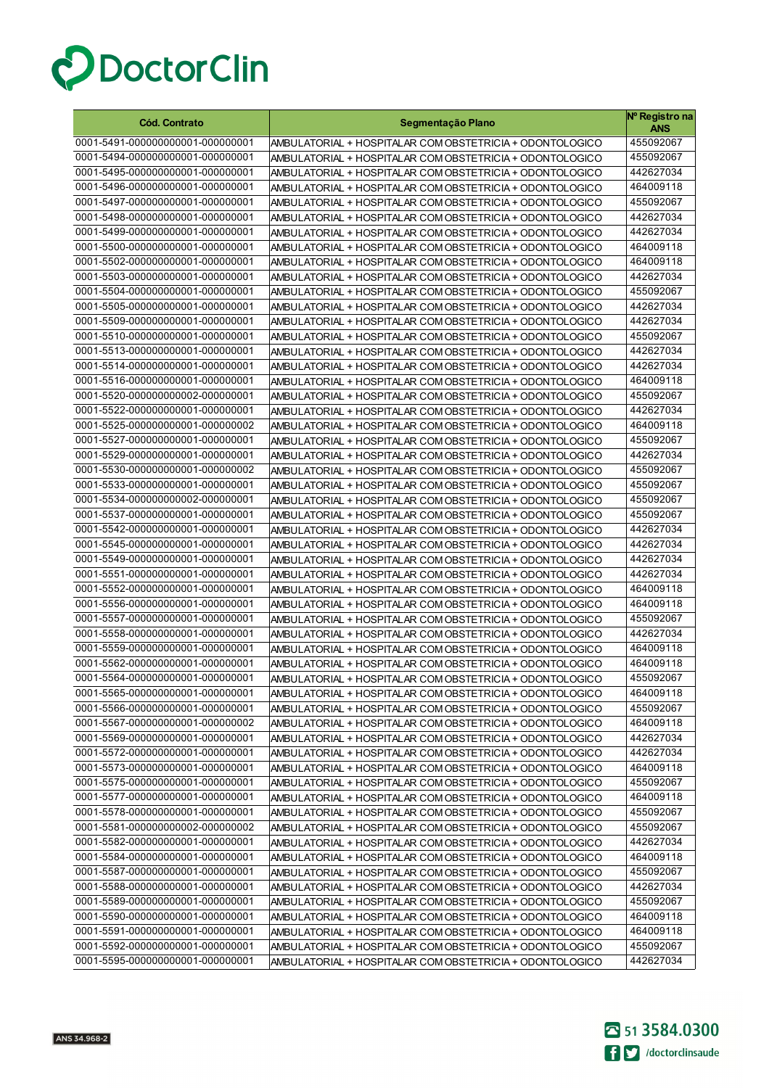

| <b>Cód. Contrato</b>             | Segmentação Plano                                        | Nº Registro na<br>ANS |
|----------------------------------|----------------------------------------------------------|-----------------------|
| 0001-5491-000000000001-000000001 | AMBULATORIAL + HOSPITALAR COM OBSTETRICIA + ODONTOLOGICO | 455092067             |
| 0001-5494-000000000001-000000001 | AMBULATORIAL + HOSPITALAR COM OBSTETRICIA + ODONTOLOGICO | 455092067             |
| 0001-5495-000000000001-000000001 | AMBULATORIAL + HOSPITALAR COM OBSTETRICIA + ODONTOLOGICO | 442627034             |
| 0001-5496-000000000001-000000001 | AMBULATORIAL + HOSPITALAR COM OBSTETRICIA + ODONTOLOGICO | 464009118             |
| 0001-5497-000000000001-000000001 | AMBULATORIAL + HOSPITALAR COM OBSTETRICIA + ODONTOLOGICO | 455092067             |
| 0001-5498-000000000001-000000001 | AMBULATORIAL + HOSPITALAR COM OBSTETRICIA + ODONTOLOGICO | 442627034             |
| 0001-5499-000000000001-000000001 | AMBULATORIAL + HOSPITALAR COM OBSTETRICIA + ODONTOLOGICO | 442627034             |
| 0001-5500-000000000001-000000001 | AMBULATORIAL + HOSPITALAR COM OBSTETRICIA + ODONTOLOGICO | 464009118             |
| 0001-5502-000000000001-000000001 | AMBULATORIAL + HOSPITALAR COM OBSTETRICIA + ODONTOLOGICO | 464009118             |
| 0001-5503-000000000001-000000001 | AMBULATORIAL + HOSPITALAR COM OBSTETRICIA + ODONTOLOGICO | 442627034             |
| 0001-5504-000000000001-000000001 | AMBULATORIAL + HOSPITALAR COM OBSTETRICIA + ODONTOLOGICO | 455092067             |
| 0001-5505-000000000001-000000001 | AMBULATORIAL + HOSPITALAR COM OBSTETRICIA + ODONTOLOGICO | 442627034             |
| 0001-5509-000000000001-000000001 | AMBULATORIAL + HOSPITALAR COM OBSTETRICIA + ODONTOLOGICO | 442627034             |
| 0001-5510-000000000001-000000001 | AMBULATORIAL + HOSPITALAR COM OBSTETRICIA + ODONTOLOGICO | 455092067             |
| 0001-5513-000000000001-000000001 | AMBULATORIAL + HOSPITALAR COM OBSTETRICIA + ODONTOLOGICO | 442627034             |
| 0001-5514-000000000001-000000001 | AMBULATORIAL + HOSPITALAR COM OBSTETRICIA + ODONTOLOGICO | 442627034             |
| 0001-5516-000000000001-000000001 | AMBULATORIAL + HOSPITALAR COM OBSTETRICIA + ODONTOLOGICO | 464009118             |
| 0001-5520-000000000002-000000001 | AMBULATORIAL + HOSPITALAR COM OBSTETRICIA + ODONTOLOGICO | 455092067             |
| 0001-5522-000000000001-000000001 | AMBULATORIAL + HOSPITALAR COM OBSTETRICIA + ODONTOLOGICO | 442627034             |
| 0001-5525-000000000001-000000002 | AMBULATORIAL + HOSPITALAR COM OBSTETRICIA + ODONTOLOGICO | 464009118             |
| 0001-5527-000000000001-000000001 | AMBULATORIAL + HOSPITALAR COM OBSTETRICIA + ODONTOLOGICO | 455092067             |
| 0001-5529-000000000001-000000001 | AMBULATORIAL + HOSPITALAR COM OBSTETRICIA + ODONTOLOGICO | 442627034             |
| 0001-5530-000000000001-000000002 | AMBULATORIAL + HOSPITALAR COM OBSTETRICIA + ODONTOLOGICO | 455092067             |
| 0001-5533-000000000001-000000001 | AMBULATORIAL + HOSPITALAR COM OBSTETRICIA + ODONTOLOGICO | 455092067             |
| 0001-5534-000000000002-000000001 | AMBULATORIAL + HOSPITALAR COM OBSTETRICIA + ODONTOLOGICO | 455092067             |
| 0001-5537-000000000001-000000001 | AMBULATORIAL + HOSPITALAR COM OBSTETRICIA + ODONTOLOGICO | 455092067             |
| 0001-5542-000000000001-000000001 | AMBULATORIAL + HOSPITALAR COM OBSTETRICIA + ODONTOLOGICO | 442627034             |
| 0001-5545-000000000001-000000001 | AMBULATORIAL + HOSPITALAR COM OBSTETRICIA + ODONTOLOGICO | 442627034             |
| 0001-5549-000000000001-000000001 | AMBULATORIAL + HOSPITALAR COM OBSTETRICIA + ODONTOLOGICO | 442627034             |
| 0001-5551-000000000001-000000001 | AMBULATORIAL + HOSPITALAR COM OBSTETRICIA + ODONTOLOGICO | 442627034             |
| 0001-5552-000000000001-000000001 | AMBULATORIAL + HOSPITALAR COM OBSTETRICIA + ODONTOLOGICO | 464009118             |
| 0001-5556-000000000001-000000001 | AMBULATORIAL + HOSPITALAR COM OBSTETRICIA + ODONTOLOGICO | 464009118             |
| 0001-5557-000000000001-000000001 | AMBULATORIAL + HOSPITALAR COM OBSTETRICIA + ODONTOLOGICO | 455092067             |
| 0001-5558-000000000001-000000001 | AMBULATORIAL + HOSPITALAR COM OBSTETRICIA + ODONTOLOGICO | 442627034             |
| 0001-5559-000000000001-000000001 | AMBULATORIAL + HOSPITALAR COM OBSTETRICIA + ODONTOLOGICO | 464009118             |
| 0001-5562-000000000001-000000001 | AMBULATORIAL + HOSPITALAR COM OBSTETRICIA + ODONTOLOGICO | 464009118             |
| 0001-5564-000000000001-000000001 | AMBULATORIAL + HOSPITALAR COM OBSTETRICIA + ODONTOLOGICO | 455092067             |
| 0001-5565-000000000001-000000001 | AMBULATORIAL + HOSPITALAR COM OBSTETRICIA + ODONTOLOGICO | 464009118             |
| 0001-5566-000000000001-000000001 | AMBULATORIAL + HOSPITALAR COM OBSTETRICIA + ODONTOLOGICO | 455092067             |
| 0001-5567-000000000001-000000002 | AMBULATORIAL + HOSPITALAR COM OBSTETRICIA + ODONTOLOGICO | 464009118             |
| 0001-5569-000000000001-000000001 | AMBULATORIAL + HOSPITALAR COM OBSTETRICIA + ODONTOLOGICO | 442627034             |
| 0001-5572-000000000001-000000001 | AMBULATORIAL + HOSPITALAR COM OBSTETRICIA + ODONTOLOGICO | 442627034             |
| 0001-5573-000000000001-000000001 | AMBULATORIAL + HOSPITALAR COM OBSTETRICIA + ODONTOLOGICO | 464009118             |
| 0001-5575-000000000001-000000001 | AMBULATORIAL + HOSPITALAR COM OBSTETRICIA + ODONTOLOGICO | 455092067             |
| 0001-5577-000000000001-000000001 | AMBULATORIAL + HOSPITALAR COM OBSTETRICIA + ODONTOLOGICO | 464009118             |
| 0001-5578-000000000001-000000001 | AMBULATORIAL + HOSPITALAR COM OBSTETRICIA + ODONTOLOGICO | 455092067             |
| 0001-5581-000000000002-000000002 | AMBULATORIAL + HOSPITALAR COM OBSTETRICIA + ODONTOLOGICO | 455092067             |
| 0001-5582-000000000001-000000001 | AMBULATORIAL + HOSPITALAR COM OBSTETRICIA + ODONTOLOGICO | 442627034             |
| 0001-5584-000000000001-000000001 | AMBULATORIAL + HOSPITALAR COM OBSTETRICIA + ODONTOLOGICO | 464009118             |
| 0001-5587-000000000001-000000001 | AMBULATORIAL + HOSPITALAR COM OBSTETRICIA + ODONTOLOGICO | 455092067             |
| 0001-5588-000000000001-000000001 | AMBULATORIAL + HOSPITALAR COM OBSTETRICIA + ODONTOLOGICO | 442627034             |
| 0001-5589-000000000001-000000001 | AMBULATORIAL + HOSPITALAR COM OBSTETRICIA + ODONTOLOGICO | 455092067             |
| 0001-5590-000000000001-000000001 | AMBULATORIAL + HOSPITALAR COM OBSTETRICIA + ODONTOLOGICO | 464009118             |
| 0001-5591-000000000001-000000001 | AMBULATORIAL + HOSPITALAR COM OBSTETRICIA + ODONTOLOGICO | 464009118             |
| 0001-5592-000000000001-000000001 | AMBULATORIAL + HOSPITALAR COM OBSTETRICIA + ODONTOLOGICO | 455092067             |
| 0001-5595-000000000001-000000001 | AMBULATORIAL + HOSPITALAR COM OBSTETRICIA + ODONTOLOGICO | 442627034             |

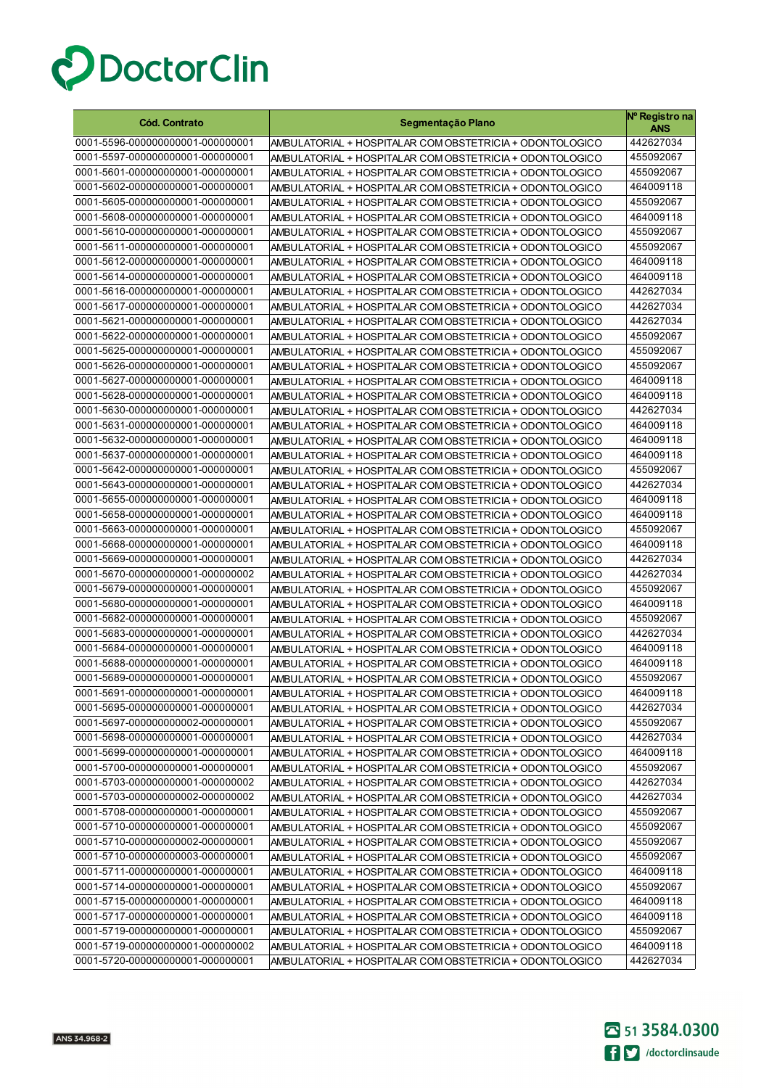

| <b>Cód. Contrato</b>                                                 | Segmentação Plano                                        | Nº Registro na<br>ANS  |
|----------------------------------------------------------------------|----------------------------------------------------------|------------------------|
| 0001-5596-000000000001-000000001                                     | AMBULATORIAL + HOSPITALAR COM OBSTETRICIA + ODONTOLOGICO | 442627034              |
| 0001-5597-000000000001-000000001                                     | AMBULATORIAL + HOSPITALAR COM OBSTETRICIA + ODONTOLOGICO | 455092067              |
| 0001-5601-000000000001-000000001                                     | AMBULATORIAL + HOSPITALAR COM OBSTETRICIA + ODONTOLOGICO | 455092067              |
| 0001-5602-000000000001-000000001                                     | AMBULATORIAL + HOSPITALAR COM OBSTETRICIA + ODONTOLOGICO | 464009118              |
| 0001-5605-000000000001-000000001                                     | AMBULATORIAL + HOSPITALAR COM OBSTETRICIA + ODONTOLOGICO | 455092067              |
| 0001-5608-000000000001-000000001                                     | AMBULATORIAL + HOSPITALAR COM OBSTETRICIA + ODONTOLOGICO | 464009118              |
| 0001-5610-000000000001-000000001                                     | AMBULATORIAL + HOSPITALAR COM OBSTETRICIA + ODONTOLOGICO | 455092067              |
| 0001-5611-000000000001-000000001                                     | AMBULATORIAL + HOSPITALAR COM OBSTETRICIA + ODONTOLOGICO | 455092067              |
| 0001-5612-000000000001-000000001                                     | AMBULATORIAL + HOSPITALAR COM OBSTETRICIA + ODONTOLOGICO | 464009118              |
| 0001-5614-000000000001-000000001                                     | AMBULATORIAL + HOSPITALAR COM OBSTETRICIA + ODONTOLOGICO | 464009118              |
| 0001-5616-000000000001-000000001                                     | AMBULATORIAL + HOSPITALAR COM OBSTETRICIA + ODONTOLOGICO | 442627034              |
| 0001-5617-000000000001-000000001                                     | AMBULATORIAL + HOSPITALAR COM OBSTETRICIA + ODONTOLOGICO | 442627034              |
| 0001-5621-000000000001-000000001                                     | AMBULATORIAL + HOSPITALAR COM OBSTETRICIA + ODONTOLOGICO | 442627034              |
| 0001-5622-000000000001-000000001                                     | AMBULATORIAL + HOSPITALAR COM OBSTETRICIA + ODONTOLOGICO | 455092067              |
| 0001-5625-000000000001-000000001                                     | AMBULATORIAL + HOSPITALAR COM OBSTETRICIA + ODONTOLOGICO | 455092067              |
| 0001-5626-000000000001-000000001                                     | AMBULATORIAL + HOSPITALAR COM OBSTETRICIA + ODONTOLOGICO | 455092067              |
| 0001-5627-000000000001-000000001                                     | AMBULATORIAL + HOSPITALAR COM OBSTETRICIA + ODONTOLOGICO | 464009118              |
| 0001-5628-000000000001-000000001                                     | AMBULATORIAL + HOSPITALAR COM OBSTETRICIA + ODONTOLOGICO | 464009118              |
| 0001-5630-000000000001-000000001                                     | AMBULATORIAL + HOSPITALAR COM OBSTETRICIA + ODONTOLOGICO | 442627034              |
| 0001-5631-000000000001-000000001                                     | AMBULATORIAL + HOSPITALAR COM OBSTETRICIA + ODONTOLOGICO | 464009118              |
| 0001-5632-000000000001-000000001                                     | AMBULATORIAL + HOSPITALAR COM OBSTETRICIA + ODONTOLOGICO | 464009118              |
| 0001-5637-000000000001-000000001                                     | AMBULATORIAL + HOSPITALAR COM OBSTETRICIA + ODONTOLOGICO | 464009118              |
| 0001-5642-000000000001-000000001                                     | AMBULATORIAL + HOSPITALAR COM OBSTETRICIA + ODONTOLOGICO | 455092067              |
| 0001-5643-000000000001-000000001                                     | AMBULATORIAL + HOSPITALAR COM OBSTETRICIA + ODONTOLOGICO | 442627034              |
| 0001-5655-000000000001-000000001                                     | AMBULATORIAL + HOSPITALAR COM OBSTETRICIA + ODONTOLOGICO | 464009118              |
| 0001-5658-000000000001-000000001                                     | AMBULATORIAL + HOSPITALAR COM OBSTETRICIA + ODONTOLOGICO | 464009118              |
| 0001-5663-000000000001-000000001                                     | AMBULATORIAL + HOSPITALAR COM OBSTETRICIA + ODONTOLOGICO | 455092067              |
| 0001-5668-000000000001-000000001                                     | AMBULATORIAL + HOSPITALAR COM OBSTETRICIA + ODONTOLOGICO | 464009118              |
| 0001-5669-000000000001-000000001                                     | AMBULATORIAL + HOSPITALAR COM OBSTETRICIA + ODONTOLOGICO | 442627034              |
| 0001-5670-000000000001-000000002                                     | AMBULATORIAL + HOSPITALAR COM OBSTETRICIA + ODONTOLOGICO | 442627034              |
| 0001-5679-000000000001-000000001                                     | AMBULATORIAL + HOSPITALAR COM OBSTETRICIA + ODONTOLOGICO | 455092067              |
| 0001-5680-000000000001-000000001                                     | AMBULATORIAL + HOSPITALAR COM OBSTETRICIA + ODONTOLOGICO | 464009118              |
| 0001-5682-000000000001-000000001                                     | AMBULATORIAL + HOSPITALAR COM OBSTETRICIA + ODONTOLOGICO | 455092067              |
| 0001-5683-000000000001-000000001                                     | AMBULATORIAL + HOSPITALAR COM OBSTETRICIA + ODONTOLOGICO | 442627034              |
| 0001-5684-000000000001-000000001                                     | AMBULATORIAL + HOSPITALAR COM OBSTETRICIA + ODONTOLOGICO | 464009118              |
| 0001-5688-000000000001-000000001                                     | AMBULATORIAL + HOSPITALAR COM OBSTETRICIA + ODONTOLOGICO | 464009118              |
| 0001-5689-000000000001-000000001                                     | AMBULATORIAL + HOSPITALAR COM OBSTETRICIA + ODONTOLOGICO | 455092067              |
| 0001-5691-000000000001-000000001                                     | AMBULATORIAL + HOSPITALAR COM OBSTETRICIA + ODONTOLOGICO | 464009118              |
| 0001-5695-000000000001-000000001                                     | AMBULATORIAL + HOSPITALAR COM OBSTETRICIA + ODONTOLOGICO | 442627034              |
| 0001-5697-000000000002-000000001                                     | AMBULATORIAL + HOSPITALAR COM OBSTETRICIA + ODONTOLOGICO | 455092067              |
| 0001-5698-000000000001-000000001                                     | AMBULATORIAL + HOSPITALAR COM OBSTETRICIA + ODONTOLOGICO | 442627034              |
| 0001-5699-000000000001-000000001                                     | AMBULATORIAL + HOSPITALAR COM OBSTETRICIA + ODONTOLOGICO | 464009118              |
| 0001-5700-000000000001-000000001                                     | AMBULATORIAL + HOSPITALAR COM OBSTETRICIA + ODONTOLOGICO | 455092067              |
| 0001-5703-000000000001-000000002                                     | AMBULATORIAL + HOSPITALAR COM OBSTETRICIA + ODONTOLOGICO | 442627034              |
| 0001-5703-000000000002-000000002                                     | AMBULATORIAL + HOSPITALAR COM OBSTETRICIA + ODONTOLOGICO | 442627034              |
| 0001-5708-000000000001-000000001                                     | AMBULATORIAL + HOSPITALAR COM OBSTETRICIA + ODONTOLOGICO | 455092067              |
| 0001-5710-000000000001-000000001                                     | AMBULATORIAL + HOSPITALAR COM OBSTETRICIA + ODONTOLOGICO | 455092067              |
| 0001-5710-000000000002-000000001                                     | AMBULATORIAL + HOSPITALAR COM OBSTETRICIA + ODONTOLOGICO | 455092067              |
| 0001-5710-000000000003-000000001                                     | AMBULATORIAL + HOSPITALAR COM OBSTETRICIA + ODONTOLOGICO | 455092067              |
| 0001-5711-000000000001-000000001                                     | AMBULATORIAL + HOSPITALAR COM OBSTETRICIA + ODONTOLOGICO | 464009118              |
| 0001-5714-000000000001-000000001                                     | AMBULATORIAL + HOSPITALAR COM OBSTETRICIA + ODONTOLOGICO | 455092067              |
| 0001-5715-000000000001-000000001                                     | AMBULATORIAL + HOSPITALAR COM OBSTETRICIA + ODONTOLOGICO | 464009118              |
| 0001-5717-000000000001-000000001                                     | AMBULATORIAL + HOSPITALAR COM OBSTETRICIA + ODONTOLOGICO | 464009118              |
| 0001-5719-000000000001-000000001<br>0001-5719-000000000001-000000002 | AMBULATORIAL + HOSPITALAR COM OBSTETRICIA + ODONTOLOGICO | 455092067              |
| 0001-5720-000000000001-000000001                                     | AMBULATORIAL + HOSPITALAR COM OBSTETRICIA + ODONTOLOGICO | 464009118<br>442627034 |
|                                                                      | AMBULATORIAL + HOSPITALAR COM OBSTETRICIA + ODONTOLOGICO |                        |

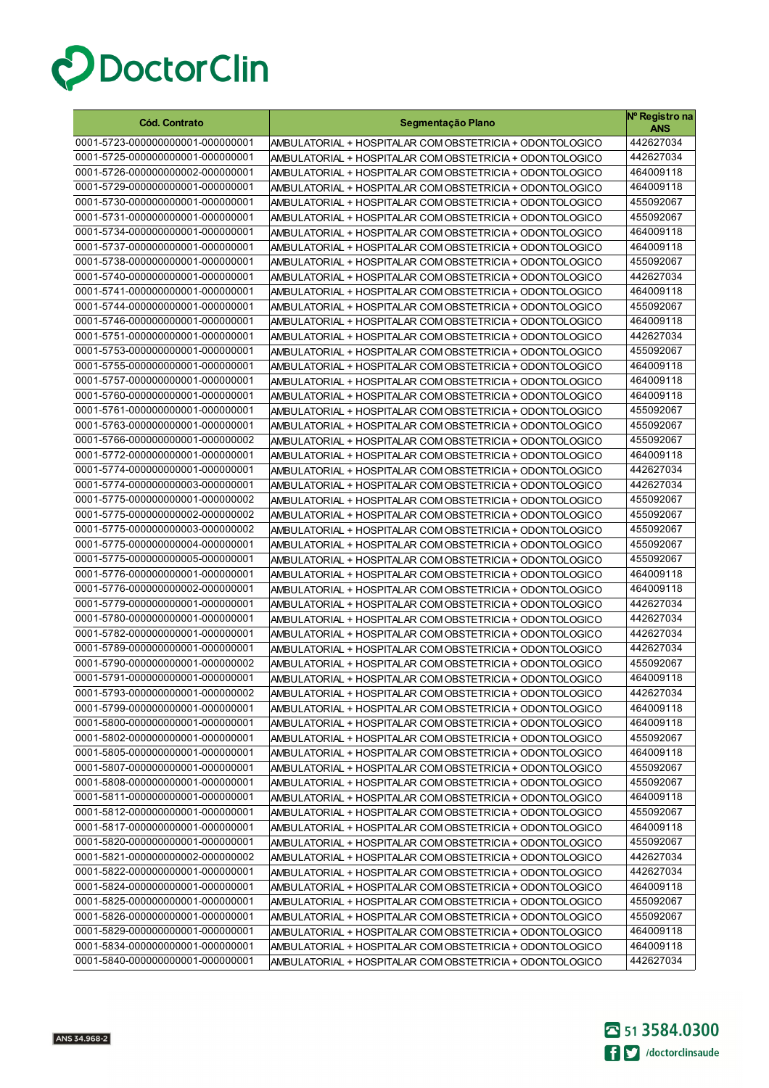

| <b>Cód. Contrato</b>             | Segmentação Plano                                        | Nº Registro na<br>ANS |
|----------------------------------|----------------------------------------------------------|-----------------------|
| 0001-5723-000000000001-000000001 | AMBULATORIAL + HOSPITALAR COM OBSTETRICIA + ODONTOLOGICO | 442627034             |
| 0001-5725-000000000001-000000001 | AMBULATORIAL + HOSPITALAR COM OBSTETRICIA + ODONTOLOGICO | 442627034             |
| 0001-5726-000000000002-000000001 | AMBULATORIAL + HOSPITALAR COM OBSTETRICIA + ODONTOLOGICO | 464009118             |
| 0001-5729-000000000001-000000001 | AMBULATORIAL + HOSPITALAR COM OBSTETRICIA + ODONTOLOGICO | 464009118             |
| 0001-5730-000000000001-000000001 | AMBULATORIAL + HOSPITALAR COM OBSTETRICIA + ODONTOLOGICO | 455092067             |
| 0001-5731-000000000001-000000001 | AMBULATORIAL + HOSPITALAR COM OBSTETRICIA + ODONTOLOGICO | 455092067             |
| 0001-5734-000000000001-000000001 | AMBULATORIAL + HOSPITALAR COM OBSTETRICIA + ODONTOLOGICO | 464009118             |
| 0001-5737-000000000001-000000001 | AMBULATORIAL + HOSPITALAR COM OBSTETRICIA + ODONTOLOGICO | 464009118             |
| 0001-5738-000000000001-000000001 | AMBULATORIAL + HOSPITALAR COM OBSTETRICIA + ODONTOLOGICO | 455092067             |
| 0001-5740-000000000001-000000001 | AMBULATORIAL + HOSPITALAR COM OBSTETRICIA + ODONTOLOGICO | 442627034             |
| 0001-5741-000000000001-000000001 | AMBULATORIAL + HOSPITALAR COM OBSTETRICIA + ODONTOLOGICO | 464009118             |
| 0001-5744-000000000001-000000001 | AMBULATORIAL + HOSPITALAR COM OBSTETRICIA + ODONTOLOGICO | 455092067             |
| 0001-5746-000000000001-000000001 | AMBULATORIAL + HOSPITALAR COM OBSTETRICIA + ODONTOLOGICO | 464009118             |
| 0001-5751-000000000001-000000001 | AMBULATORIAL + HOSPITALAR COM OBSTETRICIA + ODONTOLOGICO | 442627034             |
| 0001-5753-000000000001-000000001 | AMBULATORIAL + HOSPITALAR COM OBSTETRICIA + ODONTOLOGICO | 455092067             |
| 0001-5755-000000000001-000000001 | AMBULATORIAL + HOSPITALAR COM OBSTETRICIA + ODONTOLOGICO | 464009118             |
| 0001-5757-000000000001-000000001 | AMBULATORIAL + HOSPITALAR COM OBSTETRICIA + ODONTOLOGICO | 464009118             |
| 0001-5760-000000000001-000000001 | AMBULATORIAL + HOSPITALAR COM OBSTETRICIA + ODONTOLOGICO | 464009118             |
| 0001-5761-000000000001-000000001 | AMBULATORIAL + HOSPITALAR COM OBSTETRICIA + ODONTOLOGICO | 455092067             |
| 0001-5763-000000000001-000000001 | AMBULATORIAL + HOSPITALAR COM OBSTETRICIA + ODONTOLOGICO | 455092067             |
| 0001-5766-000000000001-000000002 | AMBULATORIAL + HOSPITALAR COM OBSTETRICIA + ODONTOLOGICO | 455092067             |
| 0001-5772-000000000001-000000001 | AMBULATORIAL + HOSPITALAR COM OBSTETRICIA + ODONTOLOGICO | 464009118             |
| 0001-5774-000000000001-000000001 | AMBULATORIAL + HOSPITALAR COM OBSTETRICIA + ODONTOLOGICO | 442627034             |
| 0001-5774-000000000003-000000001 | AMBULATORIAL + HOSPITALAR COM OBSTETRICIA + ODONTOLOGICO | 442627034             |
| 0001-5775-000000000001-000000002 | AMBULATORIAL + HOSPITALAR COM OBSTETRICIA + ODONTOLOGICO | 455092067             |
| 0001-5775-000000000002-000000002 | AMBULATORIAL + HOSPITALAR COM OBSTETRICIA + ODONTOLOGICO | 455092067             |
| 0001-5775-000000000003-000000002 | AMBULATORIAL + HOSPITALAR COM OBSTETRICIA + ODONTOLOGICO | 455092067             |
| 0001-5775-000000000004-000000001 | AMBULATORIAL + HOSPITALAR COM OBSTETRICIA + ODONTOLOGICO | 455092067             |
| 0001-5775-000000000005-000000001 | AMBULATORIAL + HOSPITALAR COM OBSTETRICIA + ODONTOLOGICO | 455092067             |
| 0001-5776-000000000001-000000001 | AMBULATORIAL + HOSPITALAR COM OBSTETRICIA + ODONTOLOGICO | 464009118             |
| 0001-5776-000000000002-000000001 | AMBULATORIAL + HOSPITALAR COM OBSTETRICIA + ODONTOLOGICO | 464009118             |
| 0001-5779-000000000001-000000001 | AMBULATORIAL + HOSPITALAR COM OBSTETRICIA + ODONTOLOGICO | 442627034             |
| 0001-5780-000000000001-000000001 | AMBULATORIAL + HOSPITALAR COM OBSTETRICIA + ODONTOLOGICO | 442627034             |
| 0001-5782-000000000001-000000001 | AMBULATORIAL + HOSPITALAR COM OBSTETRICIA + ODONTOLOGICO | 442627034             |
| 0001-5789-000000000001-000000001 | AMBULATORIAL + HOSPITALAR COM OBSTETRICIA + ODONTOLOGICO | 442627034             |
| 0001-5790-000000000001-000000002 | AMBULATORIAL + HOSPITALAR COM OBSTETRICIA + ODONTOLOGICO | 455092067             |
| 0001-5791-000000000001-000000001 | AMBULATORIAL + HOSPITALAR COM OBSTETRICIA + ODONTOLOGICO | 464009118             |
| 0001-5793-000000000001-000000002 | AMBULATORIAL + HOSPITALAR COM OBSTETRICIA + ODONTOLOGICO | 442627034             |
| 0001-5799-000000000001-000000001 | AMBULATORIAL + HOSPITALAR COM OBSTETRICIA + ODONTOLOGICO | 464009118             |
| 0001-5800-000000000001-000000001 | AMBULATORIAL + HOSPITALAR COM OBSTETRICIA + ODONTOLOGICO | 464009118             |
| 0001-5802-000000000001-000000001 | AMBULATORIAL + HOSPITALAR COM OBSTETRICIA + ODONTOLOGICO | 455092067             |
| 0001-5805-000000000001-000000001 | AMBULATORIAL + HOSPITALAR COM OBSTETRICIA + ODONTOLOGICO | 464009118             |
| 0001-5807-000000000001-000000001 | AMBULATORIAL + HOSPITALAR COM OBSTETRICIA + ODONTOLOGICO | 455092067             |
| 0001-5808-000000000001-000000001 | AMBULATORIAL + HOSPITALAR COM OBSTETRICIA + ODONTOLOGICO | 455092067             |
| 0001-5811-000000000001-000000001 | AMBULATORIAL + HOSPITALAR COM OBSTETRICIA + ODONTOLOGICO | 464009118             |
| 0001-5812-000000000001-000000001 | AMBULATORIAL + HOSPITALAR COM OBSTETRICIA + ODONTOLOGICO | 455092067             |
| 0001-5817-000000000001-000000001 | AMBULATORIAL + HOSPITALAR COM OBSTETRICIA + ODONTOLOGICO | 464009118             |
| 0001-5820-000000000001-000000001 | AMBULATORIAL + HOSPITALAR COM OBSTETRICIA + ODONTOLOGICO | 455092067             |
| 0001-5821-000000000002-000000002 | AMBULATORIAL + HOSPITALAR COM OBSTETRICIA + ODONTOLOGICO | 442627034             |
| 0001-5822-000000000001-000000001 | AMBULATORIAL + HOSPITALAR COM OBSTETRICIA + ODONTOLOGICO | 442627034             |
| 0001-5824-000000000001-000000001 | AMBULATORIAL + HOSPITALAR COM OBSTETRICIA + ODONTOLOGICO | 464009118             |
| 0001-5825-000000000001-000000001 | AMBULATORIAL + HOSPITALAR COM OBSTETRICIA + ODONTOLOGICO | 455092067             |
| 0001-5826-000000000001-000000001 | AMBULATORIAL + HOSPITALAR COM OBSTETRICIA + ODONTOLOGICO | 455092067             |
| 0001-5829-000000000001-000000001 | AMBULATORIAL + HOSPITALAR COM OBSTETRICIA + ODONTOLOGICO | 464009118             |
| 0001-5834-000000000001-000000001 | AMBULATORIAL + HOSPITALAR COM OBSTETRICIA + ODONTOLOGICO | 464009118             |
| 0001-5840-000000000001-000000001 | AMBULATORIAL + HOSPITALAR COM OBSTETRICIA + ODONTOLOGICO | 442627034             |

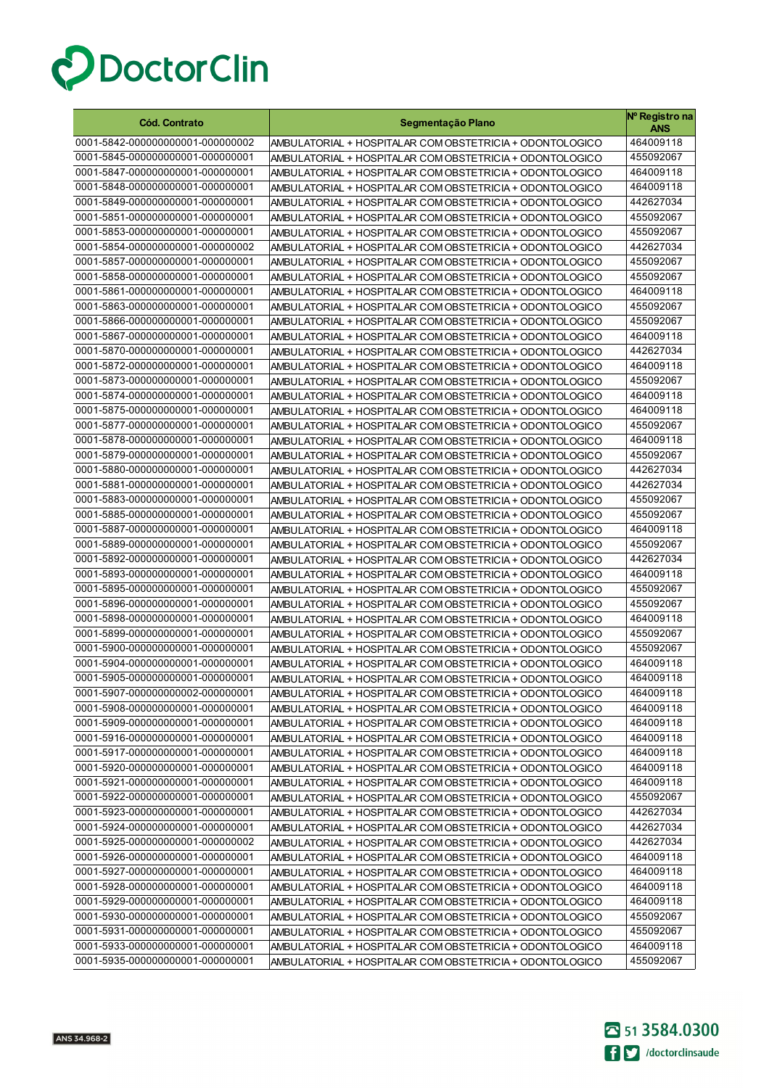

| <b>Cód. Contrato</b>                                                 | Segmentação Plano                                                                                                    | Nº Registro na<br>ANS  |
|----------------------------------------------------------------------|----------------------------------------------------------------------------------------------------------------------|------------------------|
| 0001-5842-000000000001-000000002                                     | AMBULATORIAL + HOSPITALAR COM OBSTETRICIA + ODONTOLOGICO                                                             | 464009118              |
| 0001-5845-000000000001-000000001                                     | AMBULATORIAL + HOSPITALAR COM OBSTETRICIA + ODONTOLOGICO                                                             | 455092067              |
| 0001-5847-000000000001-000000001                                     | AMBULATORIAL + HOSPITALAR COM OBSTETRICIA + ODONTOLOGICO                                                             | 464009118              |
| 0001-5848-000000000001-000000001                                     | AMBULATORIAL + HOSPITALAR COM OBSTETRICIA + ODONTOLOGICO                                                             | 464009118              |
| 0001-5849-000000000001-000000001                                     | AMBULATORIAL + HOSPITALAR COM OBSTETRICIA + ODONTOLOGICO                                                             | 442627034              |
| 0001-5851-000000000001-000000001                                     | AMBULATORIAL + HOSPITALAR COM OBSTETRICIA + ODONTOLOGICO                                                             | 455092067              |
| 0001-5853-000000000001-000000001                                     | AMBULATORIAL + HOSPITALAR COM OBSTETRICIA + ODONTOLOGICO                                                             | 455092067              |
| 0001-5854-000000000001-000000002                                     | AMBULATORIAL + HOSPITALAR COM OBSTETRICIA + ODONTOLOGICO                                                             | 442627034              |
| 0001-5857-000000000001-000000001                                     | AMBULATORIAL + HOSPITALAR COM OBSTETRICIA + ODONTOLOGICO                                                             | 455092067              |
| 0001-5858-000000000001-000000001                                     | AMBULATORIAL + HOSPITALAR COM OBSTETRICIA + ODONTOLOGICO                                                             | 455092067              |
| 0001-5861-000000000001-000000001                                     | AMBULATORIAL + HOSPITALAR COM OBSTETRICIA + ODONTOLOGICO                                                             | 464009118              |
| 0001-5863-000000000001-000000001                                     | AMBULATORIAL + HOSPITALAR COM OBSTETRICIA + ODONTOLOGICO                                                             | 455092067              |
| 0001-5866-000000000001-000000001                                     | AMBULATORIAL + HOSPITALAR COM OBSTETRICIA + ODONTOLOGICO                                                             | 455092067              |
| 0001-5867-000000000001-000000001                                     | AMBULATORIAL + HOSPITALAR COM OBSTETRICIA + ODONTOLOGICO                                                             | 464009118              |
| 0001-5870-000000000001-000000001                                     | AMBULATORIAL + HOSPITALAR COM OBSTETRICIA + ODONTOLOGICO                                                             | 442627034              |
| 0001-5872-000000000001-000000001                                     | AMBULATORIAL + HOSPITALAR COM OBSTETRICIA + ODONTOLOGICO                                                             | 464009118              |
| 0001-5873-000000000001-000000001                                     | AMBULATORIAL + HOSPITALAR COM OBSTETRICIA + ODONTOLOGICO                                                             | 455092067              |
| 0001-5874-000000000001-000000001                                     | AMBULATORIAL + HOSPITALAR COM OBSTETRICIA + ODONTOLOGICO                                                             | 464009118              |
| 0001-5875-000000000001-000000001                                     | AMBULATORIAL + HOSPITALAR COM OBSTETRICIA + ODONTOLOGICO                                                             | 464009118              |
| 0001-5877-000000000001-000000001                                     | AMBULATORIAL + HOSPITALAR COM OBSTETRICIA + ODONTOLOGICO                                                             | 455092067              |
| 0001-5878-000000000001-000000001                                     | AMBULATORIAL + HOSPITALAR COM OBSTETRICIA + ODONTOLOGICO                                                             | 464009118              |
| 0001-5879-000000000001-000000001                                     | AMBULATORIAL + HOSPITALAR COM OBSTETRICIA + ODONTOLOGICO                                                             | 455092067              |
| 0001-5880-000000000001-000000001                                     | AMBULATORIAL + HOSPITALAR COM OBSTETRICIA + ODONTOLOGICO                                                             | 442627034              |
| 0001-5881-000000000001-000000001                                     | AMBULATORIAL + HOSPITALAR COM OBSTETRICIA + ODONTOLOGICO                                                             | 442627034              |
| 0001-5883-000000000001-000000001                                     | AMBULATORIAL + HOSPITALAR COM OBSTETRICIA + ODONTOLOGICO                                                             | 455092067              |
| 0001-5885-000000000001-000000001                                     | AMBULATORIAL + HOSPITALAR COM OBSTETRICIA + ODONTOLOGICO                                                             | 455092067              |
| 0001-5887-000000000001-000000001                                     | AMBULATORIAL + HOSPITALAR COM OBSTETRICIA + ODONTOLOGICO                                                             | 464009118              |
| 0001-5889-000000000001-000000001                                     | AMBULATORIAL + HOSPITALAR COM OBSTETRICIA + ODONTOLOGICO                                                             | 455092067              |
| 0001-5892-000000000001-000000001<br>0001-5893-000000000001-000000001 | AMBULATORIAL + HOSPITALAR COM OBSTETRICIA + ODONTOLOGICO                                                             | 442627034<br>464009118 |
| 0001-5895-000000000001-000000001                                     | AMBULATORIAL + HOSPITALAR COM OBSTETRICIA + ODONTOLOGICO                                                             | 455092067              |
| 0001-5896-000000000001-000000001                                     | AMBULATORIAL + HOSPITALAR COM OBSTETRICIA + ODONTOLOGICO<br>AMBULATORIAL + HOSPITALAR COM OBSTETRICIA + ODONTOLOGICO | 455092067              |
| 0001-5898-000000000001-000000001                                     | AMBULATORIAL + HOSPITALAR COM OBSTETRICIA + ODONTOLOGICO                                                             | 464009118              |
| 0001-5899-000000000001-000000001                                     | AMBULATORIAL + HOSPITALAR COM OBSTETRICIA + ODONTOLOGICO                                                             | 455092067              |
| 0001-5900-000000000001-000000001                                     | AMBULATORIAL + HOSPITALAR COM OBSTETRICIA + ODONTOLOGICO                                                             | 455092067              |
| 0001-5904-000000000001-000000001                                     | AMBULATORIAL + HOSPITALAR COM OBSTETRICIA + ODONTOLOGICO                                                             | 464009118              |
| 0001-5905-000000000001-000000001                                     | AMBULATORIAL + HOSPITALAR COM OBSTETRICIA + ODONTOLOGICO                                                             | 464009118              |
| 0001-5907-000000000002-000000001                                     | AMBULATORIAL + HOSPITALAR COM OBSTETRICIA + ODONTOLOGICO                                                             | 464009118              |
| 0001-5908-000000000001-000000001                                     | AMBULATORIAL + HOSPITALAR COM OBSTETRICIA + ODONTOLOGICO                                                             | 464009118              |
| 0001-5909-000000000001-000000001                                     | AMBULATORIAL + HOSPITALAR COM OBSTETRICIA + ODONTOLOGICO                                                             | 464009118              |
| 0001-5916-000000000001-000000001                                     | AMBULATORIAL + HOSPITALAR COM OBSTETRICIA + ODONTOLOGICO                                                             | 464009118              |
| 0001-5917-000000000001-000000001                                     | AMBULATORIAL + HOSPITALAR COM OBSTETRICIA + ODONTOLOGICO                                                             | 464009118              |
| 0001-5920-000000000001-000000001                                     | AMBULATORIAL + HOSPITALAR COM OBSTETRICIA + ODONTOLOGICO                                                             | 464009118              |
| 0001-5921-000000000001-000000001                                     | AMBULATORIAL + HOSPITALAR COM OBSTETRICIA + ODONTOLOGICO                                                             | 464009118              |
| 0001-5922-000000000001-000000001                                     | AMBULATORIAL + HOSPITALAR COM OBSTETRICIA + ODONTOLOGICO                                                             | 455092067              |
| 0001-5923-000000000001-000000001                                     | AMBULATORIAL + HOSPITALAR COM OBSTETRICIA + ODONTOLOGICO                                                             | 442627034              |
| 0001-5924-000000000001-000000001                                     | AMBULATORIAL + HOSPITALAR COM OBSTETRICIA + ODONTOLOGICO                                                             | 442627034              |
| 0001-5925-000000000001-000000002                                     | AMBULATORIAL + HOSPITALAR COM OBSTETRICIA + ODONTOLOGICO                                                             | 442627034              |
| 0001-5926-000000000001-000000001                                     | AMBULATORIAL + HOSPITALAR COM OBSTETRICIA + ODONTOLOGICO                                                             | 464009118              |
| 0001-5927-000000000001-000000001                                     | AMBULATORIAL + HOSPITALAR COM OBSTETRICIA + ODONTOLOGICO                                                             | 464009118              |
| 0001-5928-000000000001-000000001                                     | AMBULATORIAL + HOSPITALAR COM OBSTETRICIA + ODONTOLOGICO                                                             | 464009118              |
| 0001-5929-000000000001-000000001                                     | AMBULATORIAL + HOSPITALAR COM OBSTETRICIA + ODONTOLOGICO                                                             | 464009118              |
| 0001-5930-000000000001-000000001                                     | AMBULATORIAL + HOSPITALAR COM OBSTETRICIA + ODONTOLOGICO                                                             | 455092067              |
| 0001-5931-000000000001-000000001                                     | AMBULATORIAL + HOSPITALAR COM OBSTETRICIA + ODONTOLOGICO                                                             | 455092067              |
| 0001-5933-000000000001-000000001                                     | AMBULATORIAL + HOSPITALAR COM OBSTETRICIA + ODONTOLOGICO                                                             | 464009118              |
| 0001-5935-000000000001-000000001                                     | AMBULATORIAL + HOSPITALAR COM OBSTETRICIA + ODONTOLOGICO                                                             | 455092067              |

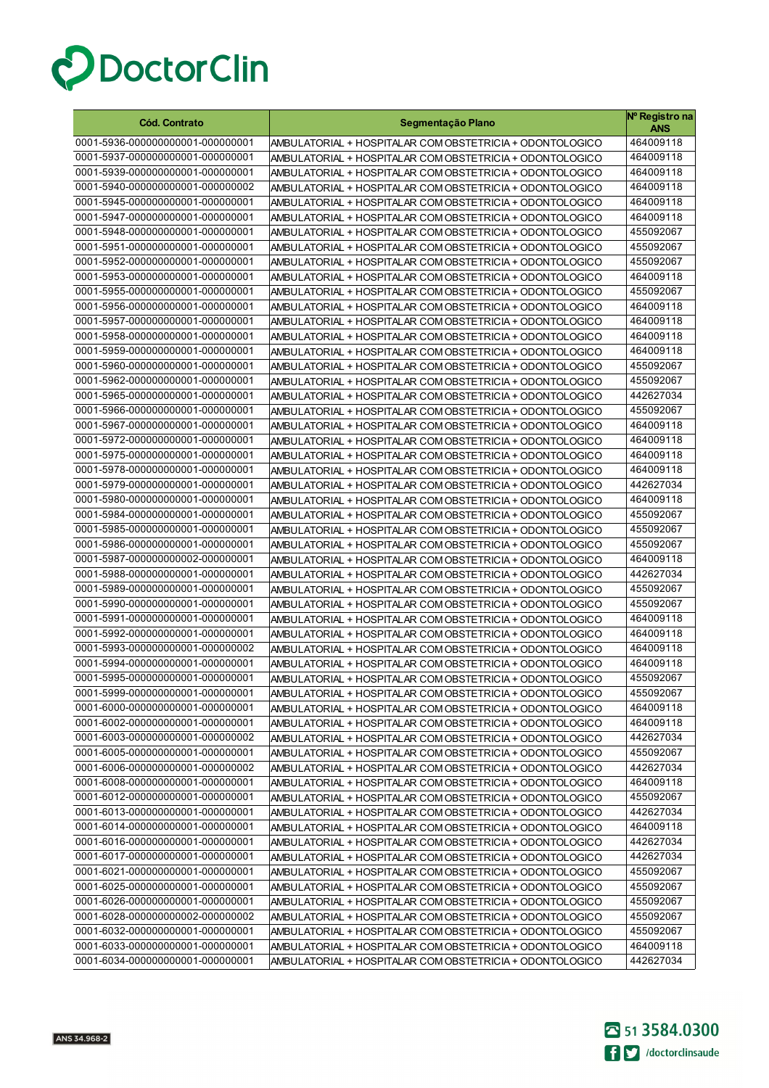

| <b>Cód. Contrato</b>                                                 | Segmentação Plano                                                                                                    | Nº Registro na<br>ANS  |
|----------------------------------------------------------------------|----------------------------------------------------------------------------------------------------------------------|------------------------|
| 0001-5936-000000000001-000000001                                     | AMBULATORIAL + HOSPITALAR COM OBSTETRICIA + ODONTOLOGICO                                                             | 464009118              |
| 0001-5937-000000000001-000000001                                     | AMBULATORIAL + HOSPITALAR COM OBSTETRICIA + ODONTOLOGICO                                                             | 464009118              |
| 0001-5939-000000000001-000000001                                     | AMBULATORIAL + HOSPITALAR COM OBSTETRICIA + ODONTOLOGICO                                                             | 464009118              |
| 0001-5940-000000000001-000000002                                     | AMBULATORIAL + HOSPITALAR COM OBSTETRICIA + ODONTOLOGICO                                                             | 464009118              |
| 0001-5945-000000000001-000000001                                     | AMBULATORIAL + HOSPITALAR COM OBSTETRICIA + ODONTOLOGICO                                                             | 464009118              |
| 0001-5947-000000000001-000000001                                     | AMBULATORIAL + HOSPITALAR COM OBSTETRICIA + ODONTOLOGICO                                                             | 464009118              |
| 0001-5948-000000000001-000000001                                     | AMBULATORIAL + HOSPITALAR COM OBSTETRICIA + ODONTOLOGICO                                                             | 455092067              |
| 0001-5951-000000000001-000000001                                     | AMBULATORIAL + HOSPITALAR COM OBSTETRICIA + ODONTOLOGICO                                                             | 455092067              |
| 0001-5952-000000000001-000000001                                     | AMBULATORIAL + HOSPITALAR COM OBSTETRICIA + ODONTOLOGICO                                                             | 455092067              |
| 0001-5953-000000000001-000000001                                     | AMBULATORIAL + HOSPITALAR COM OBSTETRICIA + ODONTOLOGICO                                                             | 464009118              |
| 0001-5955-000000000001-000000001                                     | AMBULATORIAL + HOSPITALAR COM OBSTETRICIA + ODONTOLOGICO                                                             | 455092067              |
| 0001-5956-000000000001-000000001                                     | AMBULATORIAL + HOSPITALAR COM OBSTETRICIA + ODONTOLOGICO                                                             | 464009118              |
| 0001-5957-000000000001-000000001                                     | AMBULATORIAL + HOSPITALAR COM OBSTETRICIA + ODONTOLOGICO                                                             | 464009118              |
| 0001-5958-000000000001-000000001                                     | AMBULATORIAL + HOSPITALAR COM OBSTETRICIA + ODONTOLOGICO                                                             | 464009118              |
| 0001-5959-000000000001-000000001                                     | AMBULATORIAL + HOSPITALAR COM OBSTETRICIA + ODONTOLOGICO                                                             | 464009118              |
| 0001-5960-000000000001-000000001                                     | AMBULATORIAL + HOSPITALAR COM OBSTETRICIA + ODONTOLOGICO                                                             | 455092067              |
| 0001-5962-000000000001-000000001                                     | AMBULATORIAL + HOSPITALAR COM OBSTETRICIA + ODONTOLOGICO                                                             | 455092067              |
| 0001-5965-000000000001-000000001                                     | AMBULATORIAL + HOSPITALAR COM OBSTETRICIA + ODONTOLOGICO                                                             | 442627034              |
| 0001-5966-000000000001-000000001                                     | AMBULATORIAL + HOSPITALAR COM OBSTETRICIA + ODONTOLOGICO                                                             | 455092067              |
| 0001-5967-000000000001-000000001                                     | AMBULATORIAL + HOSPITALAR COM OBSTETRICIA + ODONTOLOGICO                                                             | 464009118              |
| 0001-5972-000000000001-000000001                                     | AMBULATORIAL + HOSPITALAR COM OBSTETRICIA + ODONTOLOGICO                                                             | 464009118              |
| 0001-5975-000000000001-000000001                                     | AMBULATORIAL + HOSPITALAR COM OBSTETRICIA + ODONTOLOGICO                                                             | 464009118              |
| 0001-5978-000000000001-000000001                                     | AMBULATORIAL + HOSPITALAR COM OBSTETRICIA + ODONTOLOGICO                                                             | 464009118              |
| 0001-5979-000000000001-000000001                                     | AMBULATORIAL + HOSPITALAR COM OBSTETRICIA + ODONTOLOGICO                                                             | 442627034              |
| 0001-5980-000000000001-000000001                                     | AMBULATORIAL + HOSPITALAR COM OBSTETRICIA + ODONTOLOGICO                                                             | 464009118              |
| 0001-5984-000000000001-000000001                                     | AMBULATORIAL + HOSPITALAR COM OBSTETRICIA + ODONTOLOGICO                                                             | 455092067              |
| 0001-5985-000000000001-000000001                                     | AMBULATORIAL + HOSPITALAR COM OBSTETRICIA + ODONTOLOGICO                                                             | 455092067              |
| 0001-5986-000000000001-000000001                                     | AMBULATORIAL + HOSPITALAR COM OBSTETRICIA + ODONTOLOGICO                                                             | 455092067              |
| 0001-5987-000000000002-000000001                                     | AMBULATORIAL + HOSPITALAR COM OBSTETRICIA + ODONTOLOGICO                                                             | 464009118              |
| 0001-5988-000000000001-000000001<br>0001-5989-000000000001-000000001 | AMBULATORIAL + HOSPITALAR COM OBSTETRICIA + ODONTOLOGICO                                                             | 442627034<br>455092067 |
| 0001-5990-000000000001-000000001                                     | AMBULATORIAL + HOSPITALAR COM OBSTETRICIA + ODONTOLOGICO                                                             | 455092067              |
| 0001-5991-000000000001-000000001                                     | AMBULATORIAL + HOSPITALAR COM OBSTETRICIA + ODONTOLOGICO                                                             | 464009118              |
| 0001-5992-000000000001-000000001                                     | AMBULATORIAL + HOSPITALAR COM OBSTETRICIA + ODONTOLOGICO<br>AMBULATORIAL + HOSPITALAR COM OBSTETRICIA + ODONTOLOGICO | 464009118              |
| 0001-5993-000000000001-000000002                                     | AMBULATORIAL + HOSPITALAR COM OBSTETRICIA + ODONTOLOGICO                                                             | 464009118              |
| 0001-5994-000000000001-000000001                                     | AMBULATORIAL + HOSPITALAR COM OBSTETRICIA + ODONTOLOGICO                                                             | 464009118              |
| 0001-5995-000000000001-000000001                                     | AMBULATORIAL + HOSPITALAR COM OBSTETRICIA + ODONTOLOGICO                                                             | 455092067              |
| 0001-5999-000000000001-000000001                                     | AMBULATORIAL + HOSPITALAR COM OBSTETRICIA + ODONTOLOGICO                                                             | 455092067              |
| 0001-6000-0000000000001-000000001                                    | AMBULATORIAL + HOSPITALAR COM OBSTETRICIA + ODONTOLOGICO                                                             | 464009118              |
| 0001-6002-000000000001-000000001                                     | AMBULATORIAL + HOSPITALAR COM OBSTETRICIA + ODONTOLOGICO                                                             | 464009118              |
| 0001-6003-000000000001-000000002                                     | AMBULATORIAL + HOSPITALAR COM OBSTETRICIA + ODONTOLOGICO                                                             | 442627034              |
| 0001-6005-000000000001-000000001                                     | AMBULATORIAL + HOSPITALAR COM OBSTETRICIA + ODONTOLOGICO                                                             | 455092067              |
| 0001-6006-000000000001-000000002                                     | AMBULATORIAL + HOSPITALAR COM OBSTETRICIA + ODONTOLOGICO                                                             | 442627034              |
| 0001-6008-000000000001-000000001                                     | AMBULATORIAL + HOSPITALAR COM OBSTETRICIA + ODONTOLOGICO                                                             | 464009118              |
| 0001-6012-000000000001-000000001                                     | AMBULATORIAL + HOSPITALAR COM OBSTETRICIA + ODONTOLOGICO                                                             | 455092067              |
| 0001-6013-000000000001-000000001                                     | AMBULATORIAL + HOSPITALAR COM OBSTETRICIA + ODONTOLOGICO                                                             | 442627034              |
| 0001-6014-000000000001-000000001                                     | AMBULATORIAL + HOSPITALAR COM OBSTETRICIA + ODONTOLOGICO                                                             | 464009118              |
| 0001-6016-000000000001-000000001                                     | AMBULATORIAL + HOSPITALAR COM OBSTETRICIA + ODONTOLOGICO                                                             | 442627034              |
| 0001-6017-000000000001-000000001                                     | AMBULATORIAL + HOSPITALAR COM OBSTETRICIA + ODONTOLOGICO                                                             | 442627034              |
| 0001-6021-000000000001-000000001                                     | AMBULATORIAL + HOSPITALAR COM OBSTETRICIA + ODONTOLOGICO                                                             | 455092067              |
| 0001-6025-000000000001-000000001                                     | AMBULATORIAL + HOSPITALAR COM OBSTETRICIA + ODONTOLOGICO                                                             | 455092067              |
| 0001-6026-000000000001-000000001                                     | AMBULATORIAL + HOSPITALAR COM OBSTETRICIA + ODONTOLOGICO                                                             | 455092067              |
| 0001-6028-000000000002-000000002                                     | AMBULATORIAL + HOSPITALAR COM OBSTETRICIA + ODONTOLOGICO                                                             | 455092067              |
| 0001-6032-000000000001-000000001                                     | AMBULATORIAL + HOSPITALAR COM OBSTETRICIA + ODONTOLOGICO                                                             | 455092067              |
| 0001-6033-000000000001-000000001                                     | AMBULATORIAL + HOSPITALAR COM OBSTETRICIA + ODONTOLOGICO                                                             | 464009118              |
| 0001-6034-000000000001-000000001                                     | AMBULATORIAL + HOSPITALAR COM OBSTETRICIA + ODONTOLOGICO                                                             | 442627034              |

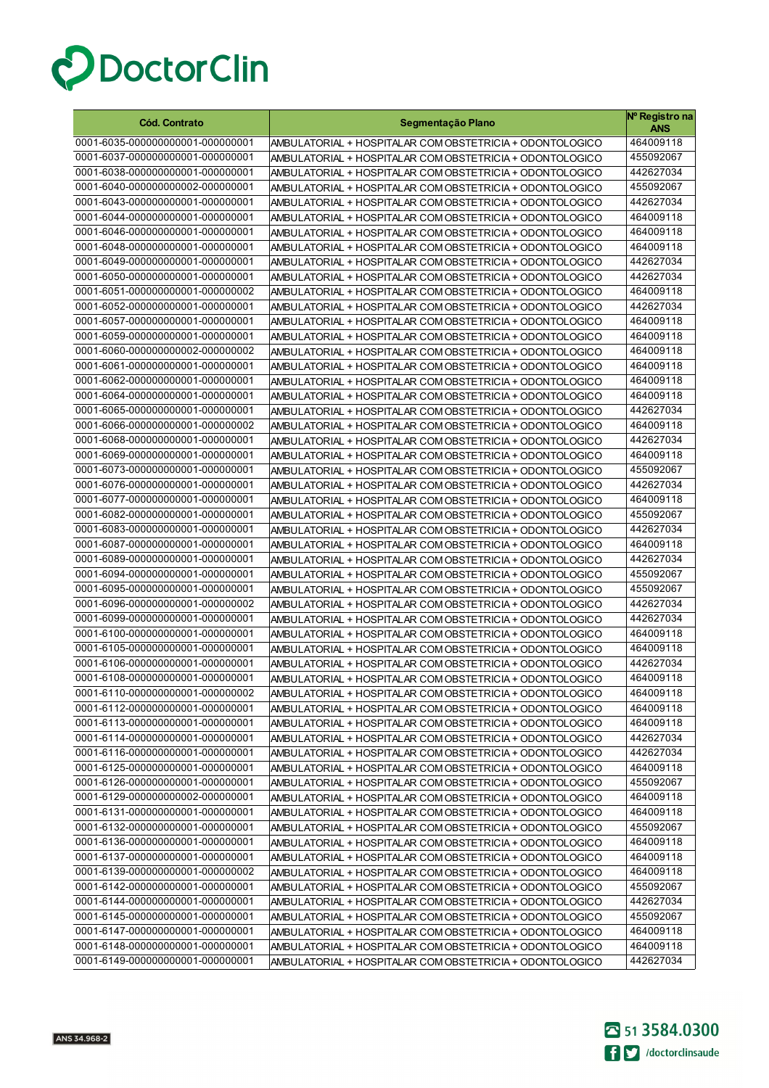

| <b>Cód. Contrato</b>             | Segmentação Plano                                        | Nº Registro na<br>ANS |
|----------------------------------|----------------------------------------------------------|-----------------------|
| 0001-6035-000000000001-000000001 | AMBULATORIAL + HOSPITALAR COM OBSTETRICIA + ODONTOLOGICO | 464009118             |
| 0001-6037-000000000001-000000001 | AMBULATORIAL + HOSPITALAR COM OBSTETRICIA + ODONTOLOGICO | 455092067             |
| 0001-6038-000000000001-000000001 | AMBULATORIAL + HOSPITALAR COM OBSTETRICIA + ODONTOLOGICO | 442627034             |
| 0001-6040-000000000002-000000001 | AMBULATORIAL + HOSPITALAR COM OBSTETRICIA + ODONTOLOGICO | 455092067             |
| 0001-6043-000000000001-000000001 | AMBULATORIAL + HOSPITALAR COM OBSTETRICIA + ODONTOLOGICO | 442627034             |
| 0001-6044-000000000001-000000001 | AMBULATORIAL + HOSPITALAR COM OBSTETRICIA + ODONTOLOGICO | 464009118             |
| 0001-6046-000000000001-000000001 | AMBULATORIAL + HOSPITALAR COM OBSTETRICIA + ODONTOLOGICO | 464009118             |
| 0001-6048-000000000001-000000001 | AMBULATORIAL + HOSPITALAR COM OBSTETRICIA + ODONTOLOGICO | 464009118             |
| 0001-6049-000000000001-000000001 | AMBULATORIAL + HOSPITALAR COM OBSTETRICIA + ODONTOLOGICO | 442627034             |
| 0001-6050-000000000001-000000001 | AMBULATORIAL + HOSPITALAR COM OBSTETRICIA + ODONTOLOGICO | 442627034             |
| 0001-6051-000000000001-000000002 | AMBULATORIAL + HOSPITALAR COM OBSTETRICIA + ODONTOLOGICO | 464009118             |
| 0001-6052-000000000001-000000001 | AMBULATORIAL + HOSPITALAR COM OBSTETRICIA + ODONTOLOGICO | 442627034             |
| 0001-6057-000000000001-000000001 | AMBULATORIAL + HOSPITALAR COM OBSTETRICIA + ODONTOLOGICO | 464009118             |
| 0001-6059-000000000001-000000001 | AMBULATORIAL + HOSPITALAR COM OBSTETRICIA + ODONTOLOGICO | 464009118             |
| 0001-6060-000000000002-000000002 | AMBULATORIAL + HOSPITALAR COM OBSTETRICIA + ODONTOLOGICO | 464009118             |
| 0001-6061-000000000001-000000001 | AMBULATORIAL + HOSPITALAR COM OBSTETRICIA + ODONTOLOGICO | 464009118             |
| 0001-6062-000000000001-000000001 | AMBULATORIAL + HOSPITALAR COM OBSTETRICIA + ODONTOLOGICO | 464009118             |
| 0001-6064-000000000001-000000001 | AMBULATORIAL + HOSPITALAR COM OBSTETRICIA + ODONTOLOGICO | 464009118             |
| 0001-6065-000000000001-000000001 | AMBULATORIAL + HOSPITALAR COM OBSTETRICIA + ODONTOLOGICO | 442627034             |
| 0001-6066-000000000001-000000002 | AMBULATORIAL + HOSPITALAR COM OBSTETRICIA + ODONTOLOGICO | 464009118             |
| 0001-6068-000000000001-000000001 | AMBULATORIAL + HOSPITALAR COM OBSTETRICIA + ODONTOLOGICO | 442627034             |
| 0001-6069-000000000001-000000001 | AMBULATORIAL + HOSPITALAR COM OBSTETRICIA + ODONTOLOGICO | 464009118             |
| 0001-6073-000000000001-000000001 | AMBULATORIAL + HOSPITALAR COM OBSTETRICIA + ODONTOLOGICO | 455092067             |
| 0001-6076-000000000001-000000001 | AMBULATORIAL + HOSPITALAR COM OBSTETRICIA + ODONTOLOGICO | 442627034             |
| 0001-6077-000000000001-000000001 | AMBULATORIAL + HOSPITALAR COM OBSTETRICIA + ODONTOLOGICO | 464009118             |
| 0001-6082-000000000001-000000001 | AMBULATORIAL + HOSPITALAR COM OBSTETRICIA + ODONTOLOGICO | 455092067             |
| 0001-6083-000000000001-000000001 | AMBULATORIAL + HOSPITALAR COM OBSTETRICIA + ODONTOLOGICO | 442627034             |
| 0001-6087-000000000001-000000001 | AMBULATORIAL + HOSPITALAR COM OBSTETRICIA + ODONTOLOGICO | 464009118             |
| 0001-6089-000000000001-000000001 | AMBULATORIAL + HOSPITALAR COM OBSTETRICIA + ODONTOLOGICO | 442627034             |
| 0001-6094-000000000001-000000001 | AMBULATORIAL + HOSPITALAR COM OBSTETRICIA + ODONTOLOGICO | 455092067             |
| 0001-6095-000000000001-000000001 | AMBULATORIAL + HOSPITALAR COM OBSTETRICIA + ODONTOLOGICO | 455092067             |
| 0001-6096-000000000001-000000002 | AMBULATORIAL + HOSPITALAR COM OBSTETRICIA + ODONTOLOGICO | 442627034             |
| 0001-6099-000000000001-000000001 | AMBULATORIAL + HOSPITALAR COM OBSTETRICIA + ODONTOLOGICO | 442627034             |
| 0001-6100-000000000001-000000001 | AMBULATORIAL + HOSPITALAR COM OBSTETRICIA + ODONTOLOGICO | 464009118             |
| 0001-6105-000000000001-000000001 | AMBULATORIAL + HOSPITALAR COM OBSTETRICIA + ODONTOLOGICO | 464009118             |
| 0001-6106-000000000001-000000001 | AMBULATORIAL + HOSPITALAR COM OBSTETRICIA + ODONTOLOGICO | 442627034             |
| 0001-6108-000000000001-000000001 | AMBULATORIAL + HOSPITALAR COM OBSTETRICIA + ODONTOLOGICO | 464009118             |
| 0001-6110-000000000001-000000002 | AMBULATORIAL + HOSPITALAR COM OBSTETRICIA + ODONTOLOGICO | 464009118             |
| 0001-6112-000000000001-000000001 | AMBULATORIAL + HOSPITALAR COM OBSTETRICIA + ODONTOLOGICO | 464009118             |
| 0001-6113-000000000001-000000001 | AMBULATORIAL + HOSPITALAR COM OBSTETRICIA + ODONTOLOGICO | 464009118             |
| 0001-6114-000000000001-000000001 | AMBULATORIAL + HOSPITALAR COM OBSTETRICIA + ODONTOLOGICO | 442627034             |
| 0001-6116-000000000001-000000001 | AMBULATORIAL + HOSPITALAR COM OBSTETRICIA + ODONTOLOGICO | 442627034             |
| 0001-6125-000000000001-000000001 | AMBULATORIAL + HOSPITALAR COM OBSTETRICIA + ODONTOLOGICO | 464009118             |
| 0001-6126-000000000001-000000001 | AMBULATORIAL + HOSPITALAR COM OBSTETRICIA + ODONTOLOGICO | 455092067             |
| 0001-6129-000000000002-000000001 | AMBULATORIAL + HOSPITALAR COM OBSTETRICIA + ODONTOLOGICO | 464009118             |
| 0001-6131-000000000001-000000001 | AMBULATORIAL + HOSPITALAR COM OBSTETRICIA + ODONTOLOGICO | 464009118             |
| 0001-6132-000000000001-000000001 | AMBULATORIAL + HOSPITALAR COM OBSTETRICIA + ODONTOLOGICO | 455092067             |
| 0001-6136-000000000001-000000001 | AMBULATORIAL + HOSPITALAR COM OBSTETRICIA + ODONTOLOGICO | 464009118             |
| 0001-6137-000000000001-000000001 | AMBULATORIAL + HOSPITALAR COM OBSTETRICIA + ODONTOLOGICO | 464009118             |
| 0001-6139-000000000001-000000002 | AMBULATORIAL + HOSPITALAR COM OBSTETRICIA + ODONTOLOGICO | 464009118             |
| 0001-6142-000000000001-000000001 | AMBULATORIAL + HOSPITALAR COM OBSTETRICIA + ODONTOLOGICO | 455092067             |
| 0001-6144-000000000001-000000001 | AMBULATORIAL + HOSPITALAR COM OBSTETRICIA + ODONTOLOGICO | 442627034             |
| 0001-6145-000000000001-000000001 | AMBULATORIAL + HOSPITALAR COM OBSTETRICIA + ODONTOLOGICO | 455092067             |
| 0001-6147-000000000001-000000001 | AMBULATORIAL + HOSPITALAR COM OBSTETRICIA + ODONTOLOGICO | 464009118             |
| 0001-6148-000000000001-000000001 | AMBULATORIAL + HOSPITALAR COM OBSTETRICIA + ODONTOLOGICO | 464009118             |
| 0001-6149-000000000001-000000001 | AMBULATORIAL + HOSPITALAR COM OBSTETRICIA + ODONTOLOGICO | 442627034             |

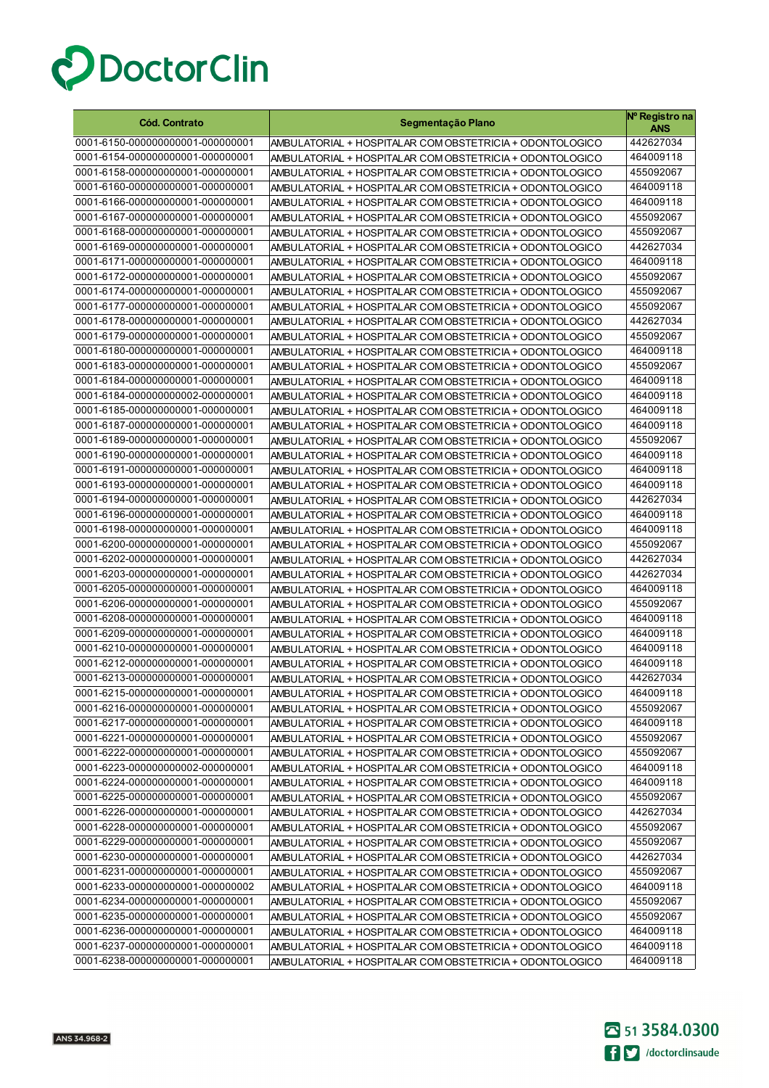

| <b>Cód. Contrato</b>                                                 | Segmentação Plano                                                                                                    | Nº Registro na<br><b>ANS</b> |
|----------------------------------------------------------------------|----------------------------------------------------------------------------------------------------------------------|------------------------------|
| 0001-6150-000000000001-000000001                                     | AMBULATORIAL + HOSPITALAR COM OBSTETRICIA + ODONTOLOGICO                                                             | 442627034                    |
| 0001-6154-000000000001-000000001                                     | AMBULATORIAL + HOSPITALAR COM OBSTETRICIA + ODONTOLOGICO                                                             | 464009118                    |
| 0001-6158-000000000001-000000001                                     | AMBULATORIAL + HOSPITALAR COM OBSTETRICIA + ODONTOLOGICO                                                             | 455092067                    |
| 0001-6160-000000000001-000000001                                     | AMBULATORIAL + HOSPITALAR COM OBSTETRICIA + ODONTOLOGICO                                                             | 464009118                    |
| 0001-6166-000000000001-000000001                                     | AMBULATORIAL + HOSPITALAR COM OBSTETRICIA + ODONTOLOGICO                                                             | 464009118                    |
| 0001-6167-000000000001-000000001                                     | AMBULATORIAL + HOSPITALAR COM OBSTETRICIA + ODONTOLOGICO                                                             | 455092067                    |
| 0001-6168-000000000001-000000001                                     | AMBULATORIAL + HOSPITALAR COM OBSTETRICIA + ODONTOLOGICO                                                             | 455092067                    |
| 0001-6169-000000000001-000000001                                     | AMBULATORIAL + HOSPITALAR COM OBSTETRICIA + ODONTOLOGICO                                                             | 442627034                    |
| 0001-6171-000000000001-000000001                                     | AMBULATORIAL + HOSPITALAR COM OBSTETRICIA + ODONTOLOGICO                                                             | 464009118                    |
| 0001-6172-000000000001-000000001                                     | AMBULATORIAL + HOSPITALAR COM OBSTETRICIA + ODONTOLOGICO                                                             | 455092067                    |
| 0001-6174-000000000001-000000001                                     | AMBULATORIAL + HOSPITALAR COM OBSTETRICIA + ODONTOLOGICO                                                             | 455092067                    |
| 0001-6177-000000000001-000000001                                     | AMBULATORIAL + HOSPITALAR COM OBSTETRICIA + ODONTOLOGICO                                                             | 455092067                    |
| 0001-6178-000000000001-000000001                                     | AMBULATORIAL + HOSPITALAR COM OBSTETRICIA + ODONTOLOGICO                                                             | 442627034                    |
| 0001-6179-000000000001-000000001                                     | AMBULATORIAL + HOSPITALAR COM OBSTETRICIA + ODONTOLOGICO                                                             | 455092067                    |
| 0001-6180-000000000001-000000001                                     | AMBULATORIAL + HOSPITALAR COM OBSTETRICIA + ODONTOLOGICO                                                             | 464009118                    |
| 0001-6183-000000000001-000000001                                     | AMBULATORIAL + HOSPITALAR COM OBSTETRICIA + ODONTOLOGICO                                                             | 455092067                    |
| 0001-6184-000000000001-000000001                                     | AMBULATORIAL + HOSPITALAR COM OBSTETRICIA + ODONTOLOGICO                                                             | 464009118                    |
| 0001-6184-000000000002-000000001                                     | AMBULATORIAL + HOSPITALAR COM OBSTETRICIA + ODONTOLOGICO                                                             | 464009118                    |
| 0001-6185-000000000001-000000001                                     | AMBULATORIAL + HOSPITALAR COM OBSTETRICIA + ODONTOLOGICO                                                             | 464009118                    |
| 0001-6187-000000000001-000000001                                     | AMBULATORIAL + HOSPITALAR COM OBSTETRICIA + ODONTOLOGICO                                                             | 464009118                    |
| 0001-6189-000000000001-000000001                                     | AMBULATORIAL + HOSPITALAR COM OBSTETRICIA + ODONTOLOGICO                                                             | 455092067                    |
| 0001-6190-000000000001-000000001                                     | AMBULATORIAL + HOSPITALAR COM OBSTETRICIA + ODONTOLOGICO                                                             | 464009118                    |
| 0001-6191-000000000001-000000001                                     | AMBULATORIAL + HOSPITALAR COM OBSTETRICIA + ODONTOLOGICO                                                             | 464009118                    |
| 0001-6193-000000000001-000000001                                     | AMBULATORIAL + HOSPITALAR COM OBSTETRICIA + ODONTOLOGICO                                                             | 464009118                    |
| 0001-6194-000000000001-000000001                                     | AMBULATORIAL + HOSPITALAR COM OBSTETRICIA + ODONTOLOGICO                                                             | 442627034                    |
| 0001-6196-000000000001-000000001                                     | AMBULATORIAL + HOSPITALAR COM OBSTETRICIA + ODONTOLOGICO                                                             | 464009118                    |
| 0001-6198-000000000001-000000001<br>0001-6200-000000000001-000000001 | AMBULATORIAL + HOSPITALAR COM OBSTETRICIA + ODONTOLOGICO                                                             | 464009118                    |
| 0001-6202-000000000001-000000001                                     | AMBULATORIAL + HOSPITALAR COM OBSTETRICIA + ODONTOLOGICO                                                             | 455092067<br>442627034       |
| 0001-6203-000000000001-000000001                                     | AMBULATORIAL + HOSPITALAR COM OBSTETRICIA + ODONTOLOGICO                                                             | 442627034                    |
| 0001-6205-000000000001-000000001                                     | AMBULATORIAL + HOSPITALAR COM OBSTETRICIA + ODONTOLOGICO<br>AMBULATORIAL + HOSPITALAR COM OBSTETRICIA + ODONTOLOGICO | 464009118                    |
| 0001-6206-000000000001-000000001                                     | AMBULATORIAL + HOSPITALAR COM OBSTETRICIA + ODONTOLOGICO                                                             | 455092067                    |
| 0001-6208-000000000001-000000001                                     | AMBULATORIAL + HOSPITALAR COM OBSTETRICIA + ODONTOLOGICO                                                             | 464009118                    |
| 0001-6209-000000000001-000000001                                     | AMBULATORIAL + HOSPITALAR COM OBSTETRICIA + ODONTOLOGICO                                                             | 464009118                    |
| 0001-6210-000000000001-000000001                                     | AMBULATORIAL + HOSPITALAR COM OBSTETRICIA + ODONTOLOGICO                                                             | 464009118                    |
| 0001-6212-000000000001-000000001                                     | AMBULATORIAL + HOSPITALAR COM OBSTETRICIA + ODONTOLOGICO                                                             | 464009118                    |
| 0001-6213-000000000001-000000001                                     | AMBULATORIAL + HOSPITALAR COM OBSTETRICIA + ODONTOLOGICO                                                             | 442627034                    |
| 0001-6215-000000000001-000000001                                     | AMBULATORIAL + HOSPITALAR COM OBSTETRICIA + ODONTOLOGICO                                                             | 464009118                    |
| 0001-6216-000000000001-000000001                                     | AMBULATORIAL + HOSPITALAR COM OBSTETRICIA + ODONTOLOGICO                                                             | 455092067                    |
| 0001-6217-000000000001-000000001                                     | AMBULATORIAL + HOSPITALAR COM OBSTETRICIA + ODONTOLOGICO                                                             | 464009118                    |
| 0001-6221-000000000001-000000001                                     | AMBULATORIAL + HOSPITALAR COM OBSTETRICIA + ODONTOLOGICO                                                             | 455092067                    |
| 0001-6222-000000000001-000000001                                     | AMBULATORIAL + HOSPITALAR COM OBSTETRICIA + ODONTOLOGICO                                                             | 455092067                    |
| 0001-6223-000000000002-000000001                                     | AMBULATORIAL + HOSPITALAR COM OBSTETRICIA + ODONTOLOGICO                                                             | 464009118                    |
| 0001-6224-000000000001-000000001                                     | AMBULATORIAL + HOSPITALAR COM OBSTETRICIA + ODONTOLOGICO                                                             | 464009118                    |
| 0001-6225-000000000001-000000001                                     | AMBULATORIAL + HOSPITALAR COM OBSTETRICIA + ODONTOLOGICO                                                             | 455092067                    |
| 0001-6226-000000000001-000000001                                     | AMBULATORIAL + HOSPITALAR COM OBSTETRICIA + ODONTOLOGICO                                                             | 442627034                    |
| 0001-6228-000000000001-000000001                                     | AMBULATORIAL + HOSPITALAR COM OBSTETRICIA + ODONTOLOGICO                                                             | 455092067                    |
| 0001-6229-000000000001-000000001                                     | AMBULATORIAL + HOSPITALAR COM OBSTETRICIA + ODONTOLOGICO                                                             | 455092067                    |
| 0001-6230-000000000001-000000001                                     | AMBULATORIAL + HOSPITALAR COM OBSTETRICIA + ODONTOLOGICO                                                             | 442627034                    |
| 0001-6231-000000000001-000000001                                     | AMBULATORIAL + HOSPITALAR COM OBSTETRICIA + ODONTOLOGICO                                                             | 455092067                    |
| 0001-6233-000000000001-000000002                                     | AMBULATORIAL + HOSPITALAR COM OBSTETRICIA + ODONTOLOGICO                                                             | 464009118                    |
| 0001-6234-000000000001-000000001                                     | AMBULATORIAL + HOSPITALAR COM OBSTETRICIA + ODONTOLOGICO                                                             | 455092067                    |
| 0001-6235-000000000001-000000001                                     | AMBULATORIAL + HOSPITALAR COM OBSTETRICIA + ODONTOLOGICO                                                             | 455092067                    |
| 0001-6236-000000000001-000000001                                     | AMBULATORIAL + HOSPITALAR COM OBSTETRICIA + ODONTOLOGICO                                                             | 464009118                    |
| 0001-6237-000000000001-000000001                                     | AMBULATORIAL + HOSPITALAR COM OBSTETRICIA + ODONTOLOGICO                                                             | 464009118                    |
| 0001-6238-000000000001-000000001                                     | AMBULATORIAL + HOSPITALAR COM OBSTETRICIA + ODONTOLOGICO                                                             | 464009118                    |

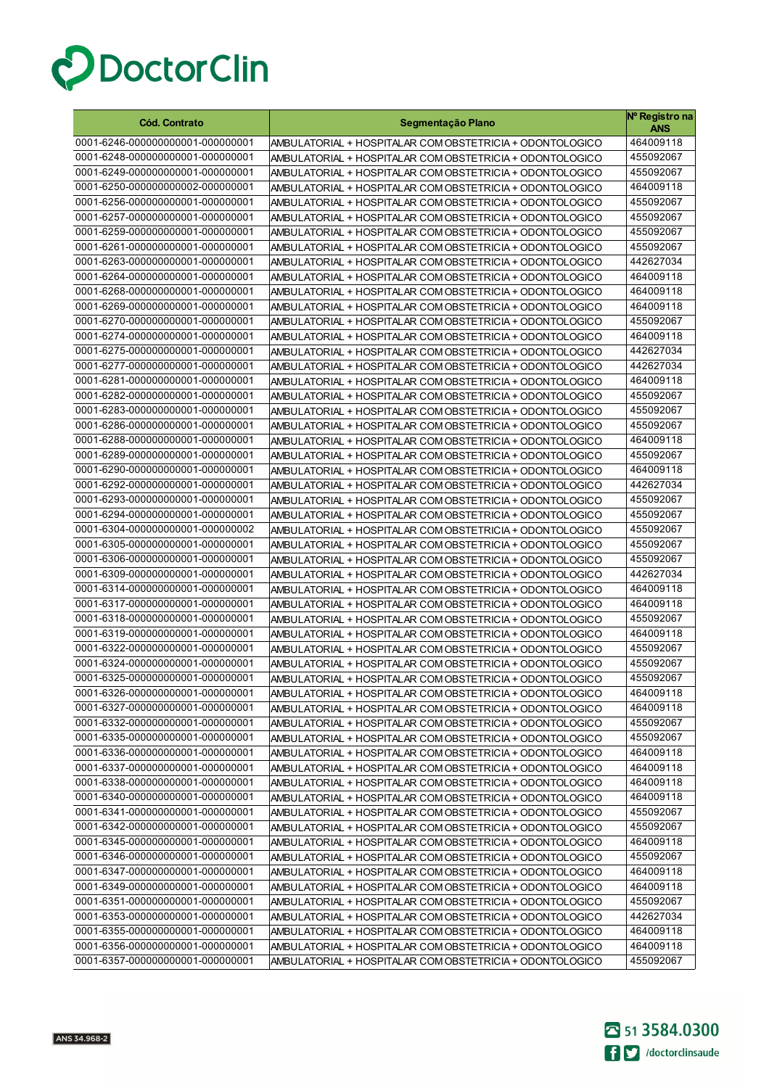

| <b>Cód. Contrato</b>                                                 | Segmentação Plano                                                                                                    | Nº Registro na<br><b>ANS</b> |
|----------------------------------------------------------------------|----------------------------------------------------------------------------------------------------------------------|------------------------------|
| 0001-6246-000000000001-000000001                                     | AMBULATORIAL + HOSPITALAR COM OBSTETRICIA + ODONTOLOGICO                                                             | 464009118                    |
| 0001-6248-000000000001-000000001                                     | AMBULATORIAL + HOSPITALAR COM OBSTETRICIA + ODONTOLOGICO                                                             | 455092067                    |
| 0001-6249-000000000001-000000001                                     | AMBULATORIAL + HOSPITALAR COM OBSTETRICIA + ODONTOLOGICO                                                             | 455092067                    |
| 0001-6250-000000000002-000000001                                     | AMBULATORIAL + HOSPITALAR COM OBSTETRICIA + ODONTOLOGICO                                                             | 464009118                    |
| 0001-6256-000000000001-000000001                                     | AMBULATORIAL + HOSPITALAR COM OBSTETRICIA + ODONTOLOGICO                                                             | 455092067                    |
| 0001-6257-000000000001-000000001                                     | AMBULATORIAL + HOSPITALAR COM OBSTETRICIA + ODONTOLOGICO                                                             | 455092067                    |
| 0001-6259-000000000001-000000001                                     | AMBULATORIAL + HOSPITALAR COM OBSTETRICIA + ODONTOLOGICO                                                             | 455092067                    |
| 0001-6261-000000000001-000000001                                     | AMBULATORIAL + HOSPITALAR COM OBSTETRICIA + ODONTOLOGICO                                                             | 455092067                    |
| 0001-6263-000000000001-000000001                                     | AMBULATORIAL + HOSPITALAR COM OBSTETRICIA + ODONTOLOGICO                                                             | 442627034                    |
| 0001-6264-000000000001-000000001                                     | AMBULATORIAL + HOSPITALAR COM OBSTETRICIA + ODONTOLOGICO                                                             | 464009118                    |
| 0001-6268-000000000001-000000001                                     | AMBULATORIAL + HOSPITALAR COM OBSTETRICIA + ODONTOLOGICO                                                             | 464009118                    |
| 0001-6269-000000000001-000000001                                     | AMBULATORIAL + HOSPITALAR COM OBSTETRICIA + ODONTOLOGICO                                                             | 464009118                    |
| 0001-6270-000000000001-000000001                                     | AMBULATORIAL + HOSPITALAR COM OBSTETRICIA + ODONTOLOGICO                                                             | 455092067                    |
| 0001-6274-000000000001-000000001                                     | AMBULATORIAL + HOSPITALAR COM OBSTETRICIA + ODONTOLOGICO                                                             | 464009118                    |
| 0001-6275-000000000001-000000001                                     | AMBULATORIAL + HOSPITALAR COM OBSTETRICIA + ODONTOLOGICO                                                             | 442627034                    |
| 0001-6277-000000000001-000000001                                     | AMBULATORIAL + HOSPITALAR COM OBSTETRICIA + ODONTOLOGICO                                                             | 442627034                    |
| 0001-6281-000000000001-000000001                                     | AMBULATORIAL + HOSPITALAR COM OBSTETRICIA + ODONTOLOGICO                                                             | 464009118                    |
| 0001-6282-000000000001-000000001                                     | AMBULATORIAL + HOSPITALAR COM OBSTETRICIA + ODONTOLOGICO                                                             | 455092067                    |
| 0001-6283-000000000001-000000001                                     | AMBULATORIAL + HOSPITALAR COM OBSTETRICIA + ODONTOLOGICO                                                             | 455092067                    |
| 0001-6286-000000000001-000000001                                     | AMBULATORIAL + HOSPITALAR COM OBSTETRICIA + ODONTOLOGICO                                                             | 455092067                    |
| 0001-6288-000000000001-000000001                                     | AMBULATORIAL + HOSPITALAR COM OBSTETRICIA + ODONTOLOGICO                                                             | 464009118                    |
| 0001-6289-000000000001-000000001                                     | AMBULATORIAL + HOSPITALAR COM OBSTETRICIA + ODONTOLOGICO                                                             | 455092067                    |
| 0001-6290-000000000001-000000001                                     | AMBULATORIAL + HOSPITALAR COM OBSTETRICIA + ODONTOLOGICO                                                             | 464009118                    |
| 0001-6292-000000000001-000000001                                     | AMBULATORIAL + HOSPITALAR COM OBSTETRICIA + ODONTOLOGICO                                                             | 442627034                    |
| 0001-6293-000000000001-000000001                                     | AMBULATORIAL + HOSPITALAR COM OBSTETRICIA + ODONTOLOGICO                                                             | 455092067                    |
| 0001-6294-000000000001-000000001                                     | AMBULATORIAL + HOSPITALAR COM OBSTETRICIA + ODONTOLOGICO                                                             | 455092067                    |
| 0001-6304-000000000001-000000002                                     | AMBULATORIAL + HOSPITALAR COM OBSTETRICIA + ODONTOLOGICO                                                             | 455092067                    |
| 0001-6305-000000000001-000000001                                     | AMBULATORIAL + HOSPITALAR COM OBSTETRICIA + ODONTOLOGICO                                                             | 455092067                    |
| 0001-6306-000000000001-000000001<br>0001-6309-000000000001-000000001 | AMBULATORIAL + HOSPITALAR COM OBSTETRICIA + ODONTOLOGICO                                                             | 455092067<br>442627034       |
| 0001-6314-000000000001-000000001                                     | AMBULATORIAL + HOSPITALAR COM OBSTETRICIA + ODONTOLOGICO                                                             | 464009118                    |
| 0001-6317-000000000001-000000001                                     | AMBULATORIAL + HOSPITALAR COM OBSTETRICIA + ODONTOLOGICO<br>AMBULATORIAL + HOSPITALAR COM OBSTETRICIA + ODONTOLOGICO | 464009118                    |
| 0001-6318-000000000001-000000001                                     | AMBULATORIAL + HOSPITALAR COM OBSTETRICIA + ODONTOLOGICO                                                             | 455092067                    |
| 0001-6319-000000000001-000000001                                     | AMBULATORIAL + HOSPITALAR COM OBSTETRICIA + ODONTOLOGICO                                                             | 464009118                    |
| 0001-6322-000000000001-000000001                                     | AMBULATORIAL + HOSPITALAR COM OBSTETRICIA + ODONTOLOGICO                                                             | 455092067                    |
| 0001-6324-000000000001-000000001                                     | AMBULATORIAL + HOSPITALAR COM OBSTETRICIA + ODONTOLOGICO                                                             | 455092067                    |
| 0001-6325-000000000001-000000001                                     | AMBULATORIAL + HOSPITALAR COM OBSTETRICIA + ODONTOLOGICO                                                             | 455092067                    |
| 0001-6326-000000000001-000000001                                     | AMBULATORIAL + HOSPITALAR COM OBSTETRICIA + ODONTOLOGICO                                                             | 464009118                    |
| 0001-6327-000000000001-000000001                                     | AMBULATORIAL + HOSPITALAR COM OBSTETRICIA + ODONTOLOGICO                                                             | 464009118                    |
| 0001-6332-000000000001-000000001                                     | AMBULATORIAL + HOSPITALAR COM OBSTETRICIA + ODONTOLOGICO                                                             | 455092067                    |
| 0001-6335-000000000001-000000001                                     | AMBULATORIAL + HOSPITALAR COM OBSTETRICIA + ODONTOLOGICO                                                             | 455092067                    |
| 0001-6336-000000000001-000000001                                     | AMBULATORIAL + HOSPITALAR COM OBSTETRICIA + ODONTOLOGICO                                                             | 464009118                    |
| 0001-6337-000000000001-000000001                                     | AMBULATORIAL + HOSPITALAR COM OBSTETRICIA + ODONTOLOGICO                                                             | 464009118                    |
| 0001-6338-000000000001-000000001                                     | AMBULATORIAL + HOSPITALAR COM OBSTETRICIA + ODONTOLOGICO                                                             | 464009118                    |
| 0001-6340-000000000001-000000001                                     | AMBULATORIAL + HOSPITALAR COM OBSTETRICIA + ODONTOLOGICO                                                             | 464009118                    |
| 0001-6341-000000000001-000000001                                     | AMBULATORIAL + HOSPITALAR COM OBSTETRICIA + ODONTOLOGICO                                                             | 455092067                    |
| 0001-6342-000000000001-000000001                                     | AMBULATORIAL + HOSPITALAR COM OBSTETRICIA + ODONTOLOGICO                                                             | 455092067                    |
| 0001-6345-000000000001-000000001                                     | AMBULATORIAL + HOSPITALAR COM OBSTETRICIA + ODONTOLOGICO                                                             | 464009118                    |
| 0001-6346-000000000001-000000001                                     | AMBULATORIAL + HOSPITALAR COM OBSTETRICIA + ODONTOLOGICO                                                             | 455092067                    |
| 0001-6347-000000000001-000000001                                     | AMBULATORIAL + HOSPITALAR COM OBSTETRICIA + ODONTOLOGICO                                                             | 464009118                    |
| 0001-6349-000000000001-000000001                                     | AMBULATORIAL + HOSPITALAR COM OBSTETRICIA + ODONTOLOGICO                                                             | 464009118                    |
| 0001-6351-000000000001-000000001                                     | AMBULATORIAL + HOSPITALAR COM OBSTETRICIA + ODONTOLOGICO                                                             | 455092067                    |
| 0001-6353-000000000001-000000001                                     | AMBULATORIAL + HOSPITALAR COM OBSTETRICIA + ODONTOLOGICO                                                             | 442627034                    |
| 0001-6355-000000000001-000000001                                     | AMBULATORIAL + HOSPITALAR COM OBSTETRICIA + ODONTOLOGICO                                                             | 464009118                    |
| 0001-6356-000000000001-000000001                                     | AMBULATORIAL + HOSPITALAR COM OBSTETRICIA + ODONTOLOGICO                                                             | 464009118                    |
| 0001-6357-000000000001-000000001                                     | AMBULATORIAL + HOSPITALAR COM OBSTETRICIA + ODONTOLOGICO                                                             | 455092067                    |

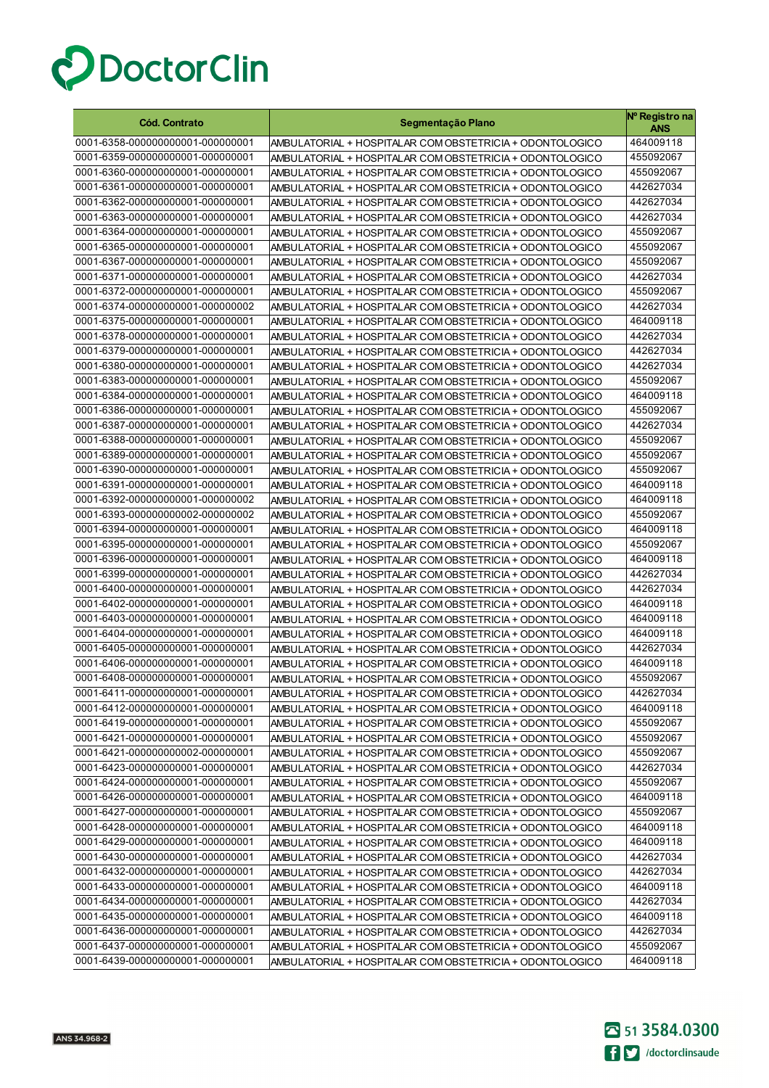

| <b>Cód. Contrato</b>                                                 | Segmentação Plano                                                                                                    | Nº Registro na<br>ANS  |
|----------------------------------------------------------------------|----------------------------------------------------------------------------------------------------------------------|------------------------|
| 0001-6358-000000000001-000000001                                     | AMBULATORIAL + HOSPITALAR COM OBSTETRICIA + ODONTOLOGICO                                                             | 464009118              |
| 0001-6359-000000000001-000000001                                     | AMBULATORIAL + HOSPITALAR COM OBSTETRICIA + ODONTOLOGICO                                                             | 455092067              |
| 0001-6360-000000000001-000000001                                     | AMBULATORIAL + HOSPITALAR COM OBSTETRICIA + ODONTOLOGICO                                                             | 455092067              |
| 0001-6361-000000000001-000000001                                     | AMBULATORIAL + HOSPITALAR COM OBSTETRICIA + ODONTOLOGICO                                                             | 442627034              |
| 0001-6362-000000000001-000000001                                     | AMBULATORIAL + HOSPITALAR COM OBSTETRICIA + ODONTOLOGICO                                                             | 442627034              |
| 0001-6363-000000000001-000000001                                     | AMBULATORIAL + HOSPITALAR COM OBSTETRICIA + ODONTOLOGICO                                                             | 442627034              |
| 0001-6364-000000000001-000000001                                     | AMBULATORIAL + HOSPITALAR COM OBSTETRICIA + ODONTOLOGICO                                                             | 455092067              |
| 0001-6365-000000000001-000000001                                     | AMBULATORIAL + HOSPITALAR COM OBSTETRICIA + ODONTOLOGICO                                                             | 455092067              |
| 0001-6367-000000000001-000000001                                     | AMBULATORIAL + HOSPITALAR COM OBSTETRICIA + ODONTOLOGICO                                                             | 455092067              |
| 0001-6371-000000000001-000000001                                     | AMBULATORIAL + HOSPITALAR COM OBSTETRICIA + ODONTOLOGICO                                                             | 442627034              |
| 0001-6372-000000000001-000000001                                     | AMBULATORIAL + HOSPITALAR COM OBSTETRICIA + ODONTOLOGICO                                                             | 455092067              |
| 0001-6374-000000000001-000000002                                     | AMBULATORIAL + HOSPITALAR COM OBSTETRICIA + ODONTOLOGICO                                                             | 442627034              |
| 0001-6375-000000000001-000000001                                     | AMBULATORIAL + HOSPITALAR COM OBSTETRICIA + ODONTOLOGICO                                                             | 464009118              |
| 0001-6378-000000000001-000000001                                     | AMBULATORIAL + HOSPITALAR COM OBSTETRICIA + ODONTOLOGICO                                                             | 442627034              |
| 0001-6379-000000000001-000000001                                     | AMBULATORIAL + HOSPITALAR COM OBSTETRICIA + ODONTOLOGICO                                                             | 442627034              |
| 0001-6380-000000000001-000000001                                     | AMBULATORIAL + HOSPITALAR COM OBSTETRICIA + ODONTOLOGICO                                                             | 442627034              |
| 0001-6383-000000000001-000000001                                     | AMBULATORIAL + HOSPITALAR COM OBSTETRICIA + ODONTOLOGICO                                                             | 455092067              |
| 0001-6384-000000000001-000000001                                     | AMBULATORIAL + HOSPITALAR COM OBSTETRICIA + ODONTOLOGICO                                                             | 464009118              |
| 0001-6386-000000000001-000000001                                     | AMBULATORIAL + HOSPITALAR COM OBSTETRICIA + ODONTOLOGICO                                                             | 455092067              |
| 0001-6387-000000000001-000000001                                     | AMBULATORIAL + HOSPITALAR COM OBSTETRICIA + ODONTOLOGICO                                                             | 442627034              |
| 0001-6388-000000000001-000000001                                     | AMBULATORIAL + HOSPITALAR COM OBSTETRICIA + ODONTOLOGICO                                                             | 455092067              |
| 0001-6389-000000000001-000000001                                     | AMBULATORIAL + HOSPITALAR COM OBSTETRICIA + ODONTOLOGICO                                                             | 455092067              |
| 0001-6390-000000000001-000000001                                     | AMBULATORIAL + HOSPITALAR COM OBSTETRICIA + ODONTOLOGICO                                                             | 455092067              |
| 0001-6391-000000000001-000000001                                     | AMBULATORIAL + HOSPITALAR COM OBSTETRICIA + ODONTOLOGICO                                                             | 464009118              |
| 0001-6392-000000000001-000000002                                     | AMBULATORIAL + HOSPITALAR COM OBSTETRICIA + ODONTOLOGICO                                                             | 464009118              |
| 0001-6393-000000000002-000000002                                     | AMBULATORIAL + HOSPITALAR COM OBSTETRICIA + ODONTOLOGICO                                                             | 455092067              |
| 0001-6394-000000000001-000000001                                     | AMBULATORIAL + HOSPITALAR COM OBSTETRICIA + ODONTOLOGICO                                                             | 464009118              |
| 0001-6395-000000000001-000000001                                     | AMBULATORIAL + HOSPITALAR COM OBSTETRICIA + ODONTOLOGICO                                                             | 455092067              |
| 0001-6396-000000000001-000000001<br>0001-6399-000000000001-000000001 | AMBULATORIAL + HOSPITALAR COM OBSTETRICIA + ODONTOLOGICO                                                             | 464009118<br>442627034 |
| 0001-6400-000000000001-000000001                                     | AMBULATORIAL + HOSPITALAR COM OBSTETRICIA + ODONTOLOGICO                                                             | 442627034              |
| 0001-6402-000000000001-000000001                                     | AMBULATORIAL + HOSPITALAR COM OBSTETRICIA + ODONTOLOGICO<br>AMBULATORIAL + HOSPITALAR COM OBSTETRICIA + ODONTOLOGICO | 464009118              |
| 0001-6403-000000000001-000000001                                     | AMBULATORIAL + HOSPITALAR COM OBSTETRICIA + ODONTOLOGICO                                                             | 464009118              |
| 0001-6404-000000000001-000000001                                     | AMBULATORIAL + HOSPITALAR COM OBSTETRICIA + ODONTOLOGICO                                                             | 464009118              |
| 0001-6405-000000000001-000000001                                     | AMBULATORIAL + HOSPITALAR COM OBSTETRICIA + ODONTOLOGICO                                                             | 442627034              |
| 0001-6406-000000000001-000000001                                     | AMBULATORIAL + HOSPITALAR COM OBSTETRICIA + ODONTOLOGICO                                                             | 464009118              |
| 0001-6408-000000000001-000000001                                     | AMBULATORIAL + HOSPITALAR COM OBSTETRICIA + ODONTOLOGICO                                                             | 455092067              |
| 0001-6411-000000000001-000000001                                     | AMBULATORIAL + HOSPITALAR COM OBSTETRICIA + ODONTOLOGICO                                                             | 442627034              |
| 0001-6412-000000000001-000000001                                     | AMBULATORIAL + HOSPITALAR COM OBSTETRICIA + ODONTOLOGICO                                                             | 464009118              |
| 0001-6419-000000000001-000000001                                     | AMBULATORIAL + HOSPITALAR COM OBSTETRICIA + ODONTOLOGICO                                                             | 455092067              |
| 0001-6421-000000000001-000000001                                     | AMBULATORIAL + HOSPITALAR COM OBSTETRICIA + ODONTOLOGICO                                                             | 455092067              |
| 0001-6421-000000000002-000000001                                     | AMBULATORIAL + HOSPITALAR COM OBSTETRICIA + ODONTOLOGICO                                                             | 455092067              |
| 0001-6423-000000000001-000000001                                     | AMBULATORIAL + HOSPITALAR COM OBSTETRICIA + ODONTOLOGICO                                                             | 442627034              |
| 0001-6424-000000000001-000000001                                     | AMBULATORIAL + HOSPITALAR COM OBSTETRICIA + ODONTOLOGICO                                                             | 455092067              |
| 0001-6426-000000000001-000000001                                     | AMBULATORIAL + HOSPITALAR COM OBSTETRICIA + ODONTOLOGICO                                                             | 464009118              |
| 0001-6427-000000000001-000000001                                     | AMBULATORIAL + HOSPITALAR COM OBSTETRICIA + ODONTOLOGICO                                                             | 455092067              |
| 0001-6428-000000000001-000000001                                     | AMBULATORIAL + HOSPITALAR COM OBSTETRICIA + ODONTOLOGICO                                                             | 464009118              |
| 0001-6429-000000000001-000000001                                     | AMBULATORIAL + HOSPITALAR COM OBSTETRICIA + ODONTOLOGICO                                                             | 464009118              |
| 0001-6430-000000000001-000000001                                     | AMBULATORIAL + HOSPITALAR COM OBSTETRICIA + ODONTOLOGICO                                                             | 442627034              |
| 0001-6432-000000000001-000000001                                     | AMBULATORIAL + HOSPITALAR COM OBSTETRICIA + ODONTOLOGICO                                                             | 442627034              |
| 0001-6433-000000000001-000000001                                     | AMBULATORIAL + HOSPITALAR COM OBSTETRICIA + ODONTOLOGICO                                                             | 464009118              |
| 0001-6434-000000000001-000000001                                     | AMBULATORIAL + HOSPITALAR COM OBSTETRICIA + ODONTOLOGICO                                                             | 442627034              |
| 0001-6435-000000000001-000000001                                     | AMBULATORIAL + HOSPITALAR COM OBSTETRICIA + ODONTOLOGICO                                                             | 464009118              |
| 0001-6436-000000000001-000000001                                     | AMBULATORIAL + HOSPITALAR COM OBSTETRICIA + ODONTOLOGICO                                                             | 442627034              |
| 0001-6437-000000000001-000000001                                     | AMBULATORIAL + HOSPITALAR COM OBSTETRICIA + ODONTOLOGICO                                                             | 455092067              |
| 0001-6439-000000000001-000000001                                     | AMBULATORIAL + HOSPITALAR COM OBSTETRICIA + ODONTOLOGICO                                                             | 464009118              |

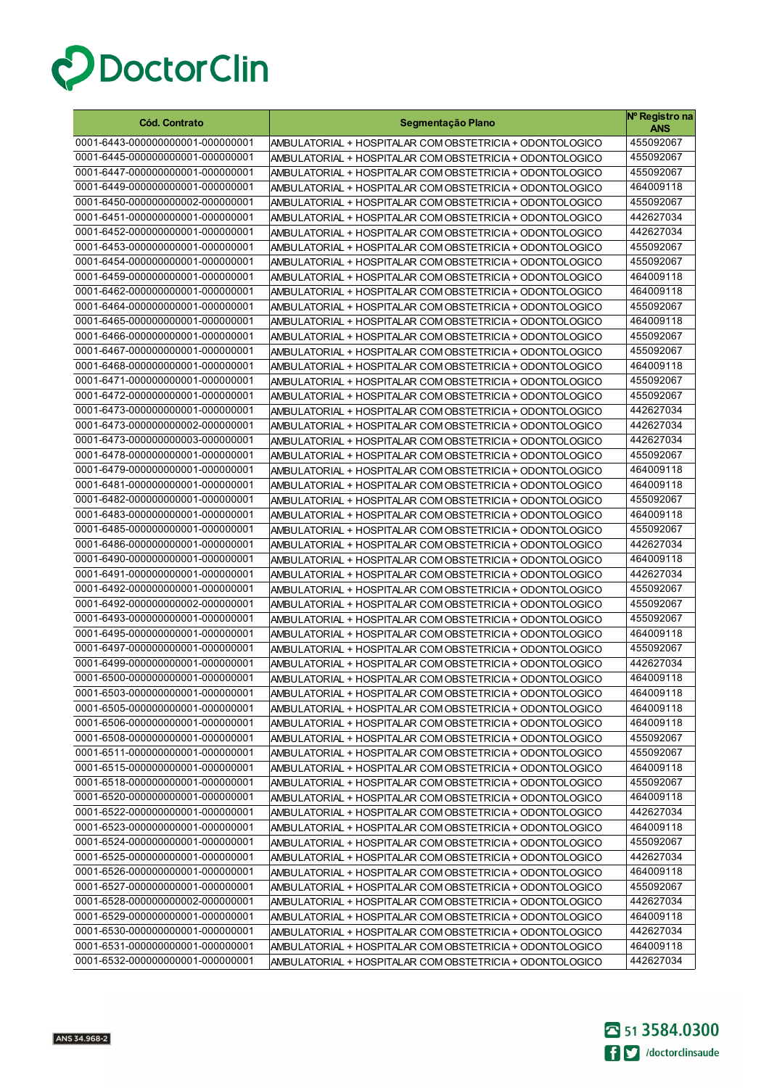

| <b>Cód. Contrato</b>             | Segmentação Plano                                        | Nº Registro na<br><b>ANS</b> |
|----------------------------------|----------------------------------------------------------|------------------------------|
| 0001-6443-000000000001-000000001 | AMBULATORIAL + HOSPITALAR COM OBSTETRICIA + ODONTOLOGICO | 455092067                    |
| 0001-6445-000000000001-000000001 | AMBULATORIAL + HOSPITALAR COM OBSTETRICIA + ODONTOLOGICO | 455092067                    |
| 0001-6447-000000000001-000000001 | AMBULATORIAL + HOSPITALAR COM OBSTETRICIA + ODONTOLOGICO | 455092067                    |
| 0001-6449-000000000001-000000001 | AMBULATORIAL + HOSPITALAR COM OBSTETRICIA + ODONTOLOGICO | 464009118                    |
| 0001-6450-000000000002-000000001 | AMBULATORIAL + HOSPITALAR COM OBSTETRICIA + ODONTOLOGICO | 455092067                    |
| 0001-6451-000000000001-000000001 | AMBULATORIAL + HOSPITALAR COM OBSTETRICIA + ODONTOLOGICO | 442627034                    |
| 0001-6452-000000000001-000000001 | AMBULATORIAL + HOSPITALAR COM OBSTETRICIA + ODONTOLOGICO | 442627034                    |
| 0001-6453-000000000001-000000001 | AMBULATORIAL + HOSPITALAR COM OBSTETRICIA + ODONTOLOGICO | 455092067                    |
| 0001-6454-000000000001-000000001 | AMBULATORIAL + HOSPITALAR COM OBSTETRICIA + ODONTOLOGICO | 455092067                    |
| 0001-6459-000000000001-000000001 | AMBULATORIAL + HOSPITALAR COM OBSTETRICIA + ODONTOLOGICO | 464009118                    |
| 0001-6462-000000000001-000000001 | AMBULATORIAL + HOSPITALAR COM OBSTETRICIA + ODONTOLOGICO | 464009118                    |
| 0001-6464-000000000001-000000001 | AMBULATORIAL + HOSPITALAR COM OBSTETRICIA + ODONTOLOGICO | 455092067                    |
| 0001-6465-000000000001-000000001 | AMBULATORIAL + HOSPITALAR COM OBSTETRICIA + ODONTOLOGICO | 464009118                    |
| 0001-6466-000000000001-000000001 | AMBULATORIAL + HOSPITALAR COM OBSTETRICIA + ODONTOLOGICO | 455092067                    |
| 0001-6467-000000000001-000000001 | AMBULATORIAL + HOSPITALAR COM OBSTETRICIA + ODONTOLOGICO | 455092067                    |
| 0001-6468-000000000001-000000001 | AMBULATORIAL + HOSPITALAR COM OBSTETRICIA + ODONTOLOGICO | 464009118                    |
| 0001-6471-000000000001-000000001 | AMBULATORIAL + HOSPITALAR COM OBSTETRICIA + ODONTOLOGICO | 455092067                    |
| 0001-6472-000000000001-000000001 | AMBULATORIAL + HOSPITALAR COM OBSTETRICIA + ODONTOLOGICO | 455092067                    |
| 0001-6473-000000000001-000000001 | AMBULATORIAL + HOSPITALAR COM OBSTETRICIA + ODONTOLOGICO | 442627034                    |
| 0001-6473-000000000002-000000001 | AMBULATORIAL + HOSPITALAR COM OBSTETRICIA + ODONTOLOGICO | 442627034                    |
| 0001-6473-000000000003-000000001 | AMBULATORIAL + HOSPITALAR COM OBSTETRICIA + ODONTOLOGICO | 442627034                    |
| 0001-6478-000000000001-000000001 | AMBULATORIAL + HOSPITALAR COM OBSTETRICIA + ODONTOLOGICO | 455092067                    |
| 0001-6479-000000000001-000000001 | AMBULATORIAL + HOSPITALAR COM OBSTETRICIA + ODONTOLOGICO | 464009118                    |
| 0001-6481-000000000001-000000001 | AMBULATORIAL + HOSPITALAR COM OBSTETRICIA + ODONTOLOGICO | 464009118                    |
| 0001-6482-000000000001-000000001 | AMBULATORIAL + HOSPITALAR COM OBSTETRICIA + ODONTOLOGICO | 455092067                    |
| 0001-6483-000000000001-000000001 | AMBULATORIAL + HOSPITALAR COM OBSTETRICIA + ODONTOLOGICO | 464009118                    |
| 0001-6485-000000000001-000000001 | AMBULATORIAL + HOSPITALAR COM OBSTETRICIA + ODONTOLOGICO | 455092067                    |
| 0001-6486-000000000001-000000001 | AMBULATORIAL + HOSPITALAR COM OBSTETRICIA + ODONTOLOGICO | 442627034                    |
| 0001-6490-000000000001-000000001 | AMBULATORIAL + HOSPITALAR COM OBSTETRICIA + ODONTOLOGICO | 464009118                    |
| 0001-6491-000000000001-000000001 | AMBULATORIAL + HOSPITALAR COM OBSTETRICIA + ODONTOLOGICO | 442627034                    |
| 0001-6492-000000000001-000000001 | AMBULATORIAL + HOSPITALAR COM OBSTETRICIA + ODONTOLOGICO | 455092067                    |
| 0001-6492-000000000002-000000001 | AMBULATORIAL + HOSPITALAR COM OBSTETRICIA + ODONTOLOGICO | 455092067                    |
| 0001-6493-000000000001-000000001 | AMBULATORIAL + HOSPITALAR COM OBSTETRICIA + ODONTOLOGICO | 455092067                    |
| 0001-6495-000000000001-000000001 | AMBULATORIAL + HOSPITALAR COM OBSTETRICIA + ODONTOLOGICO | 464009118                    |
| 0001-6497-000000000001-000000001 | AMBULATORIAL + HOSPITALAR COM OBSTETRICIA + ODONTOLOGICO | 455092067                    |
| 0001-6499-000000000001-000000001 | AMBULATORIAL + HOSPITALAR COM OBSTETRICIA + ODONTOLOGICO | 442627034                    |
| 0001-6500-000000000001-000000001 | AMBULATORIAL + HOSPITALAR COM OBSTETRICIA + ODONTOLOGICO | 464009118                    |
| 0001-6503-000000000001-000000001 | AMBULATORIAL + HOSPITALAR COM OBSTETRICIA + ODONTOLOGICO | 464009118                    |
| 0001-6505-000000000001-000000001 | AMBULATORIAL + HOSPITALAR COM OBSTETRICIA + ODONTOLOGICO | 464009118                    |
| 0001-6506-000000000001-000000001 | AMBULATORIAL + HOSPITALAR COM OBSTETRICIA + ODONTOLOGICO | 464009118                    |
| 0001-6508-000000000001-000000001 | AMBULATORIAL + HOSPITALAR COM OBSTETRICIA + ODONTOLOGICO | 455092067                    |
| 0001-6511-000000000001-000000001 | AMBULATORIAL + HOSPITALAR COM OBSTETRICIA + ODONTOLOGICO | 455092067                    |
| 0001-6515-000000000001-000000001 | AMBULATORIAL + HOSPITALAR COM OBSTETRICIA + ODONTOLOGICO | 464009118                    |
| 0001-6518-000000000001-000000001 | AMBULATORIAL + HOSPITALAR COM OBSTETRICIA + ODONTOLOGICO | 455092067                    |
| 0001-6520-000000000001-000000001 | AMBULATORIAL + HOSPITALAR COM OBSTETRICIA + ODONTOLOGICO | 464009118                    |
| 0001-6522-000000000001-000000001 | AMBULATORIAL + HOSPITALAR COM OBSTETRICIA + ODONTOLOGICO | 442627034                    |
| 0001-6523-000000000001-000000001 | AMBULATORIAL + HOSPITALAR COM OBSTETRICIA + ODONTOLOGICO | 464009118                    |
| 0001-6524-000000000001-000000001 | AMBULATORIAL + HOSPITALAR COM OBSTETRICIA + ODONTOLOGICO | 455092067                    |
| 0001-6525-000000000001-000000001 | AMBULATORIAL + HOSPITALAR COM OBSTETRICIA + ODONTOLOGICO | 442627034                    |
| 0001-6526-000000000001-000000001 | AMBULATORIAL + HOSPITALAR COM OBSTETRICIA + ODONTOLOGICO | 464009118                    |
| 0001-6527-000000000001-000000001 | AMBULATORIAL + HOSPITALAR COM OBSTETRICIA + ODONTOLOGICO | 455092067                    |
| 0001-6528-000000000002-000000001 | AMBULATORIAL + HOSPITALAR COM OBSTETRICIA + ODONTOLOGICO | 442627034                    |
| 0001-6529-000000000001-000000001 | AMBULATORIAL + HOSPITALAR COM OBSTETRICIA + ODONTOLOGICO | 464009118                    |
| 0001-6530-000000000001-000000001 | AMBULATORIAL + HOSPITALAR COM OBSTETRICIA + ODONTOLOGICO | 442627034                    |
| 0001-6531-000000000001-000000001 | AMBULATORIAL + HOSPITALAR COM OBSTETRICIA + ODONTOLOGICO | 464009118                    |
| 0001-6532-000000000001-000000001 | AMBULATORIAL + HOSPITALAR COM OBSTETRICIA + ODONTOLOGICO | 442627034                    |
|                                  |                                                          |                              |

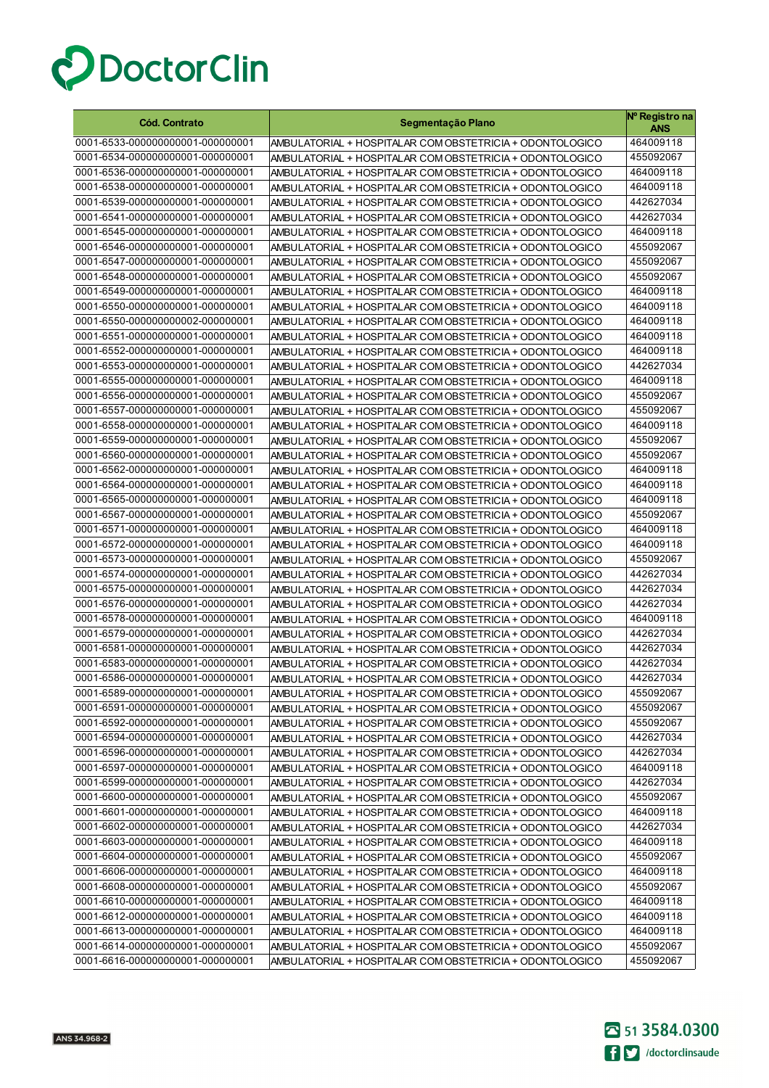

| <b>Cód. Contrato</b>                                                 | Segmentação Plano                                                                                                    | Nº Registro na<br><b>ANS</b> |
|----------------------------------------------------------------------|----------------------------------------------------------------------------------------------------------------------|------------------------------|
| 0001-6533-000000000001-000000001                                     | AMBULATORIAL + HOSPITALAR COM OBSTETRICIA + ODONTOLOGICO                                                             | 464009118                    |
| 0001-6534-000000000001-000000001                                     | AMBULATORIAL + HOSPITALAR COM OBSTETRICIA + ODONTOLOGICO                                                             | 455092067                    |
| 0001-6536-000000000001-000000001                                     | AMBULATORIAL + HOSPITALAR COM OBSTETRICIA + ODONTOLOGICO                                                             | 464009118                    |
| 0001-6538-000000000001-000000001                                     | AMBULATORIAL + HOSPITALAR COM OBSTETRICIA + ODONTOLOGICO                                                             | 464009118                    |
| 0001-6539-000000000001-000000001                                     | AMBULATORIAL + HOSPITALAR COM OBSTETRICIA + ODONTOLOGICO                                                             | 442627034                    |
| 0001-6541-000000000001-000000001                                     | AMBULATORIAL + HOSPITALAR COM OBSTETRICIA + ODONTOLOGICO                                                             | 442627034                    |
| 0001-6545-000000000001-000000001                                     | AMBULATORIAL + HOSPITALAR COM OBSTETRICIA + ODONTOLOGICO                                                             | 464009118                    |
| 0001-6546-000000000001-000000001                                     | AMBULATORIAL + HOSPITALAR COM OBSTETRICIA + ODONTOLOGICO                                                             | 455092067                    |
| 0001-6547-000000000001-000000001                                     | AMBULATORIAL + HOSPITALAR COM OBSTETRICIA + ODONTOLOGICO                                                             | 455092067                    |
| 0001-6548-000000000001-000000001                                     | AMBULATORIAL + HOSPITALAR COM OBSTETRICIA + ODONTOLOGICO                                                             | 455092067                    |
| 0001-6549-000000000001-000000001                                     | AMBULATORIAL + HOSPITALAR COM OBSTETRICIA + ODONTOLOGICO                                                             | 464009118                    |
| 0001-6550-000000000001-000000001                                     | AMBULATORIAL + HOSPITALAR COM OBSTETRICIA + ODONTOLOGICO                                                             | 464009118                    |
| 0001-6550-000000000002-000000001                                     | AMBULATORIAL + HOSPITALAR COM OBSTETRICIA + ODONTOLOGICO                                                             | 464009118                    |
| 0001-6551-000000000001-000000001                                     | AMBULATORIAL + HOSPITALAR COM OBSTETRICIA + ODONTOLOGICO                                                             | 464009118                    |
| 0001-6552-000000000001-000000001                                     | AMBULATORIAL + HOSPITALAR COM OBSTETRICIA + ODONTOLOGICO                                                             | 464009118                    |
| 0001-6553-000000000001-000000001                                     | AMBULATORIAL + HOSPITALAR COM OBSTETRICIA + ODONTOLOGICO                                                             | 442627034                    |
| 0001-6555-000000000001-000000001                                     | AMBULATORIAL + HOSPITALAR COM OBSTETRICIA + ODONTOLOGICO                                                             | 464009118                    |
| 0001-6556-000000000001-000000001                                     | AMBULATORIAL + HOSPITALAR COM OBSTETRICIA + ODONTOLOGICO                                                             | 455092067                    |
| 0001-6557-000000000001-000000001                                     | AMBULATORIAL + HOSPITALAR COM OBSTETRICIA + ODONTOLOGICO                                                             | 455092067                    |
| 0001-6558-000000000001-000000001                                     | AMBULATORIAL + HOSPITALAR COM OBSTETRICIA + ODONTOLOGICO                                                             | 464009118                    |
| 0001-6559-000000000001-000000001                                     | AMBULATORIAL + HOSPITALAR COM OBSTETRICIA + ODONTOLOGICO                                                             | 455092067                    |
| 0001-6560-000000000001-000000001                                     | AMBULATORIAL + HOSPITALAR COM OBSTETRICIA + ODONTOLOGICO                                                             | 455092067                    |
| 0001-6562-000000000001-000000001                                     | AMBULATORIAL + HOSPITALAR COM OBSTETRICIA + ODONTOLOGICO                                                             | 464009118                    |
| 0001-6564-000000000001-000000001                                     | AMBULATORIAL + HOSPITALAR COM OBSTETRICIA + ODONTOLOGICO                                                             | 464009118                    |
| 0001-6565-000000000001-000000001                                     | AMBULATORIAL + HOSPITALAR COM OBSTETRICIA + ODONTOLOGICO                                                             | 464009118                    |
| 0001-6567-000000000001-000000001                                     | AMBULATORIAL + HOSPITALAR COM OBSTETRICIA + ODONTOLOGICO                                                             | 455092067                    |
| 0001-6571-000000000001-000000001                                     | AMBULATORIAL + HOSPITALAR COM OBSTETRICIA + ODONTOLOGICO                                                             | 464009118                    |
| 0001-6572-000000000001-000000001                                     | AMBULATORIAL + HOSPITALAR COM OBSTETRICIA + ODONTOLOGICO                                                             | 464009118                    |
| 0001-6573-000000000001-000000001                                     | AMBULATORIAL + HOSPITALAR COM OBSTETRICIA + ODONTOLOGICO                                                             | 455092067                    |
| 0001-6574-000000000001-000000001                                     | AMBULATORIAL + HOSPITALAR COM OBSTETRICIA + ODONTOLOGICO                                                             | 442627034                    |
| 0001-6575-000000000001-000000001                                     | AMBULATORIAL + HOSPITALAR COM OBSTETRICIA + ODONTOLOGICO                                                             | 442627034                    |
| 0001-6576-000000000001-000000001                                     | AMBULATORIAL + HOSPITALAR COM OBSTETRICIA + ODONTOLOGICO                                                             | 442627034                    |
| 0001-6578-000000000001-000000001                                     | AMBULATORIAL + HOSPITALAR COM OBSTETRICIA + ODONTOLOGICO                                                             | 464009118                    |
| 0001-6579-000000000001-000000001                                     | AMBULATORIAL + HOSPITALAR COM OBSTETRICIA + ODONTOLOGICO                                                             | 442627034                    |
| 0001-6581-000000000001-000000001                                     | AMBULATORIAL + HOSPITALAR COM OBSTETRICIA + ODONTOLOGICO                                                             | 442627034                    |
| 0001-6583-000000000001-000000001                                     | AMBULATORIAL + HOSPITALAR COM OBSTETRICIA + ODONTOLOGICO                                                             | 442627034                    |
| 0001-6586-000000000001-000000001                                     | AMBULATORIAL + HOSPITALAR COM OBSTETRICIA + ODONTOLOGICO                                                             | 442627034                    |
| 0001-6589-000000000001-000000001                                     | AMBULATORIAL + HOSPITALAR COM OBSTETRICIA + ODONTOLOGICO                                                             | 455092067                    |
| 0001-6591-000000000001-000000001<br>0001-6592-000000000001-000000001 | AMBULATORIAL + HOSPITALAR COM OBSTETRICIA + ODONTOLOGICO                                                             | 455092067                    |
|                                                                      | AMBULATORIAL + HOSPITALAR COM OBSTETRICIA + ODONTOLOGICO                                                             | 455092067                    |
| 0001-6594-000000000001-000000001<br>0001-6596-000000000001-000000001 | AMBULATORIAL + HOSPITALAR COM OBSTETRICIA + ODONTOLOGICO                                                             | 442627034                    |
| 0001-6597-000000000001-000000001                                     | AMBULATORIAL + HOSPITALAR COM OBSTETRICIA + ODONTOLOGICO                                                             | 442627034                    |
| 0001-6599-000000000001-000000001                                     | AMBULATORIAL + HOSPITALAR COM OBSTETRICIA + ODONTOLOGICO                                                             | 464009118<br>442627034       |
| 0001-6600-000000000001-000000001                                     | AMBULATORIAL + HOSPITALAR COM OBSTETRICIA + ODONTOLOGICO                                                             | 455092067                    |
| 0001-6601-000000000001-000000001                                     | AMBULATORIAL + HOSPITALAR COM OBSTETRICIA + ODONTOLOGICO<br>AMBULATORIAL + HOSPITALAR COM OBSTETRICIA + ODONTOLOGICO | 464009118                    |
| 0001-6602-000000000001-000000001                                     | AMBULATORIAL + HOSPITALAR COM OBSTETRICIA + ODONTOLOGICO                                                             | 442627034                    |
| 0001-6603-000000000001-000000001                                     | AMBULATORIAL + HOSPITALAR COM OBSTETRICIA + ODONTOLOGICO                                                             | 464009118                    |
| 0001-6604-000000000001-000000001                                     | AMBULATORIAL + HOSPITALAR COM OBSTETRICIA + ODONTOLOGICO                                                             | 455092067                    |
| 0001-6606-000000000001-000000001                                     | AMBULATORIAL + HOSPITALAR COM OBSTETRICIA + ODONTOLOGICO                                                             | 464009118                    |
| 0001-6608-000000000001-000000001                                     | AMBULATORIAL + HOSPITALAR COM OBSTETRICIA + ODONTOLOGICO                                                             | 455092067                    |
| 0001-6610-000000000001-000000001                                     | AMBULATORIAL + HOSPITALAR COM OBSTETRICIA + ODONTOLOGICO                                                             | 464009118                    |
| 0001-6612-000000000001-000000001                                     | AMBULATORIAL + HOSPITALAR COM OBSTETRICIA + ODONTOLOGICO                                                             | 464009118                    |
| 0001-6613-000000000001-000000001                                     | AMBULATORIAL + HOSPITALAR COM OBSTETRICIA + ODONTOLOGICO                                                             | 464009118                    |
| 0001-6614-000000000001-000000001                                     | AMBULATORIAL + HOSPITALAR COM OBSTETRICIA + ODONTOLOGICO                                                             | 455092067                    |
| 0001-6616-000000000001-000000001                                     | AMBULATORIAL + HOSPITALAR COM OBSTETRICIA + ODONTOLOGICO                                                             | 455092067                    |

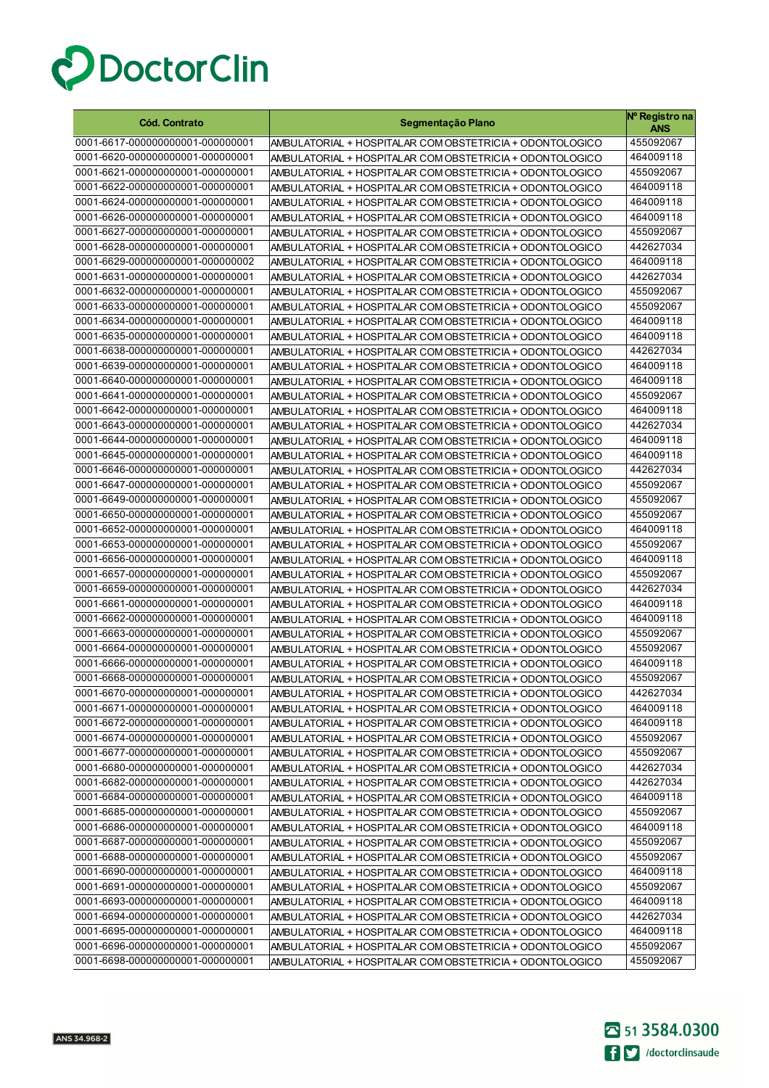

| <b>Cód. Contrato</b>             | Segmentação Plano                                        | Nº Registro na<br><b>ANS</b> |
|----------------------------------|----------------------------------------------------------|------------------------------|
| 0001-6617-000000000001-000000001 | AMBULATORIAL + HOSPITALAR COM OBSTETRICIA + ODONTOLOGICO | 455092067                    |
| 0001-6620-000000000001-000000001 | AMBULATORIAL + HOSPITALAR COM OBSTETRICIA + ODONTOLOGICO | 464009118                    |
| 0001-6621-000000000001-000000001 | AMBULATORIAL + HOSPITALAR COM OBSTETRICIA + ODONTOLOGICO | 455092067                    |
| 0001-6622-000000000001-000000001 | AMBULATORIAL + HOSPITALAR COM OBSTETRICIA + ODONTOLOGICO | 464009118                    |
| 0001-6624-000000000001-000000001 | AMBULATORIAL + HOSPITALAR COM OBSTETRICIA + ODONTOLOGICO | 464009118                    |
| 0001-6626-000000000001-000000001 | AMBULATORIAL + HOSPITALAR COM OBSTETRICIA + ODONTOLOGICO | 464009118                    |
| 0001-6627-000000000001-000000001 | AMBULATORIAL + HOSPITALAR COM OBSTETRICIA + ODONTOLOGICO | 455092067                    |
| 0001-6628-000000000001-000000001 | AMBULATORIAL + HOSPITALAR COM OBSTETRICIA + ODONTOLOGICO | 442627034                    |
| 0001-6629-000000000001-000000002 | AMBULATORIAL + HOSPITALAR COM OBSTETRICIA + ODONTOLOGICO | 464009118                    |
| 0001-6631-000000000001-000000001 | AMBULATORIAL + HOSPITALAR COM OBSTETRICIA + ODONTOLOGICO | 442627034                    |
| 0001-6632-000000000001-000000001 | AMBULATORIAL + HOSPITALAR COM OBSTETRICIA + ODONTOLOGICO | 455092067                    |
| 0001-6633-000000000001-000000001 | AMBULATORIAL + HOSPITALAR COM OBSTETRICIA + ODONTOLOGICO | 455092067                    |
| 0001-6634-000000000001-000000001 | AMBULATORIAL + HOSPITALAR COM OBSTETRICIA + ODONTOLOGICO | 464009118                    |
| 0001-6635-000000000001-000000001 | AMBULATORIAL + HOSPITALAR COM OBSTETRICIA + ODONTOLOGICO | 464009118                    |
| 0001-6638-000000000001-000000001 | AMBULATORIAL + HOSPITALAR COM OBSTETRICIA + ODONTOLOGICO | 442627034                    |
| 0001-6639-000000000001-000000001 | AMBULATORIAL + HOSPITALAR COM OBSTETRICIA + ODONTOLOGICO | 464009118                    |
| 0001-6640-000000000001-000000001 | AMBULATORIAL + HOSPITALAR COM OBSTETRICIA + ODONTOLOGICO | 464009118                    |
| 0001-6641-000000000001-000000001 | AMBULATORIAL + HOSPITALAR COM OBSTETRICIA + ODONTOLOGICO | 455092067                    |
| 0001-6642-000000000001-000000001 | AMBULATORIAL + HOSPITALAR COM OBSTETRICIA + ODONTOLOGICO | 464009118                    |
| 0001-6643-000000000001-000000001 | AMBULATORIAL + HOSPITALAR COM OBSTETRICIA + ODONTOLOGICO | 442627034                    |
| 0001-6644-000000000001-000000001 | AMBULATORIAL + HOSPITALAR COM OBSTETRICIA + ODONTOLOGICO | 464009118                    |
| 0001-6645-000000000001-000000001 | AMBULATORIAL + HOSPITALAR COM OBSTETRICIA + ODONTOLOGICO | 464009118                    |
| 0001-6646-000000000001-000000001 | AMBULATORIAL + HOSPITALAR COM OBSTETRICIA + ODONTOLOGICO | 442627034                    |
| 0001-6647-000000000001-000000001 | AMBULATORIAL + HOSPITALAR COM OBSTETRICIA + ODONTOLOGICO | 455092067                    |
| 0001-6649-000000000001-000000001 | AMBULATORIAL + HOSPITALAR COM OBSTETRICIA + ODONTOLOGICO | 455092067                    |
| 0001-6650-000000000001-000000001 | AMBULATORIAL + HOSPITALAR COM OBSTETRICIA + ODONTOLOGICO | 455092067                    |
| 0001-6652-000000000001-000000001 | AMBULATORIAL + HOSPITALAR COM OBSTETRICIA + ODONTOLOGICO | 464009118                    |
| 0001-6653-000000000001-000000001 | AMBULATORIAL + HOSPITALAR COM OBSTETRICIA + ODONTOLOGICO | 455092067                    |
| 0001-6656-000000000001-000000001 | AMBULATORIAL + HOSPITALAR COM OBSTETRICIA + ODONTOLOGICO | 464009118                    |
| 0001-6657-000000000001-000000001 | AMBULATORIAL + HOSPITALAR COM OBSTETRICIA + ODONTOLOGICO | 455092067                    |
| 0001-6659-000000000001-000000001 | AMBULATORIAL + HOSPITALAR COM OBSTETRICIA + ODONTOLOGICO | 442627034                    |
| 0001-6661-000000000001-000000001 | AMBULATORIAL + HOSPITALAR COM OBSTETRICIA + ODONTOLOGICO | 464009118                    |
| 0001-6662-000000000001-000000001 | AMBULATORIAL + HOSPITALAR COM OBSTETRICIA + ODONTOLOGICO | 464009118                    |
| 0001-6663-000000000001-000000001 | AMBULATORIAL + HOSPITALAR COM OBSTETRICIA + ODONTOLOGICO | 455092067                    |
| 0001-6664-000000000001-000000001 | AMBULATORIAL + HOSPITALAR COM OBSTETRICIA + ODONTOLOGICO | 455092067                    |
| 0001-6666-000000000001-000000001 | AMBULATORIAL + HOSPITALAR COM OBSTETRICIA + ODONTOLOGICO | 464009118                    |
| 0001-6668-000000000001-000000001 | AMBULATORIAL + HOSPITALAR COM OBSTETRICIA + ODONTOLOGICO | 455092067                    |
| 0001-6670-000000000001-000000001 | AMBULATORIAL + HOSPITALAR COM OBSTETRICIA + ODONTOLOGICO | 442627034                    |
| 0001-6671-000000000001-000000001 | AMBULATORIAL + HOSPITALAR COM OBSTETRICIA + ODONTOLOGICO | 464009118                    |
| 0001-6672-000000000001-000000001 | AMBULATORIAL + HOSPITALAR COM OBSTETRICIA + ODONTOLOGICO | 464009118                    |
| 0001-6674-000000000001-000000001 | AMBULATORIAL + HOSPITALAR COM OBSTETRICIA + ODONTOLOGICO | 455092067                    |
| 0001-6677-000000000001-000000001 | AMBULATORIAL + HOSPITALAR COM OBSTETRICIA + ODONTOLOGICO | 455092067                    |
| 0001-6680-000000000001-000000001 | AMBULATORIAL + HOSPITALAR COM OBSTETRICIA + ODONTOLOGICO | 442627034                    |
| 0001-6682-000000000001-000000001 | AMBULATORIAL + HOSPITALAR COM OBSTETRICIA + ODONTOLOGICO | 442627034                    |
| 0001-6684-000000000001-000000001 | AMBULATORIAL + HOSPITALAR COM OBSTETRICIA + ODONTOLOGICO | 464009118                    |
| 0001-6685-000000000001-000000001 | AMBULATORIAL + HOSPITALAR COM OBSTETRICIA + ODONTOLOGICO | 455092067                    |
| 0001-6686-000000000001-000000001 | AMBULATORIAL + HOSPITALAR COM OBSTETRICIA + ODONTOLOGICO | 464009118                    |
| 0001-6687-000000000001-000000001 | AMBULATORIAL + HOSPITALAR COM OBSTETRICIA + ODONTOLOGICO | 455092067                    |
| 0001-6688-000000000001-000000001 | AMBULATORIAL + HOSPITALAR COM OBSTETRICIA + ODONTOLOGICO | 455092067                    |
| 0001-6690-000000000001-000000001 | AMBULATORIAL + HOSPITALAR COM OBSTETRICIA + ODONTOLOGICO | 464009118                    |
| 0001-6691-000000000001-000000001 | AMBULATORIAL + HOSPITALAR COM OBSTETRICIA + ODONTOLOGICO | 455092067                    |
| 0001-6693-000000000001-000000001 | AMBULATORIAL + HOSPITALAR COM OBSTETRICIA + ODONTOLOGICO | 464009118                    |
| 0001-6694-000000000001-000000001 | AMBULATORIAL + HOSPITALAR COM OBSTETRICIA + ODONTOLOGICO | 442627034                    |
| 0001-6695-000000000001-000000001 | AMBULATORIAL + HOSPITALAR COM OBSTETRICIA + ODONTOLOGICO | 464009118                    |
| 0001-6696-000000000001-000000001 | AMBULATORIAL + HOSPITALAR COM OBSTETRICIA + ODONTOLOGICO | 455092067                    |
| 0001-6698-000000000001-000000001 | AMBULATORIAL + HOSPITALAR COM OBSTETRICIA + ODONTOLOGICO | 455092067                    |

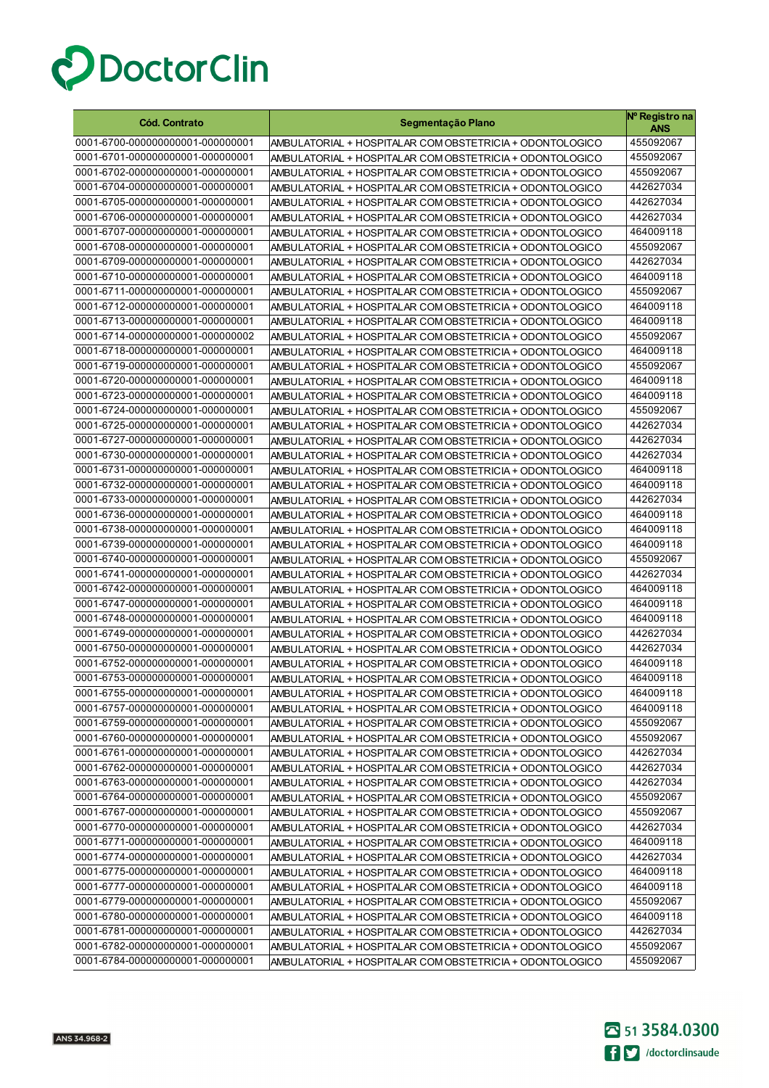

| <b>Cód. Contrato</b>             | Segmentação Plano                                        | Nº Registro na<br>ANS |
|----------------------------------|----------------------------------------------------------|-----------------------|
| 0001-6700-000000000001-000000001 | AMBULATORIAL + HOSPITALAR COM OBSTETRICIA + ODONTOLOGICO | 455092067             |
| 0001-6701-000000000001-000000001 | AMBULATORIAL + HOSPITALAR COM OBSTETRICIA + ODONTOLOGICO | 455092067             |
| 0001-6702-000000000001-000000001 | AMBULATORIAL + HOSPITALAR COM OBSTETRICIA + ODONTOLOGICO | 455092067             |
| 0001-6704-000000000001-000000001 | AMBULATORIAL + HOSPITALAR COM OBSTETRICIA + ODONTOLOGICO | 442627034             |
| 0001-6705-000000000001-000000001 | AMBULATORIAL + HOSPITALAR COM OBSTETRICIA + ODONTOLOGICO | 442627034             |
| 0001-6706-000000000001-000000001 | AMBULATORIAL + HOSPITALAR COM OBSTETRICIA + ODONTOLOGICO | 442627034             |
| 0001-6707-000000000001-000000001 | AMBULATORIAL + HOSPITALAR COM OBSTETRICIA + ODONTOLOGICO | 464009118             |
| 0001-6708-000000000001-000000001 | AMBULATORIAL + HOSPITALAR COM OBSTETRICIA + ODONTOLOGICO | 455092067             |
| 0001-6709-000000000001-000000001 | AMBULATORIAL + HOSPITALAR COM OBSTETRICIA + ODONTOLOGICO | 442627034             |
| 0001-6710-000000000001-000000001 | AMBULATORIAL + HOSPITALAR COM OBSTETRICIA + ODONTOLOGICO | 464009118             |
| 0001-6711-000000000001-000000001 | AMBULATORIAL + HOSPITALAR COM OBSTETRICIA + ODONTOLOGICO | 455092067             |
| 0001-6712-000000000001-000000001 | AMBULATORIAL + HOSPITALAR COM OBSTETRICIA + ODONTOLOGICO | 464009118             |
| 0001-6713-000000000001-000000001 | AMBULATORIAL + HOSPITALAR COM OBSTETRICIA + ODONTOLOGICO | 464009118             |
| 0001-6714-000000000001-000000002 | AMBULATORIAL + HOSPITALAR COM OBSTETRICIA + ODONTOLOGICO | 455092067             |
| 0001-6718-000000000001-000000001 | AMBULATORIAL + HOSPITALAR COM OBSTETRICIA + ODONTOLOGICO | 464009118             |
| 0001-6719-000000000001-000000001 | AMBULATORIAL + HOSPITALAR COM OBSTETRICIA + ODONTOLOGICO | 455092067             |
| 0001-6720-000000000001-000000001 | AMBULATORIAL + HOSPITALAR COM OBSTETRICIA + ODONTOLOGICO | 464009118             |
| 0001-6723-000000000001-000000001 | AMBULATORIAL + HOSPITALAR COM OBSTETRICIA + ODONTOLOGICO | 464009118             |
| 0001-6724-000000000001-000000001 | AMBULATORIAL + HOSPITALAR COM OBSTETRICIA + ODONTOLOGICO | 455092067             |
| 0001-6725-000000000001-000000001 | AMBULATORIAL + HOSPITALAR COM OBSTETRICIA + ODONTOLOGICO | 442627034             |
| 0001-6727-000000000001-000000001 | AMBULATORIAL + HOSPITALAR COM OBSTETRICIA + ODONTOLOGICO | 442627034             |
| 0001-6730-000000000001-000000001 | AMBULATORIAL + HOSPITALAR COM OBSTETRICIA + ODONTOLOGICO | 442627034             |
| 0001-6731-000000000001-000000001 | AMBULATORIAL + HOSPITALAR COM OBSTETRICIA + ODONTOLOGICO | 464009118             |
| 0001-6732-000000000001-000000001 | AMBULATORIAL + HOSPITALAR COM OBSTETRICIA + ODONTOLOGICO | 464009118             |
| 0001-6733-000000000001-000000001 | AMBULATORIAL + HOSPITALAR COM OBSTETRICIA + ODONTOLOGICO | 442627034             |
| 0001-6736-000000000001-000000001 | AMBULATORIAL + HOSPITALAR COM OBSTETRICIA + ODONTOLOGICO | 464009118             |
| 0001-6738-000000000001-000000001 | AMBULATORIAL + HOSPITALAR COM OBSTETRICIA + ODONTOLOGICO | 464009118             |
| 0001-6739-000000000001-000000001 | AMBULATORIAL + HOSPITALAR COM OBSTETRICIA + ODONTOLOGICO | 464009118             |
| 0001-6740-000000000001-000000001 | AMBULATORIAL + HOSPITALAR COM OBSTETRICIA + ODONTOLOGICO | 455092067             |
| 0001-6741-000000000001-000000001 | AMBULATORIAL + HOSPITALAR COM OBSTETRICIA + ODONTOLOGICO | 442627034             |
| 0001-6742-000000000001-000000001 | AMBULATORIAL + HOSPITALAR COM OBSTETRICIA + ODONTOLOGICO | 464009118             |
| 0001-6747-000000000001-000000001 | AMBULATORIAL + HOSPITALAR COM OBSTETRICIA + ODONTOLOGICO | 464009118             |
| 0001-6748-000000000001-000000001 | AMBULATORIAL + HOSPITALAR COM OBSTETRICIA + ODONTOLOGICO | 464009118             |
| 0001-6749-000000000001-000000001 | AMBULATORIAL + HOSPITALAR COM OBSTETRICIA + ODONTOLOGICO | 442627034             |
| 0001-6750-000000000001-000000001 | AMBULATORIAL + HOSPITALAR COM OBSTETRICIA + ODONTOLOGICO | 442627034             |
| 0001-6752-000000000001-000000001 | AMBULATORIAL + HOSPITALAR COM OBSTETRICIA + ODONTOLOGICO | 464009118             |
| 0001-6753-000000000001-000000001 | AMBULATORIAL + HOSPITALAR COM OBSTETRICIA + ODONTOLOGICO | 464009118             |
| 0001-6755-000000000001-000000001 | AMBULATORIAL + HOSPITALAR COM OBSTETRICIA + ODONTOLOGICO | 464009118             |
| 0001-6757-000000000001-000000001 | AMBULATORIAL + HOSPITALAR COM OBSTETRICIA + ODONTOLOGICO | 464009118             |
| 0001-6759-000000000001-000000001 | AMBULATORIAL + HOSPITALAR COM OBSTETRICIA + ODONTOLOGICO | 455092067             |
| 0001-6760-000000000001-000000001 | AMBULATORIAL + HOSPITALAR COM OBSTETRICIA + ODONTOLOGICO | 455092067             |
| 0001-6761-000000000001-000000001 | AMBULATORIAL + HOSPITALAR COM OBSTETRICIA + ODONTOLOGICO | 442627034             |
| 0001-6762-000000000001-000000001 | AMBULATORIAL + HOSPITALAR COM OBSTETRICIA + ODONTOLOGICO | 442627034             |
| 0001-6763-000000000001-000000001 | AMBULATORIAL + HOSPITALAR COM OBSTETRICIA + ODONTOLOGICO | 442627034             |
| 0001-6764-000000000001-000000001 | AMBULATORIAL + HOSPITALAR COM OBSTETRICIA + ODONTOLOGICO | 455092067             |
| 0001-6767-000000000001-000000001 | AMBULATORIAL + HOSPITALAR COM OBSTETRICIA + ODONTOLOGICO | 455092067             |
| 0001-6770-000000000001-000000001 | AMBULATORIAL + HOSPITALAR COM OBSTETRICIA + ODONTOLOGICO | 442627034             |
| 0001-6771-000000000001-000000001 | AMBULATORIAL + HOSPITALAR COM OBSTETRICIA + ODONTOLOGICO | 464009118             |
| 0001-6774-000000000001-000000001 | AMBULATORIAL + HOSPITALAR COM OBSTETRICIA + ODONTOLOGICO | 442627034             |
| 0001-6775-000000000001-000000001 | AMBULATORIAL + HOSPITALAR COM OBSTETRICIA + ODONTOLOGICO | 464009118             |
| 0001-6777-000000000001-000000001 | AMBULATORIAL + HOSPITALAR COM OBSTETRICIA + ODONTOLOGICO | 464009118             |
| 0001-6779-000000000001-000000001 | AMBULATORIAL + HOSPITALAR COM OBSTETRICIA + ODONTOLOGICO | 455092067             |
| 0001-6780-000000000001-000000001 | AMBULATORIAL + HOSPITALAR COM OBSTETRICIA + ODONTOLOGICO | 464009118             |
| 0001-6781-000000000001-000000001 | AMBULATORIAL + HOSPITALAR COM OBSTETRICIA + ODONTOLOGICO | 442627034             |
| 0001-6782-000000000001-000000001 | AMBULATORIAL + HOSPITALAR COM OBSTETRICIA + ODONTOLOGICO | 455092067             |
| 0001-6784-000000000001-000000001 | AMBULATORIAL + HOSPITALAR COM OBSTETRICIA + ODONTOLOGICO | 455092067             |

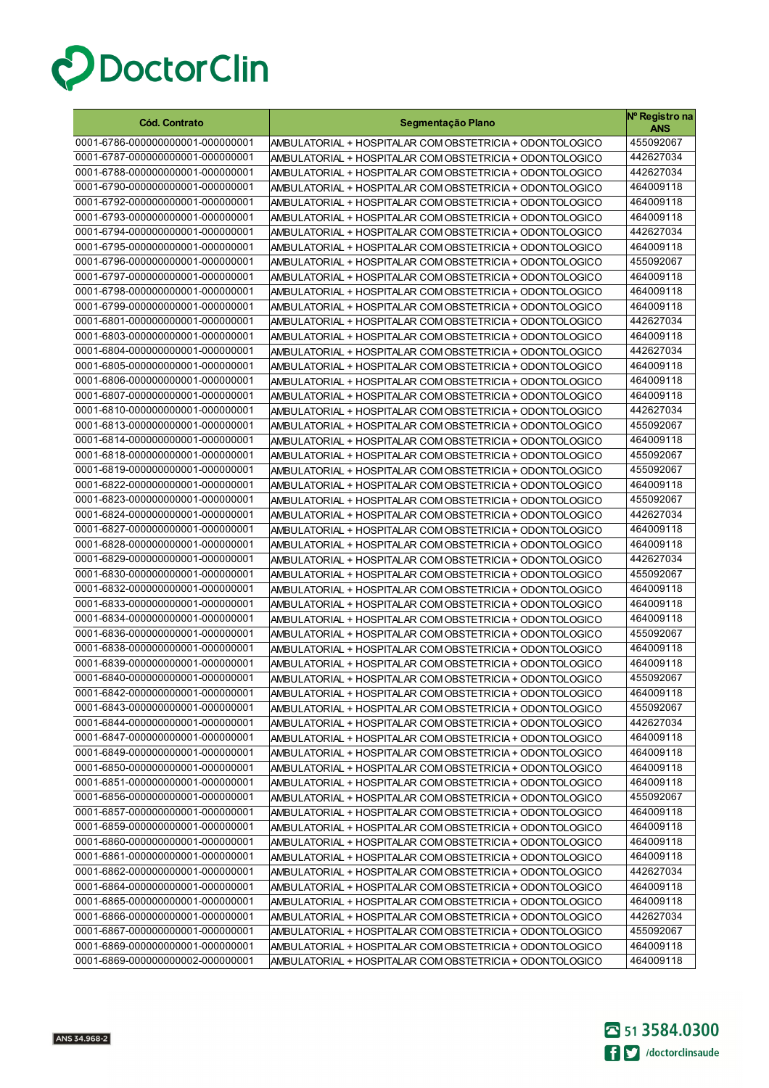

| <b>Cód. Contrato</b>                                                 | Segmentação Plano                                                                                                    | Nº Registro na<br>ANS  |
|----------------------------------------------------------------------|----------------------------------------------------------------------------------------------------------------------|------------------------|
| 0001-6786-000000000001-000000001                                     | AMBULATORIAL + HOSPITALAR COM OBSTETRICIA + ODONTOLOGICO                                                             | 455092067              |
| 0001-6787-000000000001-000000001                                     | AMBULATORIAL + HOSPITALAR COM OBSTETRICIA + ODONTOLOGICO                                                             | 442627034              |
| 0001-6788-000000000001-000000001                                     | AMBULATORIAL + HOSPITALAR COM OBSTETRICIA + ODONTOLOGICO                                                             | 442627034              |
| 0001-6790-000000000001-000000001                                     | AMBULATORIAL + HOSPITALAR COM OBSTETRICIA + ODONTOLOGICO                                                             | 464009118              |
| 0001-6792-000000000001-000000001                                     | AMBULATORIAL + HOSPITALAR COM OBSTETRICIA + ODONTOLOGICO                                                             | 464009118              |
| 0001-6793-000000000001-000000001                                     | AMBULATORIAL + HOSPITALAR COM OBSTETRICIA + ODONTOLOGICO                                                             | 464009118              |
| 0001-6794-000000000001-000000001                                     | AMBULATORIAL + HOSPITALAR COM OBSTETRICIA + ODONTOLOGICO                                                             | 442627034              |
| 0001-6795-000000000001-000000001                                     | AMBULATORIAL + HOSPITALAR COM OBSTETRICIA + ODONTOLOGICO                                                             | 464009118              |
| 0001-6796-000000000001-000000001                                     | AMBULATORIAL + HOSPITALAR COM OBSTETRICIA + ODONTOLOGICO                                                             | 455092067              |
| 0001-6797-000000000001-000000001                                     | AMBULATORIAL + HOSPITALAR COM OBSTETRICIA + ODONTOLOGICO                                                             | 464009118              |
| 0001-6798-000000000001-000000001                                     | AMBULATORIAL + HOSPITALAR COM OBSTETRICIA + ODONTOLOGICO                                                             | 464009118              |
| 0001-6799-000000000001-000000001                                     | AMBULATORIAL + HOSPITALAR COM OBSTETRICIA + ODONTOLOGICO                                                             | 464009118              |
| 0001-6801-000000000001-000000001                                     | AMBULATORIAL + HOSPITALAR COM OBSTETRICIA + ODONTOLOGICO                                                             | 442627034              |
| 0001-6803-000000000001-000000001                                     | AMBULATORIAL + HOSPITALAR COM OBSTETRICIA + ODONTOLOGICO                                                             | 464009118              |
| 0001-6804-000000000001-000000001                                     | AMBULATORIAL + HOSPITALAR COM OBSTETRICIA + ODONTOLOGICO                                                             | 442627034              |
| 0001-6805-000000000001-000000001                                     | AMBULATORIAL + HOSPITALAR COM OBSTETRICIA + ODONTOLOGICO                                                             | 464009118              |
| 0001-6806-000000000001-000000001                                     | AMBULATORIAL + HOSPITALAR COM OBSTETRICIA + ODONTOLOGICO                                                             | 464009118              |
| 0001-6807-000000000001-000000001                                     | AMBULATORIAL + HOSPITALAR COM OBSTETRICIA + ODONTOLOGICO                                                             | 464009118              |
| 0001-6810-000000000001-000000001                                     | AMBULATORIAL + HOSPITALAR COM OBSTETRICIA + ODONTOLOGICO                                                             | 442627034              |
| 0001-6813-000000000001-000000001                                     | AMBULATORIAL + HOSPITALAR COM OBSTETRICIA + ODONTOLOGICO                                                             | 455092067              |
| 0001-6814-000000000001-000000001                                     | AMBULATORIAL + HOSPITALAR COM OBSTETRICIA + ODONTOLOGICO                                                             | 464009118              |
| 0001-6818-000000000001-000000001                                     | AMBULATORIAL + HOSPITALAR COM OBSTETRICIA + ODONTOLOGICO                                                             | 455092067              |
| 0001-6819-000000000001-000000001                                     | AMBULATORIAL + HOSPITALAR COM OBSTETRICIA + ODONTOLOGICO                                                             | 455092067              |
| 0001-6822-000000000001-000000001                                     | AMBULATORIAL + HOSPITALAR COM OBSTETRICIA + ODONTOLOGICO                                                             | 464009118              |
| 0001-6823-000000000001-000000001                                     | AMBULATORIAL + HOSPITALAR COM OBSTETRICIA + ODONTOLOGICO                                                             | 455092067              |
| 0001-6824-000000000001-000000001                                     | AMBULATORIAL + HOSPITALAR COM OBSTETRICIA + ODONTOLOGICO                                                             | 442627034              |
| 0001-6827-000000000001-000000001                                     | AMBULATORIAL + HOSPITALAR COM OBSTETRICIA + ODONTOLOGICO                                                             | 464009118              |
| 0001-6828-000000000001-000000001                                     | AMBULATORIAL + HOSPITALAR COM OBSTETRICIA + ODONTOLOGICO                                                             | 464009118              |
| 0001-6829-000000000001-000000001                                     | AMBULATORIAL + HOSPITALAR COM OBSTETRICIA + ODONTOLOGICO                                                             | 442627034              |
| 0001-6830-000000000001-000000001                                     | AMBULATORIAL + HOSPITALAR COM OBSTETRICIA + ODONTOLOGICO                                                             | 455092067              |
| 0001-6832-000000000001-000000001<br>0001-6833-000000000001-000000001 | AMBULATORIAL + HOSPITALAR COM OBSTETRICIA + ODONTOLOGICO                                                             | 464009118<br>464009118 |
| 0001-6834-000000000001-000000001                                     | AMBULATORIAL + HOSPITALAR COM OBSTETRICIA + ODONTOLOGICO<br>AMBULATORIAL + HOSPITALAR COM OBSTETRICIA + ODONTOLOGICO | 464009118              |
| 0001-6836-000000000001-000000001                                     | AMBULATORIAL + HOSPITALAR COM OBSTETRICIA + ODONTOLOGICO                                                             | 455092067              |
| 0001-6838-000000000001-000000001                                     | AMBULATORIAL + HOSPITALAR COM OBSTETRICIA + ODONTOLOGICO                                                             | 464009118              |
| 0001-6839-000000000001-000000001                                     | AMBULATORIAL + HOSPITALAR COM OBSTETRICIA + ODONTOLOGICO                                                             | 464009118              |
| 0001-6840-000000000001-000000001                                     | AMBULATORIAL + HOSPITALAR COM OBSTETRICIA + ODONTOLOGICO                                                             | 455092067              |
| 0001-6842-000000000001-000000001                                     | AMBULATORIAL + HOSPITALAR COM OBSTETRICIA + ODONTOLOGICO                                                             | 464009118              |
| 0001-6843-000000000001-000000001                                     | AMBULATORIAL + HOSPITALAR COM OBSTETRICIA + ODONTOLOGICO                                                             | 455092067              |
| 0001-6844-000000000001-000000001                                     | AMBULATORIAL + HOSPITALAR COM OBSTETRICIA + ODONTOLOGICO                                                             | 442627034              |
| 0001-6847-000000000001-000000001                                     | AMBULATORIAL + HOSPITALAR COM OBSTETRICIA + ODONTOLOGICO                                                             | 464009118              |
| 0001-6849-000000000001-000000001                                     | AMBULATORIAL + HOSPITALAR COM OBSTETRICIA + ODONTOLOGICO                                                             | 464009118              |
| 0001-6850-000000000001-000000001                                     | AMBULATORIAL + HOSPITALAR COM OBSTETRICIA + ODONTOLOGICO                                                             | 464009118              |
| 0001-6851-000000000001-000000001                                     | AMBULATORIAL + HOSPITALAR COM OBSTETRICIA + ODONTOLOGICO                                                             | 464009118              |
| 0001-6856-000000000001-000000001                                     | AMBULATORIAL + HOSPITALAR COM OBSTETRICIA + ODONTOLOGICO                                                             | 455092067              |
| 0001-6857-000000000001-000000001                                     | AMBULATORIAL + HOSPITALAR COM OBSTETRICIA + ODONTOLOGICO                                                             | 464009118              |
| 0001-6859-000000000001-000000001                                     | AMBULATORIAL + HOSPITALAR COM OBSTETRICIA + ODONTOLOGICO                                                             | 464009118              |
| 0001-6860-000000000001-000000001                                     | AMBULATORIAL + HOSPITALAR COM OBSTETRICIA + ODONTOLOGICO                                                             | 464009118              |
| 0001-6861-000000000001-000000001                                     | AMBULATORIAL + HOSPITALAR COM OBSTETRICIA + ODONTOLOGICO                                                             | 464009118              |
| 0001-6862-000000000001-000000001                                     | AMBULATORIAL + HOSPITALAR COM OBSTETRICIA + ODONTOLOGICO                                                             | 442627034              |
| 0001-6864-000000000001-000000001                                     | AMBULATORIAL + HOSPITALAR COM OBSTETRICIA + ODONTOLOGICO                                                             | 464009118              |
| 0001-6865-000000000001-000000001                                     | AMBULATORIAL + HOSPITALAR COM OBSTETRICIA + ODONTOLOGICO                                                             | 464009118              |
| 0001-6866-000000000001-000000001                                     | AMBULATORIAL + HOSPITALAR COM OBSTETRICIA + ODONTOLOGICO                                                             | 442627034              |
| 0001-6867-000000000001-000000001                                     | AMBULATORIAL + HOSPITALAR COM OBSTETRICIA + ODONTOLOGICO                                                             | 455092067              |
| 0001-6869-000000000001-000000001                                     | AMBULATORIAL + HOSPITALAR COM OBSTETRICIA + ODONTOLOGICO                                                             | 464009118              |
| 0001-6869-000000000002-000000001                                     | AMBULATORIAL + HOSPITALAR COM OBSTETRICIA + ODONTOLOGICO                                                             | 464009118              |

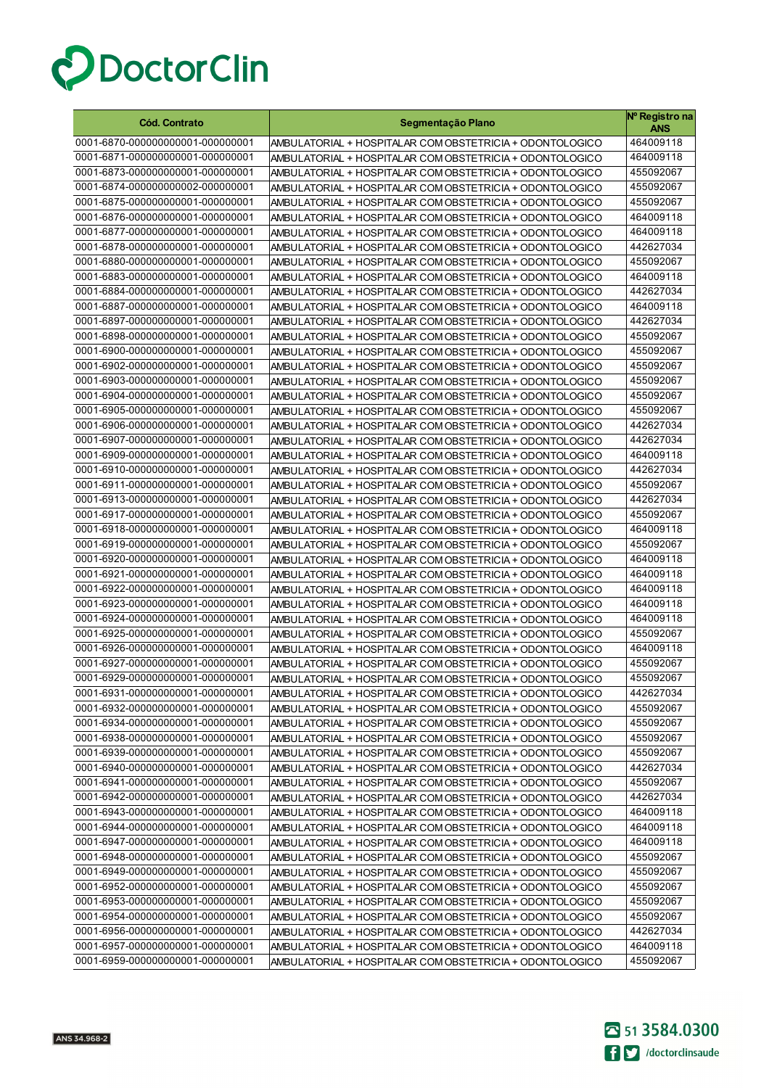

| <b>Cód. Contrato</b>                                                 | Segmentação Plano                                                                                                    | Nº Registro na<br>ANS  |
|----------------------------------------------------------------------|----------------------------------------------------------------------------------------------------------------------|------------------------|
| 0001-6870-000000000001-000000001                                     | AMBULATORIAL + HOSPITALAR COM OBSTETRICIA + ODONTOLOGICO                                                             | 464009118              |
| 0001-6871-000000000001-000000001                                     | AMBULATORIAL + HOSPITALAR COM OBSTETRICIA + ODONTOLOGICO                                                             | 464009118              |
| 0001-6873-000000000001-000000001                                     | AMBULATORIAL + HOSPITALAR COM OBSTETRICIA + ODONTOLOGICO                                                             | 455092067              |
| 0001-6874-000000000002-000000001                                     | AMBULATORIAL + HOSPITALAR COM OBSTETRICIA + ODONTOLOGICO                                                             | 455092067              |
| 0001-6875-000000000001-000000001                                     | AMBULATORIAL + HOSPITALAR COM OBSTETRICIA + ODONTOLOGICO                                                             | 455092067              |
| 0001-6876-000000000001-000000001                                     | AMBULATORIAL + HOSPITALAR COM OBSTETRICIA + ODONTOLOGICO                                                             | 464009118              |
| 0001-6877-000000000001-000000001                                     | AMBULATORIAL + HOSPITALAR COM OBSTETRICIA + ODONTOLOGICO                                                             | 464009118              |
| 0001-6878-000000000001-000000001                                     | AMBULATORIAL + HOSPITALAR COM OBSTETRICIA + ODONTOLOGICO                                                             | 442627034              |
| 0001-6880-000000000001-000000001                                     | AMBULATORIAL + HOSPITALAR COM OBSTETRICIA + ODONTOLOGICO                                                             | 455092067              |
| 0001-6883-000000000001-000000001                                     | AMBULATORIAL + HOSPITALAR COM OBSTETRICIA + ODONTOLOGICO                                                             | 464009118              |
| 0001-6884-000000000001-000000001                                     | AMBULATORIAL + HOSPITALAR COM OBSTETRICIA + ODONTOLOGICO                                                             | 442627034              |
| 0001-6887-000000000001-000000001                                     | AMBULATORIAL + HOSPITALAR COM OBSTETRICIA + ODONTOLOGICO                                                             | 464009118              |
| 0001-6897-000000000001-000000001                                     | AMBULATORIAL + HOSPITALAR COM OBSTETRICIA + ODONTOLOGICO                                                             | 442627034              |
| 0001-6898-000000000001-000000001                                     | AMBULATORIAL + HOSPITALAR COM OBSTETRICIA + ODONTOLOGICO                                                             | 455092067              |
| 0001-6900-000000000001-000000001                                     | AMBULATORIAL + HOSPITALAR COM OBSTETRICIA + ODONTOLOGICO                                                             | 455092067              |
| 0001-6902-000000000001-000000001                                     | AMBULATORIAL + HOSPITALAR COM OBSTETRICIA + ODONTOLOGICO                                                             | 455092067              |
| 0001-6903-000000000001-000000001                                     | AMBULATORIAL + HOSPITALAR COM OBSTETRICIA + ODONTOLOGICO                                                             | 455092067              |
| 0001-6904-000000000001-000000001                                     | AMBULATORIAL + HOSPITALAR COM OBSTETRICIA + ODONTOLOGICO                                                             | 455092067              |
| 0001-6905-000000000001-000000001                                     | AMBULATORIAL + HOSPITALAR COM OBSTETRICIA + ODONTOLOGICO                                                             | 455092067              |
| 0001-6906-000000000001-000000001                                     | AMBULATORIAL + HOSPITALAR COM OBSTETRICIA + ODONTOLOGICO                                                             | 442627034              |
| 0001-6907-000000000001-000000001                                     | AMBULATORIAL + HOSPITALAR COM OBSTETRICIA + ODONTOLOGICO                                                             | 442627034              |
| 0001-6909-000000000001-000000001                                     | AMBULATORIAL + HOSPITALAR COM OBSTETRICIA + ODONTOLOGICO                                                             | 464009118              |
| 0001-6910-000000000001-000000001                                     | AMBULATORIAL + HOSPITALAR COM OBSTETRICIA + ODONTOLOGICO                                                             | 442627034              |
| 0001-6911-000000000001-000000001                                     | AMBULATORIAL + HOSPITALAR COM OBSTETRICIA + ODONTOLOGICO                                                             | 455092067              |
| 0001-6913-000000000001-000000001                                     | AMBULATORIAL + HOSPITALAR COM OBSTETRICIA + ODONTOLOGICO                                                             | 442627034              |
| 0001-6917-000000000001-000000001                                     | AMBULATORIAL + HOSPITALAR COM OBSTETRICIA + ODONTOLOGICO                                                             | 455092067              |
| 0001-6918-000000000001-000000001                                     | AMBULATORIAL + HOSPITALAR COM OBSTETRICIA + ODONTOLOGICO                                                             | 464009118              |
| 0001-6919-000000000001-000000001                                     | AMBULATORIAL + HOSPITALAR COM OBSTETRICIA + ODONTOLOGICO                                                             | 455092067              |
| 0001-6920-000000000001-000000001                                     | AMBULATORIAL + HOSPITALAR COM OBSTETRICIA + ODONTOLOGICO                                                             | 464009118<br>464009118 |
| 0001-6921-000000000001-000000001<br>0001-6922-000000000001-000000001 | AMBULATORIAL + HOSPITALAR COM OBSTETRICIA + ODONTOLOGICO                                                             | 464009118              |
| 0001-6923-000000000001-000000001                                     | AMBULATORIAL + HOSPITALAR COM OBSTETRICIA + ODONTOLOGICO                                                             | 464009118              |
| 0001-6924-000000000001-000000001                                     | AMBULATORIAL + HOSPITALAR COM OBSTETRICIA + ODONTOLOGICO<br>AMBULATORIAL + HOSPITALAR COM OBSTETRICIA + ODONTOLOGICO | 464009118              |
| 0001-6925-000000000001-000000001                                     | AMBULATORIAL + HOSPITALAR COM OBSTETRICIA + ODONTOLOGICO                                                             | 455092067              |
| 0001-6926-000000000001-000000001                                     | AMBULATORIAL + HOSPITALAR COM OBSTETRICIA + ODONTOLOGICO                                                             | 464009118              |
| 0001-6927-000000000001-000000001                                     | AMBULATORIAL + HOSPITALAR COM OBSTETRICIA + ODONTOLOGICO                                                             | 455092067              |
| 0001-6929-000000000001-000000001                                     | AMBULATORIAL + HOSPITALAR COM OBSTETRICIA + ODONTOLOGICO                                                             | 455092067              |
| 0001-6931-000000000001-000000001                                     | AMBULATORIAL + HOSPITALAR COM OBSTETRICIA + ODONTOLOGICO                                                             | 442627034              |
| 0001-6932-000000000001-000000001                                     | AMBULATORIAL + HOSPITALAR COM OBSTETRICIA + ODONTOLOGICO                                                             | 455092067              |
| 0001-6934-000000000001-000000001                                     | AMBULATORIAL + HOSPITALAR COM OBSTETRICIA + ODONTOLOGICO                                                             | 455092067              |
| 0001-6938-000000000001-000000001                                     | AMBULATORIAL + HOSPITALAR COM OBSTETRICIA + ODONTOLOGICO                                                             | 455092067              |
| 0001-6939-000000000001-000000001                                     | AMBULATORIAL + HOSPITALAR COM OBSTETRICIA + ODONTOLOGICO                                                             | 455092067              |
| 0001-6940-000000000001-000000001                                     | AMBULATORIAL + HOSPITALAR COM OBSTETRICIA + ODONTOLOGICO                                                             | 442627034              |
| 0001-6941-000000000001-000000001                                     | AMBULATORIAL + HOSPITALAR COM OBSTETRICIA + ODONTOLOGICO                                                             | 455092067              |
| 0001-6942-000000000001-000000001                                     | AMBULATORIAL + HOSPITALAR COM OBSTETRICIA + ODONTOLOGICO                                                             | 442627034              |
| 0001-6943-000000000001-000000001                                     | AMBULATORIAL + HOSPITALAR COM OBSTETRICIA + ODONTOLOGICO                                                             | 464009118              |
| 0001-6944-000000000001-000000001                                     | AMBULATORIAL + HOSPITALAR COM OBSTETRICIA + ODONTOLOGICO                                                             | 464009118              |
| 0001-6947-000000000001-000000001                                     | AMBULATORIAL + HOSPITALAR COM OBSTETRICIA + ODONTOLOGICO                                                             | 464009118              |
| 0001-6948-000000000001-000000001                                     | AMBULATORIAL + HOSPITALAR COM OBSTETRICIA + ODONTOLOGICO                                                             | 455092067              |
| 0001-6949-000000000001-000000001                                     | AMBULATORIAL + HOSPITALAR COM OBSTETRICIA + ODONTOLOGICO                                                             | 455092067              |
| 0001-6952-000000000001-000000001                                     | AMBULATORIAL + HOSPITALAR COM OBSTETRICIA + ODONTOLOGICO                                                             | 455092067              |
| 0001-6953-000000000001-000000001                                     | AMBULATORIAL + HOSPITALAR COM OBSTETRICIA + ODONTOLOGICO                                                             | 455092067              |
| 0001-6954-000000000001-000000001                                     | AMBULATORIAL + HOSPITALAR COM OBSTETRICIA + ODONTOLOGICO                                                             | 455092067              |
| 0001-6956-000000000001-000000001                                     | AMBULATORIAL + HOSPITALAR COM OBSTETRICIA + ODONTOLOGICO                                                             | 442627034              |
| 0001-6957-000000000001-000000001                                     | AMBULATORIAL + HOSPITALAR COM OBSTETRICIA + ODONTOLOGICO                                                             | 464009118              |
| 0001-6959-000000000001-000000001                                     | AMBULATORIAL + HOSPITALAR COM OBSTETRICIA + ODONTOLOGICO                                                             | 455092067              |

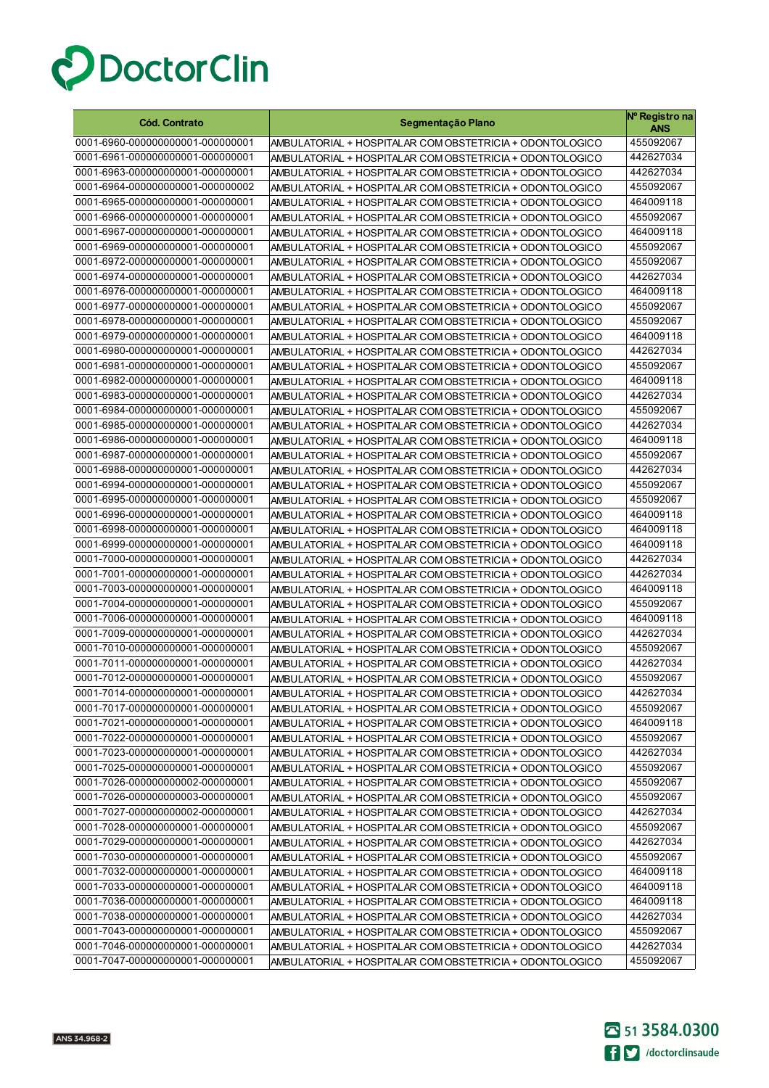

| <b>Cód. Contrato</b>             | Segmentação Plano                                        | Nº Registro na<br><b>ANS</b> |
|----------------------------------|----------------------------------------------------------|------------------------------|
| 0001-6960-000000000001-000000001 | AMBULATORIAL + HOSPITALAR COM OBSTETRICIA + ODONTOLOGICO | 455092067                    |
| 0001-6961-000000000001-000000001 | AMBULATORIAL + HOSPITALAR COM OBSTETRICIA + ODONTOLOGICO | 442627034                    |
| 0001-6963-000000000001-000000001 | AMBULATORIAL + HOSPITALAR COM OBSTETRICIA + ODONTOLOGICO | 442627034                    |
| 0001-6964-000000000001-000000002 | AMBULATORIAL + HOSPITALAR COM OBSTETRICIA + ODONTOLOGICO | 455092067                    |
| 0001-6965-000000000001-000000001 | AMBULATORIAL + HOSPITALAR COM OBSTETRICIA + ODONTOLOGICO | 464009118                    |
| 0001-6966-000000000001-000000001 | AMBULATORIAL + HOSPITALAR COM OBSTETRICIA + ODONTOLOGICO | 455092067                    |
| 0001-6967-000000000001-000000001 | AMBULATORIAL + HOSPITALAR COM OBSTETRICIA + ODONTOLOGICO | 464009118                    |
| 0001-6969-000000000001-000000001 | AMBULATORIAL + HOSPITALAR COM OBSTETRICIA + ODONTOLOGICO | 455092067                    |
| 0001-6972-000000000001-000000001 | AMBULATORIAL + HOSPITALAR COM OBSTETRICIA + ODONTOLOGICO | 455092067                    |
| 0001-6974-000000000001-000000001 | AMBULATORIAL + HOSPITALAR COM OBSTETRICIA + ODONTOLOGICO | 442627034                    |
| 0001-6976-000000000001-000000001 | AMBULATORIAL + HOSPITALAR COM OBSTETRICIA + ODONTOLOGICO | 464009118                    |
| 0001-6977-000000000001-000000001 | AMBULATORIAL + HOSPITALAR COM OBSTETRICIA + ODONTOLOGICO | 455092067                    |
| 0001-6978-000000000001-000000001 | AMBULATORIAL + HOSPITALAR COM OBSTETRICIA + ODONTOLOGICO | 455092067                    |
| 0001-6979-000000000001-000000001 | AMBULATORIAL + HOSPITALAR COM OBSTETRICIA + ODONTOLOGICO | 464009118                    |
| 0001-6980-000000000001-000000001 | AMBULATORIAL + HOSPITALAR COM OBSTETRICIA + ODONTOLOGICO | 442627034                    |
| 0001-6981-000000000001-000000001 | AMBULATORIAL + HOSPITALAR COM OBSTETRICIA + ODONTOLOGICO | 455092067                    |
| 0001-6982-000000000001-000000001 | AMBULATORIAL + HOSPITALAR COM OBSTETRICIA + ODONTOLOGICO | 464009118                    |
| 0001-6983-000000000001-000000001 | AMBULATORIAL + HOSPITALAR COM OBSTETRICIA + ODONTOLOGICO | 442627034                    |
| 0001-6984-000000000001-000000001 | AMBULATORIAL + HOSPITALAR COM OBSTETRICIA + ODONTOLOGICO | 455092067                    |
| 0001-6985-000000000001-000000001 | AMBULATORIAL + HOSPITALAR COM OBSTETRICIA + ODONTOLOGICO | 442627034                    |
| 0001-6986-000000000001-000000001 | AMBULATORIAL + HOSPITALAR COM OBSTETRICIA + ODONTOLOGICO | 464009118                    |
| 0001-6987-000000000001-000000001 | AMBULATORIAL + HOSPITALAR COM OBSTETRICIA + ODONTOLOGICO | 455092067                    |
| 0001-6988-000000000001-000000001 | AMBULATORIAL + HOSPITALAR COM OBSTETRICIA + ODONTOLOGICO | 442627034                    |
| 0001-6994-000000000001-000000001 | AMBULATORIAL + HOSPITALAR COM OBSTETRICIA + ODONTOLOGICO | 455092067                    |
| 0001-6995-000000000001-000000001 | AMBULATORIAL + HOSPITALAR COM OBSTETRICIA + ODONTOLOGICO | 455092067                    |
| 0001-6996-000000000001-000000001 | AMBULATORIAL + HOSPITALAR COM OBSTETRICIA + ODONTOLOGICO | 464009118                    |
| 0001-6998-000000000001-000000001 | AMBULATORIAL + HOSPITALAR COM OBSTETRICIA + ODONTOLOGICO | 464009118                    |
| 0001-6999-000000000001-000000001 | AMBULATORIAL + HOSPITALAR COM OBSTETRICIA + ODONTOLOGICO | 464009118                    |
| 0001-7000-000000000001-000000001 | AMBULATORIAL + HOSPITALAR COM OBSTETRICIA + ODONTOLOGICO | 442627034                    |
| 0001-7001-000000000001-000000001 | AMBULATORIAL + HOSPITALAR COM OBSTETRICIA + ODONTOLOGICO | 442627034                    |
| 0001-7003-000000000001-000000001 | AMBULATORIAL + HOSPITALAR COM OBSTETRICIA + ODONTOLOGICO | 464009118                    |
| 0001-7004-000000000001-000000001 | AMBULATORIAL + HOSPITALAR COM OBSTETRICIA + ODONTOLOGICO | 455092067                    |
| 0001-7006-000000000001-000000001 | AMBULATORIAL + HOSPITALAR COM OBSTETRICIA + ODONTOLOGICO | 464009118                    |
| 0001-7009-000000000001-000000001 | AMBULATORIAL + HOSPITALAR COM OBSTETRICIA + ODONTOLOGICO | 442627034                    |
| 0001-7010-000000000001-000000001 | AMBULATORIAL + HOSPITALAR COM OBSTETRICIA + ODONTOLOGICO | 455092067                    |
| 0001-7011-000000000001-000000001 | AMBULATORIAL + HOSPITALAR COM OBSTETRICIA + ODONTOLOGICO | 442627034                    |
| 0001-7012-000000000001-000000001 | AMBULATORIAL + HOSPITALAR COM OBSTETRICIA + ODONTOLOGICO | 455092067                    |
| 0001-7014-000000000001-000000001 | AMBULATORIAL + HOSPITALAR COM OBSTETRICIA + ODONTOLOGICO | 442627034                    |
| 0001-7017-000000000001-000000001 | AMBULATORIAL + HOSPITALAR COM OBSTETRICIA + ODONTOLOGICO | 455092067                    |
| 0001-7021-000000000001-000000001 | AMBULATORIAL + HOSPITALAR COM OBSTETRICIA + ODONTOLOGICO | 464009118                    |
| 0001-7022-000000000001-000000001 | AMBULATORIAL + HOSPITALAR COM OBSTETRICIA + ODONTOLOGICO | 455092067                    |
| 0001-7023-000000000001-000000001 | AMBULATORIAL + HOSPITALAR COM OBSTETRICIA + ODONTOLOGICO | 442627034                    |
| 0001-7025-000000000001-000000001 | AMBULATORIAL + HOSPITALAR COM OBSTETRICIA + ODONTOLOGICO | 455092067                    |
| 0001-7026-000000000002-000000001 | AMBULATORIAL + HOSPITALAR COM OBSTETRICIA + ODONTOLOGICO | 455092067                    |
| 0001-7026-000000000003-000000001 | AMBULATORIAL + HOSPITALAR COM OBSTETRICIA + ODONTOLOGICO | 455092067                    |
| 0001-7027-000000000002-000000001 | AMBULATORIAL + HOSPITALAR COM OBSTETRICIA + ODONTOLOGICO | 442627034                    |
| 0001-7028-000000000001-000000001 | AMBULATORIAL + HOSPITALAR COM OBSTETRICIA + ODONTOLOGICO | 455092067                    |
| 0001-7029-000000000001-000000001 | AMBULATORIAL + HOSPITALAR COM OBSTETRICIA + ODONTOLOGICO | 442627034                    |
| 0001-7030-000000000001-000000001 | AMBULATORIAL + HOSPITALAR COM OBSTETRICIA + ODONTOLOGICO | 455092067                    |
| 0001-7032-000000000001-000000001 | AMBULATORIAL + HOSPITALAR COM OBSTETRICIA + ODONTOLOGICO | 464009118                    |
| 0001-7033-000000000001-000000001 | AMBULATORIAL + HOSPITALAR COM OBSTETRICIA + ODONTOLOGICO | 464009118                    |
| 0001-7036-000000000001-000000001 | AMBULATORIAL + HOSPITALAR COM OBSTETRICIA + ODONTOLOGICO | 464009118                    |
| 0001-7038-000000000001-000000001 | AMBULATORIAL + HOSPITALAR COM OBSTETRICIA + ODONTOLOGICO | 442627034                    |
| 0001-7043-000000000001-000000001 | AMBULATORIAL + HOSPITALAR COM OBSTETRICIA + ODONTOLOGICO | 455092067                    |
| 0001-7046-000000000001-000000001 | AMBULATORIAL + HOSPITALAR COM OBSTETRICIA + ODONTOLOGICO | 442627034                    |
| 0001-7047-000000000001-000000001 | AMBULATORIAL + HOSPITALAR COM OBSTETRICIA + ODONTOLOGICO | 455092067                    |

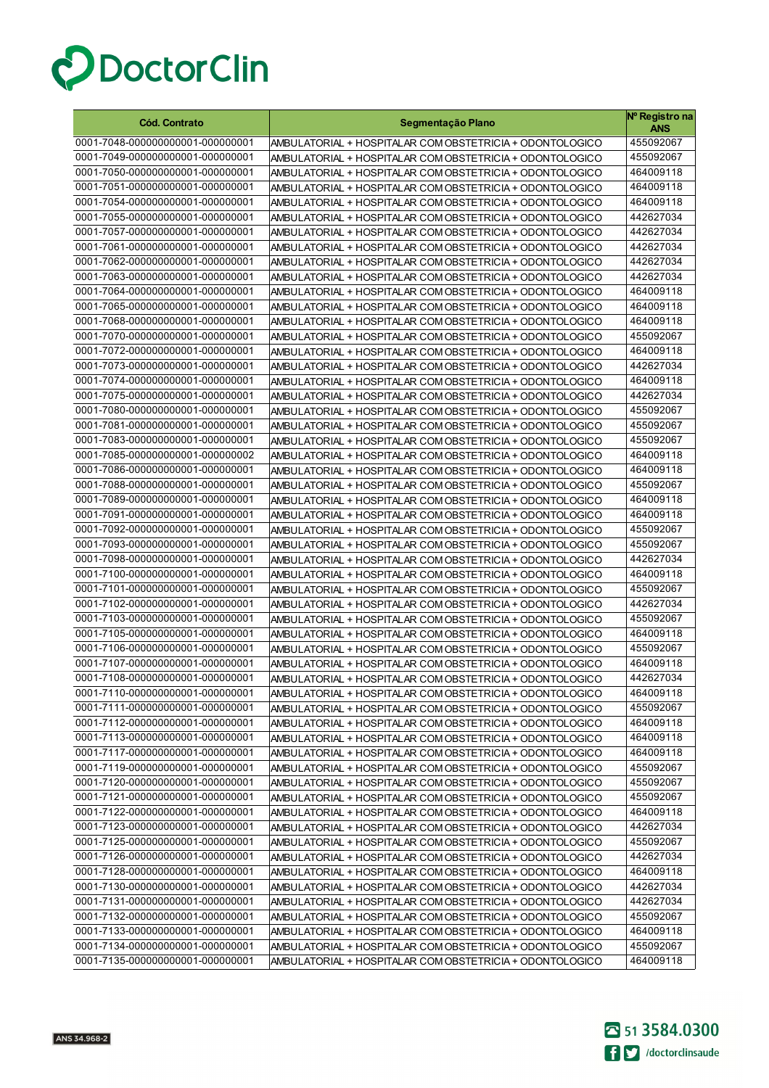

| <b>Cód. Contrato</b>                                                 | Segmentação Plano                                        | Nº Registro na<br>ANS  |
|----------------------------------------------------------------------|----------------------------------------------------------|------------------------|
| 0001-7048-000000000001-000000001                                     | AMBULATORIAL + HOSPITALAR COM OBSTETRICIA + ODONTOLOGICO | 455092067              |
| 0001-7049-000000000001-000000001                                     | AMBULATORIAL + HOSPITALAR COM OBSTETRICIA + ODONTOLOGICO | 455092067              |
| 0001-7050-000000000001-000000001                                     | AMBULATORIAL + HOSPITALAR COM OBSTETRICIA + ODONTOLOGICO | 464009118              |
| 0001-7051-000000000001-000000001                                     | AMBULATORIAL + HOSPITALAR COM OBSTETRICIA + ODONTOLOGICO | 464009118              |
| 0001-7054-000000000001-000000001                                     | AMBULATORIAL + HOSPITALAR COM OBSTETRICIA + ODONTOLOGICO | 464009118              |
| 0001-7055-000000000001-000000001                                     | AMBULATORIAL + HOSPITALAR COM OBSTETRICIA + ODONTOLOGICO | 442627034              |
| 0001-7057-000000000001-000000001                                     | AMBULATORIAL + HOSPITALAR COM OBSTETRICIA + ODONTOLOGICO | 442627034              |
| 0001-7061-000000000001-000000001                                     | AMBULATORIAL + HOSPITALAR COM OBSTETRICIA + ODONTOLOGICO | 442627034              |
| 0001-7062-000000000001-000000001                                     | AMBULATORIAL + HOSPITALAR COM OBSTETRICIA + ODONTOLOGICO | 442627034              |
| 0001-7063-000000000001-000000001                                     | AMBULATORIAL + HOSPITALAR COM OBSTETRICIA + ODONTOLOGICO | 442627034              |
| 0001-7064-000000000001-000000001                                     | AMBULATORIAL + HOSPITALAR COM OBSTETRICIA + ODONTOLOGICO | 464009118              |
| 0001-7065-000000000001-000000001                                     | AMBULATORIAL + HOSPITALAR COM OBSTETRICIA + ODONTOLOGICO | 464009118              |
| 0001-7068-000000000001-000000001                                     | AMBULATORIAL + HOSPITALAR COM OBSTETRICIA + ODONTOLOGICO | 464009118              |
| 0001-7070-000000000001-000000001                                     | AMBULATORIAL + HOSPITALAR COM OBSTETRICIA + ODONTOLOGICO | 455092067              |
| 0001-7072-000000000001-000000001                                     | AMBULATORIAL + HOSPITALAR COM OBSTETRICIA + ODONTOLOGICO | 464009118              |
| 0001-7073-000000000001-000000001                                     | AMBULATORIAL + HOSPITALAR COM OBSTETRICIA + ODONTOLOGICO | 442627034              |
| 0001-7074-000000000001-000000001                                     | AMBULATORIAL + HOSPITALAR COM OBSTETRICIA + ODONTOLOGICO | 464009118              |
| 0001-7075-000000000001-000000001                                     | AMBULATORIAL + HOSPITALAR COM OBSTETRICIA + ODONTOLOGICO | 442627034              |
| 0001-7080-000000000001-000000001                                     | AMBULATORIAL + HOSPITALAR COM OBSTETRICIA + ODONTOLOGICO | 455092067              |
| 0001-7081-000000000001-000000001                                     | AMBULATORIAL + HOSPITALAR COM OBSTETRICIA + ODONTOLOGICO | 455092067              |
| 0001-7083-000000000001-000000001                                     | AMBULATORIAL + HOSPITALAR COM OBSTETRICIA + ODONTOLOGICO | 455092067              |
| 0001-7085-000000000001-000000002                                     | AMBULATORIAL + HOSPITALAR COM OBSTETRICIA + ODONTOLOGICO | 464009118              |
| 0001-7086-000000000001-000000001                                     | AMBULATORIAL + HOSPITALAR COM OBSTETRICIA + ODONTOLOGICO | 464009118              |
| 0001-7088-000000000001-000000001                                     | AMBULATORIAL + HOSPITALAR COM OBSTETRICIA + ODONTOLOGICO | 455092067              |
| 0001-7089-000000000001-000000001                                     | AMBULATORIAL + HOSPITALAR COM OBSTETRICIA + ODONTOLOGICO | 464009118              |
| 0001-7091-000000000001-000000001                                     | AMBULATORIAL + HOSPITALAR COM OBSTETRICIA + ODONTOLOGICO | 464009118              |
| 0001-7092-000000000001-000000001                                     | AMBULATORIAL + HOSPITALAR COM OBSTETRICIA + ODONTOLOGICO | 455092067              |
| 0001-7093-000000000001-000000001                                     | AMBULATORIAL + HOSPITALAR COM OBSTETRICIA + ODONTOLOGICO | 455092067              |
| 0001-7098-000000000001-000000001                                     | AMBULATORIAL + HOSPITALAR COM OBSTETRICIA + ODONTOLOGICO | 442627034              |
| 0001-7100-000000000001-000000001                                     | AMBULATORIAL + HOSPITALAR COM OBSTETRICIA + ODONTOLOGICO | 464009118              |
| 0001-7101-000000000001-000000001                                     | AMBULATORIAL + HOSPITALAR COM OBSTETRICIA + ODONTOLOGICO | 455092067              |
| 0001-7102-000000000001-000000001                                     | AMBULATORIAL + HOSPITALAR COM OBSTETRICIA + ODONTOLOGICO | 442627034              |
| 0001-7103-000000000001-000000001                                     | AMBULATORIAL + HOSPITALAR COM OBSTETRICIA + ODONTOLOGICO | 455092067              |
| 0001-7105-000000000001-000000001                                     | AMBULATORIAL + HOSPITALAR COM OBSTETRICIA + ODONTOLOGICO | 464009118              |
| 0001-7106-000000000001-000000001                                     | AMBULATORIAL + HOSPITALAR COM OBSTETRICIA + ODONTOLOGICO | 455092067              |
| 0001-7107-000000000001-000000001                                     | AMBULATORIAL + HOSPITALAR COM OBSTETRICIA + ODONTOLOGICO | 464009118              |
| 0001-7108-000000000001-000000001                                     | AMBULATORIAL + HOSPITALAR COM OBSTETRICIA + ODONTOLOGICO | 442627034              |
| 0001-7110-000000000001-000000001                                     | AMBULATORIAL + HOSPITALAR COM OBSTETRICIA + ODONTOLOGICO | 464009118              |
| 0001-7111-000000000001-000000001                                     | AMBULATORIAL + HOSPITALAR COM OBSTETRICIA + ODONTOLOGICO | 455092067              |
| 0001-7112-000000000001-000000001                                     | AMBULATORIAL + HOSPITALAR COM OBSTETRICIA + ODONTOLOGICO | 464009118              |
| 0001-7113-000000000001-000000001                                     | AMBULATORIAL + HOSPITALAR COM OBSTETRICIA + ODONTOLOGICO | 464009118              |
| 0001-7117-000000000001-000000001                                     | AMBULATORIAL + HOSPITALAR COM OBSTETRICIA + ODONTOLOGICO | 464009118              |
| 0001-7119-000000000001-000000001                                     | AMBULATORIAL + HOSPITALAR COM OBSTETRICIA + ODONTOLOGICO | 455092067              |
| 0001-7120-000000000001-000000001                                     | AMBULATORIAL + HOSPITALAR COM OBSTETRICIA + ODONTOLOGICO | 455092067              |
| 0001-7121-000000000001-000000001                                     | AMBULATORIAL + HOSPITALAR COM OBSTETRICIA + ODONTOLOGICO | 455092067              |
| 0001-7122-000000000001-000000001                                     | AMBULATORIAL + HOSPITALAR COM OBSTETRICIA + ODONTOLOGICO | 464009118              |
| 0001-7123-000000000001-000000001                                     | AMBULATORIAL + HOSPITALAR COM OBSTETRICIA + ODONTOLOGICO | 442627034              |
| 0001-7125-000000000001-000000001                                     | AMBULATORIAL + HOSPITALAR COM OBSTETRICIA + ODONTOLOGICO | 455092067              |
| 0001-7126-000000000001-000000001                                     | AMBULATORIAL + HOSPITALAR COM OBSTETRICIA + ODONTOLOGICO | 442627034              |
| 0001-7128-000000000001-000000001                                     | AMBULATORIAL + HOSPITALAR COM OBSTETRICIA + ODONTOLOGICO | 464009118              |
| 0001-7130-000000000001-000000001                                     | AMBULATORIAL + HOSPITALAR COM OBSTETRICIA + ODONTOLOGICO | 442627034              |
| 0001-7131-000000000001-000000001                                     | AMBULATORIAL + HOSPITALAR COM OBSTETRICIA + ODONTOLOGICO | 442627034              |
| 0001-7132-000000000001-000000001                                     | AMBULATORIAL + HOSPITALAR COM OBSTETRICIA + ODONTOLOGICO | 455092067              |
| 0001-7133-000000000001-000000001<br>0001-7134-000000000001-000000001 | AMBULATORIAL + HOSPITALAR COM OBSTETRICIA + ODONTOLOGICO | 464009118<br>455092067 |
| 0001-7135-000000000001-000000001                                     | AMBULATORIAL + HOSPITALAR COM OBSTETRICIA + ODONTOLOGICO | 464009118              |
|                                                                      | AMBULATORIAL + HOSPITALAR COM OBSTETRICIA + ODONTOLOGICO |                        |

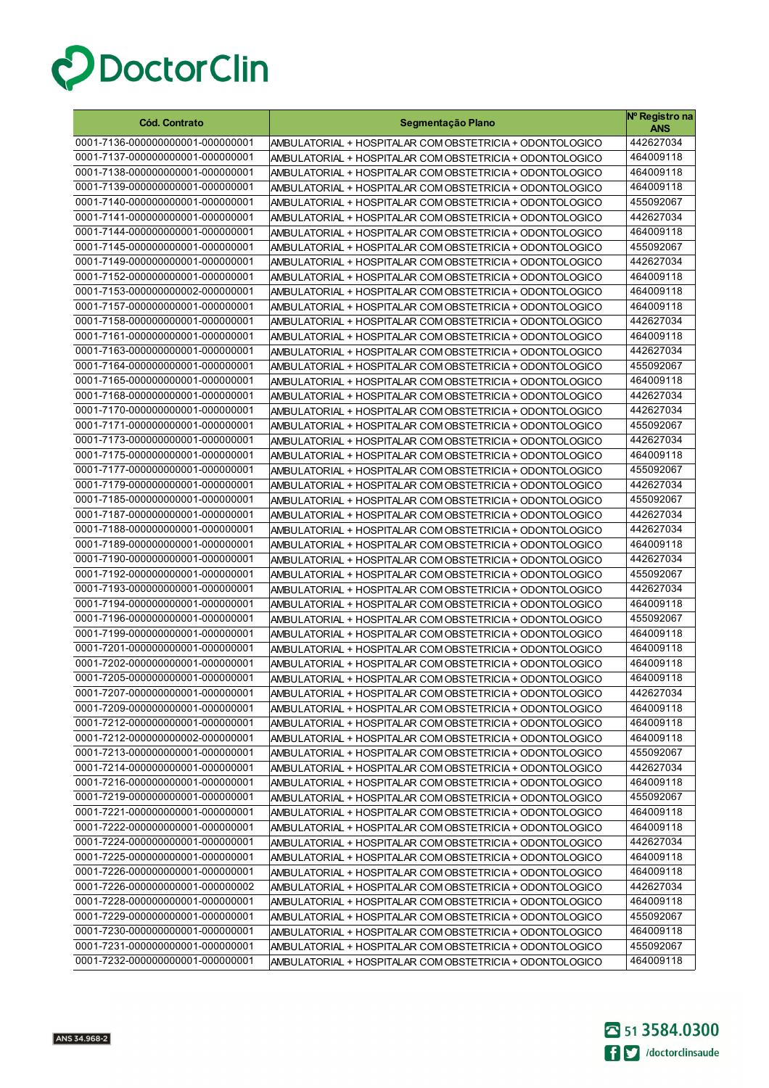

| <b>Cód. Contrato</b>             | Segmentação Plano                                        | Nº Registro na<br><b>ANS</b> |
|----------------------------------|----------------------------------------------------------|------------------------------|
| 0001-7136-000000000001-000000001 | AMBULATORIAL + HOSPITALAR COM OBSTETRICIA + ODONTOLOGICO | 442627034                    |
| 0001-7137-000000000001-000000001 | AMBULATORIAL + HOSPITALAR COM OBSTETRICIA + ODONTOLOGICO | 464009118                    |
| 0001-7138-000000000001-000000001 | AMBULATORIAL + HOSPITALAR COM OBSTETRICIA + ODONTOLOGICO | 464009118                    |
| 0001-7139-000000000001-000000001 | AMBULATORIAL + HOSPITALAR COM OBSTETRICIA + ODONTOLOGICO | 464009118                    |
| 0001-7140-000000000001-000000001 | AMBULATORIAL + HOSPITALAR COM OBSTETRICIA + ODONTOLOGICO | 455092067                    |
| 0001-7141-000000000001-000000001 | AMBULATORIAL + HOSPITALAR COM OBSTETRICIA + ODONTOLOGICO | 442627034                    |
| 0001-7144-000000000001-000000001 | AMBULATORIAL + HOSPITALAR COM OBSTETRICIA + ODONTOLOGICO | 464009118                    |
| 0001-7145-000000000001-000000001 | AMBULATORIAL + HOSPITALAR COM OBSTETRICIA + ODONTOLOGICO | 455092067                    |
| 0001-7149-000000000001-000000001 | AMBULATORIAL + HOSPITALAR COM OBSTETRICIA + ODONTOLOGICO | 442627034                    |
| 0001-7152-000000000001-000000001 | AMBULATORIAL + HOSPITALAR COM OBSTETRICIA + ODONTOLOGICO | 464009118                    |
| 0001-7153-000000000002-000000001 | AMBULATORIAL + HOSPITALAR COM OBSTETRICIA + ODONTOLOGICO | 464009118                    |
| 0001-7157-000000000001-000000001 | AMBULATORIAL + HOSPITALAR COM OBSTETRICIA + ODONTOLOGICO | 464009118                    |
| 0001-7158-000000000001-000000001 | AMBULATORIAL + HOSPITALAR COM OBSTETRICIA + ODONTOLOGICO | 442627034                    |
| 0001-7161-000000000001-000000001 | AMBULATORIAL + HOSPITALAR COM OBSTETRICIA + ODONTOLOGICO | 464009118                    |
| 0001-7163-000000000001-000000001 | AMBULATORIAL + HOSPITALAR COM OBSTETRICIA + ODONTOLOGICO | 442627034                    |
| 0001-7164-000000000001-000000001 | AMBULATORIAL + HOSPITALAR COM OBSTETRICIA + ODONTOLOGICO | 455092067                    |
| 0001-7165-000000000001-000000001 | AMBULATORIAL + HOSPITALAR COM OBSTETRICIA + ODONTOLOGICO | 464009118                    |
| 0001-7168-000000000001-000000001 | AMBULATORIAL + HOSPITALAR COM OBSTETRICIA + ODONTOLOGICO | 442627034                    |
| 0001-7170-000000000001-000000001 | AMBULATORIAL + HOSPITALAR COM OBSTETRICIA + ODONTOLOGICO | 442627034                    |
| 0001-7171-000000000001-000000001 | AMBULATORIAL + HOSPITALAR COM OBSTETRICIA + ODONTOLOGICO | 455092067                    |
| 0001-7173-000000000001-000000001 | AMBULATORIAL + HOSPITALAR COM OBSTETRICIA + ODONTOLOGICO | 442627034                    |
| 0001-7175-000000000001-000000001 | AMBULATORIAL + HOSPITALAR COM OBSTETRICIA + ODONTOLOGICO | 464009118                    |
| 0001-7177-000000000001-000000001 | AMBULATORIAL + HOSPITALAR COM OBSTETRICIA + ODONTOLOGICO | 455092067                    |
| 0001-7179-000000000001-000000001 | AMBULATORIAL + HOSPITALAR COM OBSTETRICIA + ODONTOLOGICO | 442627034                    |
| 0001-7185-000000000001-000000001 | AMBULATORIAL + HOSPITALAR COM OBSTETRICIA + ODONTOLOGICO | 455092067                    |
| 0001-7187-000000000001-000000001 | AMBULATORIAL + HOSPITALAR COM OBSTETRICIA + ODONTOLOGICO | 442627034                    |
| 0001-7188-000000000001-000000001 | AMBULATORIAL + HOSPITALAR COM OBSTETRICIA + ODONTOLOGICO | 442627034                    |
| 0001-7189-000000000001-000000001 | AMBULATORIAL + HOSPITALAR COM OBSTETRICIA + ODONTOLOGICO | 464009118                    |
| 0001-7190-000000000001-000000001 | AMBULATORIAL + HOSPITALAR COM OBSTETRICIA + ODONTOLOGICO | 442627034                    |
| 0001-7192-000000000001-000000001 | AMBULATORIAL + HOSPITALAR COM OBSTETRICIA + ODONTOLOGICO | 455092067                    |
| 0001-7193-000000000001-000000001 | AMBULATORIAL + HOSPITALAR COM OBSTETRICIA + ODONTOLOGICO | 442627034                    |
| 0001-7194-000000000001-000000001 | AMBULATORIAL + HOSPITALAR COM OBSTETRICIA + ODONTOLOGICO | 464009118                    |
| 0001-7196-000000000001-000000001 | AMBULATORIAL + HOSPITALAR COM OBSTETRICIA + ODONTOLOGICO | 455092067                    |
| 0001-7199-000000000001-000000001 | AMBULATORIAL + HOSPITALAR COM OBSTETRICIA + ODONTOLOGICO | 464009118                    |
| 0001-7201-000000000001-000000001 | AMBULATORIAL + HOSPITALAR COM OBSTETRICIA + ODONTOLOGICO | 464009118                    |
| 0001-7202-000000000001-000000001 | AMBULATORIAL + HOSPITALAR COM OBSTETRICIA + ODONTOLOGICO | 464009118                    |
| 0001-7205-000000000001-000000001 | AMBULATORIAL + HOSPITALAR COM OBSTETRICIA + ODONTOLOGICO | 464009118                    |
| 0001-7207-000000000001-000000001 | AMBULATORIAL + HOSPITALAR COM OBSTETRICIA + ODONTOLOGICO | 442627034                    |
| 0001-7209-000000000001-000000001 | AMBULATORIAL + HOSPITALAR COM OBSTETRICIA + ODONTOLOGICO | 464009118                    |
| 0001-7212-000000000001-000000001 | AMBULATORIAL + HOSPITALAR COM OBSTETRICIA + ODONTOLOGICO | 464009118                    |
| 0001-7212-000000000002-000000001 | AMBULATORIAL + HOSPITALAR COM OBSTETRICIA + ODONTOLOGICO | 464009118                    |
| 0001-7213-000000000001-000000001 | AMBULATORIAL + HOSPITALAR COM OBSTETRICIA + ODONTOLOGICO | 455092067                    |
| 0001-7214-000000000001-000000001 | AMBULATORIAL + HOSPITALAR COM OBSTETRICIA + ODONTOLOGICO | 442627034                    |
| 0001-7216-000000000001-000000001 | AMBULATORIAL + HOSPITALAR COM OBSTETRICIA + ODONTOLOGICO | 464009118                    |
| 0001-7219-000000000001-000000001 | AMBULATORIAL + HOSPITALAR COM OBSTETRICIA + ODONTOLOGICO | 455092067                    |
| 0001-7221-000000000001-000000001 | AMBULATORIAL + HOSPITALAR COM OBSTETRICIA + ODONTOLOGICO | 464009118                    |
| 0001-7222-000000000001-000000001 | AMBULATORIAL + HOSPITALAR COM OBSTETRICIA + ODONTOLOGICO | 464009118                    |
| 0001-7224-000000000001-000000001 | AMBULATORIAL + HOSPITALAR COM OBSTETRICIA + ODONTOLOGICO | 442627034                    |
| 0001-7225-000000000001-000000001 | AMBULATORIAL + HOSPITALAR COM OBSTETRICIA + ODONTOLOGICO | 464009118                    |
| 0001-7226-000000000001-000000001 | AMBULATORIAL + HOSPITALAR COM OBSTETRICIA + ODONTOLOGICO | 464009118                    |
| 0001-7226-000000000001-000000002 | AMBULATORIAL + HOSPITALAR COM OBSTETRICIA + ODONTOLOGICO | 442627034                    |
| 0001-7228-000000000001-000000001 | AMBULATORIAL + HOSPITALAR COM OBSTETRICIA + ODONTOLOGICO | 464009118                    |
| 0001-7229-000000000001-000000001 | AMBULATORIAL + HOSPITALAR COM OBSTETRICIA + ODONTOLOGICO | 455092067                    |
| 0001-7230-000000000001-000000001 | AMBULATORIAL + HOSPITALAR COM OBSTETRICIA + ODONTOLOGICO | 464009118                    |
| 0001-7231-000000000001-000000001 | AMBULATORIAL + HOSPITALAR COM OBSTETRICIA + ODONTOLOGICO | 455092067                    |
| 0001-7232-000000000001-000000001 | AMBULATORIAL + HOSPITALAR COM OBSTETRICIA + ODONTOLOGICO | 464009118                    |

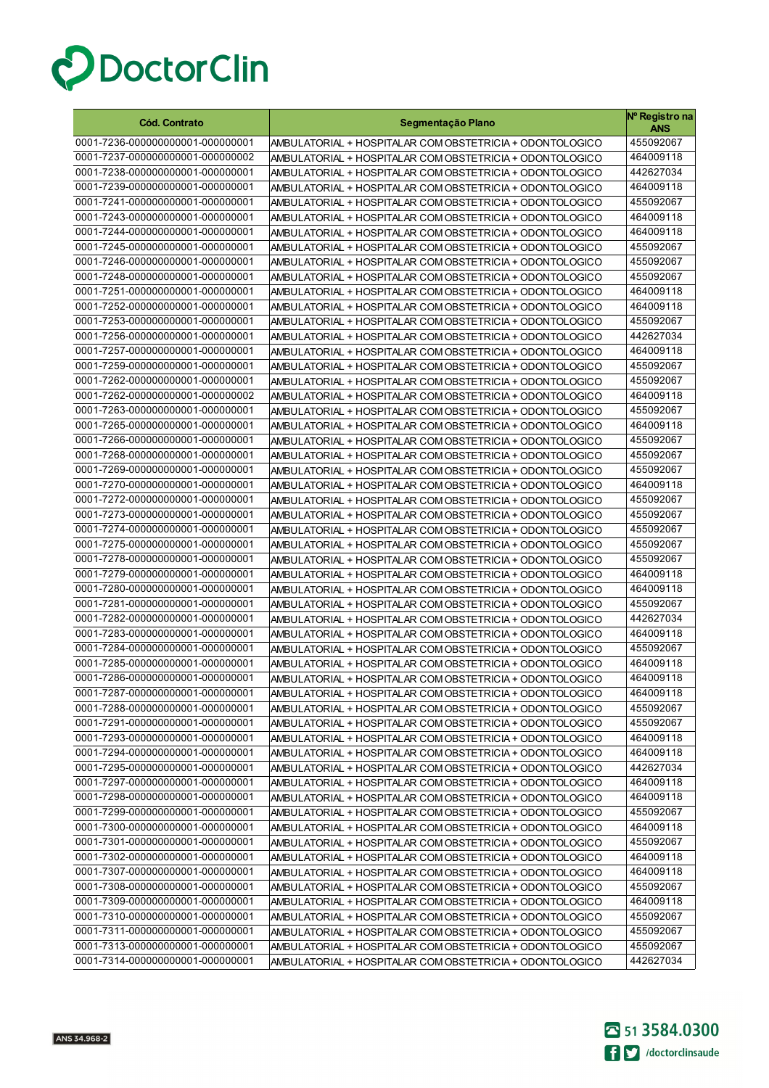

| Cód. Contrato                                                        | Segmentação Plano                                                                                                    | Nº Registro na<br>ANS  |
|----------------------------------------------------------------------|----------------------------------------------------------------------------------------------------------------------|------------------------|
| 0001-7236-000000000001-000000001                                     | AMBULATORIAL + HOSPITALAR COM OBSTETRICIA + ODONTOLOGICO                                                             | 455092067              |
| 0001-7237-000000000001-000000002                                     | AMBULATORIAL + HOSPITALAR COM OBSTETRICIA + ODONTOLOGICO                                                             | 464009118              |
| 0001-7238-000000000001-000000001                                     | AMBULATORIAL + HOSPITALAR COM OBSTETRICIA + ODONTOLOGICO                                                             | 442627034              |
| 0001-7239-000000000001-000000001                                     | AMBULATORIAL + HOSPITALAR COM OBSTETRICIA + ODONTOLOGICO                                                             | 464009118              |
| 0001-7241-000000000001-000000001                                     | AMBULATORIAL + HOSPITALAR COM OBSTETRICIA + ODONTOLOGICO                                                             | 455092067              |
| 0001-7243-000000000001-000000001                                     | AMBULATORIAL + HOSPITALAR COM OBSTETRICIA + ODONTOLOGICO                                                             | 464009118              |
| 0001-7244-000000000001-000000001                                     | AMBULATORIAL + HOSPITALAR COM OBSTETRICIA + ODONTOLOGICO                                                             | 464009118              |
| 0001-7245-000000000001-000000001                                     | AMBULATORIAL + HOSPITALAR COM OBSTETRICIA + ODONTOLOGICO                                                             | 455092067              |
| 0001-7246-000000000001-000000001                                     | AMBULATORIAL + HOSPITALAR COM OBSTETRICIA + ODONTOLOGICO                                                             | 455092067              |
| 0001-7248-000000000001-000000001                                     | AMBULATORIAL + HOSPITALAR COM OBSTETRICIA + ODONTOLOGICO                                                             | 455092067              |
| 0001-7251-000000000001-000000001                                     | AMBULATORIAL + HOSPITALAR COM OBSTETRICIA + ODONTOLOGICO                                                             | 464009118              |
| 0001-7252-000000000001-000000001                                     | AMBULATORIAL + HOSPITALAR COM OBSTETRICIA + ODONTOLOGICO                                                             | 464009118              |
| 0001-7253-000000000001-000000001                                     | AMBULATORIAL + HOSPITALAR COM OBSTETRICIA + ODONTOLOGICO                                                             | 455092067              |
| 0001-7256-000000000001-000000001                                     | AMBULATORIAL + HOSPITALAR COM OBSTETRICIA + ODONTOLOGICO                                                             | 442627034              |
| 0001-7257-000000000001-000000001                                     | AMBULATORIAL + HOSPITALAR COM OBSTETRICIA + ODONTOLOGICO                                                             | 464009118              |
| 0001-7259-000000000001-000000001                                     | AMBULATORIAL + HOSPITALAR COM OBSTETRICIA + ODONTOLOGICO                                                             | 455092067              |
| 0001-7262-000000000001-000000001                                     | AMBULATORIAL + HOSPITALAR COM OBSTETRICIA + ODONTOLOGICO                                                             | 455092067              |
| 0001-7262-000000000001-000000002                                     | AMBULATORIAL + HOSPITALAR COM OBSTETRICIA + ODONTOLOGICO                                                             | 464009118              |
| 0001-7263-000000000001-000000001                                     | AMBULATORIAL + HOSPITALAR COM OBSTETRICIA + ODONTOLOGICO                                                             | 455092067              |
| 0001-7265-000000000001-000000001                                     | AMBULATORIAL + HOSPITALAR COM OBSTETRICIA + ODONTOLOGICO                                                             | 464009118              |
| 0001-7266-000000000001-000000001                                     | AMBULATORIAL + HOSPITALAR COM OBSTETRICIA + ODONTOLOGICO                                                             | 455092067              |
| 0001-7268-000000000001-000000001                                     | AMBULATORIAL + HOSPITALAR COM OBSTETRICIA + ODONTOLOGICO                                                             | 455092067              |
| 0001-7269-000000000001-000000001                                     | AMBULATORIAL + HOSPITALAR COM OBSTETRICIA + ODONTOLOGICO                                                             | 455092067              |
| 0001-7270-000000000001-000000001                                     | AMBULATORIAL + HOSPITALAR COM OBSTETRICIA + ODONTOLOGICO                                                             | 464009118              |
| 0001-7272-000000000001-000000001                                     | AMBULATORIAL + HOSPITALAR COM OBSTETRICIA + ODONTOLOGICO                                                             | 455092067              |
| 0001-7273-000000000001-000000001                                     | AMBULATORIAL + HOSPITALAR COM OBSTETRICIA + ODONTOLOGICO                                                             | 455092067              |
| 0001-7274-000000000001-000000001                                     | AMBULATORIAL + HOSPITALAR COM OBSTETRICIA + ODONTOLOGICO                                                             | 455092067              |
| 0001-7275-000000000001-000000001<br>0001-7278-000000000001-000000001 | AMBULATORIAL + HOSPITALAR COM OBSTETRICIA + ODONTOLOGICO                                                             | 455092067<br>455092067 |
| 0001-7279-000000000001-000000001                                     | AMBULATORIAL + HOSPITALAR COM OBSTETRICIA + ODONTOLOGICO                                                             | 464009118              |
| 0001-7280-000000000001-000000001                                     | AMBULATORIAL + HOSPITALAR COM OBSTETRICIA + ODONTOLOGICO<br>AMBULATORIAL + HOSPITALAR COM OBSTETRICIA + ODONTOLOGICO | 464009118              |
| 0001-7281-000000000001-000000001                                     | AMBULATORIAL + HOSPITALAR COM OBSTETRICIA + ODONTOLOGICO                                                             | 455092067              |
| 0001-7282-000000000001-000000001                                     | AMBULATORIAL + HOSPITALAR COM OBSTETRICIA + ODONTOLOGICO                                                             | 442627034              |
| 0001-7283-000000000001-000000001                                     | AMBULATORIAL + HOSPITALAR COM OBSTETRICIA + ODONTOLOGICO                                                             | 464009118              |
| 0001-7284-000000000001-000000001                                     | AMBULATORIAL + HOSPITALAR COM OBSTETRICIA + ODONTOLOGICO                                                             | 455092067              |
| 0001-7285-000000000001-000000001                                     | AMBULATORIAL + HOSPITALAR COM OBSTETRICIA + ODONTOLOGICO                                                             | 464009118              |
| 0001-7286-000000000001-000000001                                     | AMBULATORIAL + HOSPITALAR COM OBSTETRICIA + ODONTOLOGICO                                                             | 464009118              |
| 0001-7287-000000000001-000000001                                     | AMBULATORIAL + HOSPITALAR COM OBSTETRICIA + ODONTOLOGICO                                                             | 464009118              |
| 0001-7288-000000000001-000000001                                     | AMBULATORIAL + HOSPITALAR COM OBSTETRICIA + ODONTOLOGICO                                                             | 455092067              |
| 0001-7291-000000000001-000000001                                     | AMBULATORIAL + HOSPITALAR COM OBSTETRICIA + ODONTOLOGICO                                                             | 455092067              |
| 0001-7293-000000000001-000000001                                     | AMBULATORIAL + HOSPITALAR COM OBSTETRICIA + ODONTOLOGICO                                                             | 464009118              |
| 0001-7294-000000000001-000000001                                     | AMBULATORIAL + HOSPITALAR COM OBSTETRICIA + ODONTOLOGICO                                                             | 464009118              |
| 0001-7295-000000000001-000000001                                     | AMBULATORIAL + HOSPITALAR COM OBSTETRICIA + ODONTOLOGICO                                                             | 442627034              |
| 0001-7297-000000000001-000000001                                     | AMBULATORIAL + HOSPITALAR COM OBSTETRICIA + ODONTOLOGICO                                                             | 464009118              |
| 0001-7298-000000000001-000000001                                     | AMBULATORIAL + HOSPITALAR COM OBSTETRICIA + ODONTOLOGICO                                                             | 464009118              |
| 0001-7299-000000000001-000000001                                     | AMBULATORIAL + HOSPITALAR COM OBSTETRICIA + ODONTOLOGICO                                                             | 455092067              |
| 0001-7300-000000000001-000000001                                     | AMBULATORIAL + HOSPITALAR COM OBSTETRICIA + ODONTOLOGICO                                                             | 464009118              |
| 0001-7301-000000000001-000000001                                     | AMBULATORIAL + HOSPITALAR COM OBSTETRICIA + ODONTOLOGICO                                                             | 455092067              |
| 0001-7302-000000000001-000000001                                     | AMBULATORIAL + HOSPITALAR COM OBSTETRICIA + ODONTOLOGICO                                                             | 464009118              |
| 0001-7307-000000000001-000000001                                     | AMBULATORIAL + HOSPITALAR COM OBSTETRICIA + ODONTOLOGICO                                                             | 464009118              |
| 0001-7308-000000000001-000000001                                     | AMBULATORIAL + HOSPITALAR COM OBSTETRICIA + ODONTOLOGICO                                                             | 455092067              |
| 0001-7309-000000000001-000000001                                     | AMBULATORIAL + HOSPITALAR COM OBSTETRICIA + ODONTOLOGICO                                                             | 464009118              |
| 0001-7310-000000000001-000000001                                     | AMBULATORIAL + HOSPITALAR COM OBSTETRICIA + ODONTOLOGICO                                                             | 455092067              |
| 0001-7311-000000000001-000000001                                     | AMBULATORIAL + HOSPITALAR COM OBSTETRICIA + ODONTOLOGICO                                                             | 455092067              |
| 0001-7313-000000000001-000000001                                     | AMBULATORIAL + HOSPITALAR COM OBSTETRICIA + ODONTOLOGICO                                                             | 455092067              |
| 0001-7314-000000000001-000000001                                     | AMBULATORIAL + HOSPITALAR COM OBSTETRICIA + ODONTOLOGICO                                                             | 442627034              |

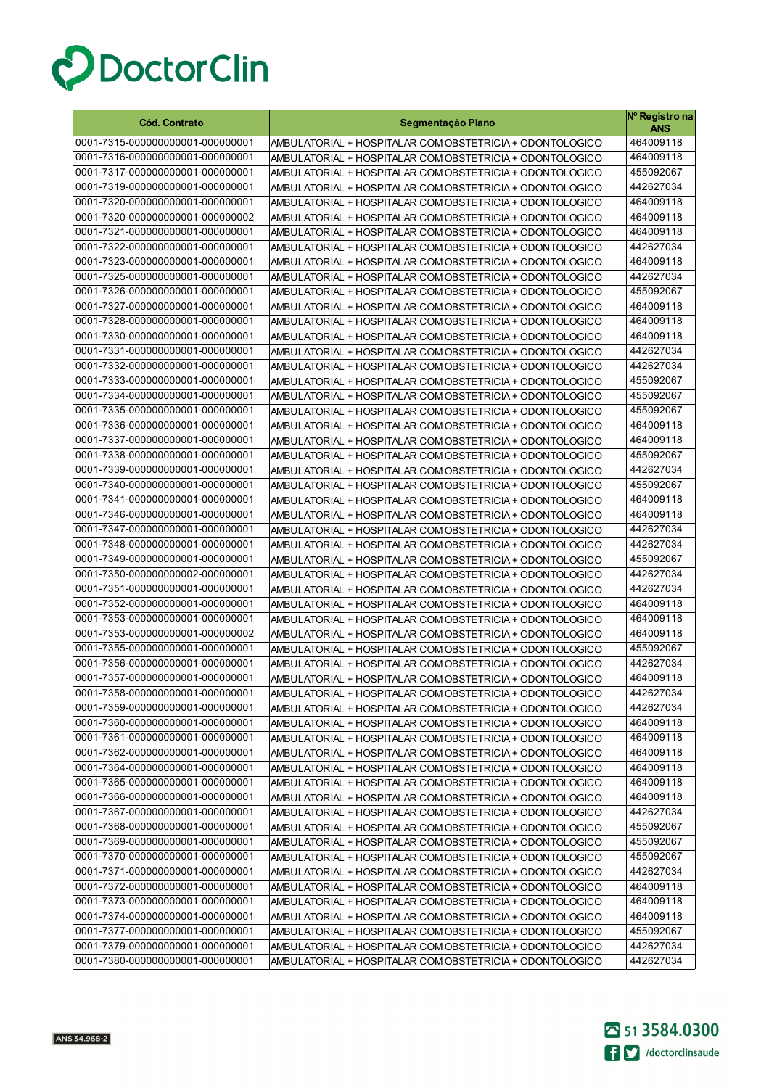

| <b>Cód. Contrato</b>                                                 | Segmentação Plano                                                                                                    | Nº Registro na<br><b>ANS</b> |
|----------------------------------------------------------------------|----------------------------------------------------------------------------------------------------------------------|------------------------------|
| 0001-7315-000000000001-000000001                                     | AMBULATORIAL + HOSPITALAR COM OBSTETRICIA + ODONTOLOGICO                                                             | 464009118                    |
| 0001-7316-000000000001-000000001                                     | AMBULATORIAL + HOSPITALAR COM OBSTETRICIA + ODONTOLOGICO                                                             | 464009118                    |
| 0001-7317-000000000001-000000001                                     | AMBULATORIAL + HOSPITALAR COM OBSTETRICIA + ODONTOLOGICO                                                             | 455092067                    |
| 0001-7319-000000000001-000000001                                     | AMBULATORIAL + HOSPITALAR COM OBSTETRICIA + ODONTOLOGICO                                                             | 442627034                    |
| 0001-7320-000000000001-000000001                                     | AMBULATORIAL + HOSPITALAR COM OBSTETRICIA + ODONTOLOGICO                                                             | 464009118                    |
| 0001-7320-000000000001-000000002                                     | AMBULATORIAL + HOSPITALAR COM OBSTETRICIA + ODONTOLOGICO                                                             | 464009118                    |
| 0001-7321-000000000001-000000001                                     | AMBULATORIAL + HOSPITALAR COM OBSTETRICIA + ODONTOLOGICO                                                             | 464009118                    |
| 0001-7322-000000000001-000000001                                     | AMBULATORIAL + HOSPITALAR COM OBSTETRICIA + ODONTOLOGICO                                                             | 442627034                    |
| 0001-7323-000000000001-000000001                                     | AMBULATORIAL + HOSPITALAR COM OBSTETRICIA + ODONTOLOGICO                                                             | 464009118                    |
| 0001-7325-000000000001-000000001                                     | AMBULATORIAL + HOSPITALAR COM OBSTETRICIA + ODONTOLOGICO                                                             | 442627034                    |
| 0001-7326-000000000001-000000001                                     | AMBULATORIAL + HOSPITALAR COM OBSTETRICIA + ODONTOLOGICO                                                             | 455092067                    |
| 0001-7327-000000000001-000000001                                     | AMBULATORIAL + HOSPITALAR COM OBSTETRICIA + ODONTOLOGICO                                                             | 464009118                    |
| 0001-7328-000000000001-000000001                                     | AMBULATORIAL + HOSPITALAR COM OBSTETRICIA + ODONTOLOGICO                                                             | 464009118                    |
| 0001-7330-000000000001-000000001                                     | AMBULATORIAL + HOSPITALAR COM OBSTETRICIA + ODONTOLOGICO                                                             | 464009118                    |
| 0001-7331-000000000001-000000001                                     | AMBULATORIAL + HOSPITALAR COM OBSTETRICIA + ODONTOLOGICO                                                             | 442627034                    |
| 0001-7332-000000000001-000000001                                     | AMBULATORIAL + HOSPITALAR COM OBSTETRICIA + ODONTOLOGICO                                                             | 442627034                    |
| 0001-7333-000000000001-000000001                                     | AMBULATORIAL + HOSPITALAR COM OBSTETRICIA + ODONTOLOGICO                                                             | 455092067                    |
| 0001-7334-000000000001-000000001                                     | AMBULATORIAL + HOSPITALAR COM OBSTETRICIA + ODONTOLOGICO                                                             | 455092067                    |
| 0001-7335-000000000001-000000001                                     | AMBULATORIAL + HOSPITALAR COM OBSTETRICIA + ODONTOLOGICO                                                             | 455092067                    |
| 0001-7336-000000000001-000000001                                     | AMBULATORIAL + HOSPITALAR COM OBSTETRICIA + ODONTOLOGICO                                                             | 464009118                    |
| 0001-7337-000000000001-000000001                                     | AMBULATORIAL + HOSPITALAR COM OBSTETRICIA + ODONTOLOGICO                                                             | 464009118                    |
| 0001-7338-000000000001-000000001                                     | AMBULATORIAL + HOSPITALAR COM OBSTETRICIA + ODONTOLOGICO                                                             | 455092067                    |
| 0001-7339-000000000001-000000001<br>0001-7340-000000000001-000000001 | AMBULATORIAL + HOSPITALAR COM OBSTETRICIA + ODONTOLOGICO                                                             | 442627034                    |
| 0001-7341-000000000001-000000001                                     | AMBULATORIAL + HOSPITALAR COM OBSTETRICIA + ODONTOLOGICO                                                             | 455092067<br>464009118       |
| 0001-7346-000000000001-000000001                                     | AMBULATORIAL + HOSPITALAR COM OBSTETRICIA + ODONTOLOGICO                                                             | 464009118                    |
| 0001-7347-000000000001-000000001                                     | AMBULATORIAL + HOSPITALAR COM OBSTETRICIA + ODONTOLOGICO<br>AMBULATORIAL + HOSPITALAR COM OBSTETRICIA + ODONTOLOGICO | 442627034                    |
| 0001-7348-000000000001-000000001                                     | AMBULATORIAL + HOSPITALAR COM OBSTETRICIA + ODONTOLOGICO                                                             | 442627034                    |
| 0001-7349-000000000001-000000001                                     | AMBULATORIAL + HOSPITALAR COM OBSTETRICIA + ODONTOLOGICO                                                             | 455092067                    |
| 0001-7350-000000000002-000000001                                     | AMBULATORIAL + HOSPITALAR COM OBSTETRICIA + ODONTOLOGICO                                                             | 442627034                    |
| 0001-7351-000000000001-000000001                                     | AMBULATORIAL + HOSPITALAR COM OBSTETRICIA + ODONTOLOGICO                                                             | 442627034                    |
| 0001-7352-000000000001-000000001                                     | AMBULATORIAL + HOSPITALAR COM OBSTETRICIA + ODONTOLOGICO                                                             | 464009118                    |
| 0001-7353-000000000001-000000001                                     | AMBULATORIAL + HOSPITALAR COM OBSTETRICIA + ODONTOLOGICO                                                             | 464009118                    |
| 0001-7353-000000000001-000000002                                     | AMBULATORIAL + HOSPITALAR COM OBSTETRICIA + ODONTOLOGICO                                                             | 464009118                    |
| 0001-7355-000000000001-000000001                                     | AMBULATORIAL + HOSPITALAR COM OBSTETRICIA + ODONTOLOGICO                                                             | 455092067                    |
| 0001-7356-000000000001-000000001                                     | AMBULATORIAL + HOSPITALAR COM OBSTETRICIA + ODONTOLOGICO                                                             | 442627034                    |
| 0001-7357-000000000001-000000001                                     | AMBULATORIAL + HOSPITALAR COM OBSTETRICIA + ODONTOLOGICO                                                             | 464009118                    |
| 0001-7358-000000000001-000000001                                     | AMBULATORIAL + HOSPITALAR COM OBSTETRICIA + ODONTOLOGICO                                                             | 442627034                    |
| 0001-7359-000000000001-000000001                                     | AMBULATORIAL + HOSPITALAR COM OBSTETRICIA + ODONTOLOGICO                                                             | 442627034                    |
| 0001-7360-000000000001-000000001                                     | AMBULATORIAL + HOSPITALAR COM OBSTETRICIA + ODONTOLOGICO                                                             | 464009118                    |
| 0001-7361-000000000001-000000001                                     | AMBULATORIAL + HOSPITALAR COM OBSTETRICIA + ODONTOLOGICO                                                             | 464009118                    |
| 0001-7362-000000000001-000000001                                     | AMBULATORIAL + HOSPITALAR COM OBSTETRICIA + ODONTOLOGICO                                                             | 464009118                    |
| 0001-7364-000000000001-000000001                                     | AMBULATORIAL + HOSPITALAR COM OBSTETRICIA + ODONTOLOGICO                                                             | 464009118                    |
| 0001-7365-000000000001-000000001                                     | AMBULATORIAL + HOSPITALAR COM OBSTETRICIA + ODONTOLOGICO                                                             | 464009118                    |
| 0001-7366-000000000001-000000001                                     | AMBULATORIAL + HOSPITALAR COM OBSTETRICIA + ODONTOLOGICO                                                             | 464009118                    |
| 0001-7367-000000000001-000000001                                     | AMBULATORIAL + HOSPITALAR COM OBSTETRICIA + ODONTOLOGICO                                                             | 442627034                    |
| 0001-7368-000000000001-000000001                                     | AMBULATORIAL + HOSPITALAR COM OBSTETRICIA + ODONTOLOGICO                                                             | 455092067                    |
| 0001-7369-000000000001-000000001                                     | AMBULATORIAL + HOSPITALAR COM OBSTETRICIA + ODONTOLOGICO                                                             | 455092067                    |
| 0001-7370-000000000001-000000001                                     | AMBULATORIAL + HOSPITALAR COM OBSTETRICIA + ODONTOLOGICO                                                             | 455092067                    |
| 0001-7371-000000000001-000000001                                     | AMBULATORIAL + HOSPITALAR COM OBSTETRICIA + ODONTOLOGICO                                                             | 442627034                    |
| 0001-7372-000000000001-000000001                                     | AMBULATORIAL + HOSPITALAR COM OBSTETRICIA + ODONTOLOGICO                                                             | 464009118                    |
| 0001-7373-000000000001-000000001                                     | AMBULATORIAL + HOSPITALAR COM OBSTETRICIA + ODONTOLOGICO                                                             | 464009118                    |
| 0001-7374-000000000001-000000001                                     | AMBULATORIAL + HOSPITALAR COM OBSTETRICIA + ODONTOLOGICO                                                             | 464009118                    |
| 0001-7377-000000000001-000000001                                     | AMBULATORIAL + HOSPITALAR COM OBSTETRICIA + ODONTOLOGICO                                                             | 455092067                    |
| 0001-7379-000000000001-000000001                                     | AMBULATORIAL + HOSPITALAR COM OBSTETRICIA + ODONTOLOGICO                                                             | 442627034                    |
| 0001-7380-000000000001-000000001                                     | AMBULATORIAL + HOSPITALAR COM OBSTETRICIA + ODONTOLOGICO                                                             | 442627034                    |

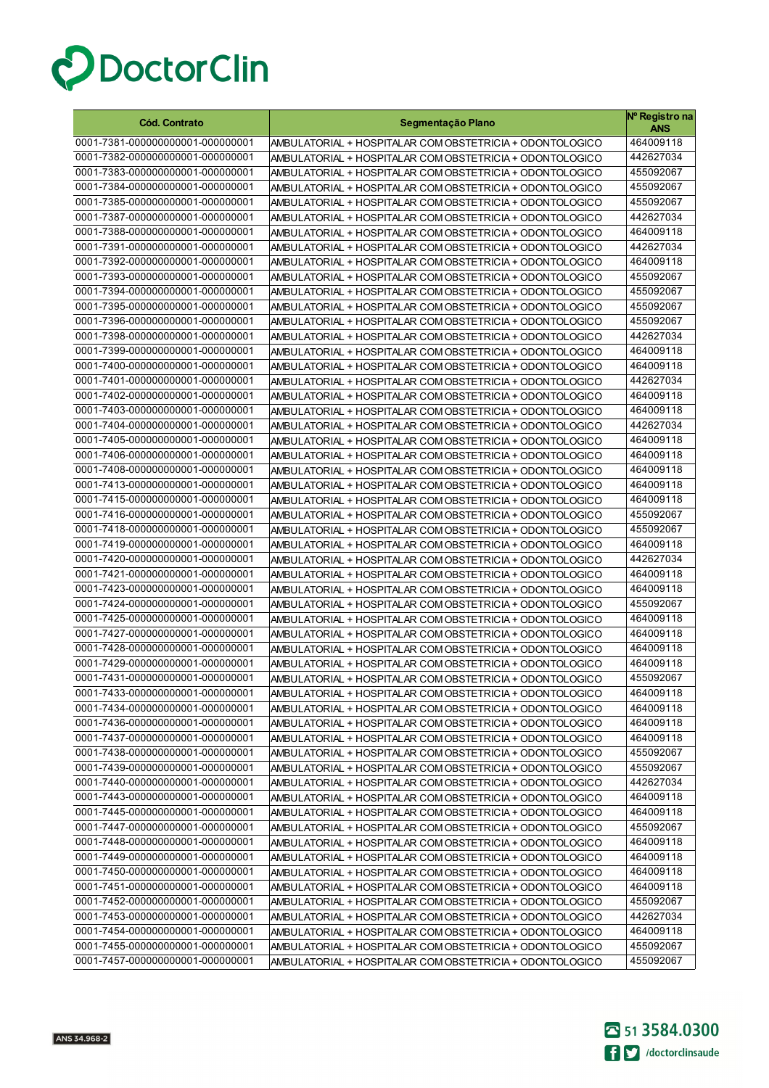

| <b>Cód. Contrato</b>             | Segmentação Plano                                        | Nº Registro na<br>ANS |
|----------------------------------|----------------------------------------------------------|-----------------------|
| 0001-7381-000000000001-000000001 | AMBULATORIAL + HOSPITALAR COM OBSTETRICIA + ODONTOLOGICO | 464009118             |
| 0001-7382-000000000001-000000001 | AMBULATORIAL + HOSPITALAR COM OBSTETRICIA + ODONTOLOGICO | 442627034             |
| 0001-7383-000000000001-000000001 | AMBULATORIAL + HOSPITALAR COM OBSTETRICIA + ODONTOLOGICO | 455092067             |
| 0001-7384-000000000001-000000001 | AMBULATORIAL + HOSPITALAR COM OBSTETRICIA + ODONTOLOGICO | 455092067             |
| 0001-7385-000000000001-000000001 | AMBULATORIAL + HOSPITALAR COM OBSTETRICIA + ODONTOLOGICO | 455092067             |
| 0001-7387-000000000001-000000001 | AMBULATORIAL + HOSPITALAR COM OBSTETRICIA + ODONTOLOGICO | 442627034             |
| 0001-7388-000000000001-000000001 | AMBULATORIAL + HOSPITALAR COM OBSTETRICIA + ODONTOLOGICO | 464009118             |
| 0001-7391-000000000001-000000001 | AMBULATORIAL + HOSPITALAR COM OBSTETRICIA + ODONTOLOGICO | 442627034             |
| 0001-7392-000000000001-000000001 | AMBULATORIAL + HOSPITALAR COM OBSTETRICIA + ODONTOLOGICO | 464009118             |
| 0001-7393-000000000001-000000001 | AMBULATORIAL + HOSPITALAR COM OBSTETRICIA + ODONTOLOGICO | 455092067             |
| 0001-7394-000000000001-000000001 | AMBULATORIAL + HOSPITALAR COM OBSTETRICIA + ODONTOLOGICO | 455092067             |
| 0001-7395-000000000001-000000001 | AMBULATORIAL + HOSPITALAR COM OBSTETRICIA + ODONTOLOGICO | 455092067             |
| 0001-7396-000000000001-000000001 | AMBULATORIAL + HOSPITALAR COM OBSTETRICIA + ODONTOLOGICO | 455092067             |
| 0001-7398-000000000001-000000001 | AMBULATORIAL + HOSPITALAR COM OBSTETRICIA + ODONTOLOGICO | 442627034             |
| 0001-7399-000000000001-000000001 | AMBULATORIAL + HOSPITALAR COM OBSTETRICIA + ODONTOLOGICO | 464009118             |
| 0001-7400-000000000001-000000001 | AMBULATORIAL + HOSPITALAR COM OBSTETRICIA + ODONTOLOGICO | 464009118             |
| 0001-7401-000000000001-000000001 | AMBULATORIAL + HOSPITALAR COM OBSTETRICIA + ODONTOLOGICO | 442627034             |
| 0001-7402-000000000001-000000001 | AMBULATORIAL + HOSPITALAR COM OBSTETRICIA + ODONTOLOGICO | 464009118             |
| 0001-7403-000000000001-000000001 | AMBULATORIAL + HOSPITALAR COM OBSTETRICIA + ODONTOLOGICO | 464009118             |
| 0001-7404-000000000001-000000001 | AMBULATORIAL + HOSPITALAR COM OBSTETRICIA + ODONTOLOGICO | 442627034             |
| 0001-7405-000000000001-000000001 | AMBULATORIAL + HOSPITALAR COM OBSTETRICIA + ODONTOLOGICO | 464009118             |
| 0001-7406-000000000001-000000001 | AMBULATORIAL + HOSPITALAR COM OBSTETRICIA + ODONTOLOGICO | 464009118             |
| 0001-7408-000000000001-000000001 | AMBULATORIAL + HOSPITALAR COM OBSTETRICIA + ODONTOLOGICO | 464009118             |
| 0001-7413-000000000001-000000001 | AMBULATORIAL + HOSPITALAR COM OBSTETRICIA + ODONTOLOGICO | 464009118             |
| 0001-7415-000000000001-000000001 | AMBULATORIAL + HOSPITALAR COM OBSTETRICIA + ODONTOLOGICO | 464009118             |
| 0001-7416-000000000001-000000001 | AMBULATORIAL + HOSPITALAR COM OBSTETRICIA + ODONTOLOGICO | 455092067             |
| 0001-7418-000000000001-000000001 | AMBULATORIAL + HOSPITALAR COM OBSTETRICIA + ODONTOLOGICO | 455092067             |
| 0001-7419-000000000001-000000001 | AMBULATORIAL + HOSPITALAR COM OBSTETRICIA + ODONTOLOGICO | 464009118             |
| 0001-7420-000000000001-000000001 | AMBULATORIAL + HOSPITALAR COM OBSTETRICIA + ODONTOLOGICO | 442627034             |
| 0001-7421-000000000001-000000001 | AMBULATORIAL + HOSPITALAR COM OBSTETRICIA + ODONTOLOGICO | 464009118             |
| 0001-7423-000000000001-000000001 | AMBULATORIAL + HOSPITALAR COM OBSTETRICIA + ODONTOLOGICO | 464009118             |
| 0001-7424-000000000001-000000001 | AMBULATORIAL + HOSPITALAR COM OBSTETRICIA + ODONTOLOGICO | 455092067             |
| 0001-7425-000000000001-000000001 | AMBULATORIAL + HOSPITALAR COM OBSTETRICIA + ODONTOLOGICO | 464009118             |
| 0001-7427-000000000001-000000001 | AMBULATORIAL + HOSPITALAR COM OBSTETRICIA + ODONTOLOGICO | 464009118             |
| 0001-7428-000000000001-000000001 | AMBULATORIAL + HOSPITALAR COM OBSTETRICIA + ODONTOLOGICO | 464009118             |
| 0001-7429-000000000001-000000001 | AMBULATORIAL + HOSPITALAR COM OBSTETRICIA + ODONTOLOGICO | 464009118             |
| 0001-7431-000000000001-000000001 | AMBULATORIAL + HOSPITALAR COM OBSTETRICIA + ODONTOLOGICO | 455092067             |
| 0001-7433-000000000001-000000001 | AMBULATORIAL + HOSPITALAR COM OBSTETRICIA + ODONTOLOGICO | 464009118             |
| 0001-7434-000000000001-000000001 | AMBULATORIAL + HOSPITALAR COM OBSTETRICIA + ODONTOLOGICO | 464009118             |
| 0001-7436-000000000001-000000001 | AMBULATORIAL + HOSPITALAR COM OBSTETRICIA + ODONTOLOGICO | 464009118             |
| 0001-7437-000000000001-000000001 | AMBULATORIAL + HOSPITALAR COM OBSTETRICIA + ODONTOLOGICO | 464009118             |
| 0001-7438-000000000001-000000001 | AMBULATORIAL + HOSPITALAR COM OBSTETRICIA + ODONTOLOGICO | 455092067             |
| 0001-7439-000000000001-000000001 | AMBULATORIAL + HOSPITALAR COM OBSTETRICIA + ODONTOLOGICO | 455092067             |
| 0001-7440-000000000001-000000001 | AMBULATORIAL + HOSPITALAR COM OBSTETRICIA + ODONTOLOGICO | 442627034             |
| 0001-7443-000000000001-000000001 | AMBULATORIAL + HOSPITALAR COM OBSTETRICIA + ODONTOLOGICO | 464009118             |
| 0001-7445-000000000001-000000001 | AMBULATORIAL + HOSPITALAR COM OBSTETRICIA + ODONTOLOGICO | 464009118             |
| 0001-7447-000000000001-000000001 | AMBULATORIAL + HOSPITALAR COM OBSTETRICIA + ODONTOLOGICO | 455092067             |
| 0001-7448-000000000001-000000001 | AMBULATORIAL + HOSPITALAR COM OBSTETRICIA + ODONTOLOGICO | 464009118             |
| 0001-7449-000000000001-000000001 | AMBULATORIAL + HOSPITALAR COM OBSTETRICIA + ODONTOLOGICO | 464009118             |
| 0001-7450-000000000001-000000001 | AMBULATORIAL + HOSPITALAR COM OBSTETRICIA + ODONTOLOGICO | 464009118             |
| 0001-7451-000000000001-000000001 | AMBULATORIAL + HOSPITALAR COM OBSTETRICIA + ODONTOLOGICO | 464009118             |
| 0001-7452-000000000001-000000001 | AMBULATORIAL + HOSPITALAR COM OBSTETRICIA + ODONTOLOGICO | 455092067             |
| 0001-7453-000000000001-000000001 | AMBULATORIAL + HOSPITALAR COM OBSTETRICIA + ODONTOLOGICO | 442627034             |
| 0001-7454-000000000001-000000001 | AMBULATORIAL + HOSPITALAR COM OBSTETRICIA + ODONTOLOGICO | 464009118             |
| 0001-7455-000000000001-000000001 | AMBULATORIAL + HOSPITALAR COM OBSTETRICIA + ODONTOLOGICO | 455092067             |
| 0001-7457-000000000001-000000001 | AMBULATORIAL + HOSPITALAR COM OBSTETRICIA + ODONTOLOGICO | 455092067             |

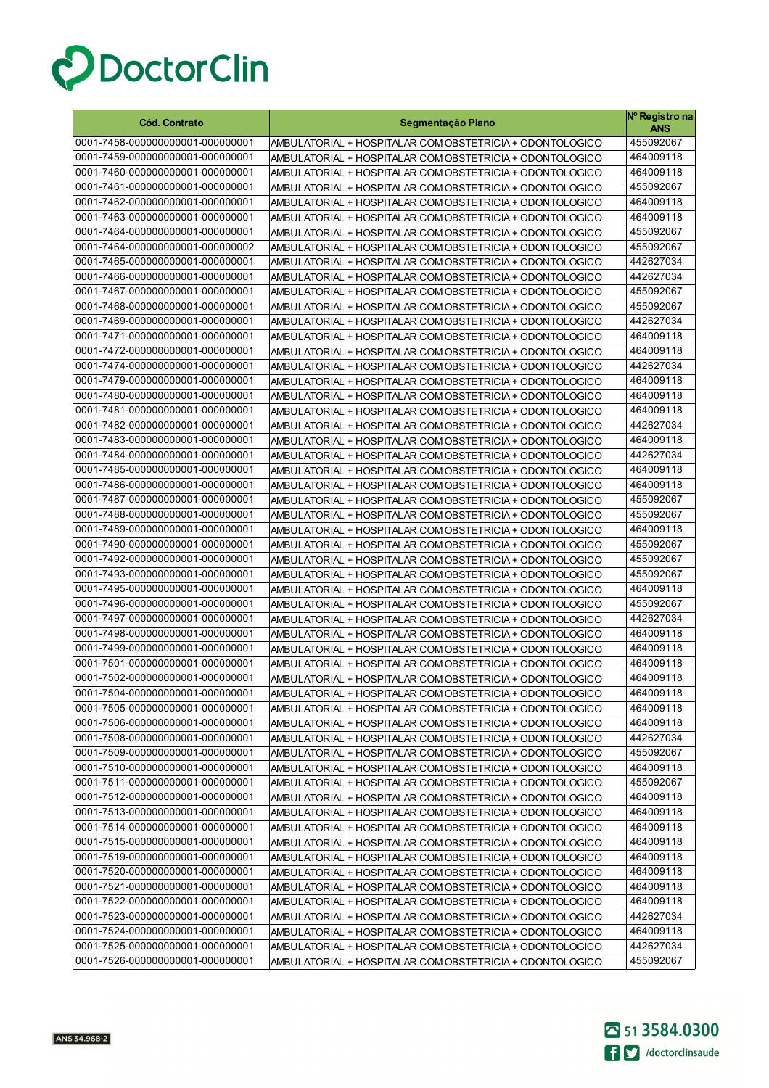

| <b>Cód. Contrato</b>             | Segmentação Plano                                        | Nº Registro na<br>ANS |
|----------------------------------|----------------------------------------------------------|-----------------------|
| 0001-7458-000000000001-000000001 | AMBULATORIAL + HOSPITALAR COM OBSTETRICIA + ODONTOLOGICO | 455092067             |
| 0001-7459-000000000001-000000001 | AMBULATORIAL + HOSPITALAR COM OBSTETRICIA + ODONTOLOGICO | 464009118             |
| 0001-7460-000000000001-000000001 | AMBULATORIAL + HOSPITALAR COM OBSTETRICIA + ODONTOLOGICO | 464009118             |
| 0001-7461-000000000001-000000001 | AMBULATORIAL + HOSPITALAR COM OBSTETRICIA + ODONTOLOGICO | 455092067             |
| 0001-7462-000000000001-000000001 | AMBULATORIAL + HOSPITALAR COM OBSTETRICIA + ODONTOLOGICO | 464009118             |
| 0001-7463-000000000001-000000001 | AMBULATORIAL + HOSPITALAR COM OBSTETRICIA + ODONTOLOGICO | 464009118             |
| 0001-7464-000000000001-000000001 | AMBULATORIAL + HOSPITALAR COM OBSTETRICIA + ODONTOLOGICO | 455092067             |
| 0001-7464-000000000001-000000002 | AMBULATORIAL + HOSPITALAR COM OBSTETRICIA + ODONTOLOGICO | 455092067             |
| 0001-7465-000000000001-000000001 | AMBULATORIAL + HOSPITALAR COM OBSTETRICIA + ODONTOLOGICO | 442627034             |
| 0001-7466-000000000001-000000001 | AMBULATORIAL + HOSPITALAR COM OBSTETRICIA + ODONTOLOGICO | 442627034             |
| 0001-7467-000000000001-000000001 | AMBULATORIAL + HOSPITALAR COM OBSTETRICIA + ODONTOLOGICO | 455092067             |
| 0001-7468-000000000001-000000001 | AMBULATORIAL + HOSPITALAR COM OBSTETRICIA + ODONTOLOGICO | 455092067             |
| 0001-7469-000000000001-000000001 | AMBULATORIAL + HOSPITALAR COM OBSTETRICIA + ODONTOLOGICO | 442627034             |
| 0001-7471-000000000001-000000001 | AMBULATORIAL + HOSPITALAR COM OBSTETRICIA + ODONTOLOGICO | 464009118             |
| 0001-7472-000000000001-000000001 | AMBULATORIAL + HOSPITALAR COM OBSTETRICIA + ODONTOLOGICO | 464009118             |
| 0001-7474-000000000001-000000001 | AMBULATORIAL + HOSPITALAR COM OBSTETRICIA + ODONTOLOGICO | 442627034             |
| 0001-7479-000000000001-000000001 | AMBULATORIAL + HOSPITALAR COM OBSTETRICIA + ODONTOLOGICO | 464009118             |
| 0001-7480-000000000001-000000001 | AMBULATORIAL + HOSPITALAR COM OBSTETRICIA + ODONTOLOGICO | 464009118             |
| 0001-7481-000000000001-000000001 | AMBULATORIAL + HOSPITALAR COM OBSTETRICIA + ODONTOLOGICO | 464009118             |
| 0001-7482-000000000001-000000001 | AMBULATORIAL + HOSPITALAR COM OBSTETRICIA + ODONTOLOGICO | 442627034             |
| 0001-7483-000000000001-000000001 | AMBULATORIAL + HOSPITALAR COM OBSTETRICIA + ODONTOLOGICO | 464009118             |
| 0001-7484-000000000001-000000001 | AMBULATORIAL + HOSPITALAR COM OBSTETRICIA + ODONTOLOGICO | 442627034             |
| 0001-7485-000000000001-000000001 | AMBULATORIAL + HOSPITALAR COM OBSTETRICIA + ODONTOLOGICO | 464009118             |
| 0001-7486-000000000001-000000001 | AMBULATORIAL + HOSPITALAR COM OBSTETRICIA + ODONTOLOGICO | 464009118             |
| 0001-7487-000000000001-000000001 | AMBULATORIAL + HOSPITALAR COM OBSTETRICIA + ODONTOLOGICO | 455092067             |
| 0001-7488-000000000001-000000001 | AMBULATORIAL + HOSPITALAR COM OBSTETRICIA + ODONTOLOGICO | 455092067             |
| 0001-7489-000000000001-000000001 | AMBULATORIAL + HOSPITALAR COM OBSTETRICIA + ODONTOLOGICO | 464009118             |
| 0001-7490-000000000001-000000001 | AMBULATORIAL + HOSPITALAR COM OBSTETRICIA + ODONTOLOGICO | 455092067             |
| 0001-7492-000000000001-000000001 | AMBULATORIAL + HOSPITALAR COM OBSTETRICIA + ODONTOLOGICO | 455092067             |
| 0001-7493-000000000001-000000001 | AMBULATORIAL + HOSPITALAR COM OBSTETRICIA + ODONTOLOGICO | 455092067             |
| 0001-7495-000000000001-000000001 | AMBULATORIAL + HOSPITALAR COM OBSTETRICIA + ODONTOLOGICO | 464009118             |
| 0001-7496-000000000001-000000001 | AMBULATORIAL + HOSPITALAR COM OBSTETRICIA + ODONTOLOGICO | 455092067             |
| 0001-7497-000000000001-000000001 | AMBULATORIAL + HOSPITALAR COM OBSTETRICIA + ODONTOLOGICO | 442627034             |
| 0001-7498-000000000001-000000001 | AMBULATORIAL + HOSPITALAR COM OBSTETRICIA + ODONTOLOGICO | 464009118             |
| 0001-7499-000000000001-000000001 | AMBULATORIAL + HOSPITALAR COM OBSTETRICIA + ODONTOLOGICO | 464009118             |
| 0001-7501-000000000001-000000001 | AMBULATORIAL + HOSPITALAR COM OBSTETRICIA + ODONTOLOGICO | 464009118             |
| 0001-7502-000000000001-000000001 | AMBULATORIAL + HOSPITALAR COM OBSTETRICIA + ODONTOLOGICO | 464009118             |
| 0001-7504-000000000001-000000001 | AMBULATORIAL + HOSPITALAR COM OBSTETRICIA + ODONTOLOGICO | 464009118             |
| 0001-7505-000000000001-000000001 | AMBULATORIAL + HOSPITALAR COM OBSTETRICIA + ODONTOLOGICO | 464009118             |
| 0001-7506-000000000001-000000001 | AMBULATORIAL + HOSPITALAR COM OBSTETRICIA + ODONTOLOGICO | 464009118             |
| 0001-7508-000000000001-000000001 | AMBULATORIAL + HOSPITALAR COM OBSTETRICIA + ODONTOLOGICO | 442627034             |
| 0001-7509-000000000001-000000001 | AMBULATORIAL + HOSPITALAR COM OBSTETRICIA + ODONTOLOGICO | 455092067             |
| 0001-7510-000000000001-000000001 | AMBULATORIAL + HOSPITALAR COM OBSTETRICIA + ODONTOLOGICO | 464009118             |
| 0001-7511-000000000001-000000001 | AMBULATORIAL + HOSPITALAR COM OBSTETRICIA + ODONTOLOGICO | 455092067             |
| 0001-7512-000000000001-000000001 | AMBULATORIAL + HOSPITALAR COM OBSTETRICIA + ODONTOLOGICO | 464009118             |
| 0001-7513-000000000001-000000001 | AMBULATORIAL + HOSPITALAR COM OBSTETRICIA + ODONTOLOGICO | 464009118             |
| 0001-7514-000000000001-000000001 | AMBULATORIAL + HOSPITALAR COM OBSTETRICIA + ODONTOLOGICO | 464009118             |
| 0001-7515-000000000001-000000001 | AMBULATORIAL + HOSPITALAR COM OBSTETRICIA + ODONTOLOGICO | 464009118             |
| 0001-7519-000000000001-000000001 | AMBULATORIAL + HOSPITALAR COM OBSTETRICIA + ODONTOLOGICO | 464009118             |
| 0001-7520-000000000001-000000001 | AMBULATORIAL + HOSPITALAR COM OBSTETRICIA + ODONTOLOGICO | 464009118             |
| 0001-7521-000000000001-000000001 | AMBULATORIAL + HOSPITALAR COM OBSTETRICIA + ODONTOLOGICO | 464009118             |
| 0001-7522-000000000001-000000001 | AMBULATORIAL + HOSPITALAR COM OBSTETRICIA + ODONTOLOGICO | 464009118             |
| 0001-7523-000000000001-000000001 | AMBULATORIAL + HOSPITALAR COM OBSTETRICIA + ODONTOLOGICO | 442627034             |
| 0001-7524-000000000001-000000001 | AMBULATORIAL + HOSPITALAR COM OBSTETRICIA + ODONTOLOGICO | 464009118             |
| 0001-7525-000000000001-000000001 | AMBULATORIAL + HOSPITALAR COM OBSTETRICIA + ODONTOLOGICO | 442627034             |
| 0001-7526-000000000001-000000001 | AMBULATORIAL + HOSPITALAR COM OBSTETRICIA + ODONTOLOGICO | 455092067             |

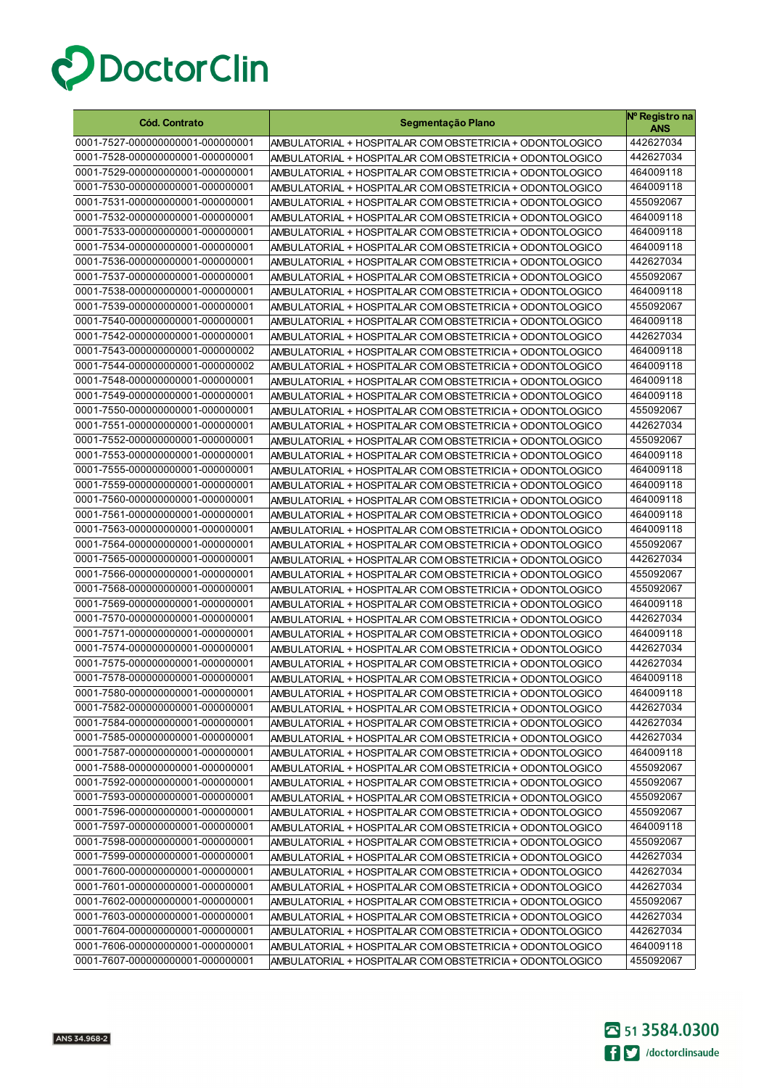

| <b>Cód. Contrato</b>                                                 | Segmentação Plano                                                                                                    | Nº Registro na<br><b>ANS</b> |
|----------------------------------------------------------------------|----------------------------------------------------------------------------------------------------------------------|------------------------------|
| 0001-7527-000000000001-000000001                                     | AMBULATORIAL + HOSPITALAR COM OBSTETRICIA + ODONTOLOGICO                                                             | 442627034                    |
| 0001-7528-000000000001-000000001                                     | AMBULATORIAL + HOSPITALAR COM OBSTETRICIA + ODONTOLOGICO                                                             | 442627034                    |
| 0001-7529-000000000001-000000001                                     | AMBULATORIAL + HOSPITALAR COM OBSTETRICIA + ODONTOLOGICO                                                             | 464009118                    |
| 0001-7530-000000000001-000000001                                     | AMBULATORIAL + HOSPITALAR COM OBSTETRICIA + ODONTOLOGICO                                                             | 464009118                    |
| 0001-7531-000000000001-000000001                                     | AMBULATORIAL + HOSPITALAR COM OBSTETRICIA + ODONTOLOGICO                                                             | 455092067                    |
| 0001-7532-000000000001-000000001                                     | AMBULATORIAL + HOSPITALAR COM OBSTETRICIA + ODONTOLOGICO                                                             | 464009118                    |
| 0001-7533-000000000001-000000001                                     | AMBULATORIAL + HOSPITALAR COM OBSTETRICIA + ODONTOLOGICO                                                             | 464009118                    |
| 0001-7534-000000000001-000000001                                     | AMBULATORIAL + HOSPITALAR COM OBSTETRICIA + ODONTOLOGICO                                                             | 464009118                    |
| 0001-7536-000000000001-000000001                                     | AMBULATORIAL + HOSPITALAR COM OBSTETRICIA + ODONTOLOGICO                                                             | 442627034                    |
| 0001-7537-000000000001-000000001                                     | AMBULATORIAL + HOSPITALAR COM OBSTETRICIA + ODONTOLOGICO                                                             | 455092067                    |
| 0001-7538-000000000001-000000001                                     | AMBULATORIAL + HOSPITALAR COM OBSTETRICIA + ODONTOLOGICO                                                             | 464009118                    |
| 0001-7539-000000000001-000000001                                     | AMBULATORIAL + HOSPITALAR COM OBSTETRICIA + ODONTOLOGICO                                                             | 455092067                    |
| 0001-7540-000000000001-000000001                                     | AMBULATORIAL + HOSPITALAR COM OBSTETRICIA + ODONTOLOGICO                                                             | 464009118                    |
| 0001-7542-000000000001-000000001                                     | AMBULATORIAL + HOSPITALAR COM OBSTETRICIA + ODONTOLOGICO                                                             | 442627034                    |
| 0001-7543-000000000001-000000002                                     | AMBULATORIAL + HOSPITALAR COM OBSTETRICIA + ODONTOLOGICO                                                             | 464009118                    |
| 0001-7544-000000000001-000000002                                     | AMBULATORIAL + HOSPITALAR COM OBSTETRICIA + ODONTOLOGICO                                                             | 464009118                    |
| 0001-7548-000000000001-000000001                                     | AMBULATORIAL + HOSPITALAR COM OBSTETRICIA + ODONTOLOGICO                                                             | 464009118                    |
| 0001-7549-000000000001-000000001                                     | AMBULATORIAL + HOSPITALAR COM OBSTETRICIA + ODONTOLOGICO                                                             | 464009118                    |
| 0001-7550-000000000001-000000001                                     | AMBULATORIAL + HOSPITALAR COM OBSTETRICIA + ODONTOLOGICO                                                             | 455092067                    |
| 0001-7551-000000000001-000000001                                     | AMBULATORIAL + HOSPITALAR COM OBSTETRICIA + ODONTOLOGICO                                                             | 442627034                    |
| 0001-7552-000000000001-000000001                                     | AMBULATORIAL + HOSPITALAR COM OBSTETRICIA + ODONTOLOGICO                                                             | 455092067                    |
| 0001-7553-000000000001-000000001                                     | AMBULATORIAL + HOSPITALAR COM OBSTETRICIA + ODONTOLOGICO                                                             | 464009118                    |
| 0001-7555-000000000001-000000001                                     | AMBULATORIAL + HOSPITALAR COM OBSTETRICIA + ODONTOLOGICO                                                             | 464009118                    |
| 0001-7559-000000000001-000000001                                     | AMBULATORIAL + HOSPITALAR COM OBSTETRICIA + ODONTOLOGICO                                                             | 464009118                    |
| 0001-7560-000000000001-000000001                                     | AMBULATORIAL + HOSPITALAR COM OBSTETRICIA + ODONTOLOGICO                                                             | 464009118                    |
| 0001-7561-000000000001-000000001                                     | AMBULATORIAL + HOSPITALAR COM OBSTETRICIA + ODONTOLOGICO                                                             | 464009118                    |
| 0001-7563-000000000001-000000001<br>0001-7564-000000000001-000000001 | AMBULATORIAL + HOSPITALAR COM OBSTETRICIA + ODONTOLOGICO                                                             | 464009118                    |
| 0001-7565-000000000001-000000001                                     | AMBULATORIAL + HOSPITALAR COM OBSTETRICIA + ODONTOLOGICO                                                             | 455092067<br>442627034       |
| 0001-7566-000000000001-000000001                                     | AMBULATORIAL + HOSPITALAR COM OBSTETRICIA + ODONTOLOGICO<br>AMBULATORIAL + HOSPITALAR COM OBSTETRICIA + ODONTOLOGICO | 455092067                    |
| 0001-7568-000000000001-000000001                                     | AMBULATORIAL + HOSPITALAR COM OBSTETRICIA + ODONTOLOGICO                                                             | 455092067                    |
| 0001-7569-000000000001-000000001                                     | AMBULATORIAL + HOSPITALAR COM OBSTETRICIA + ODONTOLOGICO                                                             | 464009118                    |
| 0001-7570-000000000001-000000001                                     | AMBULATORIAL + HOSPITALAR COM OBSTETRICIA + ODONTOLOGICO                                                             | 442627034                    |
| 0001-7571-000000000001-000000001                                     | AMBULATORIAL + HOSPITALAR COM OBSTETRICIA + ODONTOLOGICO                                                             | 464009118                    |
| 0001-7574-000000000001-000000001                                     | AMBULATORIAL + HOSPITALAR COM OBSTETRICIA + ODONTOLOGICO                                                             | 442627034                    |
| 0001-7575-000000000001-000000001                                     | AMBULATORIAL + HOSPITALAR COM OBSTETRICIA + ODONTOLOGICO                                                             | 442627034                    |
| 0001-7578-000000000001-000000001                                     | AMBULATORIAL + HOSPITALAR COM OBSTETRICIA + ODONTOLOGICO                                                             | 464009118                    |
| 0001-7580-000000000001-000000001                                     | AMBULATORIAL + HOSPITALAR COM OBSTETRICIA + ODONTOLOGICO                                                             | 464009118                    |
| 0001-7582-000000000001-000000001                                     | AMBULATORIAL + HOSPITALAR COM OBSTETRICIA + ODONTOLOGICO                                                             | 442627034                    |
| 0001-7584-000000000001-000000001                                     | AMBULATORIAL + HOSPITALAR COM OBSTETRICIA + ODONTOLOGICO                                                             | 442627034                    |
| 0001-7585-000000000001-000000001                                     | AMBULATORIAL + HOSPITALAR COM OBSTETRICIA + ODONTOLOGICO                                                             | 442627034                    |
| 0001-7587-000000000001-000000001                                     | AMBULATORIAL + HOSPITALAR COM OBSTETRICIA + ODONTOLOGICO                                                             | 464009118                    |
| 0001-7588-000000000001-000000001                                     | AMBULATORIAL + HOSPITALAR COM OBSTETRICIA + ODONTOLOGICO                                                             | 455092067                    |
| 0001-7592-000000000001-000000001                                     | AMBULATORIAL + HOSPITALAR COM OBSTETRICIA + ODONTOLOGICO                                                             | 455092067                    |
| 0001-7593-000000000001-000000001                                     | AMBULATORIAL + HOSPITALAR COM OBSTETRICIA + ODONTOLOGICO                                                             | 455092067                    |
| 0001-7596-000000000001-000000001                                     | AMBULATORIAL + HOSPITALAR COM OBSTETRICIA + ODONTOLOGICO                                                             | 455092067                    |
| 0001-7597-000000000001-000000001                                     | AMBULATORIAL + HOSPITALAR COM OBSTETRICIA + ODONTOLOGICO                                                             | 464009118                    |
| 0001-7598-000000000001-000000001                                     | AMBULATORIAL + HOSPITALAR COM OBSTETRICIA + ODONTOLOGICO                                                             | 455092067                    |
| 0001-7599-000000000001-000000001                                     | AMBULATORIAL + HOSPITALAR COM OBSTETRICIA + ODONTOLOGICO                                                             | 442627034                    |
| 0001-7600-000000000001-000000001                                     | AMBULATORIAL + HOSPITALAR COM OBSTETRICIA + ODONTOLOGICO                                                             | 442627034                    |
| 0001-7601-000000000001-000000001                                     | AMBULATORIAL + HOSPITALAR COM OBSTETRICIA + ODONTOLOGICO                                                             | 442627034                    |
| 0001-7602-000000000001-000000001                                     | AMBULATORIAL + HOSPITALAR COM OBSTETRICIA + ODONTOLOGICO                                                             | 455092067                    |
| 0001-7603-000000000001-000000001                                     | AMBULATORIAL + HOSPITALAR COM OBSTETRICIA + ODONTOLOGICO                                                             | 442627034                    |
| 0001-7604-000000000001-000000001                                     | AMBULATORIAL + HOSPITALAR COM OBSTETRICIA + ODONTOLOGICO                                                             | 442627034                    |
| 0001-7606-000000000001-000000001                                     | AMBULATORIAL + HOSPITALAR COM OBSTETRICIA + ODONTOLOGICO                                                             | 464009118                    |
| 0001-7607-000000000001-000000001                                     | AMBULATORIAL + HOSPITALAR COM OBSTETRICIA + ODONTOLOGICO                                                             | 455092067                    |

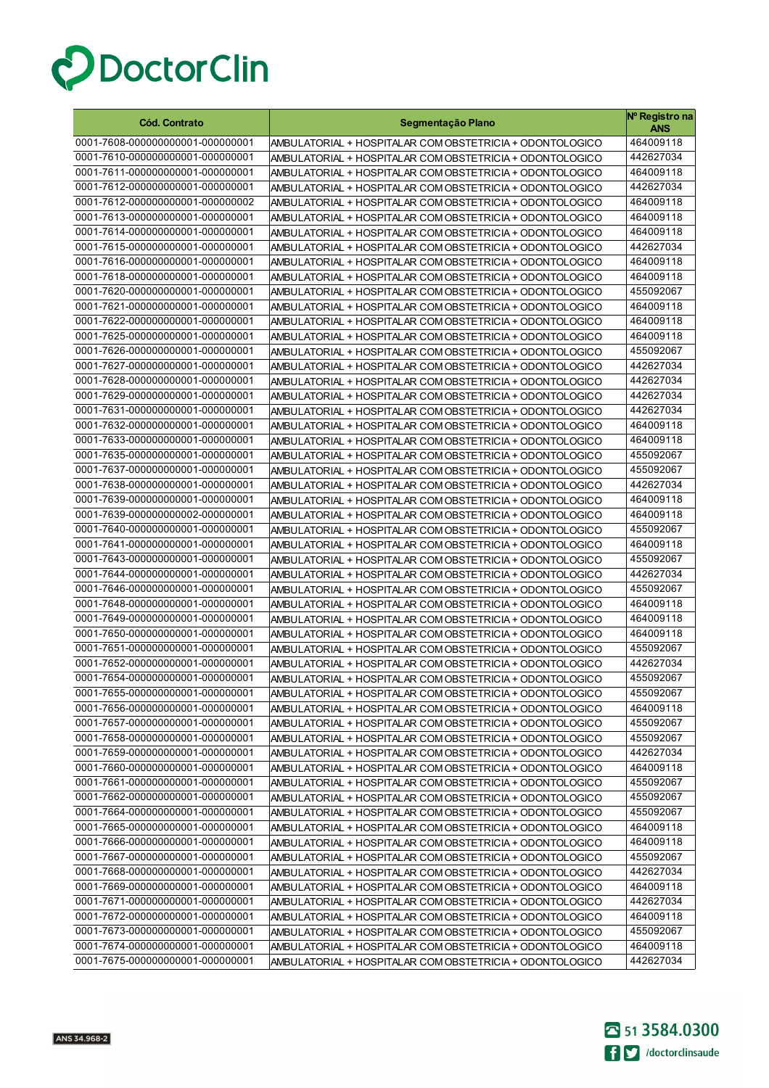

| <b>Cód. Contrato</b>                                                 | Segmentação Plano                                                                                                    | Nº Registro na<br>ANS  |
|----------------------------------------------------------------------|----------------------------------------------------------------------------------------------------------------------|------------------------|
| 0001-7608-000000000001-000000001                                     | AMBULATORIAL + HOSPITALAR COM OBSTETRICIA + ODONTOLOGICO                                                             | 464009118              |
| 0001-7610-000000000001-000000001                                     | AMBULATORIAL + HOSPITALAR COM OBSTETRICIA + ODONTOLOGICO                                                             | 442627034              |
| 0001-7611-000000000001-000000001                                     | AMBULATORIAL + HOSPITALAR COM OBSTETRICIA + ODONTOLOGICO                                                             | 464009118              |
| 0001-7612-000000000001-000000001                                     | AMBULATORIAL + HOSPITALAR COM OBSTETRICIA + ODONTOLOGICO                                                             | 442627034              |
| 0001-7612-000000000001-000000002                                     | AMBULATORIAL + HOSPITALAR COM OBSTETRICIA + ODONTOLOGICO                                                             | 464009118              |
| 0001-7613-000000000001-000000001                                     | AMBULATORIAL + HOSPITALAR COM OBSTETRICIA + ODONTOLOGICO                                                             | 464009118              |
| 0001-7614-000000000001-000000001                                     | AMBULATORIAL + HOSPITALAR COM OBSTETRICIA + ODONTOLOGICO                                                             | 464009118              |
| 0001-7615-000000000001-000000001                                     | AMBULATORIAL + HOSPITALAR COM OBSTETRICIA + ODONTOLOGICO                                                             | 442627034              |
| 0001-7616-000000000001-000000001                                     | AMBULATORIAL + HOSPITALAR COM OBSTETRICIA + ODONTOLOGICO                                                             | 464009118              |
| 0001-7618-000000000001-000000001                                     | AMBULATORIAL + HOSPITALAR COM OBSTETRICIA + ODONTOLOGICO                                                             | 464009118              |
| 0001-7620-000000000001-000000001                                     | AMBULATORIAL + HOSPITALAR COM OBSTETRICIA + ODONTOLOGICO                                                             | 455092067              |
| 0001-7621-000000000001-000000001                                     | AMBULATORIAL + HOSPITALAR COM OBSTETRICIA + ODONTOLOGICO                                                             | 464009118              |
| 0001-7622-000000000001-000000001                                     | AMBULATORIAL + HOSPITALAR COM OBSTETRICIA + ODONTOLOGICO                                                             | 464009118              |
| 0001-7625-000000000001-000000001                                     | AMBULATORIAL + HOSPITALAR COM OBSTETRICIA + ODONTOLOGICO                                                             | 464009118              |
| 0001-7626-000000000001-000000001                                     | AMBULATORIAL + HOSPITALAR COM OBSTETRICIA + ODONTOLOGICO                                                             | 455092067              |
| 0001-7627-000000000001-000000001                                     | AMBULATORIAL + HOSPITALAR COM OBSTETRICIA + ODONTOLOGICO                                                             | 442627034              |
| 0001-7628-000000000001-000000001                                     | AMBULATORIAL + HOSPITALAR COM OBSTETRICIA + ODONTOLOGICO                                                             | 442627034              |
| 0001-7629-000000000001-000000001                                     | AMBULATORIAL + HOSPITALAR COM OBSTETRICIA + ODONTOLOGICO                                                             | 442627034              |
| 0001-7631-000000000001-000000001                                     | AMBULATORIAL + HOSPITALAR COM OBSTETRICIA + ODONTOLOGICO                                                             | 442627034              |
| 0001-7632-000000000001-000000001                                     | AMBULATORIAL + HOSPITALAR COM OBSTETRICIA + ODONTOLOGICO                                                             | 464009118              |
| 0001-7633-000000000001-000000001                                     | AMBULATORIAL + HOSPITALAR COM OBSTETRICIA + ODONTOLOGICO                                                             | 464009118              |
| 0001-7635-000000000001-000000001                                     | AMBULATORIAL + HOSPITALAR COM OBSTETRICIA + ODONTOLOGICO                                                             | 455092067              |
| 0001-7637-000000000001-000000001                                     | AMBULATORIAL + HOSPITALAR COM OBSTETRICIA + ODONTOLOGICO                                                             | 455092067              |
| 0001-7638-000000000001-000000001                                     | AMBULATORIAL + HOSPITALAR COM OBSTETRICIA + ODONTOLOGICO                                                             | 442627034              |
| 0001-7639-000000000001-000000001                                     | AMBULATORIAL + HOSPITALAR COM OBSTETRICIA + ODONTOLOGICO                                                             | 464009118              |
| 0001-7639-000000000002-000000001                                     | AMBULATORIAL + HOSPITALAR COM OBSTETRICIA + ODONTOLOGICO                                                             | 464009118              |
| 0001-7640-000000000001-000000001                                     | AMBULATORIAL + HOSPITALAR COM OBSTETRICIA + ODONTOLOGICO                                                             | 455092067              |
| 0001-7641-000000000001-000000001                                     | AMBULATORIAL + HOSPITALAR COM OBSTETRICIA + ODONTOLOGICO                                                             | 464009118              |
| 0001-7643-000000000001-000000001                                     | AMBULATORIAL + HOSPITALAR COM OBSTETRICIA + ODONTOLOGICO                                                             | 455092067              |
| 0001-7644-000000000001-000000001                                     | AMBULATORIAL + HOSPITALAR COM OBSTETRICIA + ODONTOLOGICO                                                             | 442627034              |
| 0001-7646-000000000001-000000001                                     | AMBULATORIAL + HOSPITALAR COM OBSTETRICIA + ODONTOLOGICO                                                             | 455092067              |
| 0001-7648-000000000001-000000001                                     | AMBULATORIAL + HOSPITALAR COM OBSTETRICIA + ODONTOLOGICO                                                             | 464009118              |
| 0001-7649-000000000001-000000001                                     | AMBULATORIAL + HOSPITALAR COM OBSTETRICIA + ODONTOLOGICO                                                             | 464009118              |
| 0001-7650-000000000001-000000001                                     | AMBULATORIAL + HOSPITALAR COM OBSTETRICIA + ODONTOLOGICO                                                             | 464009118              |
| 0001-7651-000000000001-000000001                                     | AMBULATORIAL + HOSPITALAR COM OBSTETRICIA + ODONTOLOGICO                                                             | 455092067              |
| 0001-7652-000000000001-000000001<br>0001-7654-000000000001-000000001 | AMBULATORIAL + HOSPITALAR COM OBSTETRICIA + ODONTOLOGICO                                                             | 442627034<br>455092067 |
|                                                                      | AMBULATORIAL + HOSPITALAR COM OBSTETRICIA + ODONTOLOGICO                                                             |                        |
| 0001-7655-000000000001-000000001                                     | AMBULATORIAL + HOSPITALAR COM OBSTETRICIA + ODONTOLOGICO                                                             | 455092067              |
| 0001-7656-000000000001-000000001<br>0001-7657-000000000001-000000001 | AMBULATORIAL + HOSPITALAR COM OBSTETRICIA + ODONTOLOGICO                                                             | 464009118              |
| 0001-7658-000000000001-000000001                                     | AMBULATORIAL + HOSPITALAR COM OBSTETRICIA + ODONTOLOGICO                                                             | 455092067<br>455092067 |
| 0001-7659-000000000001-000000001                                     | AMBULATORIAL + HOSPITALAR COM OBSTETRICIA + ODONTOLOGICO<br>AMBULATORIAL + HOSPITALAR COM OBSTETRICIA + ODONTOLOGICO | 442627034              |
| 0001-7660-000000000001-000000001                                     | AMBULATORIAL + HOSPITALAR COM OBSTETRICIA + ODONTOLOGICO                                                             | 464009118              |
| 0001-7661-000000000001-000000001                                     | AMBULATORIAL + HOSPITALAR COM OBSTETRICIA + ODONTOLOGICO                                                             | 455092067              |
| 0001-7662-000000000001-000000001                                     | AMBULATORIAL + HOSPITALAR COM OBSTETRICIA + ODONTOLOGICO                                                             | 455092067              |
| 0001-7664-000000000001-000000001                                     | AMBULATORIAL + HOSPITALAR COM OBSTETRICIA + ODONTOLOGICO                                                             | 455092067              |
| 0001-7665-000000000001-000000001                                     | AMBULATORIAL + HOSPITALAR COM OBSTETRICIA + ODONTOLOGICO                                                             | 464009118              |
| 0001-7666-000000000001-000000001                                     | AMBULATORIAL + HOSPITALAR COM OBSTETRICIA + ODONTOLOGICO                                                             | 464009118              |
| 0001-7667-000000000001-000000001                                     | AMBULATORIAL + HOSPITALAR COM OBSTETRICIA + ODONTOLOGICO                                                             | 455092067              |
| 0001-7668-000000000001-000000001                                     | AMBULATORIAL + HOSPITALAR COM OBSTETRICIA + ODONTOLOGICO                                                             | 442627034              |
| 0001-7669-000000000001-000000001                                     | AMBULATORIAL + HOSPITALAR COM OBSTETRICIA + ODONTOLOGICO                                                             | 464009118              |
| 0001-7671-000000000001-000000001                                     | AMBULATORIAL + HOSPITALAR COM OBSTETRICIA + ODONTOLOGICO                                                             | 442627034              |
| 0001-7672-000000000001-000000001                                     | AMBULATORIAL + HOSPITALAR COM OBSTETRICIA + ODONTOLOGICO                                                             | 464009118              |
| 0001-7673-000000000001-000000001                                     | AMBULATORIAL + HOSPITALAR COM OBSTETRICIA + ODONTOLOGICO                                                             | 455092067              |
| 0001-7674-000000000001-000000001                                     | AMBULATORIAL + HOSPITALAR COM OBSTETRICIA + ODONTOLOGICO                                                             | 464009118              |
| 0001-7675-000000000001-000000001                                     | AMBULATORIAL + HOSPITALAR COM OBSTETRICIA + ODONTOLOGICO                                                             | 442627034              |